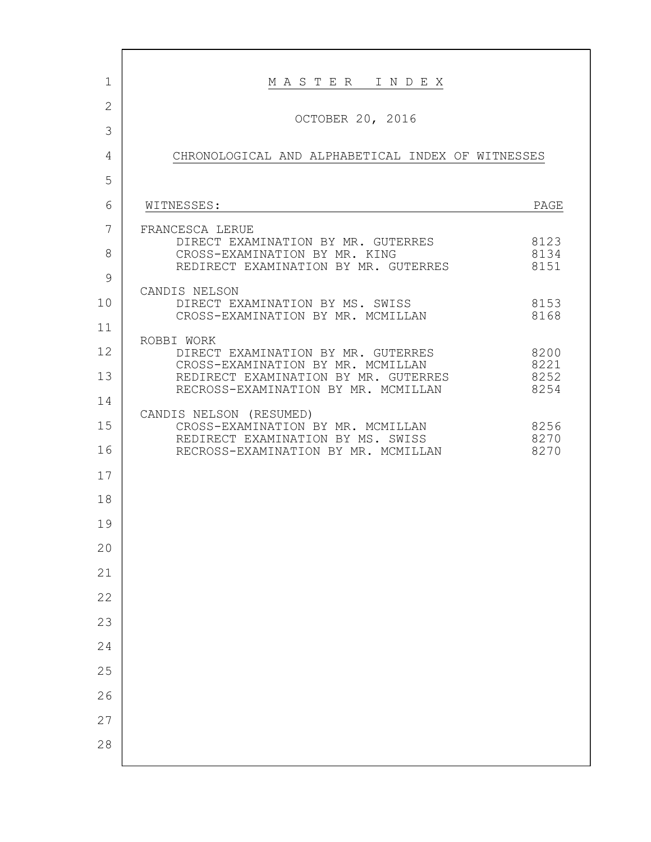| 1            | MASTER INDEX                                                                                                                   |                      |
|--------------|--------------------------------------------------------------------------------------------------------------------------------|----------------------|
| $\mathbf{2}$ | OCTOBER 20, 2016                                                                                                               |                      |
| 3            |                                                                                                                                |                      |
| 4            | CHRONOLOGICAL AND ALPHABETICAL INDEX OF WITNESSES                                                                              |                      |
| 5            |                                                                                                                                |                      |
| 6            | WITNESSES:                                                                                                                     | PAGE                 |
| 7<br>8       | FRANCESCA LERUE<br>DIRECT EXAMINATION BY MR. GUTERRES<br>CROSS-EXAMINATION BY MR. KING<br>REDIRECT EXAMINATION BY MR. GUTERRES | 8123<br>8134<br>8151 |
| 9            | CANDIS NELSON                                                                                                                  |                      |
| 10           | DIRECT EXAMINATION BY MS. SWISS<br>CROSS-EXAMINATION BY MR. MCMILLAN                                                           | 8153<br>8168         |
| 11           | ROBBI WORK                                                                                                                     |                      |
| 12           | DIRECT EXAMINATION BY MR. GUTERRES<br>CROSS-EXAMINATION BY MR. MCMILLAN                                                        | 8200<br>8221         |
| 13           | REDIRECT EXAMINATION BY MR. GUTERRES<br>RECROSS-EXAMINATION BY MR. MCMILLAN                                                    | 8252<br>8254         |
| 14           | CANDIS NELSON (RESUMED)                                                                                                        |                      |
| 15           | CROSS-EXAMINATION BY MR. MCMILLAN<br>REDIRECT EXAMINATION BY MS. SWISS                                                         | 8256<br>8270         |
| 16           | RECROSS-EXAMINATION BY MR. MCMILLAN                                                                                            | 8270                 |
| 17           |                                                                                                                                |                      |
| 18           |                                                                                                                                |                      |
| 19           |                                                                                                                                |                      |
| 20           |                                                                                                                                |                      |
| 21           |                                                                                                                                |                      |
| 22           |                                                                                                                                |                      |
| 23           |                                                                                                                                |                      |
| 24           |                                                                                                                                |                      |
| 25           |                                                                                                                                |                      |
| 26           |                                                                                                                                |                      |
| 27           |                                                                                                                                |                      |
| 28           |                                                                                                                                |                      |
|              |                                                                                                                                |                      |

Г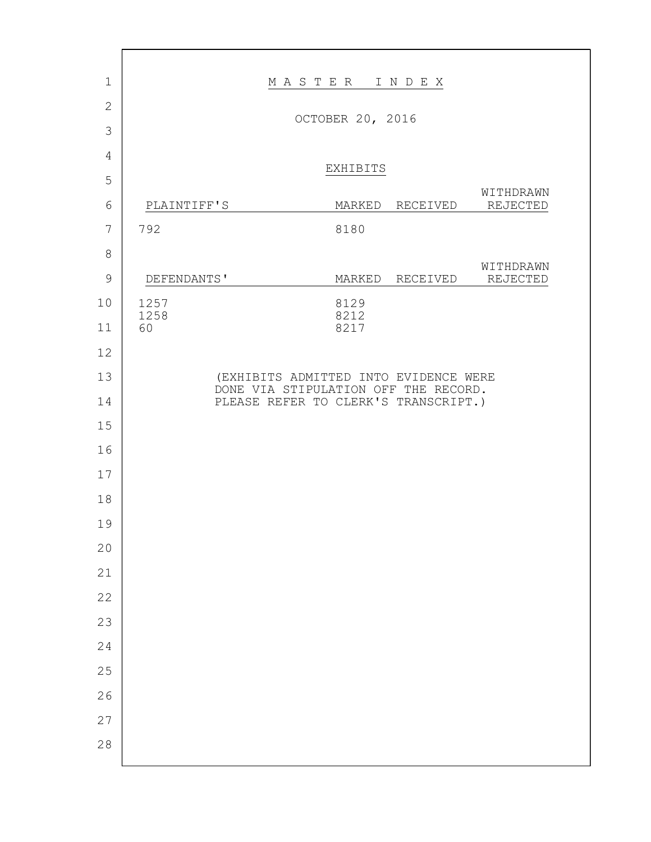| $\mathbf{1}$   |                  | MASTER INDEX                                                                 |                 |           |
|----------------|------------------|------------------------------------------------------------------------------|-----------------|-----------|
| $\overline{2}$ | OCTOBER 20, 2016 |                                                                              |                 |           |
| 3              |                  |                                                                              |                 |           |
| 4              |                  | EXHIBITS                                                                     |                 |           |
| 5              |                  |                                                                              |                 | WITHDRAWN |
| 6              | PLAINTIFF'S      |                                                                              | MARKED RECEIVED | REJECTED  |
| 7              | 792              | 8180                                                                         |                 |           |
| 8              |                  |                                                                              |                 | WITHDRAWN |
| $\mathcal{G}$  | DEFENDANTS'      |                                                                              | MARKED RECEIVED | REJECTED  |
| 10             | 1257<br>1258     | 8129<br>8212                                                                 |                 |           |
| 11             | 60               | 8217                                                                         |                 |           |
| 12             |                  |                                                                              |                 |           |
| 13             |                  | (EXHIBITS ADMITTED INTO EVIDENCE WERE                                        |                 |           |
| 14             |                  | DONE VIA STIPULATION OFF THE RECORD.<br>PLEASE REFER TO CLERK'S TRANSCRIPT.) |                 |           |
| 15             |                  |                                                                              |                 |           |
| 16             |                  |                                                                              |                 |           |
| 17             |                  |                                                                              |                 |           |
| 18             |                  |                                                                              |                 |           |
| 19             |                  |                                                                              |                 |           |
| 20             |                  |                                                                              |                 |           |
| 21             |                  |                                                                              |                 |           |
| 22             |                  |                                                                              |                 |           |
| 23             |                  |                                                                              |                 |           |
| 24             |                  |                                                                              |                 |           |
| 25             |                  |                                                                              |                 |           |
| 26             |                  |                                                                              |                 |           |
| 27             |                  |                                                                              |                 |           |
| 28             |                  |                                                                              |                 |           |
|                |                  |                                                                              |                 |           |

г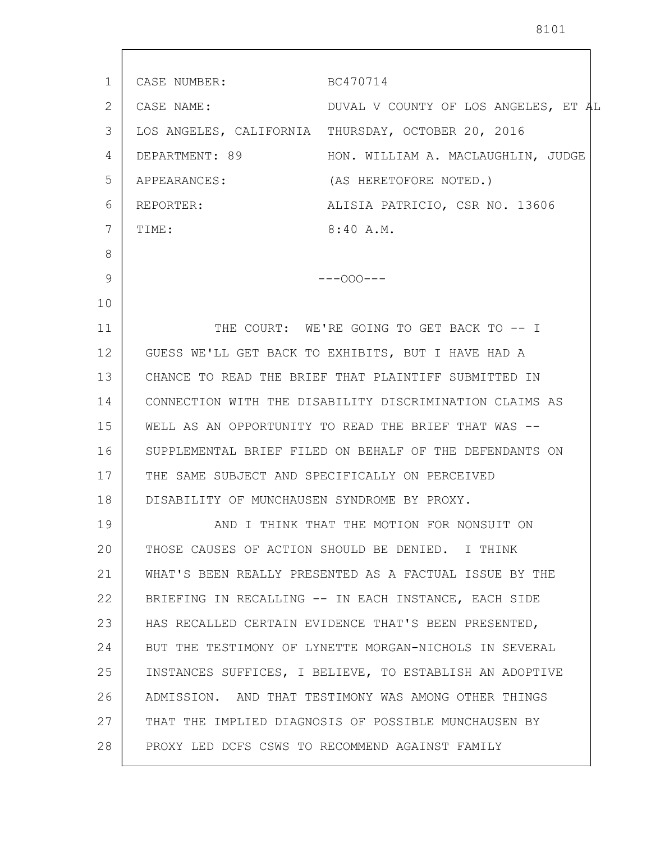| 1  | CASE NUMBER:                                | BC470714                                                |
|----|---------------------------------------------|---------------------------------------------------------|
| 2  | CASE NAME:                                  | DUVAL V COUNTY OF LOS ANGELES, ET AL                    |
| 3  |                                             | LOS ANGELES, CALIFORNIA THURSDAY, OCTOBER 20, 2016      |
| 4  | DEPARTMENT: 89                              | HON. WILLIAM A. MACLAUGHLIN, JUDGE                      |
| 5  | APPEARANCES:                                | (AS HERETOFORE NOTED.)                                  |
| 6  | REPORTER:                                   | ALISIA PATRICIO, CSR NO. 13606                          |
| 7  | TIME:                                       | 8:40 A.M.                                               |
| 8  |                                             |                                                         |
| 9  |                                             | $---000---$                                             |
| 10 |                                             |                                                         |
| 11 |                                             | THE COURT: WE'RE GOING TO GET BACK TO -- I              |
| 12 |                                             | GUESS WE'LL GET BACK TO EXHIBITS, BUT I HAVE HAD A      |
| 13 |                                             | CHANCE TO READ THE BRIEF THAT PLAINTIFF SUBMITTED IN    |
| 14 |                                             | CONNECTION WITH THE DISABILITY DISCRIMINATION CLAIMS AS |
| 15 |                                             | WELL AS AN OPPORTUNITY TO READ THE BRIEF THAT WAS --    |
| 16 |                                             | SUPPLEMENTAL BRIEF FILED ON BEHALF OF THE DEFENDANTS ON |
| 17 |                                             | THE SAME SUBJECT AND SPECIFICALLY ON PERCEIVED          |
| 18 | DISABILITY OF MUNCHAUSEN SYNDROME BY PROXY. |                                                         |
| 19 |                                             | AND I THINK THAT THE MOTION FOR NONSUIT ON              |
| 20 |                                             | THOSE CAUSES OF ACTION SHOULD BE DENIED. I THINK        |
| 21 |                                             | WHAT'S BEEN REALLY PRESENTED AS A FACTUAL ISSUE BY THE  |
| 22 |                                             | BRIEFING IN RECALLING -- IN EACH INSTANCE, EACH SIDE    |
| 23 |                                             | HAS RECALLED CERTAIN EVIDENCE THAT'S BEEN PRESENTED,    |
| 24 |                                             | BUT THE TESTIMONY OF LYNETTE MORGAN-NICHOLS IN SEVERAL  |
| 25 |                                             | INSTANCES SUFFICES, I BELIEVE, TO ESTABLISH AN ADOPTIVE |
| 26 |                                             | ADMISSION. AND THAT TESTIMONY WAS AMONG OTHER THINGS    |
| 27 |                                             | THAT THE IMPLIED DIAGNOSIS OF POSSIBLE MUNCHAUSEN BY    |
| 28 |                                             | PROXY LED DCFS CSWS TO RECOMMEND AGAINST FAMILY         |
|    |                                             |                                                         |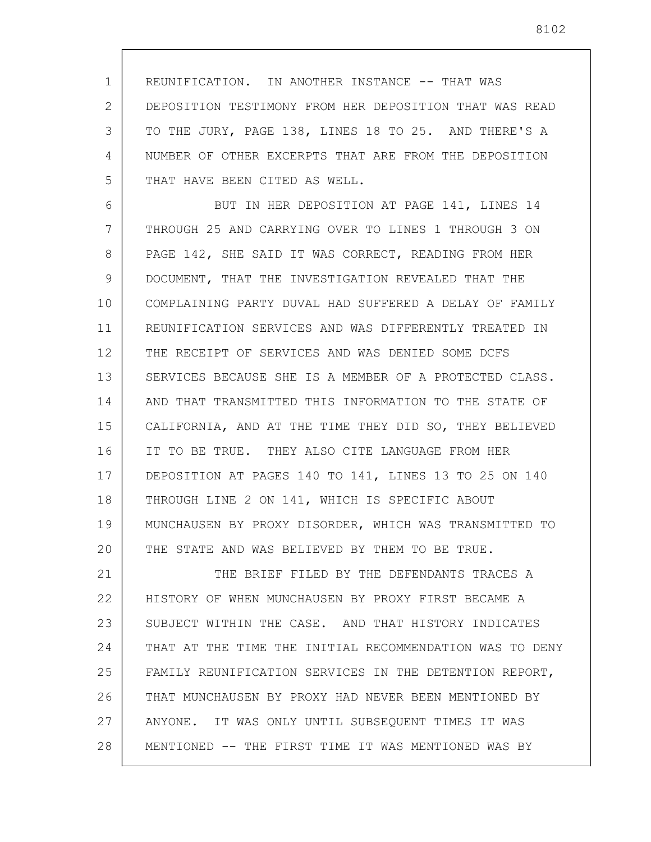1 2 3 4 5 REUNIFICATION. IN ANOTHER INSTANCE -- THAT WAS DEPOSITION TESTIMONY FROM HER DEPOSITION THAT WAS READ TO THE JURY, PAGE 138, LINES 18 TO 25. AND THERE'S A NUMBER OF OTHER EXCERPTS THAT ARE FROM THE DEPOSITION THAT HAVE BEEN CITED AS WELL.

6 7 8 9 10 11 12 13 14 15 16 17 18 19 20 BUT IN HER DEPOSITION AT PAGE 141, LINES 14 THROUGH 25 AND CARRYING OVER TO LINES 1 THROUGH 3 ON PAGE 142, SHE SAID IT WAS CORRECT, READING FROM HER DOCUMENT, THAT THE INVESTIGATION REVEALED THAT THE COMPLAINING PARTY DUVAL HAD SUFFERED A DELAY OF FAMILY REUNIFICATION SERVICES AND WAS DIFFERENTLY TREATED IN THE RECEIPT OF SERVICES AND WAS DENIED SOME DCFS SERVICES BECAUSE SHE IS A MEMBER OF A PROTECTED CLASS. AND THAT TRANSMITTED THIS INFORMATION TO THE STATE OF CALIFORNIA, AND AT THE TIME THEY DID SO, THEY BELIEVED IT TO BE TRUE. THEY ALSO CITE LANGUAGE FROM HER DEPOSITION AT PAGES 140 TO 141, LINES 13 TO 25 ON 140 THROUGH LINE 2 ON 141, WHICH IS SPECIFIC ABOUT MUNCHAUSEN BY PROXY DISORDER, WHICH WAS TRANSMITTED TO THE STATE AND WAS BELIEVED BY THEM TO BE TRUE.

21 22 23 24 25 26 27 28 THE BRIEF FILED BY THE DEFENDANTS TRACES A HISTORY OF WHEN MUNCHAUSEN BY PROXY FIRST BECAME A SUBJECT WITHIN THE CASE. AND THAT HISTORY INDICATES THAT AT THE TIME THE INITIAL RECOMMENDATION WAS TO DENY FAMILY REUNIFICATION SERVICES IN THE DETENTION REPORT, THAT MUNCHAUSEN BY PROXY HAD NEVER BEEN MENTIONED BY ANYONE. IT WAS ONLY UNTIL SUBSEQUENT TIMES IT WAS MENTIONED -- THE FIRST TIME IT WAS MENTIONED WAS BY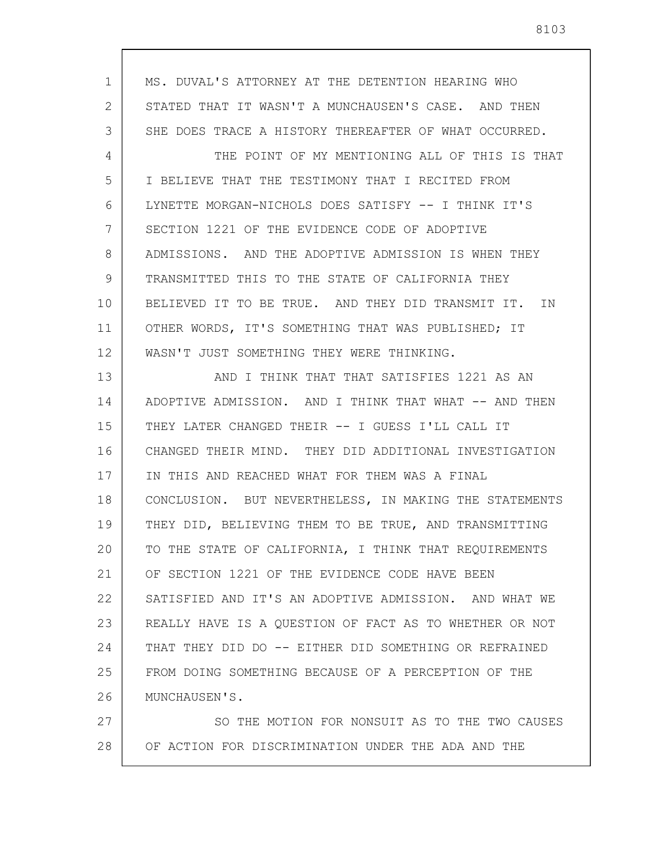| $\mathbf 1$ | MS. DUVAL'S ATTORNEY AT THE DETENTION HEARING WHO      |
|-------------|--------------------------------------------------------|
| 2           | STATED THAT IT WASN'T A MUNCHAUSEN'S CASE. AND THEN    |
| 3           | SHE DOES TRACE A HISTORY THEREAFTER OF WHAT OCCURRED.  |
| 4           | THE POINT OF MY MENTIONING ALL OF THIS IS THAT         |
| 5           | I BELIEVE THAT THE TESTIMONY THAT I RECITED FROM       |
| 6           | LYNETTE MORGAN-NICHOLS DOES SATISFY -- I THINK IT'S    |
| 7           | SECTION 1221 OF THE EVIDENCE CODE OF ADOPTIVE          |
| 8           | ADMISSIONS. AND THE ADOPTIVE ADMISSION IS WHEN THEY    |
| 9           | TRANSMITTED THIS TO THE STATE OF CALIFORNIA THEY       |
| 10          | BELIEVED IT TO BE TRUE. AND THEY DID TRANSMIT IT. IN   |
| 11          | OTHER WORDS, IT'S SOMETHING THAT WAS PUBLISHED; IT     |
| 12          | WASN'T JUST SOMETHING THEY WERE THINKING.              |
| 13          | AND I THINK THAT THAT SATISFIES 1221 AS AN             |
| 14          | ADOPTIVE ADMISSION. AND I THINK THAT WHAT -- AND THEN  |
| 15          | THEY LATER CHANGED THEIR -- I GUESS I'LL CALL IT       |
| 16          | CHANGED THEIR MIND. THEY DID ADDITIONAL INVESTIGATION  |
| 17          | IN THIS AND REACHED WHAT FOR THEM WAS A FINAL          |
| 18          | CONCLUSION. BUT NEVERTHELESS, IN MAKING THE STATEMENTS |
| 19          | THEY DID, BELIEVING THEM TO BE TRUE, AND TRANSMITTING  |
| 20          | TO THE STATE OF CALIFORNIA, I THINK THAT REQUIREMENTS  |
| 21          | OF SECTION 1221 OF THE EVIDENCE CODE HAVE BEEN         |
| 22          | SATISFIED AND IT'S AN ADOPTIVE ADMISSION. AND WHAT WE  |
| 23          | REALLY HAVE IS A QUESTION OF FACT AS TO WHETHER OR NOT |
| 24          | THAT THEY DID DO -- EITHER DID SOMETHING OR REFRAINED  |
| 25          | FROM DOING SOMETHING BECAUSE OF A PERCEPTION OF THE    |
| 26          | MUNCHAUSEN'S.                                          |
| 27          | SO THE MOTION FOR NONSUIT AS TO THE TWO CAUSES         |
| 28          | OF ACTION FOR DISCRIMINATION UNDER THE ADA AND THE     |

 $\overline{\phantom{a}}$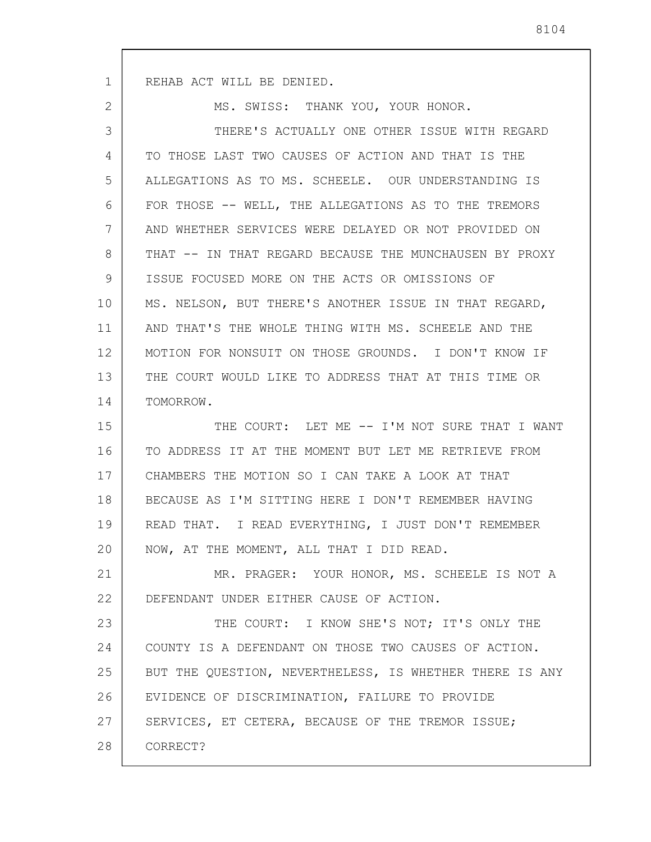1

2

MS. SWISS: THANK YOU, YOUR HONOR.

3 4 5 6 7 8 9 10 11 12 13 14 15 16 17 18 19 20 21 THERE'S ACTUALLY ONE OTHER ISSUE WITH REGARD TO THOSE LAST TWO CAUSES OF ACTION AND THAT IS THE ALLEGATIONS AS TO MS. SCHEELE. OUR UNDERSTANDING IS FOR THOSE -- WELL, THE ALLEGATIONS AS TO THE TREMORS AND WHETHER SERVICES WERE DELAYED OR NOT PROVIDED ON THAT -- IN THAT REGARD BECAUSE THE MUNCHAUSEN BY PROXY ISSUE FOCUSED MORE ON THE ACTS OR OMISSIONS OF MS. NELSON, BUT THERE'S ANOTHER ISSUE IN THAT REGARD, AND THAT'S THE WHOLE THING WITH MS. SCHEELE AND THE MOTION FOR NONSUIT ON THOSE GROUNDS. I DON'T KNOW IF THE COURT WOULD LIKE TO ADDRESS THAT AT THIS TIME OR TOMORROW. THE COURT: LET ME -- I'M NOT SURE THAT I WANT TO ADDRESS IT AT THE MOMENT BUT LET ME RETRIEVE FROM CHAMBERS THE MOTION SO I CAN TAKE A LOOK AT THAT BECAUSE AS I'M SITTING HERE I DON'T REMEMBER HAVING READ THAT. I READ EVERYTHING, I JUST DON'T REMEMBER NOW, AT THE MOMENT, ALL THAT I DID READ. MR. PRAGER: YOUR HONOR, MS. SCHEELE IS NOT A

22 DEFENDANT UNDER EITHER CAUSE OF ACTION.

23 24 25 26 27 28 THE COURT: I KNOW SHE'S NOT; IT'S ONLY THE COUNTY IS A DEFENDANT ON THOSE TWO CAUSES OF ACTION. BUT THE QUESTION, NEVERTHELESS, IS WHETHER THERE IS ANY EVIDENCE OF DISCRIMINATION, FAILURE TO PROVIDE SERVICES, ET CETERA, BECAUSE OF THE TREMOR ISSUE; CORRECT?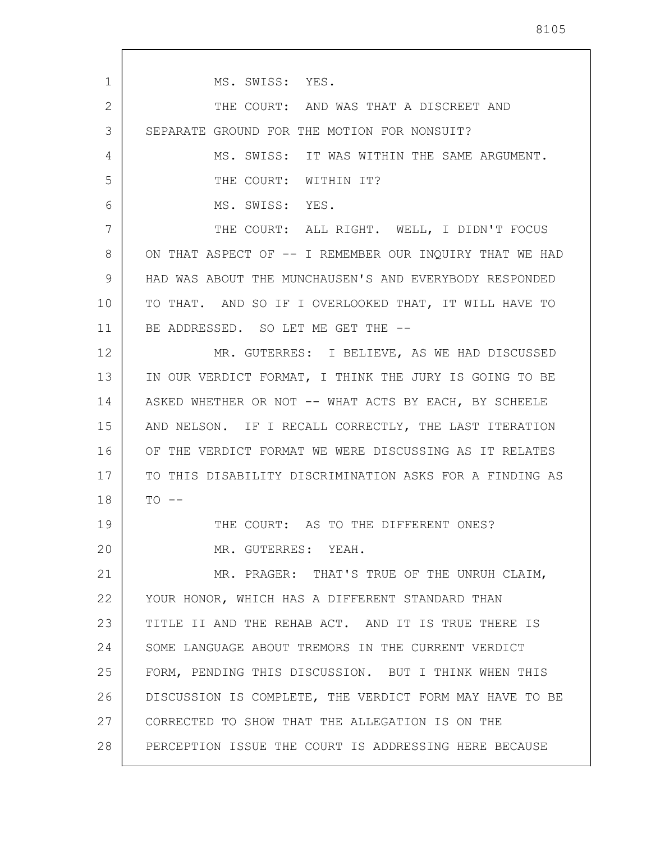1 2 3 4 5 6 7 8 9 10 11 12 13 14 15 16 17 18 19 20 21 22 23 24 25 26 27 28 MS. SWISS: YES. THE COURT: AND WAS THAT A DISCREET AND SEPARATE GROUND FOR THE MOTION FOR NONSUIT? MS. SWISS: IT WAS WITHIN THE SAME ARGUMENT. THE COURT: WITHIN IT? MS. SWISS: YES. THE COURT: ALL RIGHT. WELL, I DIDN'T FOCUS ON THAT ASPECT OF -- I REMEMBER OUR INQUIRY THAT WE HAD HAD WAS ABOUT THE MUNCHAUSEN'S AND EVERYBODY RESPONDED TO THAT. AND SO IF I OVERLOOKED THAT, IT WILL HAVE TO BE ADDRESSED. SO LET ME GET THE --MR. GUTERRES: I BELIEVE, AS WE HAD DISCUSSED IN OUR VERDICT FORMAT, I THINK THE JURY IS GOING TO BE ASKED WHETHER OR NOT -- WHAT ACTS BY EACH, BY SCHEELE AND NELSON. IF I RECALL CORRECTLY, THE LAST ITERATION OF THE VERDICT FORMAT WE WERE DISCUSSING AS IT RELATES TO THIS DISABILITY DISCRIMINATION ASKS FOR A FINDING AS  $TO - -$ THE COURT: AS TO THE DIFFERENT ONES? MR. GUTERRES: YEAH. MR. PRAGER: THAT'S TRUE OF THE UNRUH CLAIM, YOUR HONOR, WHICH HAS A DIFFERENT STANDARD THAN TITLE II AND THE REHAB ACT. AND IT IS TRUE THERE IS SOME LANGUAGE ABOUT TREMORS IN THE CURRENT VERDICT FORM, PENDING THIS DISCUSSION. BUT I THINK WHEN THIS DISCUSSION IS COMPLETE, THE VERDICT FORM MAY HAVE TO BE CORRECTED TO SHOW THAT THE ALLEGATION IS ON THE PERCEPTION ISSUE THE COURT IS ADDRESSING HERE BECAUSE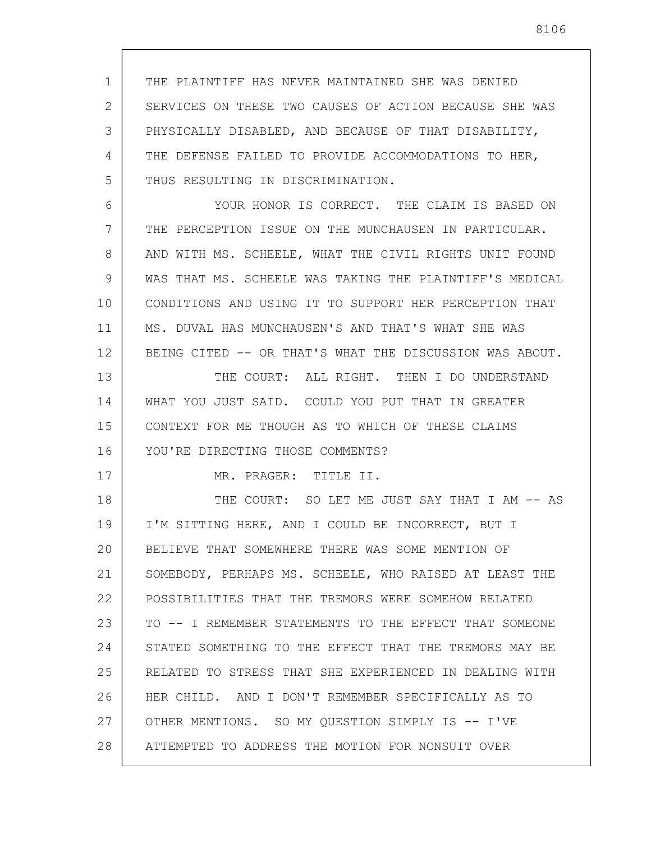1 2 3 4 5 THE PLAINTIFF HAS NEVER MAINTAINED SHE WAS DENIED SERVICES ON THESE TWO CAUSES OF ACTION BECAUSE SHE WAS PHYSICALLY DISABLED, AND BECAUSE OF THAT DISABILITY, THE DEFENSE FAILED TO PROVIDE ACCOMMODATIONS TO HER, THUS RESULTING IN DISCRIMINATION.

6 7 8 9 10 11 12 YOUR HONOR IS CORRECT. THE CLAIM IS BASED ON THE PERCEPTION ISSUE ON THE MUNCHAUSEN IN PARTICULAR. AND WITH MS. SCHEELE, WHAT THE CIVIL RIGHTS UNIT FOUND WAS THAT MS. SCHEELE WAS TAKING THE PLAINTIFF'S MEDICAL CONDITIONS AND USING IT TO SUPPORT HER PERCEPTION THAT MS. DUVAL HAS MUNCHAUSEN'S AND THAT'S WHAT SHE WAS BEING CITED -- OR THAT'S WHAT THE DISCUSSION WAS ABOUT.

13 14 15 16 THE COURT: ALL RIGHT. THEN I DO UNDERSTAND WHAT YOU JUST SAID. COULD YOU PUT THAT IN GREATER CONTEXT FOR ME THOUGH AS TO WHICH OF THESE CLAIMS YOU'RE DIRECTING THOSE COMMENTS?

MR. PRAGER: TITLE II.

17

18 19 20 21 22 23 24 25 26 27 28 THE COURT: SO LET ME JUST SAY THAT I AM -- AS I'M SITTING HERE, AND I COULD BE INCORRECT, BUT I BELIEVE THAT SOMEWHERE THERE WAS SOME MENTION OF SOMEBODY, PERHAPS MS. SCHEELE, WHO RAISED AT LEAST THE POSSIBILITIES THAT THE TREMORS WERE SOMEHOW RELATED TO -- I REMEMBER STATEMENTS TO THE EFFECT THAT SOMEONE STATED SOMETHING TO THE EFFECT THAT THE TREMORS MAY BE RELATED TO STRESS THAT SHE EXPERIENCED IN DEALING WITH HER CHILD. AND I DON'T REMEMBER SPECIFICALLY AS TO OTHER MENTIONS. SO MY QUESTION SIMPLY IS -- I'VE ATTEMPTED TO ADDRESS THE MOTION FOR NONSUIT OVER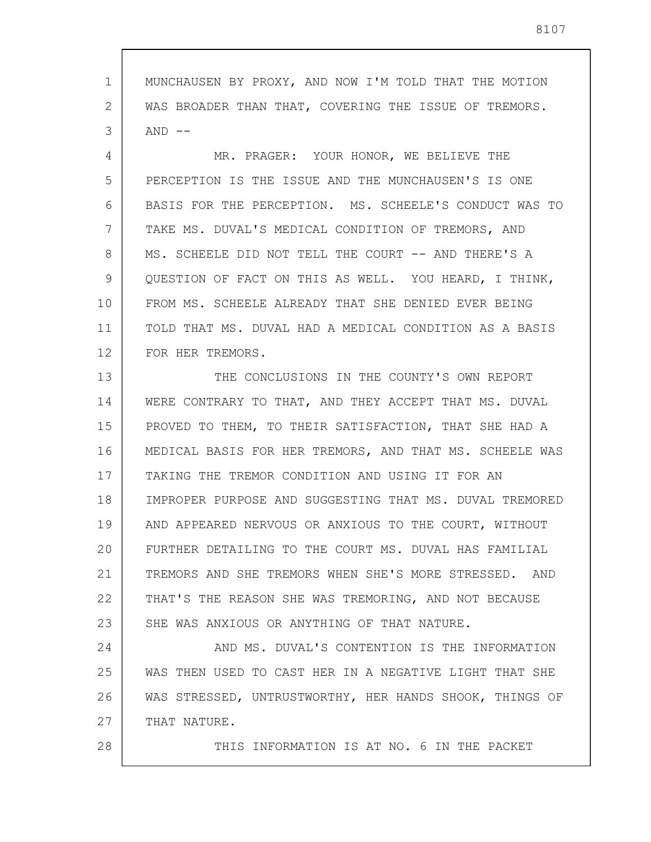1 2 3 MUNCHAUSEN BY PROXY, AND NOW I'M TOLD THAT THE MOTION WAS BROADER THAN THAT, COVERING THE ISSUE OF TREMORS.  $AND$   $--$ 

4 5 6 7 8 9 10 11 12 MR. PRAGER: YOUR HONOR, WE BELIEVE THE PERCEPTION IS THE ISSUE AND THE MUNCHAUSEN'S IS ONE BASIS FOR THE PERCEPTION. MS. SCHEELE'S CONDUCT WAS TO TAKE MS. DUVAL'S MEDICAL CONDITION OF TREMORS, AND MS. SCHEELE DID NOT TELL THE COURT -- AND THERE'S A QUESTION OF FACT ON THIS AS WELL. YOU HEARD, I THINK, FROM MS. SCHEELE ALREADY THAT SHE DENIED EVER BEING TOLD THAT MS. DUVAL HAD A MEDICAL CONDITION AS A BASIS FOR HER TREMORS.

13 14 15 16 17 18 19 20 21 22 23 THE CONCLUSIONS IN THE COUNTY'S OWN REPORT WERE CONTRARY TO THAT, AND THEY ACCEPT THAT MS. DUVAL PROVED TO THEM, TO THEIR SATISFACTION, THAT SHE HAD A MEDICAL BASIS FOR HER TREMORS, AND THAT MS. SCHEELE WAS TAKING THE TREMOR CONDITION AND USING IT FOR AN IMPROPER PURPOSE AND SUGGESTING THAT MS. DUVAL TREMORED AND APPEARED NERVOUS OR ANXIOUS TO THE COURT, WITHOUT FURTHER DETAILING TO THE COURT MS. DUVAL HAS FAMILIAL TREMORS AND SHE TREMORS WHEN SHE'S MORE STRESSED. AND THAT'S THE REASON SHE WAS TREMORING, AND NOT BECAUSE SHE WAS ANXIOUS OR ANYTHING OF THAT NATURE.

24 25 26 27 AND MS. DUVAL'S CONTENTION IS THE INFORMATION WAS THEN USED TO CAST HER IN A NEGATIVE LIGHT THAT SHE WAS STRESSED, UNTRUSTWORTHY, HER HANDS SHOOK, THINGS OF THAT NATURE.

28

THIS INFORMATION IS AT NO. 6 IN THE PACKET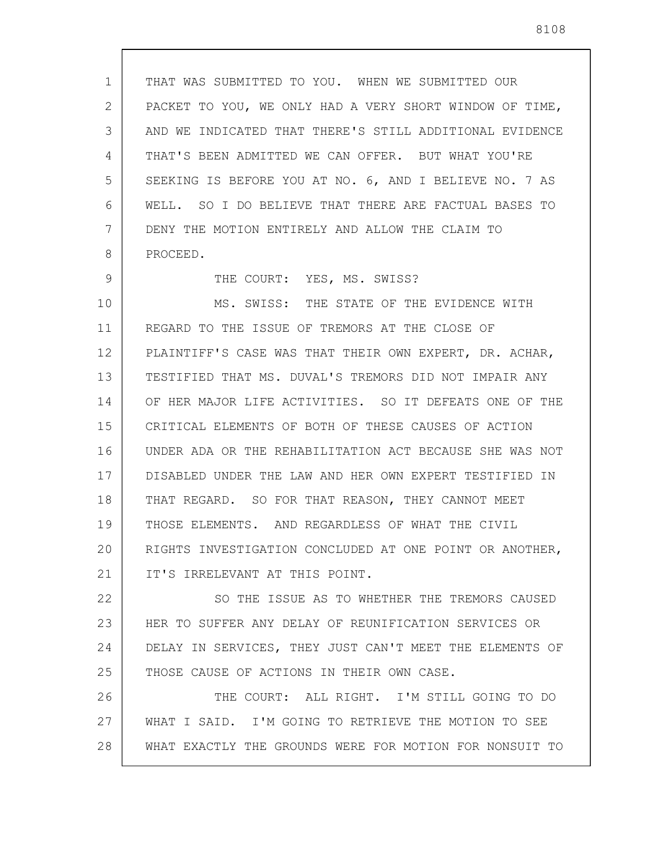1 2 3 4 5 6 7 8 9 10 11 12 13 14 15 16 17 18 19 20 21 22 23 24 25 26 27 28 THAT WAS SUBMITTED TO YOU. WHEN WE SUBMITTED OUR PACKET TO YOU, WE ONLY HAD A VERY SHORT WINDOW OF TIME, AND WE INDICATED THAT THERE'S STILL ADDITIONAL EVIDENCE THAT'S BEEN ADMITTED WE CAN OFFER. BUT WHAT YOU'RE SEEKING IS BEFORE YOU AT NO. 6, AND I BELIEVE NO. 7 AS WELL. SO I DO BELIEVE THAT THERE ARE FACTUAL BASES TO DENY THE MOTION ENTIRELY AND ALLOW THE CLAIM TO PROCEED. THE COURT: YES, MS. SWISS? MS. SWISS: THE STATE OF THE EVIDENCE WITH REGARD TO THE ISSUE OF TREMORS AT THE CLOSE OF PLAINTIFF'S CASE WAS THAT THEIR OWN EXPERT, DR. ACHAR, TESTIFIED THAT MS. DUVAL'S TREMORS DID NOT IMPAIR ANY OF HER MAJOR LIFE ACTIVITIES. SO IT DEFEATS ONE OF THE CRITICAL ELEMENTS OF BOTH OF THESE CAUSES OF ACTION UNDER ADA OR THE REHABILITATION ACT BECAUSE SHE WAS NOT DISABLED UNDER THE LAW AND HER OWN EXPERT TESTIFIED IN THAT REGARD. SO FOR THAT REASON, THEY CANNOT MEET THOSE ELEMENTS. AND REGARDLESS OF WHAT THE CIVIL RIGHTS INVESTIGATION CONCLUDED AT ONE POINT OR ANOTHER, IT'S IRRELEVANT AT THIS POINT. SO THE ISSUE AS TO WHETHER THE TREMORS CAUSED HER TO SUFFER ANY DELAY OF REUNIFICATION SERVICES OR DELAY IN SERVICES, THEY JUST CAN'T MEET THE ELEMENTS OF THOSE CAUSE OF ACTIONS IN THEIR OWN CASE. THE COURT: ALL RIGHT. I'M STILL GOING TO DO WHAT I SAID. I'M GOING TO RETRIEVE THE MOTION TO SEE WHAT EXACTLY THE GROUNDS WERE FOR MOTION FOR NONSUIT TO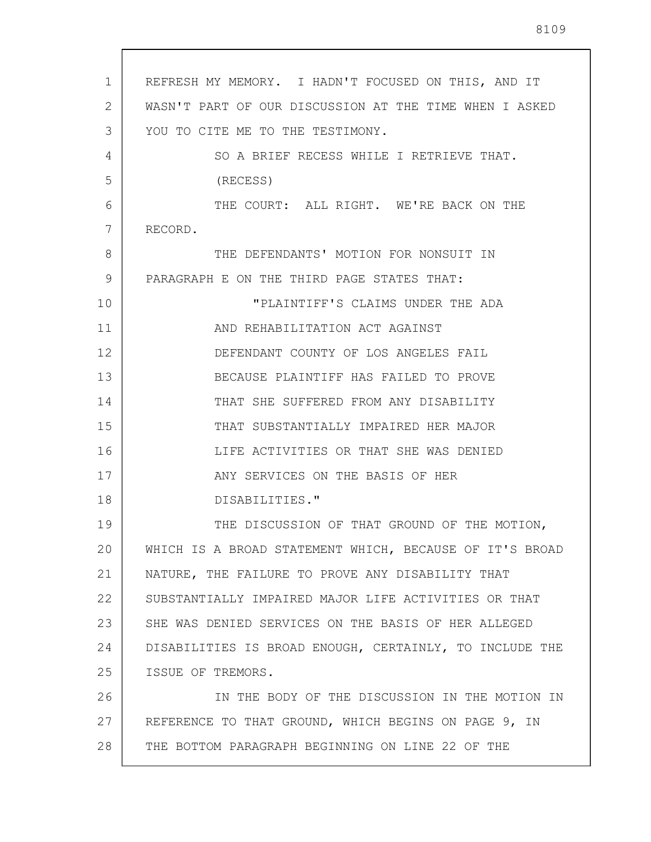| $\mathbf{1}$ | REFRESH MY MEMORY. I HADN'T FOCUSED ON THIS, AND IT     |
|--------------|---------------------------------------------------------|
| 2            | WASN'T PART OF OUR DISCUSSION AT THE TIME WHEN I ASKED  |
| 3            | YOU TO CITE ME TO THE TESTIMONY.                        |
| 4            | SO A BRIEF RECESS WHILE I RETRIEVE THAT.                |
| 5            | (RECESS)                                                |
| 6            | THE COURT: ALL RIGHT. WE'RE BACK ON THE                 |
| 7            | RECORD.                                                 |
| 8            | THE DEFENDANTS' MOTION FOR NONSUIT IN                   |
| 9            | PARAGRAPH E ON THE THIRD PAGE STATES THAT:              |
| 10           | "PLAINTIFF'S CLAIMS UNDER THE ADA                       |
| 11           | AND REHABILITATION ACT AGAINST                          |
| 12           | DEFENDANT COUNTY OF LOS ANGELES FAIL                    |
| 13           | BECAUSE PLAINTIFF HAS FAILED TO PROVE                   |
| 14           | THAT SHE SUFFERED FROM ANY DISABILITY                   |
| 15           | THAT SUBSTANTIALLY IMPAIRED HER MAJOR                   |
| 16           | LIFE ACTIVITIES OR THAT SHE WAS DENIED                  |
| 17           | ANY SERVICES ON THE BASIS OF HER                        |
| 18           | DISABILITIES."                                          |
| 19           | THE DISCUSSION OF THAT GROUND OF THE MOTION,            |
| 20           | WHICH IS A BROAD STATEMENT WHICH, BECAUSE OF IT'S BROAD |
| 21           | NATURE, THE FAILURE TO PROVE ANY DISABILITY THAT        |
| 22           | SUBSTANTIALLY IMPAIRED MAJOR LIFE ACTIVITIES OR THAT    |
| 23           | SHE WAS DENIED SERVICES ON THE BASIS OF HER ALLEGED     |
| 24           | DISABILITIES IS BROAD ENOUGH, CERTAINLY, TO INCLUDE THE |
| 25           | ISSUE OF TREMORS.                                       |
| 26           | IN THE BODY OF THE DISCUSSION IN THE MOTION IN          |
| 27           | REFERENCE TO THAT GROUND, WHICH BEGINS ON PAGE 9, IN    |
| 28           | THE BOTTOM PARAGRAPH BEGINNING ON LINE 22 OF THE        |
|              |                                                         |

 $\mathsf{l}$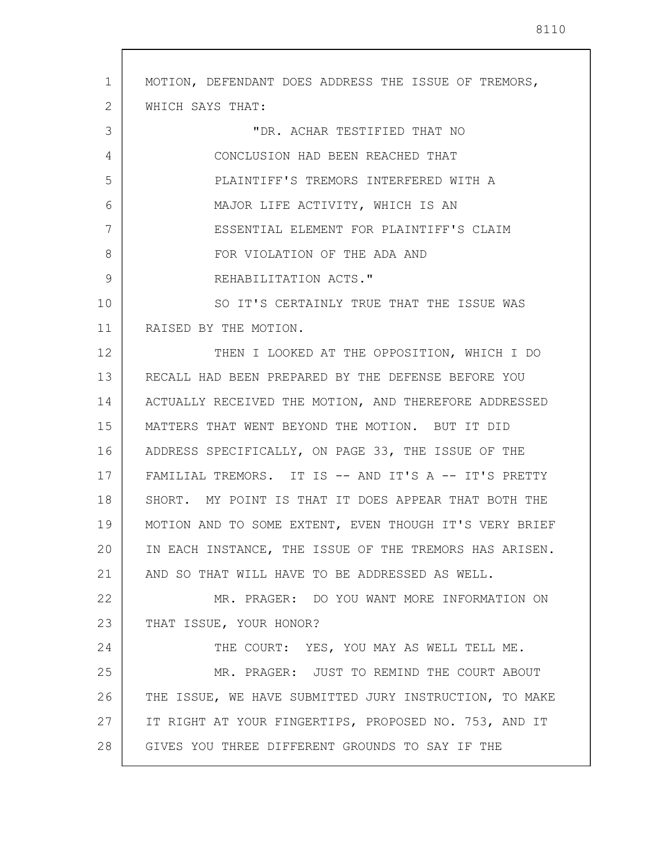1 2 3 4 5 6 7 8 9 10 11 12 13 14 15 16 17 18 19 20 21 22 23 24 25 26 27 28 MOTION, DEFENDANT DOES ADDRESS THE ISSUE OF TREMORS, WHICH SAYS THAT: "DR. ACHAR TESTIFIED THAT NO CONCLUSION HAD BEEN REACHED THAT PLAINTIFF'S TREMORS INTERFERED WITH A MAJOR LIFE ACTIVITY, WHICH IS AN ESSENTIAL ELEMENT FOR PLAINTIFF'S CLAIM FOR VIOLATION OF THE ADA AND REHABILITATION ACTS." SO IT'S CERTAINLY TRUE THAT THE ISSUE WAS RAISED BY THE MOTION. THEN I LOOKED AT THE OPPOSITION, WHICH I DO RECALL HAD BEEN PREPARED BY THE DEFENSE BEFORE YOU ACTUALLY RECEIVED THE MOTION, AND THEREFORE ADDRESSED MATTERS THAT WENT BEYOND THE MOTION. BUT IT DID ADDRESS SPECIFICALLY, ON PAGE 33, THE ISSUE OF THE FAMILIAL TREMORS. IT IS -- AND IT'S A -- IT'S PRETTY SHORT. MY POINT IS THAT IT DOES APPEAR THAT BOTH THE MOTION AND TO SOME EXTENT, EVEN THOUGH IT'S VERY BRIEF IN EACH INSTANCE, THE ISSUE OF THE TREMORS HAS ARISEN. AND SO THAT WILL HAVE TO BE ADDRESSED AS WELL. MR. PRAGER: DO YOU WANT MORE INFORMATION ON THAT ISSUE, YOUR HONOR? THE COURT: YES, YOU MAY AS WELL TELL ME. MR. PRAGER: JUST TO REMIND THE COURT ABOUT THE ISSUE, WE HAVE SUBMITTED JURY INSTRUCTION, TO MAKE IT RIGHT AT YOUR FINGERTIPS, PROPOSED NO. 753, AND IT GIVES YOU THREE DIFFERENT GROUNDS TO SAY IF THE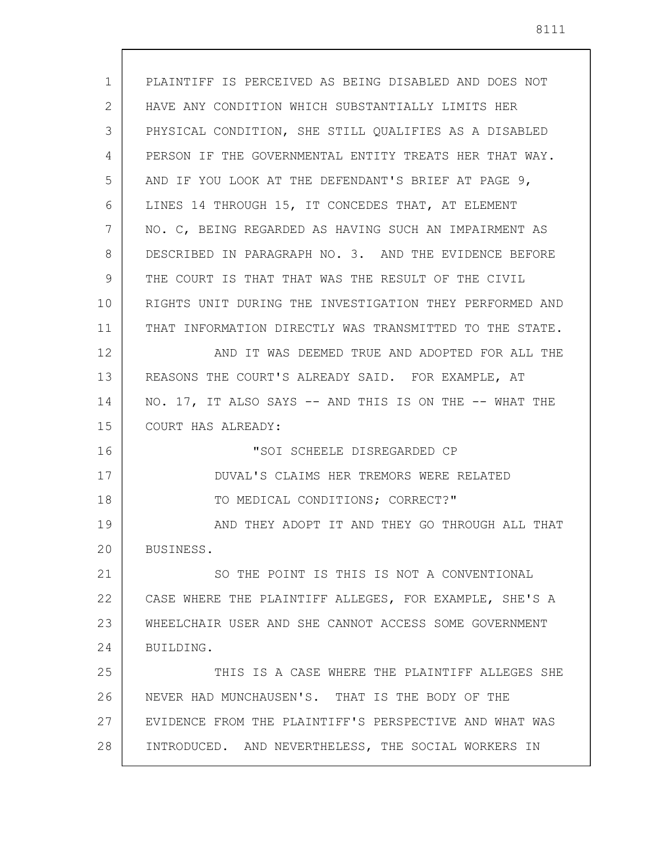| $\mathbf{1}$ | PLAINTIFF IS PERCEIVED AS BEING DISABLED AND DOES NOT   |
|--------------|---------------------------------------------------------|
| 2            | HAVE ANY CONDITION WHICH SUBSTANTIALLY LIMITS HER       |
| 3            | PHYSICAL CONDITION, SHE STILL QUALIFIES AS A DISABLED   |
| 4            | PERSON IF THE GOVERNMENTAL ENTITY TREATS HER THAT WAY.  |
| 5            | AND IF YOU LOOK AT THE DEFENDANT'S BRIEF AT PAGE 9,     |
| 6            | LINES 14 THROUGH 15, IT CONCEDES THAT, AT ELEMENT       |
| 7            | NO. C, BEING REGARDED AS HAVING SUCH AN IMPAIRMENT AS   |
| 8            | DESCRIBED IN PARAGRAPH NO. 3. AND THE EVIDENCE BEFORE   |
| 9            | THE COURT IS THAT THAT WAS THE RESULT OF THE CIVIL      |
| 10           | RIGHTS UNIT DURING THE INVESTIGATION THEY PERFORMED AND |
| 11           | THAT INFORMATION DIRECTLY WAS TRANSMITTED TO THE STATE. |
| 12           | AND IT WAS DEEMED TRUE AND ADOPTED FOR ALL THE          |
| 13           | REASONS THE COURT'S ALREADY SAID. FOR EXAMPLE, AT       |
| 14           | NO. 17, IT ALSO SAYS -- AND THIS IS ON THE -- WHAT THE  |
| 15           | COURT HAS ALREADY:                                      |
| 16           | "SOI SCHEELE DISREGARDED CP                             |
| 17           | DUVAL'S CLAIMS HER TREMORS WERE RELATED                 |
| 18           | TO MEDICAL CONDITIONS; CORRECT?"                        |
| 19           | AND THEY ADOPT IT AND THEY GO THROUGH ALL THAT          |
| 20           | BUSINESS.                                               |
| 21           | SO THE POINT IS THIS IS NOT A CONVENTIONAL              |
| 22           | CASE WHERE THE PLAINTIFF ALLEGES, FOR EXAMPLE, SHE'S A  |
| 23           | WHEELCHAIR USER AND SHE CANNOT ACCESS SOME GOVERNMENT   |
| 24           | BUILDING.                                               |
| 25           | THIS IS A CASE WHERE THE PLAINTIFF ALLEGES SHE          |
| 26           | NEVER HAD MUNCHAUSEN'S. THAT IS THE BODY OF THE         |
| 27           | EVIDENCE FROM THE PLAINTIFF'S PERSPECTIVE AND WHAT WAS  |
| 28           | INTRODUCED. AND NEVERTHELESS, THE SOCIAL WORKERS IN     |
|              |                                                         |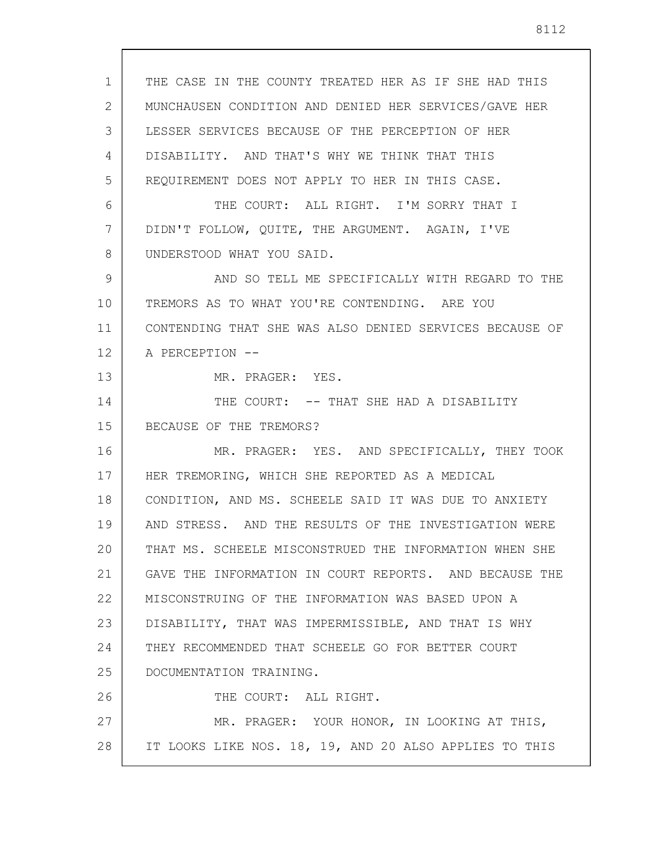THE CASE IN THE COUNTY TREATED HER AS IF SHE HAD THIS MUNCHAUSEN CONDITION AND DENIED HER SERVICES/GAVE HER LESSER SERVICES BECAUSE OF THE PERCEPTION OF HER DISABILITY. AND THAT'S WHY WE THINK THAT THIS REQUIREMENT DOES NOT APPLY TO HER IN THIS CASE. THE COURT: ALL RIGHT. I'M SORRY THAT I DIDN'T FOLLOW, QUITE, THE ARGUMENT. AGAIN, I'VE UNDERSTOOD WHAT YOU SAID. AND SO TELL ME SPECIFICALLY WITH REGARD TO THE TREMORS AS TO WHAT YOU'RE CONTENDING. ARE YOU CONTENDING THAT SHE WAS ALSO DENIED SERVICES BECAUSE OF A PERCEPTION -- MR. PRAGER: YES. THE COURT:  $--$  THAT SHE HAD A DISABILITY BECAUSE OF THE TREMORS? MR. PRAGER: YES. AND SPECIFICALLY, THEY TOOK HER TREMORING, WHICH SHE REPORTED AS A MEDICAL CONDITION, AND MS. SCHEELE SAID IT WAS DUE TO ANXIETY AND STRESS. AND THE RESULTS OF THE INVESTIGATION WERE THAT MS. SCHEELE MISCONSTRUED THE INFORMATION WHEN SHE GAVE THE INFORMATION IN COURT REPORTS. AND BECAUSE THE MISCONSTRUING OF THE INFORMATION WAS BASED UPON A DISABILITY, THAT WAS IMPERMISSIBLE, AND THAT IS WHY THEY RECOMMENDED THAT SCHEELE GO FOR BETTER COURT DOCUMENTATION TRAINING.

1

2

3

4

5

6

7

8

9

10

11

12

13

14

15

16

17

18

19

20

21

22

23

24

25

26 27 28 THE COURT: ALL RIGHT. MR. PRAGER: YOUR HONOR, IN LOOKING AT THIS, IT LOOKS LIKE NOS. 18, 19, AND 20 ALSO APPLIES TO THIS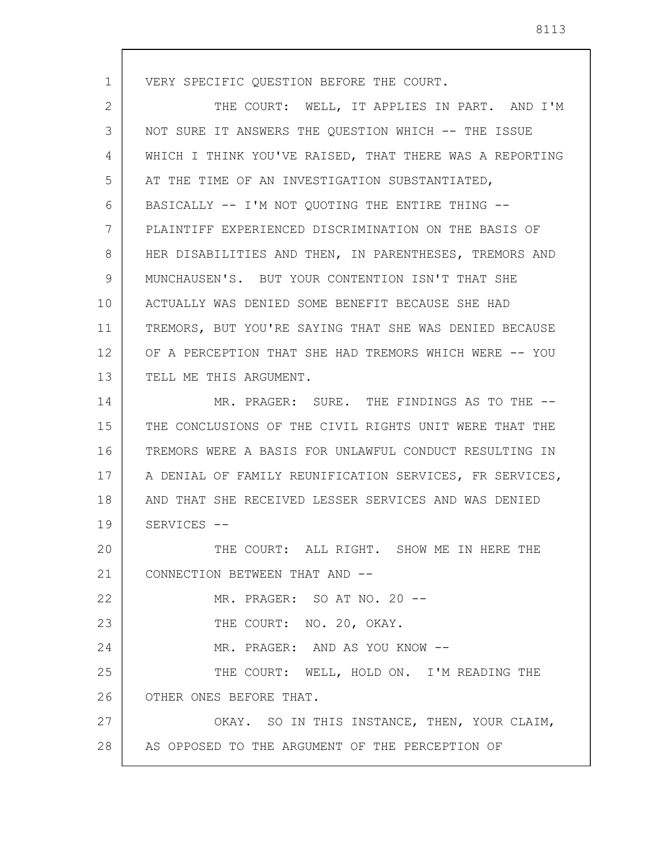1 2 3 4 5 6 7 8 9 10 11 12 13 14 15 16 17 18 19 20 21 22 23 24 25 26 27 28 VERY SPECIFIC QUESTION BEFORE THE COURT. THE COURT: WELL, IT APPLIES IN PART. AND I'M NOT SURE IT ANSWERS THE QUESTION WHICH -- THE ISSUE WHICH I THINK YOU'VE RAISED, THAT THERE WAS A REPORTING AT THE TIME OF AN INVESTIGATION SUBSTANTIATED, BASICALLY -- I'M NOT QUOTING THE ENTIRE THING -- PLAINTIFF EXPERIENCED DISCRIMINATION ON THE BASIS OF HER DISABILITIES AND THEN, IN PARENTHESES, TREMORS AND MUNCHAUSEN'S. BUT YOUR CONTENTION ISN'T THAT SHE ACTUALLY WAS DENIED SOME BENEFIT BECAUSE SHE HAD TREMORS, BUT YOU'RE SAYING THAT SHE WAS DENIED BECAUSE OF A PERCEPTION THAT SHE HAD TREMORS WHICH WERE -- YOU TELL ME THIS ARGUMENT. MR. PRAGER: SURE. THE FINDINGS AS TO THE -- THE CONCLUSIONS OF THE CIVIL RIGHTS UNIT WERE THAT THE TREMORS WERE A BASIS FOR UNLAWFUL CONDUCT RESULTING IN A DENIAL OF FAMILY REUNIFICATION SERVICES, FR SERVICES, AND THAT SHE RECEIVED LESSER SERVICES AND WAS DENIED SERVICES -- THE COURT: ALL RIGHT. SHOW ME IN HERE THE CONNECTION BETWEEN THAT AND -- MR. PRAGER: SO AT NO. 20 -- THE COURT: NO. 20, OKAY. MR. PRAGER: AND AS YOU KNOW -- THE COURT: WELL, HOLD ON. I'M READING THE OTHER ONES BEFORE THAT. OKAY. SO IN THIS INSTANCE, THEN, YOUR CLAIM, AS OPPOSED TO THE ARGUMENT OF THE PERCEPTION OF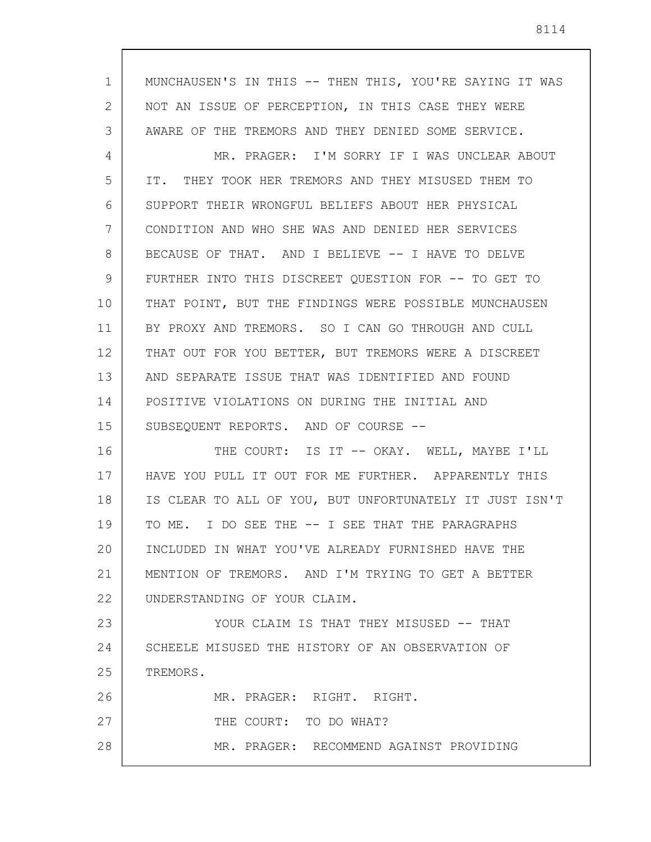1 2 3 4 5 6 7 8 9 10 11 12 13 14 15 16 17 18 19 20 21 22 23 24 25 26 27 MUNCHAUSEN'S IN THIS -- THEN THIS, YOU'RE SAYING IT WAS NOT AN ISSUE OF PERCEPTION, IN THIS CASE THEY WERE AWARE OF THE TREMORS AND THEY DENIED SOME SERVICE. MR. PRAGER: I'M SORRY IF I WAS UNCLEAR ABOUT IT. THEY TOOK HER TREMORS AND THEY MISUSED THEM TO SUPPORT THEIR WRONGFUL BELIEFS ABOUT HER PHYSICAL CONDITION AND WHO SHE WAS AND DENIED HER SERVICES BECAUSE OF THAT. AND I BELIEVE -- I HAVE TO DELVE FURTHER INTO THIS DISCREET QUESTION FOR -- TO GET TO THAT POINT, BUT THE FINDINGS WERE POSSIBLE MUNCHAUSEN BY PROXY AND TREMORS. SO I CAN GO THROUGH AND CULL THAT OUT FOR YOU BETTER, BUT TREMORS WERE A DISCREET AND SEPARATE ISSUE THAT WAS IDENTIFIED AND FOUND POSITIVE VIOLATIONS ON DURING THE INITIAL AND SUBSEQUENT REPORTS. AND OF COURSE -- THE COURT: IS IT -- OKAY. WELL, MAYBE I'LL HAVE YOU PULL IT OUT FOR ME FURTHER. APPARENTLY THIS IS CLEAR TO ALL OF YOU, BUT UNFORTUNATELY IT JUST ISN'T TO ME. I DO SEE THE -- I SEE THAT THE PARAGRAPHS INCLUDED IN WHAT YOU'VE ALREADY FURNISHED HAVE THE MENTION OF TREMORS. AND I'M TRYING TO GET A BETTER UNDERSTANDING OF YOUR CLAIM. YOUR CLAIM IS THAT THEY MISUSED -- THAT SCHEELE MISUSED THE HISTORY OF AN OBSERVATION OF TREMORS. MR. PRAGER: RIGHT. RIGHT. THE COURT: TO DO WHAT?

MR. PRAGER: RECOMMEND AGAINST PROVIDING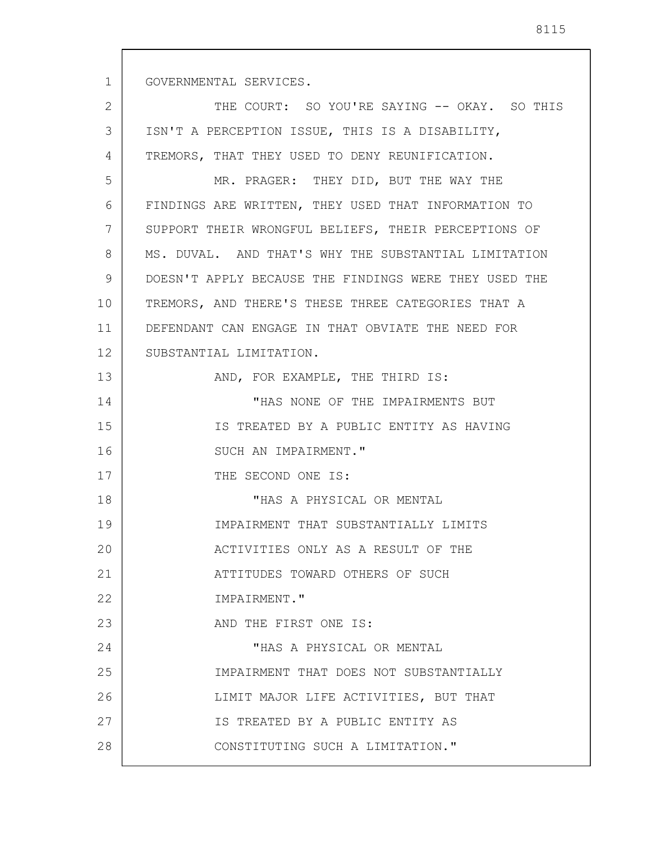1 2 3 4 5 6 7 8 9 10 11 12 13 14 15 16 17 18 19 20 21 22 23 24 25 26 27 28 GOVERNMENTAL SERVICES. THE COURT: SO YOU'RE SAYING -- OKAY. SO THIS ISN'T A PERCEPTION ISSUE, THIS IS A DISABILITY, TREMORS, THAT THEY USED TO DENY REUNIFICATION. MR. PRAGER: THEY DID, BUT THE WAY THE FINDINGS ARE WRITTEN, THEY USED THAT INFORMATION TO SUPPORT THEIR WRONGFUL BELIEFS, THEIR PERCEPTIONS OF MS. DUVAL. AND THAT'S WHY THE SUBSTANTIAL LIMITATION DOESN'T APPLY BECAUSE THE FINDINGS WERE THEY USED THE TREMORS, AND THERE'S THESE THREE CATEGORIES THAT A DEFENDANT CAN ENGAGE IN THAT OBVIATE THE NEED FOR SUBSTANTIAL LIMITATION. AND, FOR EXAMPLE, THE THIRD IS: "HAS NONE OF THE IMPAIRMENTS BUT IS TREATED BY A PUBLIC ENTITY AS HAVING SUCH AN IMPAIRMENT." THE SECOND ONE IS: "HAS A PHYSICAL OR MENTAL IMPAIRMENT THAT SUBSTANTIALLY LIMITS ACTIVITIES ONLY AS A RESULT OF THE ATTITUDES TOWARD OTHERS OF SUCH IMPAIRMENT." AND THE FIRST ONE IS: "HAS A PHYSICAL OR MENTAL IMPAIRMENT THAT DOES NOT SUBSTANTIALLY LIMIT MAJOR LIFE ACTIVITIES, BUT THAT IS TREATED BY A PUBLIC ENTITY AS CONSTITUTING SUCH A LIMITATION."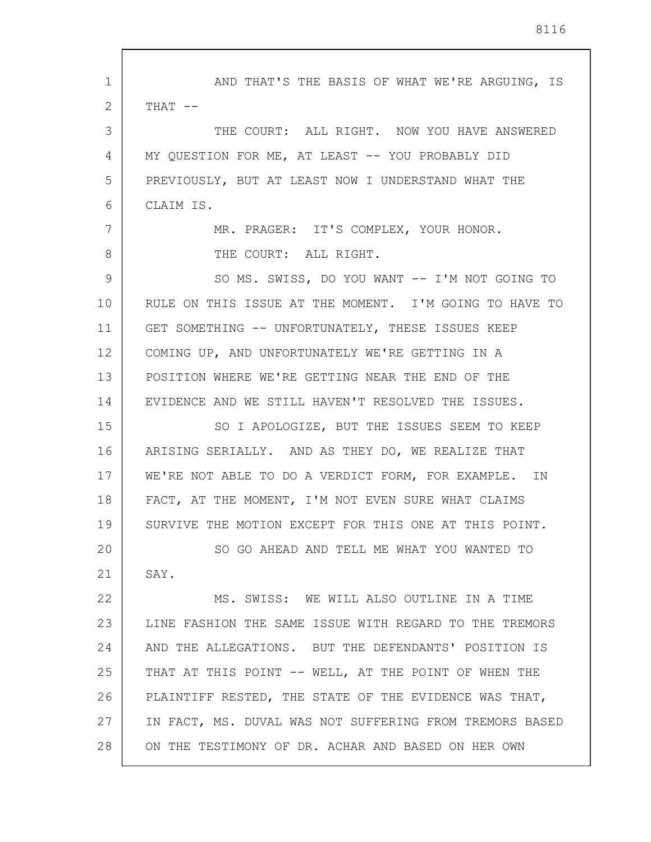| 1  | AND THAT'S THE BASIS OF WHAT WE'RE ARGUING, IS          |
|----|---------------------------------------------------------|
| 2  | $THAT$ --                                               |
| 3  | THE COURT: ALL RIGHT. NOW YOU HAVE ANSWERED             |
| 4  | MY QUESTION FOR ME, AT LEAST -- YOU PROBABLY DID        |
| 5  | PREVIOUSLY, BUT AT LEAST NOW I UNDERSTAND WHAT THE      |
| 6  | CLAIM IS.                                               |
| 7  | MR. PRAGER: IT'S COMPLEX, YOUR HONOR.                   |
| 8  | THE COURT: ALL RIGHT.                                   |
| 9  | SO MS. SWISS, DO YOU WANT -- I'M NOT GOING TO           |
| 10 | RULE ON THIS ISSUE AT THE MOMENT. I'M GOING TO HAVE TO  |
| 11 | GET SOMETHING -- UNFORTUNATELY, THESE ISSUES KEEP       |
| 12 | COMING UP, AND UNFORTUNATELY WE'RE GETTING IN A         |
| 13 | POSITION WHERE WE'RE GETTING NEAR THE END OF THE        |
| 14 | EVIDENCE AND WE STILL HAVEN'T RESOLVED THE ISSUES.      |
| 15 | SO I APOLOGIZE, BUT THE ISSUES SEEM TO KEEP             |
| 16 | ARISING SERIALLY. AND AS THEY DO, WE REALIZE THAT       |
| 17 | WE'RE NOT ABLE TO DO A VERDICT FORM, FOR EXAMPLE. IN    |
| 18 | FACT, AT THE MOMENT, I'M NOT EVEN SURE WHAT CLAIMS      |
| 19 | SURVIVE THE MOTION EXCEPT FOR THIS ONE AT THIS POINT.   |
| 20 | SO GO AHEAD AND TELL ME WHAT YOU WANTED TO              |
| 21 | SAY.                                                    |
| 22 | MS. SWISS: WE WILL ALSO OUTLINE IN A TIME               |
| 23 | LINE FASHION THE SAME ISSUE WITH REGARD TO THE TREMORS  |
| 24 | AND THE ALLEGATIONS. BUT THE DEFENDANTS' POSITION IS    |
| 25 | THAT AT THIS POINT -- WELL, AT THE POINT OF WHEN THE    |
| 26 | PLAINTIFF RESTED, THE STATE OF THE EVIDENCE WAS THAT,   |
| 27 | IN FACT, MS. DUVAL WAS NOT SUFFERING FROM TREMORS BASED |
| 28 | ON THE TESTIMONY OF DR. ACHAR AND BASED ON HER OWN      |

 $\overline{\phantom{a}}$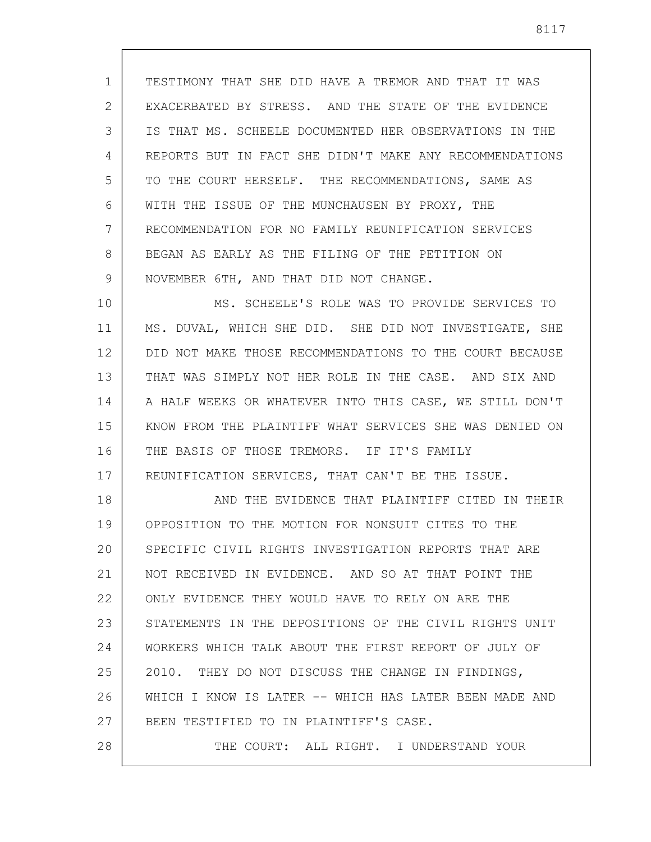1 2 3 4 5 6 7 8 9 TESTIMONY THAT SHE DID HAVE A TREMOR AND THAT IT WAS EXACERBATED BY STRESS. AND THE STATE OF THE EVIDENCE IS THAT MS. SCHEELE DOCUMENTED HER OBSERVATIONS IN THE REPORTS BUT IN FACT SHE DIDN'T MAKE ANY RECOMMENDATIONS TO THE COURT HERSELF. THE RECOMMENDATIONS, SAME AS WITH THE ISSUE OF THE MUNCHAUSEN BY PROXY, THE RECOMMENDATION FOR NO FAMILY REUNIFICATION SERVICES BEGAN AS EARLY AS THE FILING OF THE PETITION ON NOVEMBER 6TH, AND THAT DID NOT CHANGE.

10 11 12 13 14 15 16 17 MS. SCHEELE'S ROLE WAS TO PROVIDE SERVICES TO MS. DUVAL, WHICH SHE DID. SHE DID NOT INVESTIGATE, SHE DID NOT MAKE THOSE RECOMMENDATIONS TO THE COURT BECAUSE THAT WAS SIMPLY NOT HER ROLE IN THE CASE. AND SIX AND A HALF WEEKS OR WHATEVER INTO THIS CASE, WE STILL DON'T KNOW FROM THE PLAINTIFF WHAT SERVICES SHE WAS DENIED ON THE BASIS OF THOSE TREMORS. IF IT'S FAMILY REUNIFICATION SERVICES, THAT CAN'T BE THE ISSUE.

18 19 20 21 22 23 24 25 26 27 28 AND THE EVIDENCE THAT PLAINTIFF CITED IN THEIR OPPOSITION TO THE MOTION FOR NONSUIT CITES TO THE SPECIFIC CIVIL RIGHTS INVESTIGATION REPORTS THAT ARE NOT RECEIVED IN EVIDENCE. AND SO AT THAT POINT THE ONLY EVIDENCE THEY WOULD HAVE TO RELY ON ARE THE STATEMENTS IN THE DEPOSITIONS OF THE CIVIL RIGHTS UNIT WORKERS WHICH TALK ABOUT THE FIRST REPORT OF JULY OF 2010. THEY DO NOT DISCUSS THE CHANGE IN FINDINGS, WHICH I KNOW IS LATER -- WHICH HAS LATER BEEN MADE AND BEEN TESTIFIED TO IN PLAINTIFF'S CASE. THE COURT: ALL RIGHT. I UNDERSTAND YOUR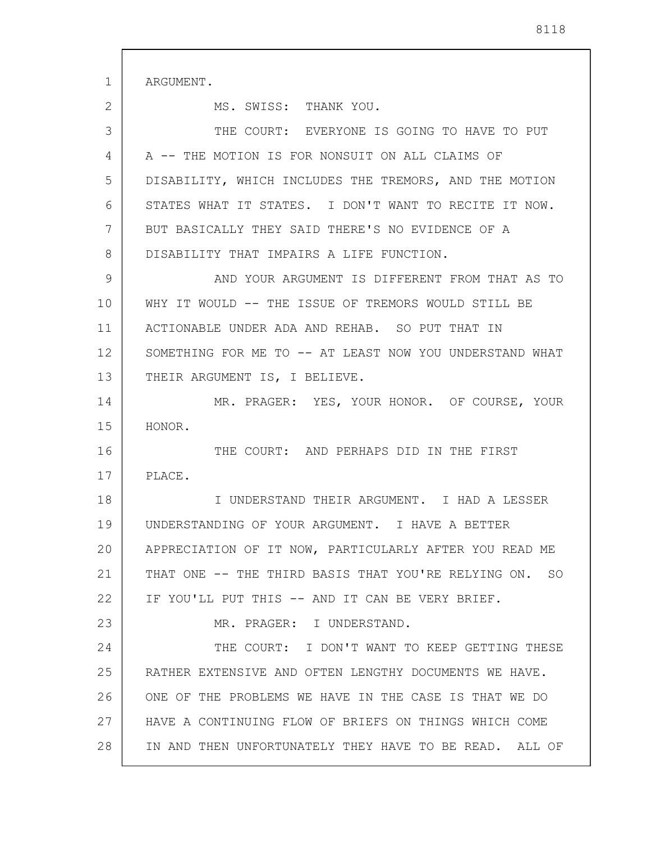1 2 3 4 5 6 7 8 9 10 11 12 13 14 15 16 17 18 19 20 21 22 23 24 25 26 27 28 ARGUMENT. MS. SWISS: THANK YOU. THE COURT: EVERYONE IS GOING TO HAVE TO PUT A -- THE MOTION IS FOR NONSUIT ON ALL CLAIMS OF DISABILITY, WHICH INCLUDES THE TREMORS, AND THE MOTION STATES WHAT IT STATES. I DON'T WANT TO RECITE IT NOW. BUT BASICALLY THEY SAID THERE'S NO EVIDENCE OF A DISABILITY THAT IMPAIRS A LIFE FUNCTION. AND YOUR ARGUMENT IS DIFFERENT FROM THAT AS TO WHY IT WOULD -- THE ISSUE OF TREMORS WOULD STILL BE ACTIONABLE UNDER ADA AND REHAB. SO PUT THAT IN SOMETHING FOR ME TO -- AT LEAST NOW YOU UNDERSTAND WHAT THEIR ARGUMENT IS, I BELIEVE. MR. PRAGER: YES, YOUR HONOR. OF COURSE, YOUR HONOR. THE COURT: AND PERHAPS DID IN THE FIRST PLACE. I UNDERSTAND THEIR ARGUMENT. I HAD A LESSER UNDERSTANDING OF YOUR ARGUMENT. I HAVE A BETTER APPRECIATION OF IT NOW, PARTICULARLY AFTER YOU READ ME THAT ONE -- THE THIRD BASIS THAT YOU'RE RELYING ON. SO IF YOU'LL PUT THIS -- AND IT CAN BE VERY BRIEF. MR. PRAGER: I UNDERSTAND. THE COURT: I DON'T WANT TO KEEP GETTING THESE RATHER EXTENSIVE AND OFTEN LENGTHY DOCUMENTS WE HAVE. ONE OF THE PROBLEMS WE HAVE IN THE CASE IS THAT WE DO HAVE A CONTINUING FLOW OF BRIEFS ON THINGS WHICH COME IN AND THEN UNFORTUNATELY THEY HAVE TO BE READ. ALL OF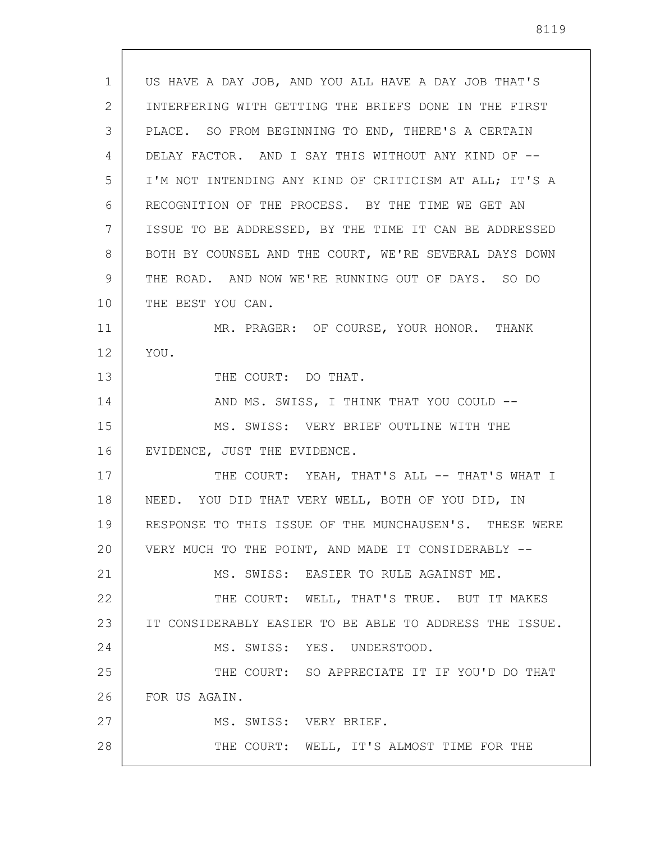| 1  | US HAVE A DAY JOB, AND YOU ALL HAVE A DAY JOB THAT'S    |
|----|---------------------------------------------------------|
| 2  | INTERFERING WITH GETTING THE BRIEFS DONE IN THE FIRST   |
| 3  | PLACE. SO FROM BEGINNING TO END, THERE'S A CERTAIN      |
| 4  | DELAY FACTOR. AND I SAY THIS WITHOUT ANY KIND OF --     |
| 5  | I'M NOT INTENDING ANY KIND OF CRITICISM AT ALL; IT'S A  |
| 6  | RECOGNITION OF THE PROCESS. BY THE TIME WE GET AN       |
| 7  | ISSUE TO BE ADDRESSED, BY THE TIME IT CAN BE ADDRESSED  |
| 8  | BOTH BY COUNSEL AND THE COURT, WE'RE SEVERAL DAYS DOWN  |
| 9  | THE ROAD. AND NOW WE'RE RUNNING OUT OF DAYS. SO DO      |
| 10 | THE BEST YOU CAN.                                       |
| 11 | MR. PRAGER: OF COURSE, YOUR HONOR. THANK                |
| 12 | YOU.                                                    |
| 13 | THE COURT: DO THAT.                                     |
| 14 | AND MS. SWISS, I THINK THAT YOU COULD --                |
| 15 | MS. SWISS: VERY BRIEF OUTLINE WITH THE                  |
| 16 | EVIDENCE, JUST THE EVIDENCE.                            |
| 17 | THE COURT: YEAH, THAT'S ALL -- THAT'S WHAT I            |
| 18 | NEED. YOU DID THAT VERY WELL, BOTH OF YOU DID, IN       |
| 19 | RESPONSE TO THIS ISSUE OF THE MUNCHAUSEN'S. THESE WERE  |
| 20 | VERY MUCH TO THE POINT, AND MADE IT CONSIDERABLY --     |
| 21 | MS. SWISS: EASIER TO RULE AGAINST ME.                   |
| 22 | THE COURT: WELL, THAT'S TRUE. BUT IT MAKES              |
| 23 | IT CONSIDERABLY EASIER TO BE ABLE TO ADDRESS THE ISSUE. |
| 24 | MS. SWISS: YES. UNDERSTOOD.                             |
| 25 | THE COURT: SO APPRECIATE IT IF YOU'D DO THAT            |
| 26 | FOR US AGAIN.                                           |
| 27 | MS. SWISS: VERY BRIEF.                                  |
| 28 | THE COURT: WELL, IT'S ALMOST TIME FOR THE               |
|    |                                                         |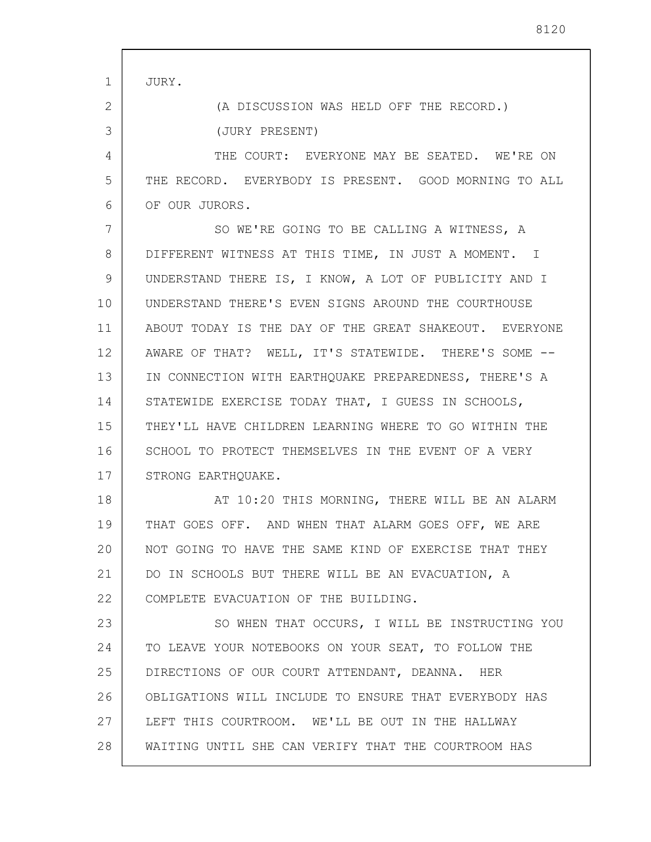| $\mathbf 1$ | JURY.                                                  |
|-------------|--------------------------------------------------------|
| 2           | (A DISCUSSION WAS HELD OFF THE RECORD.)                |
| 3           | (JURY PRESENT)                                         |
| 4           | THE COURT: EVERYONE MAY BE SEATED. WE'RE ON            |
| 5           | THE RECORD. EVERYBODY IS PRESENT. GOOD MORNING TO ALL  |
| 6           | OF OUR JURORS.                                         |
| 7           | SO WE'RE GOING TO BE CALLING A WITNESS, A              |
| 8           | DIFFERENT WITNESS AT THIS TIME, IN JUST A MOMENT. I    |
| 9           | UNDERSTAND THERE IS, I KNOW, A LOT OF PUBLICITY AND I  |
| 10          | UNDERSTAND THERE'S EVEN SIGNS AROUND THE COURTHOUSE    |
| 11          | ABOUT TODAY IS THE DAY OF THE GREAT SHAKEOUT. EVERYONE |
| 12          | AWARE OF THAT? WELL, IT'S STATEWIDE. THERE'S SOME --   |
| 13          | IN CONNECTION WITH EARTHQUAKE PREPAREDNESS, THERE'S A  |
| 14          | STATEWIDE EXERCISE TODAY THAT, I GUESS IN SCHOOLS,     |
| 15          | THEY'LL HAVE CHILDREN LEARNING WHERE TO GO WITHIN THE  |
| 16          | SCHOOL TO PROTECT THEMSELVES IN THE EVENT OF A VERY    |
| 17          | STRONG EARTHOUAKE.                                     |
| 18          | AT 10:20 THIS MORNING, THERE WILL BE AN ALARM          |
| 19          | THAT GOES OFF. AND WHEN THAT ALARM GOES OFF, WE ARE    |
| 20          | NOT GOING TO HAVE THE SAME KIND OF EXERCISE THAT THEY  |
| 21          | DO IN SCHOOLS BUT THERE WILL BE AN EVACUATION, A       |
| 22          | COMPLETE EVACUATION OF THE BUILDING.                   |
| 23          | SO WHEN THAT OCCURS, I WILL BE INSTRUCTING YOU         |
| 24          | TO LEAVE YOUR NOTEBOOKS ON YOUR SEAT, TO FOLLOW THE    |
| 25          | DIRECTIONS OF OUR COURT ATTENDANT, DEANNA. HER         |
| 26          | OBLIGATIONS WILL INCLUDE TO ENSURE THAT EVERYBODY HAS  |
| 27          | LEFT THIS COURTROOM. WE'LL BE OUT IN THE HALLWAY       |
| 28          | WAITING UNTIL SHE CAN VERIFY THAT THE COURTROOM HAS    |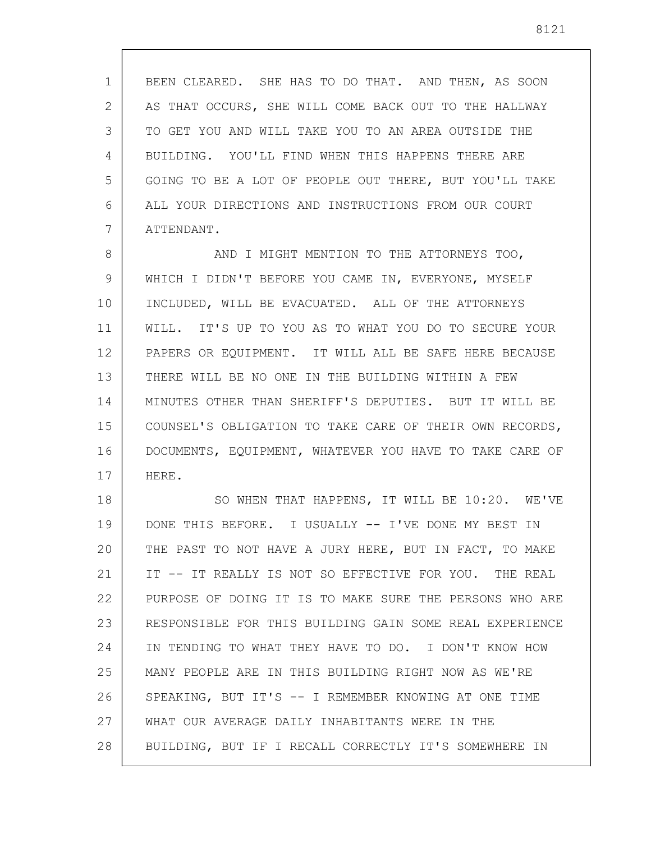1 2 3 4 5 6 7 BEEN CLEARED. SHE HAS TO DO THAT. AND THEN, AS SOON AS THAT OCCURS, SHE WILL COME BACK OUT TO THE HALLWAY TO GET YOU AND WILL TAKE YOU TO AN AREA OUTSIDE THE BUILDING. YOU'LL FIND WHEN THIS HAPPENS THERE ARE GOING TO BE A LOT OF PEOPLE OUT THERE, BUT YOU'LL TAKE ALL YOUR DIRECTIONS AND INSTRUCTIONS FROM OUR COURT ATTENDANT.

8 9 10 11 12 13 14 15 16 17 AND I MIGHT MENTION TO THE ATTORNEYS TOO, WHICH I DIDN'T BEFORE YOU CAME IN, EVERYONE, MYSELF INCLUDED, WILL BE EVACUATED. ALL OF THE ATTORNEYS WILL. IT'S UP TO YOU AS TO WHAT YOU DO TO SECURE YOUR PAPERS OR EQUIPMENT. IT WILL ALL BE SAFE HERE BECAUSE THERE WILL BE NO ONE IN THE BUILDING WITHIN A FEW MINUTES OTHER THAN SHERIFF'S DEPUTIES. BUT IT WILL BE COUNSEL'S OBLIGATION TO TAKE CARE OF THEIR OWN RECORDS, DOCUMENTS, EQUIPMENT, WHATEVER YOU HAVE TO TAKE CARE OF HERE.

18 19 20 21 22 23 24 25 26 27 28 SO WHEN THAT HAPPENS, IT WILL BE 10:20. WE'VE DONE THIS BEFORE. I USUALLY -- I'VE DONE MY BEST IN THE PAST TO NOT HAVE A JURY HERE, BUT IN FACT, TO MAKE IT -- IT REALLY IS NOT SO EFFECTIVE FOR YOU. THE REAL PURPOSE OF DOING IT IS TO MAKE SURE THE PERSONS WHO ARE RESPONSIBLE FOR THIS BUILDING GAIN SOME REAL EXPERIENCE IN TENDING TO WHAT THEY HAVE TO DO. I DON'T KNOW HOW MANY PEOPLE ARE IN THIS BUILDING RIGHT NOW AS WE'RE SPEAKING, BUT IT'S -- I REMEMBER KNOWING AT ONE TIME WHAT OUR AVERAGE DAILY INHABITANTS WERE IN THE BUILDING, BUT IF I RECALL CORRECTLY IT'S SOMEWHERE IN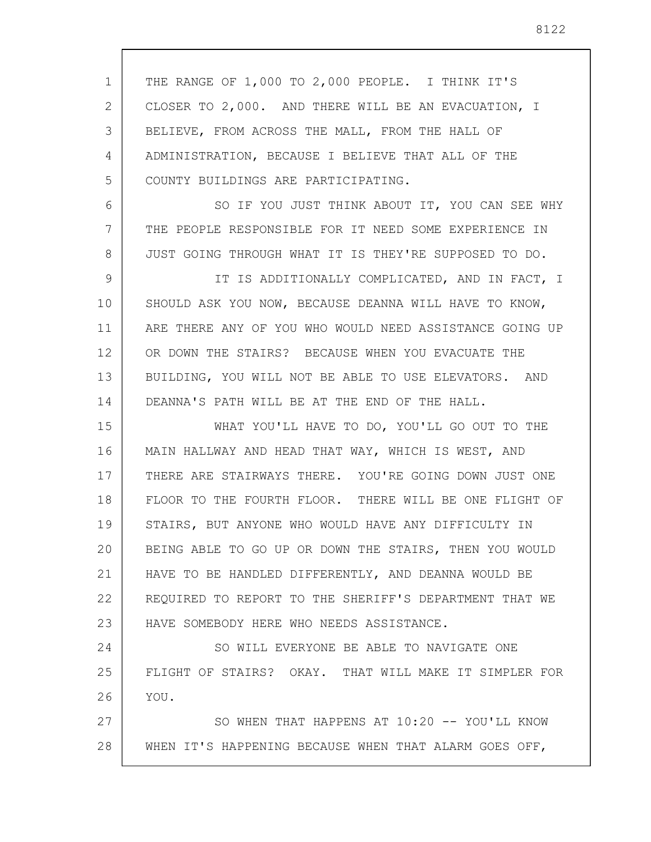1 2 3 4 5 6 7 8 9 10 11 12 13 14 15 16 17 18 19 20 21 22 23 24 25 THE RANGE OF 1,000 TO 2,000 PEOPLE. I THINK IT'S CLOSER TO 2,000. AND THERE WILL BE AN EVACUATION, I BELIEVE, FROM ACROSS THE MALL, FROM THE HALL OF ADMINISTRATION, BECAUSE I BELIEVE THAT ALL OF THE COUNTY BUILDINGS ARE PARTICIPATING. SO IF YOU JUST THINK ABOUT IT, YOU CAN SEE WHY THE PEOPLE RESPONSIBLE FOR IT NEED SOME EXPERIENCE IN JUST GOING THROUGH WHAT IT IS THEY'RE SUPPOSED TO DO. IT IS ADDITIONALLY COMPLICATED, AND IN FACT, I SHOULD ASK YOU NOW, BECAUSE DEANNA WILL HAVE TO KNOW, ARE THERE ANY OF YOU WHO WOULD NEED ASSISTANCE GOING UP OR DOWN THE STAIRS? BECAUSE WHEN YOU EVACUATE THE BUILDING, YOU WILL NOT BE ABLE TO USE ELEVATORS. AND DEANNA'S PATH WILL BE AT THE END OF THE HALL. WHAT YOU'LL HAVE TO DO, YOU'LL GO OUT TO THE MAIN HALLWAY AND HEAD THAT WAY, WHICH IS WEST, AND THERE ARE STAIRWAYS THERE. YOU'RE GOING DOWN JUST ONE FLOOR TO THE FOURTH FLOOR. THERE WILL BE ONE FLIGHT OF STAIRS, BUT ANYONE WHO WOULD HAVE ANY DIFFICULTY IN BEING ABLE TO GO UP OR DOWN THE STAIRS, THEN YOU WOULD HAVE TO BE HANDLED DIFFERENTLY, AND DEANNA WOULD BE REQUIRED TO REPORT TO THE SHERIFF'S DEPARTMENT THAT WE HAVE SOMEBODY HERE WHO NEEDS ASSISTANCE. SO WILL EVERYONE BE ABLE TO NAVIGATE ONE FLIGHT OF STAIRS? OKAY. THAT WILL MAKE IT SIMPLER FOR

27 28 SO WHEN THAT HAPPENS AT 10:20 -- YOU'LL KNOW WHEN IT'S HAPPENING BECAUSE WHEN THAT ALARM GOES OFF,

26

YOU.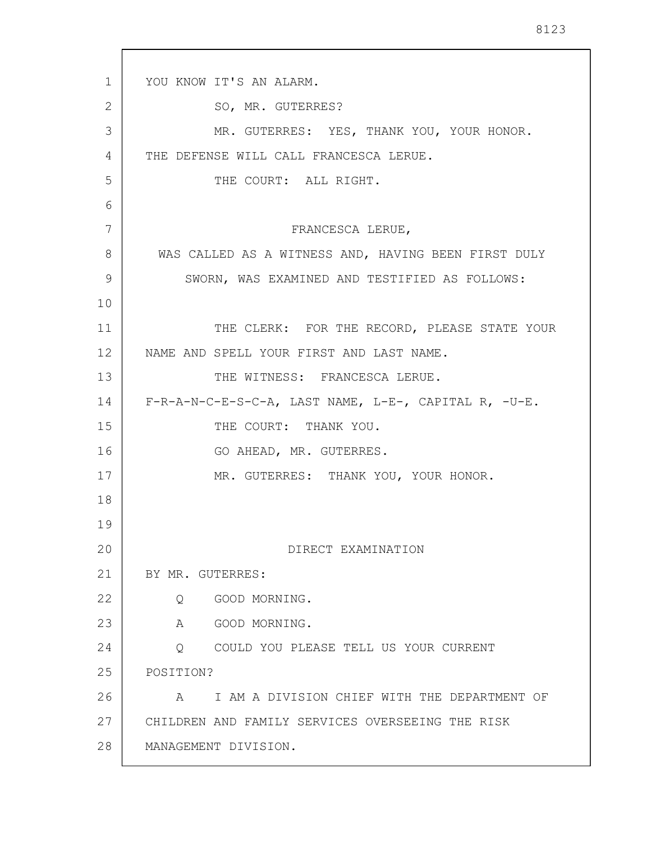1 2 3 4 5 6 7 8 9 10 11 12 13 14 15 16 17 18 19 20 21 22 23 24 25 26 27 28 YOU KNOW IT'S AN ALARM. SO, MR. GUTERRES? MR. GUTERRES: YES, THANK YOU, YOUR HONOR. THE DEFENSE WILL CALL FRANCESCA LERUE. THE COURT: ALL RIGHT. FRANCESCA LERUE, WAS CALLED AS A WITNESS AND, HAVING BEEN FIRST DULY SWORN, WAS EXAMINED AND TESTIFIED AS FOLLOWS: THE CLERK: FOR THE RECORD, PLEASE STATE YOUR NAME AND SPELL YOUR FIRST AND LAST NAME. THE WITNESS: FRANCESCA LERUE. F-R-A-N-C-E-S-C-A, LAST NAME, L-E-, CAPITAL R, -U-E. THE COURT: THANK YOU. GO AHEAD, MR. GUTERRES. MR. GUTERRES: THANK YOU, YOUR HONOR. DIRECT EXAMINATION BY MR. GUTERRES: Q GOOD MORNING. A GOOD MORNING. Q COULD YOU PLEASE TELL US YOUR CURRENT POSITION? A I AM A DIVISION CHIEF WITH THE DEPARTMENT OF CHILDREN AND FAMILY SERVICES OVERSEEING THE RISK MANAGEMENT DIVISION.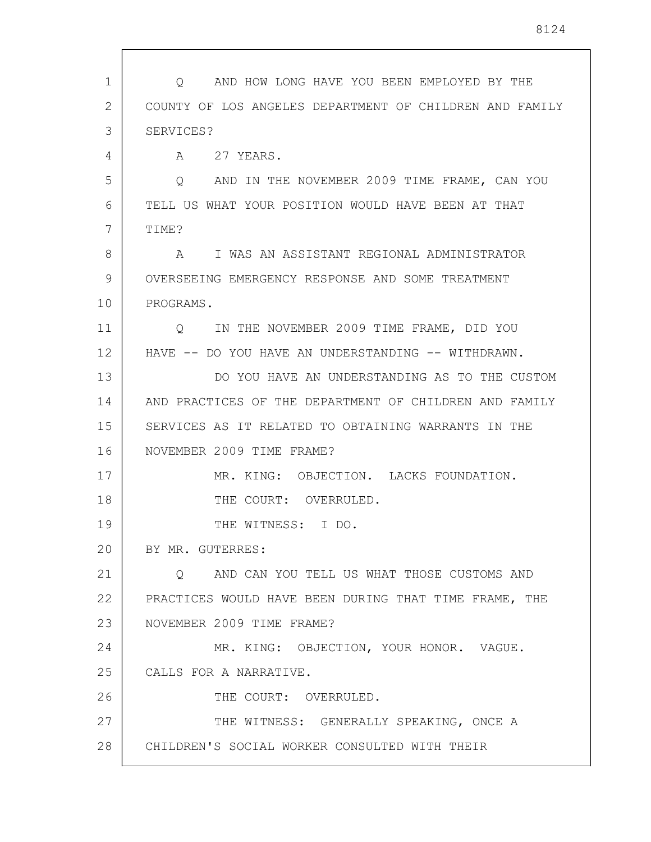1 2 3 4 5 6 7 8 9 10 11 12 13 14 15 16 17 18 19 20 21 22 23 24 25 26 27 28 Q AND HOW LONG HAVE YOU BEEN EMPLOYED BY THE COUNTY OF LOS ANGELES DEPARTMENT OF CHILDREN AND FAMILY SERVICES? A 27 YEARS. Q AND IN THE NOVEMBER 2009 TIME FRAME, CAN YOU TELL US WHAT YOUR POSITION WOULD HAVE BEEN AT THAT TIME? A I WAS AN ASSISTANT REGIONAL ADMINISTRATOR OVERSEEING EMERGENCY RESPONSE AND SOME TREATMENT PROGRAMS. Q IN THE NOVEMBER 2009 TIME FRAME, DID YOU HAVE -- DO YOU HAVE AN UNDERSTANDING -- WITHDRAWN. DO YOU HAVE AN UNDERSTANDING AS TO THE CUSTOM AND PRACTICES OF THE DEPARTMENT OF CHILDREN AND FAMILY SERVICES AS IT RELATED TO OBTAINING WARRANTS IN THE NOVEMBER 2009 TIME FRAME? MR. KING: OBJECTION. LACKS FOUNDATION. THE COURT: OVERRULED. THE WITNESS: I DO. BY MR. GUTERRES: Q AND CAN YOU TELL US WHAT THOSE CUSTOMS AND PRACTICES WOULD HAVE BEEN DURING THAT TIME FRAME, THE NOVEMBER 2009 TIME FRAME? MR. KING: OBJECTION, YOUR HONOR. VAGUE. CALLS FOR A NARRATIVE. THE COURT: OVERRULED. THE WITNESS: GENERALLY SPEAKING, ONCE A CHILDREN'S SOCIAL WORKER CONSULTED WITH THEIR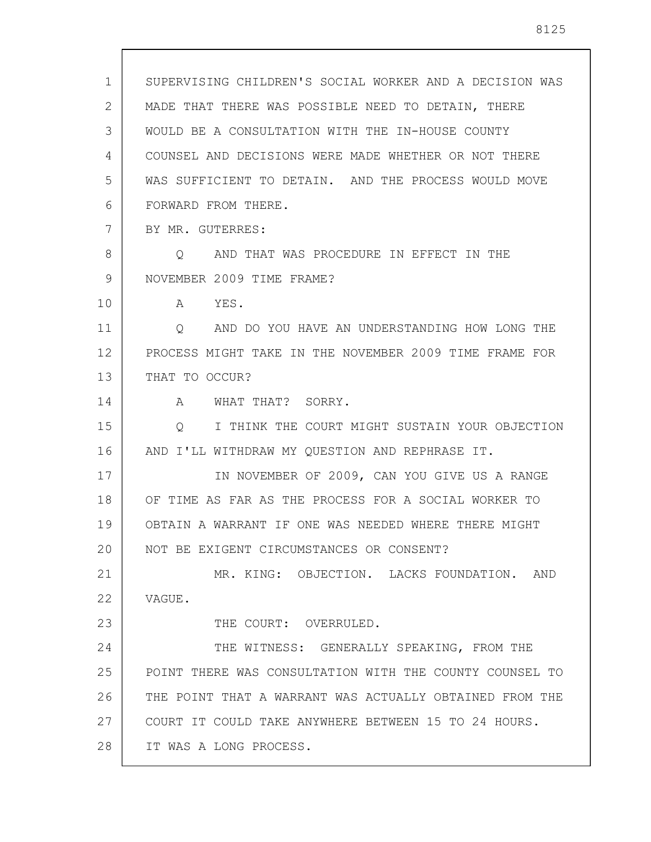1 2 3 4 5 6 7 8 9 10 11 12 13 14 15 16 17 18 19 20 21 22 23 24 25 26 27 28 SUPERVISING CHILDREN'S SOCIAL WORKER AND A DECISION WAS MADE THAT THERE WAS POSSIBLE NEED TO DETAIN, THERE WOULD BE A CONSULTATION WITH THE IN-HOUSE COUNTY COUNSEL AND DECISIONS WERE MADE WHETHER OR NOT THERE WAS SUFFICIENT TO DETAIN. AND THE PROCESS WOULD MOVE FORWARD FROM THERE. BY MR. GUTERRES: Q AND THAT WAS PROCEDURE IN EFFECT IN THE NOVEMBER 2009 TIME FRAME? A YES. Q AND DO YOU HAVE AN UNDERSTANDING HOW LONG THE PROCESS MIGHT TAKE IN THE NOVEMBER 2009 TIME FRAME FOR THAT TO OCCUR? A WHAT THAT? SORRY. Q I THINK THE COURT MIGHT SUSTAIN YOUR OBJECTION AND I'LL WITHDRAW MY QUESTION AND REPHRASE IT. IN NOVEMBER OF 2009, CAN YOU GIVE US A RANGE OF TIME AS FAR AS THE PROCESS FOR A SOCIAL WORKER TO OBTAIN A WARRANT IF ONE WAS NEEDED WHERE THERE MIGHT NOT BE EXIGENT CIRCUMSTANCES OR CONSENT? MR. KING: OBJECTION. LACKS FOUNDATION. AND VAGUE. THE COURT: OVERRULED. THE WITNESS: GENERALLY SPEAKING, FROM THE POINT THERE WAS CONSULTATION WITH THE COUNTY COUNSEL TO THE POINT THAT A WARRANT WAS ACTUALLY OBTAINED FROM THE COURT IT COULD TAKE ANYWHERE BETWEEN 15 TO 24 HOURS. IT WAS A LONG PROCESS.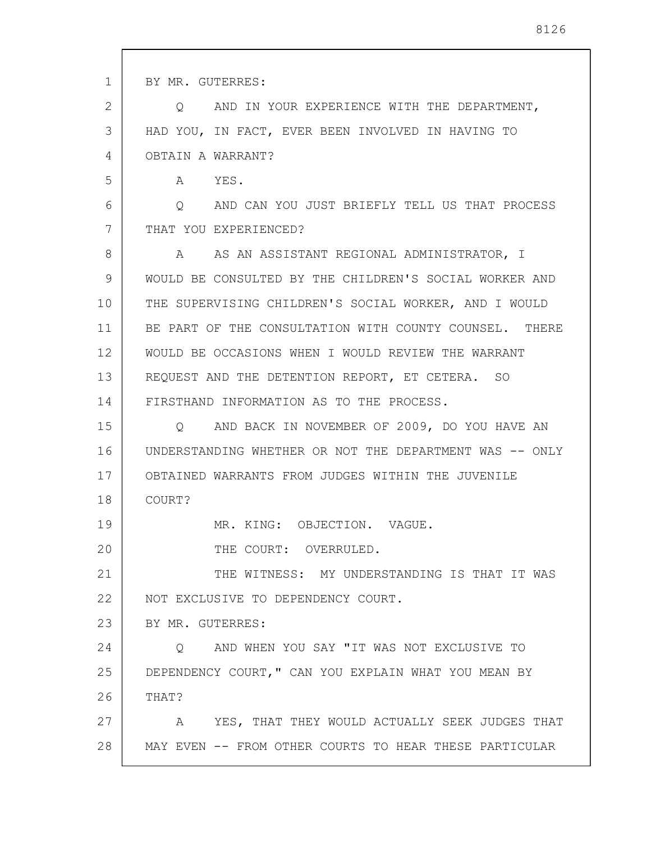1 2 3 4 5 6 7 8 9 10 11 12 13 14 15 16 17 18 19 20 21 22 23 24 25 26 27 28 BY MR. GUTERRES: Q AND IN YOUR EXPERIENCE WITH THE DEPARTMENT, HAD YOU, IN FACT, EVER BEEN INVOLVED IN HAVING TO OBTAIN A WARRANT? A YES. Q AND CAN YOU JUST BRIEFLY TELL US THAT PROCESS THAT YOU EXPERIENCED? A AS AN ASSISTANT REGIONAL ADMINISTRATOR, I WOULD BE CONSULTED BY THE CHILDREN'S SOCIAL WORKER AND THE SUPERVISING CHILDREN'S SOCIAL WORKER, AND I WOULD BE PART OF THE CONSULTATION WITH COUNTY COUNSEL. THERE WOULD BE OCCASIONS WHEN I WOULD REVIEW THE WARRANT REQUEST AND THE DETENTION REPORT, ET CETERA. SO FIRSTHAND INFORMATION AS TO THE PROCESS. Q AND BACK IN NOVEMBER OF 2009, DO YOU HAVE AN UNDERSTANDING WHETHER OR NOT THE DEPARTMENT WAS -- ONLY OBTAINED WARRANTS FROM JUDGES WITHIN THE JUVENILE COURT? MR. KING: OBJECTION. VAGUE. THE COURT: OVERRULED. THE WITNESS: MY UNDERSTANDING IS THAT IT WAS NOT EXCLUSIVE TO DEPENDENCY COURT. BY MR. GUTERRES: Q AND WHEN YOU SAY "IT WAS NOT EXCLUSIVE TO DEPENDENCY COURT," CAN YOU EXPLAIN WHAT YOU MEAN BY THAT? A YES, THAT THEY WOULD ACTUALLY SEEK JUDGES THAT MAY EVEN -- FROM OTHER COURTS TO HEAR THESE PARTICULAR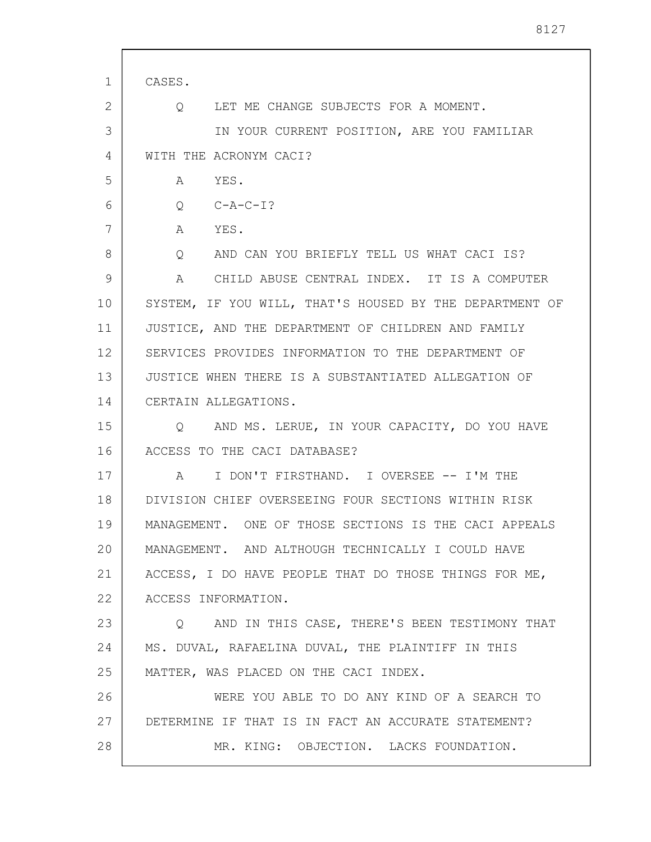| 1  | CASES.                                                    |
|----|-----------------------------------------------------------|
| 2  | LET ME CHANGE SUBJECTS FOR A MOMENT.<br>$Q \qquad \qquad$ |
| 3  | IN YOUR CURRENT POSITION, ARE YOU FAMILIAR                |
| 4  | WITH THE ACRONYM CACI?                                    |
| 5  | YES.<br>A                                                 |
| 6  | $Q$ $C - A - C - I$ ?                                     |
| 7  | YES.<br>A                                                 |
| 8  | Q AND CAN YOU BRIEFLY TELL US WHAT CACI IS?               |
| 9  | A CHILD ABUSE CENTRAL INDEX. IT IS A COMPUTER             |
| 10 | SYSTEM, IF YOU WILL, THAT'S HOUSED BY THE DEPARTMENT OF   |
| 11 | JUSTICE, AND THE DEPARTMENT OF CHILDREN AND FAMILY        |
| 12 | SERVICES PROVIDES INFORMATION TO THE DEPARTMENT OF        |
| 13 | JUSTICE WHEN THERE IS A SUBSTANTIATED ALLEGATION OF       |
| 14 | CERTAIN ALLEGATIONS.                                      |
| 15 | Q AND MS. LERUE, IN YOUR CAPACITY, DO YOU HAVE            |
| 16 | ACCESS TO THE CACI DATABASE?                              |
| 17 | I DON'T FIRSTHAND. I OVERSEE -- I'M THE<br>$\mathbb A$    |
| 18 | DIVISION CHIEF OVERSEEING FOUR SECTIONS WITHIN RISK       |
| 19 | MANAGEMENT. ONE OF THOSE SECTIONS IS THE CACI APPEALS     |
| 20 | MANAGEMENT. AND ALTHOUGH TECHNICALLY I COULD HAVE         |
| 21 | ACCESS, I DO HAVE PEOPLE THAT DO THOSE THINGS FOR ME,     |
| 22 | ACCESS INFORMATION.                                       |
| 23 | Q AND IN THIS CASE, THERE'S BEEN TESTIMONY THAT           |
| 24 | MS. DUVAL, RAFAELINA DUVAL, THE PLAINTIFF IN THIS         |
| 25 | MATTER, WAS PLACED ON THE CACI INDEX.                     |
| 26 | WERE YOU ABLE TO DO ANY KIND OF A SEARCH TO               |
| 27 | DETERMINE IF THAT IS IN FACT AN ACCURATE STATEMENT?       |
| 28 | MR. KING: OBJECTION. LACKS FOUNDATION.                    |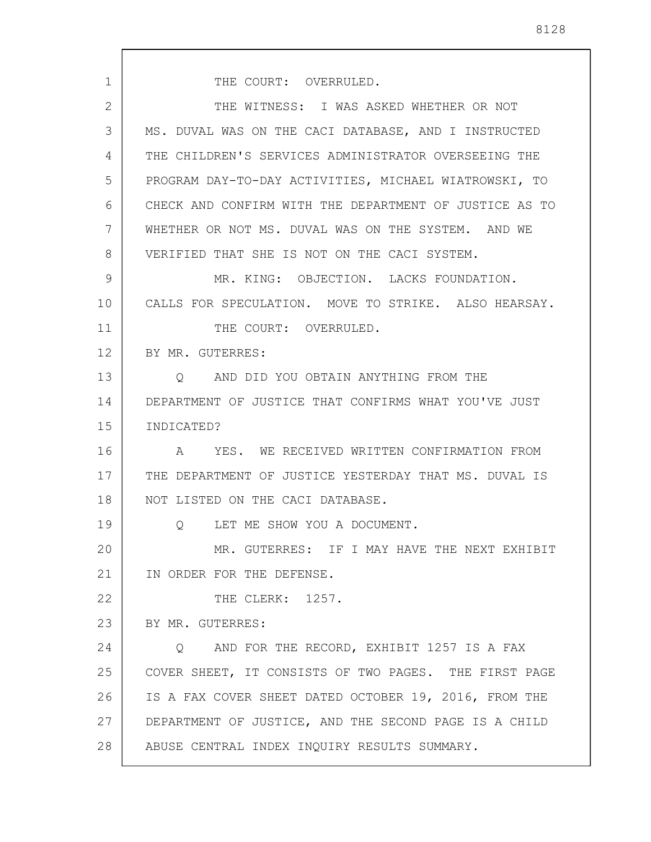1 2 3 4 5 6 7 8 9 10 11 12 13 14 15 16 17 18 19 20 21 22 23 24 25 26 27 28 THE COURT: OVERRULED. THE WITNESS: I WAS ASKED WHETHER OR NOT MS. DUVAL WAS ON THE CACI DATABASE, AND I INSTRUCTED THE CHILDREN'S SERVICES ADMINISTRATOR OVERSEEING THE PROGRAM DAY-TO-DAY ACTIVITIES, MICHAEL WIATROWSKI, TO CHECK AND CONFIRM WITH THE DEPARTMENT OF JUSTICE AS TO WHETHER OR NOT MS. DUVAL WAS ON THE SYSTEM. AND WE VERIFIED THAT SHE IS NOT ON THE CACI SYSTEM. MR. KING: OBJECTION. LACKS FOUNDATION. CALLS FOR SPECULATION. MOVE TO STRIKE. ALSO HEARSAY. THE COURT: OVERRULED. BY MR. GUTERRES: Q AND DID YOU OBTAIN ANYTHING FROM THE DEPARTMENT OF JUSTICE THAT CONFIRMS WHAT YOU'VE JUST INDICATED? A YES. WE RECEIVED WRITTEN CONFIRMATION FROM THE DEPARTMENT OF JUSTICE YESTERDAY THAT MS. DUVAL IS NOT LISTED ON THE CACI DATABASE. Q LET ME SHOW YOU A DOCUMENT. MR. GUTERRES: IF I MAY HAVE THE NEXT EXHIBIT IN ORDER FOR THE DEFENSE. THE CLERK: 1257. BY MR. GUTERRES: Q AND FOR THE RECORD, EXHIBIT 1257 IS A FAX COVER SHEET, IT CONSISTS OF TWO PAGES. THE FIRST PAGE IS A FAX COVER SHEET DATED OCTOBER 19, 2016, FROM THE DEPARTMENT OF JUSTICE, AND THE SECOND PAGE IS A CHILD ABUSE CENTRAL INDEX INQUIRY RESULTS SUMMARY.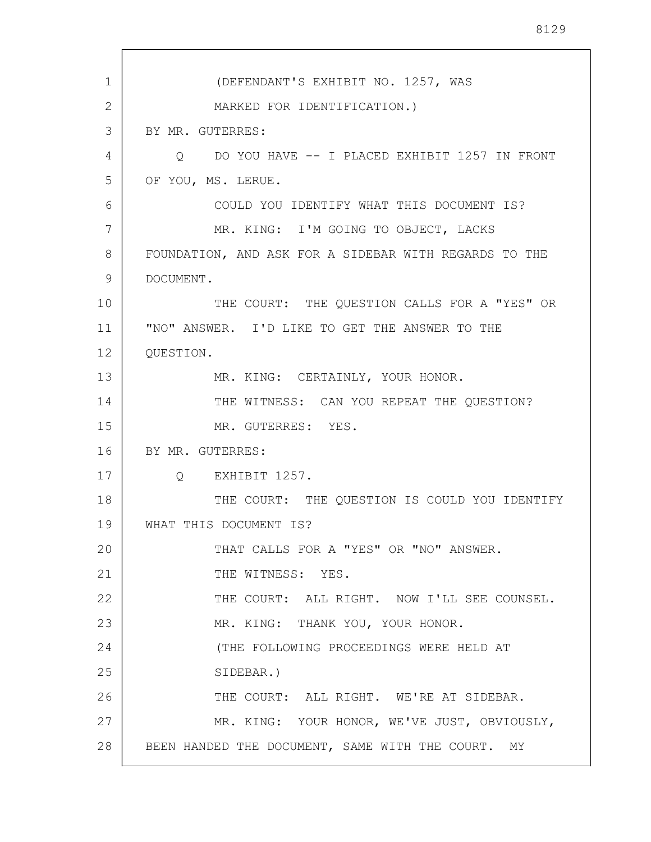1 2 3 4 5 6 7 8 9 10 11 12 13 14 15 16 17 18 19 20 21 22 23 24 25 26 27 28 (DEFENDANT'S EXHIBIT NO. 1257, WAS MARKED FOR IDENTIFICATION.) BY MR. GUTERRES: Q DO YOU HAVE -- I PLACED EXHIBIT 1257 IN FRONT OF YOU, MS. LERUE. COULD YOU IDENTIFY WHAT THIS DOCUMENT IS? MR. KING: I'M GOING TO OBJECT, LACKS FOUNDATION, AND ASK FOR A SIDEBAR WITH REGARDS TO THE DOCUMENT. THE COURT: THE QUESTION CALLS FOR A "YES" OR "NO" ANSWER. I'D LIKE TO GET THE ANSWER TO THE QUESTION. MR. KING: CERTAINLY, YOUR HONOR. THE WITNESS: CAN YOU REPEAT THE QUESTION? MR. GUTERRES: YES. BY MR. GUTERRES: Q EXHIBIT 1257. THE COURT: THE QUESTION IS COULD YOU IDENTIFY WHAT THIS DOCUMENT IS? THAT CALLS FOR A "YES" OR "NO" ANSWER. THE WITNESS: YES. THE COURT: ALL RIGHT. NOW I'LL SEE COUNSEL. MR. KING: THANK YOU, YOUR HONOR. (THE FOLLOWING PROCEEDINGS WERE HELD AT SIDEBAR.) THE COURT: ALL RIGHT. WE'RE AT SIDEBAR. MR. KING: YOUR HONOR, WE'VE JUST, OBVIOUSLY, BEEN HANDED THE DOCUMENT, SAME WITH THE COURT. MY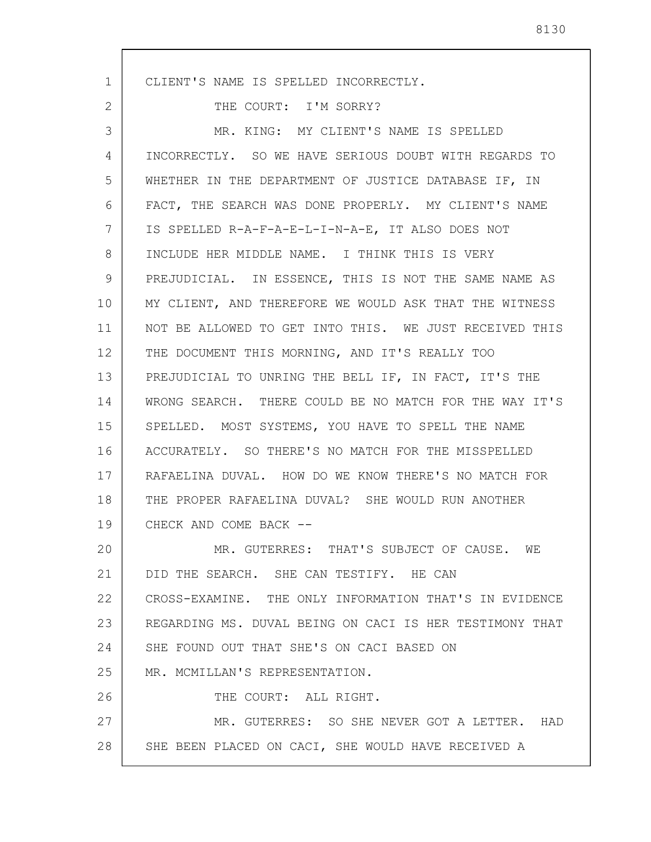1 2 3 4 5 6 7 8 9 10 11 12 13 14 15 16 17 18 19 20 21 22 23 24 25 26 27 28 CLIENT'S NAME IS SPELLED INCORRECTLY. THE COURT: I'M SORRY? MR. KING: MY CLIENT'S NAME IS SPELLED INCORRECTLY. SO WE HAVE SERIOUS DOUBT WITH REGARDS TO WHETHER IN THE DEPARTMENT OF JUSTICE DATABASE IF, IN FACT, THE SEARCH WAS DONE PROPERLY. MY CLIENT'S NAME IS SPELLED R-A-F-A-E-L-I-N-A-E, IT ALSO DOES NOT INCLUDE HER MIDDLE NAME. I THINK THIS IS VERY PREJUDICIAL. IN ESSENCE, THIS IS NOT THE SAME NAME AS MY CLIENT, AND THEREFORE WE WOULD ASK THAT THE WITNESS NOT BE ALLOWED TO GET INTO THIS. WE JUST RECEIVED THIS THE DOCUMENT THIS MORNING, AND IT'S REALLY TOO PREJUDICIAL TO UNRING THE BELL IF, IN FACT, IT'S THE WRONG SEARCH. THERE COULD BE NO MATCH FOR THE WAY IT'S SPELLED. MOST SYSTEMS, YOU HAVE TO SPELL THE NAME ACCURATELY. SO THERE'S NO MATCH FOR THE MISSPELLED RAFAELINA DUVAL. HOW DO WE KNOW THERE'S NO MATCH FOR THE PROPER RAFAELINA DUVAL? SHE WOULD RUN ANOTHER CHECK AND COME BACK -- MR. GUTERRES: THAT'S SUBJECT OF CAUSE. WE DID THE SEARCH. SHE CAN TESTIFY. HE CAN CROSS-EXAMINE. THE ONLY INFORMATION THAT'S IN EVIDENCE REGARDING MS. DUVAL BEING ON CACI IS HER TESTIMONY THAT SHE FOUND OUT THAT SHE'S ON CACI BASED ON MR. MCMILLAN'S REPRESENTATION. THE COURT: ALL RIGHT. MR. GUTERRES: SO SHE NEVER GOT A LETTER. HAD SHE BEEN PLACED ON CACI, SHE WOULD HAVE RECEIVED A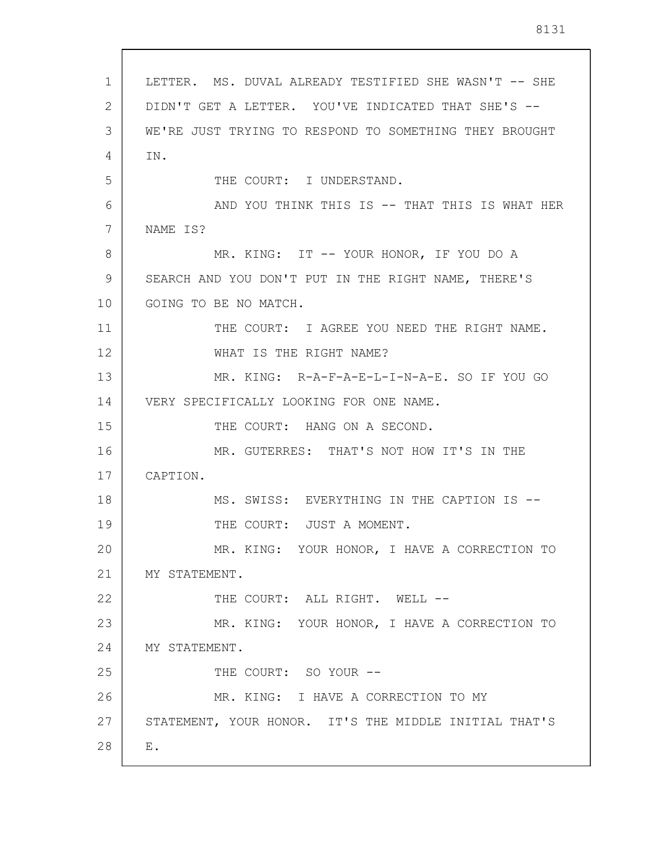1 2 3 4 5 6 7 8 9 10 11 12 13 14 15 16 17 18 19 20 21 22 23 24 25 26 27 28 LETTER. MS. DUVAL ALREADY TESTIFIED SHE WASN'T -- SHE DIDN'T GET A LETTER. YOU'VE INDICATED THAT SHE'S -- WE'RE JUST TRYING TO RESPOND TO SOMETHING THEY BROUGHT IN. THE COURT: I UNDERSTAND. AND YOU THINK THIS IS -- THAT THIS IS WHAT HER NAME IS? MR. KING: IT -- YOUR HONOR, IF YOU DO A SEARCH AND YOU DON'T PUT IN THE RIGHT NAME, THERE'S GOING TO BE NO MATCH. THE COURT: I AGREE YOU NEED THE RIGHT NAME. WHAT IS THE RIGHT NAME? MR. KING: R-A-F-A-E-L-I-N-A-E. SO IF YOU GO VERY SPECIFICALLY LOOKING FOR ONE NAME. THE COURT: HANG ON A SECOND. MR. GUTERRES: THAT'S NOT HOW IT'S IN THE CAPTION. MS. SWISS: EVERYTHING IN THE CAPTION IS -- THE COURT: JUST A MOMENT. MR. KING: YOUR HONOR, I HAVE A CORRECTION TO MY STATEMENT. THE COURT: ALL RIGHT. WELL --MR. KING: YOUR HONOR, I HAVE A CORRECTION TO MY STATEMENT. THE COURT: SO YOUR --MR. KING: I HAVE A CORRECTION TO MY STATEMENT, YOUR HONOR. IT'S THE MIDDLE INITIAL THAT'S E.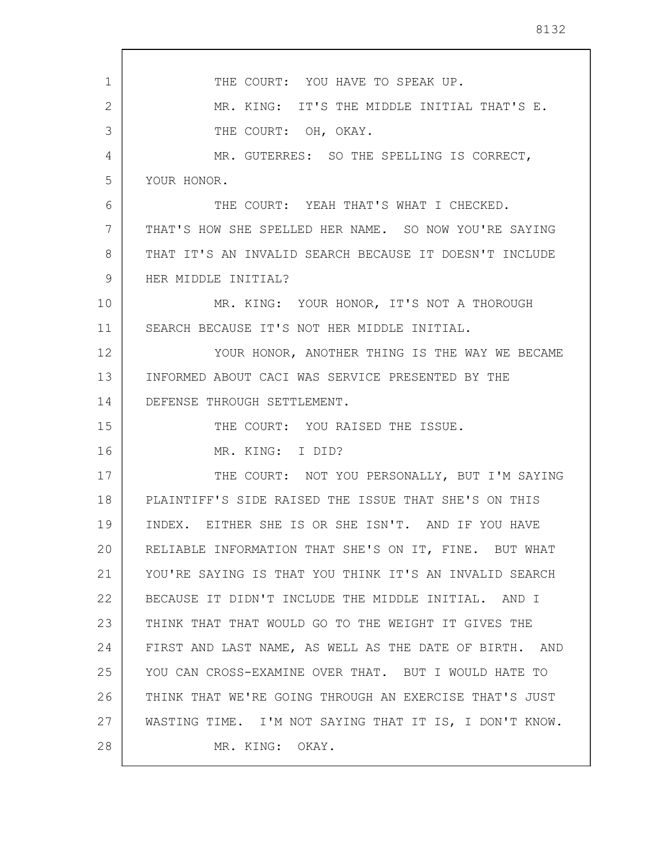|--|--|

| $\mathbf 1$ | THE COURT: YOU HAVE TO SPEAK UP.                       |
|-------------|--------------------------------------------------------|
| 2           | MR. KING: IT'S THE MIDDLE INITIAL THAT'S E.            |
| 3           | THE COURT: OH, OKAY.                                   |
| 4           | MR. GUTERRES: SO THE SPELLING IS CORRECT,              |
| 5           | YOUR HONOR.                                            |
| 6           | THE COURT: YEAH THAT'S WHAT I CHECKED.                 |
| 7           | THAT'S HOW SHE SPELLED HER NAME. SO NOW YOU'RE SAYING  |
| 8           | THAT IT'S AN INVALID SEARCH BECAUSE IT DOESN'T INCLUDE |
| 9           | HER MIDDLE INITIAL?                                    |
| 10          | MR. KING: YOUR HONOR, IT'S NOT A THOROUGH              |
| 11          | SEARCH BECAUSE IT'S NOT HER MIDDLE INITIAL.            |
| 12          | YOUR HONOR, ANOTHER THING IS THE WAY WE BECAME         |
| 13          | INFORMED ABOUT CACI WAS SERVICE PRESENTED BY THE       |
| 14          | DEFENSE THROUGH SETTLEMENT.                            |
| 15          | THE COURT: YOU RAISED THE ISSUE.                       |
| 16          | MR. KING: I DID?                                       |
| 17          | THE COURT: NOT YOU PERSONALLY, BUT I'M SAYING          |
| 18          | PLAINTIFF'S SIDE RAISED THE ISSUE THAT SHE'S ON THIS   |
| 19          | INDEX. EITHER SHE IS OR SHE ISN'T. AND IF YOU HAVE     |
| 20          | RELIABLE INFORMATION THAT SHE'S ON IT, FINE. BUT WHAT  |
| 21          | YOU'RE SAYING IS THAT YOU THINK IT'S AN INVALID SEARCH |
| 22          | BECAUSE IT DIDN'T INCLUDE THE MIDDLE INITIAL. AND I    |
| 23          | THINK THAT THAT WOULD GO TO THE WEIGHT IT GIVES THE    |
| 24          | FIRST AND LAST NAME, AS WELL AS THE DATE OF BIRTH. AND |
| 25          | YOU CAN CROSS-EXAMINE OVER THAT. BUT I WOULD HATE TO   |
| 26          | THINK THAT WE'RE GOING THROUGH AN EXERCISE THAT'S JUST |
| 27          | WASTING TIME. I'M NOT SAYING THAT IT IS, I DON'T KNOW. |
| 28          | MR. KING: OKAY.                                        |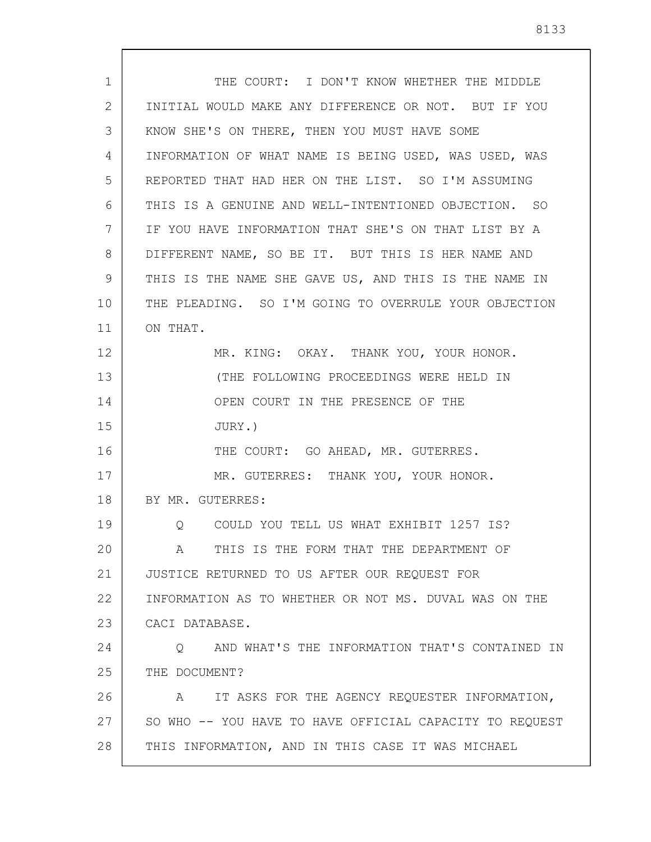| 1. | THE COURT: I DON'T KNOW WHETHER THE MIDDLE              |
|----|---------------------------------------------------------|
| 2  | INITIAL WOULD MAKE ANY DIFFERENCE OR NOT. BUT IF YOU    |
| 3  | KNOW SHE'S ON THERE, THEN YOU MUST HAVE SOME            |
| 4  | INFORMATION OF WHAT NAME IS BEING USED, WAS USED, WAS   |
| 5  | REPORTED THAT HAD HER ON THE LIST. SO I'M ASSUMING      |
| 6  | THIS IS A GENUINE AND WELL-INTENTIONED OBJECTION. SO    |
| 7  | IF YOU HAVE INFORMATION THAT SHE'S ON THAT LIST BY A    |
| 8  | DIFFERENT NAME, SO BE IT. BUT THIS IS HER NAME AND      |
| 9  | THIS IS THE NAME SHE GAVE US, AND THIS IS THE NAME IN   |
| 10 | THE PLEADING. SO I'M GOING TO OVERRULE YOUR OBJECTION   |
| 11 | ON THAT.                                                |
| 12 | MR. KING: OKAY. THANK YOU, YOUR HONOR.                  |
| 13 | (THE FOLLOWING PROCEEDINGS WERE HELD IN                 |
| 14 | OPEN COURT IN THE PRESENCE OF THE                       |
| 15 | JURY.)                                                  |
| 16 | THE COURT: GO AHEAD, MR. GUTERRES.                      |
| 17 | MR. GUTERRES: THANK YOU, YOUR HONOR.                    |
| 18 | BY MR. GUTERRES:                                        |
| 19 | COULD YOU TELL US WHAT EXHIBIT 1257 IS?<br>O.           |
| 20 | THIS IS THE FORM THAT THE DEPARTMENT OF<br>A            |
| 21 | JUSTICE RETURNED TO US AFTER OUR REQUEST FOR            |
| 22 | INFORMATION AS TO WHETHER OR NOT MS. DUVAL WAS ON THE   |
| 23 | CACI DATABASE.                                          |
| 24 | AND WHAT'S THE INFORMATION THAT'S CONTAINED IN<br>Q     |
| 25 | THE DOCUMENT?                                           |
| 26 | IT ASKS FOR THE AGENCY REQUESTER INFORMATION,<br>A      |
| 27 | SO WHO -- YOU HAVE TO HAVE OFFICIAL CAPACITY TO REQUEST |
| 28 | THIS INFORMATION, AND IN THIS CASE IT WAS MICHAEL       |

L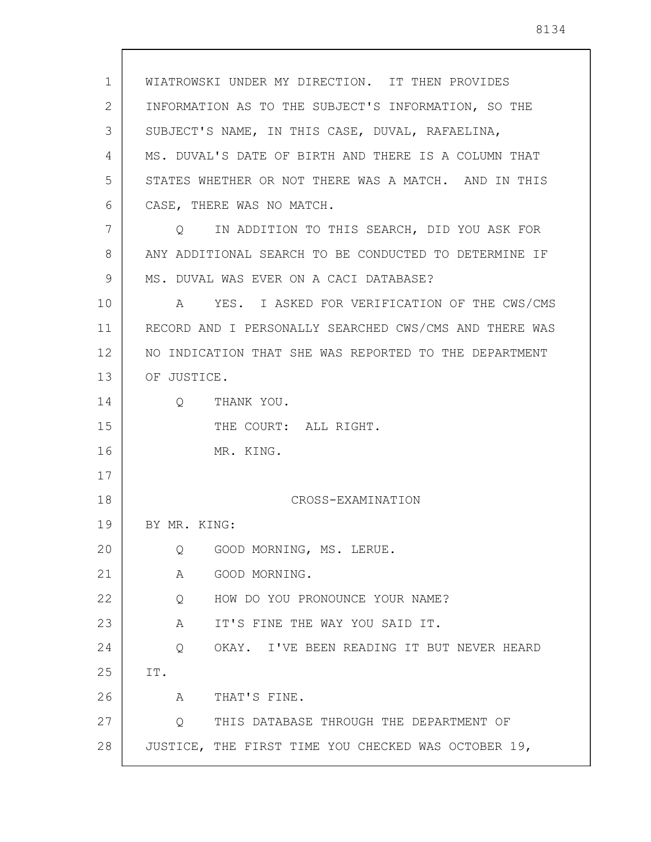1 2 3 4 5 6 7 8 9 10 11 12 13 14 15 16 17 18 19 20 21 22 23 24 25 26 27 28 WIATROWSKI UNDER MY DIRECTION. IT THEN PROVIDES INFORMATION AS TO THE SUBJECT'S INFORMATION, SO THE SUBJECT'S NAME, IN THIS CASE, DUVAL, RAFAELINA, MS. DUVAL'S DATE OF BIRTH AND THERE IS A COLUMN THAT STATES WHETHER OR NOT THERE WAS A MATCH. AND IN THIS CASE, THERE WAS NO MATCH. Q IN ADDITION TO THIS SEARCH, DID YOU ASK FOR ANY ADDITIONAL SEARCH TO BE CONDUCTED TO DETERMINE IF MS. DUVAL WAS EVER ON A CACI DATABASE? A YES. I ASKED FOR VERIFICATION OF THE CWS/CMS RECORD AND I PERSONALLY SEARCHED CWS/CMS AND THERE WAS NO INDICATION THAT SHE WAS REPORTED TO THE DEPARTMENT OF JUSTICE. Q THANK YOU. THE COURT: ALL RIGHT. MR. KING. CROSS-EXAMINATION BY MR. KING: Q GOOD MORNING, MS. LERUE. A GOOD MORNING. Q HOW DO YOU PRONOUNCE YOUR NAME? A IT'S FINE THE WAY YOU SAID IT. Q OKAY. I'VE BEEN READING IT BUT NEVER HEARD IT. A THAT'S FINE. Q THIS DATABASE THROUGH THE DEPARTMENT OF JUSTICE, THE FIRST TIME YOU CHECKED WAS OCTOBER 19,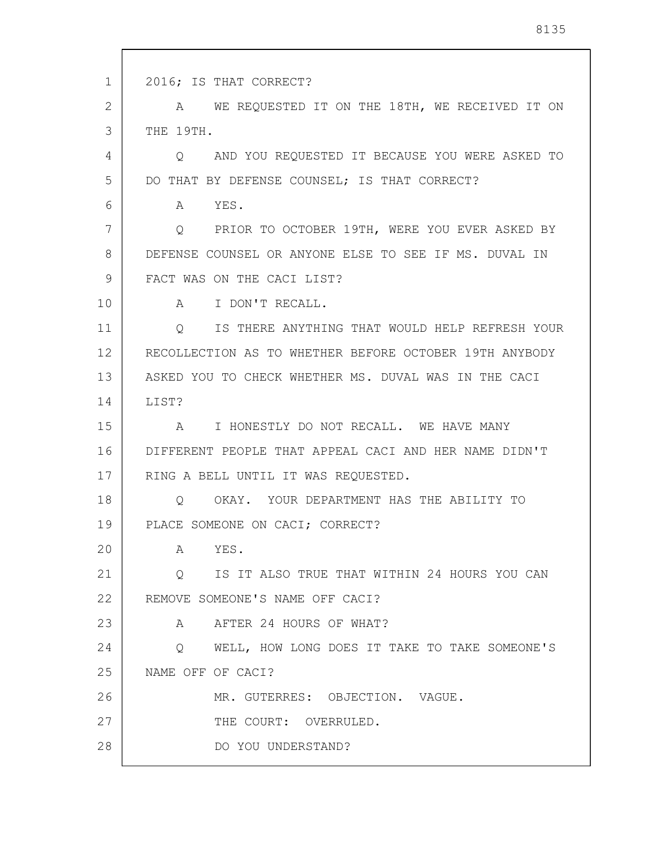1 2 3 4 5 6 7 8 9 10 11 12 13 14 15 16 17 18 19 20 21 22 23 24 25 26 27 28 2016; IS THAT CORRECT? A WE REQUESTED IT ON THE 18TH, WE RECEIVED IT ON THE 19TH. Q AND YOU REQUESTED IT BECAUSE YOU WERE ASKED TO DO THAT BY DEFENSE COUNSEL; IS THAT CORRECT? A YES. Q PRIOR TO OCTOBER 19TH, WERE YOU EVER ASKED BY DEFENSE COUNSEL OR ANYONE ELSE TO SEE IF MS. DUVAL IN FACT WAS ON THE CACI LIST? A I DON'T RECALL. Q IS THERE ANYTHING THAT WOULD HELP REFRESH YOUR RECOLLECTION AS TO WHETHER BEFORE OCTOBER 19TH ANYBODY ASKED YOU TO CHECK WHETHER MS. DUVAL WAS IN THE CACI LIST? A I HONESTLY DO NOT RECALL. WE HAVE MANY DIFFERENT PEOPLE THAT APPEAL CACI AND HER NAME DIDN'T RING A BELL UNTIL IT WAS REQUESTED. Q OKAY. YOUR DEPARTMENT HAS THE ABILITY TO PLACE SOMEONE ON CACI; CORRECT? A YES. Q IS IT ALSO TRUE THAT WITHIN 24 HOURS YOU CAN REMOVE SOMEONE'S NAME OFF CACI? A AFTER 24 HOURS OF WHAT? Q WELL, HOW LONG DOES IT TAKE TO TAKE SOMEONE'S NAME OFF OF CACI? MR. GUTERRES: OBJECTION. VAGUE. THE COURT: OVERRULED. DO YOU UNDERSTAND?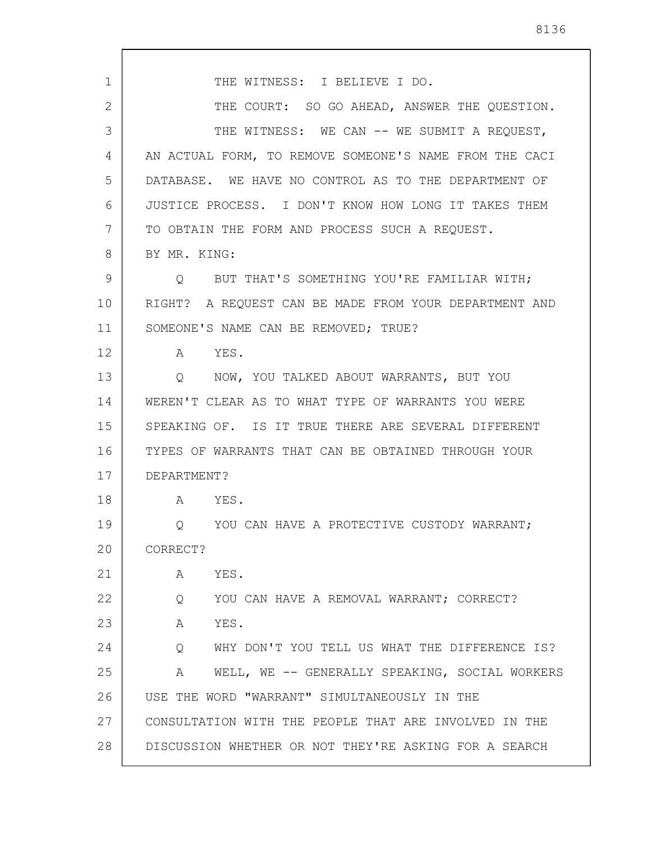1 2 3 4 5 6 7 8 9 10 11 12 13 14 15 16 17 18 19 20 21 22 23 24 25 26 27 28 THE WITNESS: I BELIEVE I DO. THE COURT: SO GO AHEAD, ANSWER THE OUESTION. THE WITNESS: WE CAN -- WE SUBMIT A REQUEST, AN ACTUAL FORM, TO REMOVE SOMEONE'S NAME FROM THE CACI DATABASE. WE HAVE NO CONTROL AS TO THE DEPARTMENT OF JUSTICE PROCESS. I DON'T KNOW HOW LONG IT TAKES THEM TO OBTAIN THE FORM AND PROCESS SUCH A REQUEST. BY MR. KING: Q BUT THAT'S SOMETHING YOU'RE FAMILIAR WITH; RIGHT? A REQUEST CAN BE MADE FROM YOUR DEPARTMENT AND SOMEONE'S NAME CAN BE REMOVED; TRUE? A YES. Q NOW, YOU TALKED ABOUT WARRANTS, BUT YOU WEREN'T CLEAR AS TO WHAT TYPE OF WARRANTS YOU WERE SPEAKING OF. IS IT TRUE THERE ARE SEVERAL DIFFERENT TYPES OF WARRANTS THAT CAN BE OBTAINED THROUGH YOUR DEPARTMENT? A YES. Q YOU CAN HAVE A PROTECTIVE CUSTODY WARRANT; CORRECT? A YES. Q YOU CAN HAVE A REMOVAL WARRANT; CORRECT? A YES. Q WHY DON'T YOU TELL US WHAT THE DIFFERENCE IS? A WELL, WE -- GENERALLY SPEAKING, SOCIAL WORKERS USE THE WORD "WARRANT" SIMULTANEOUSLY IN THE CONSULTATION WITH THE PEOPLE THAT ARE INVOLVED IN THE DISCUSSION WHETHER OR NOT THEY'RE ASKING FOR A SEARCH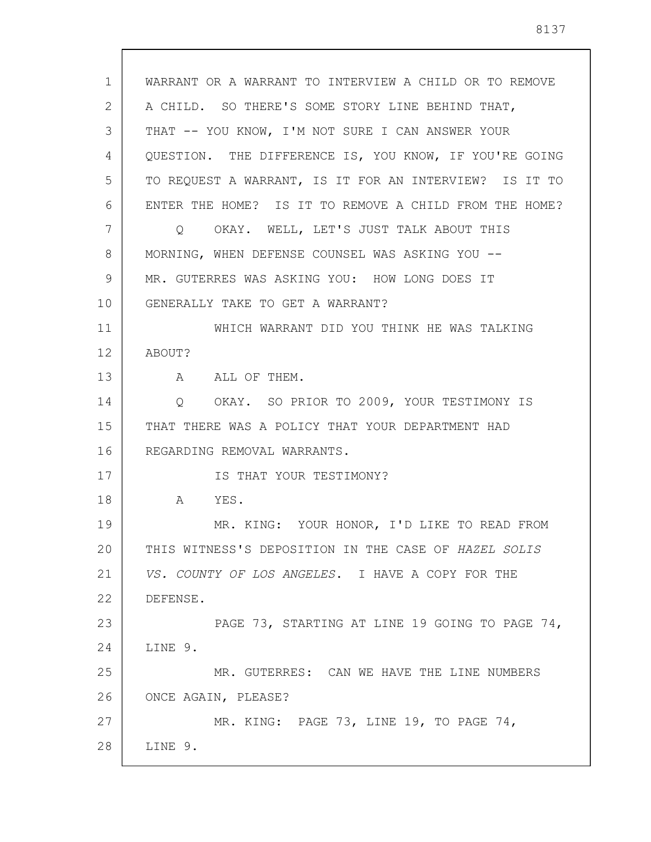1 2 3 4 5 6 7 8 9 10 11 12 13 14 15 16 17 18 19 20 21 22 23 24 25 26 27 28 WARRANT OR A WARRANT TO INTERVIEW A CHILD OR TO REMOVE A CHILD. SO THERE'S SOME STORY LINE BEHIND THAT, THAT -- YOU KNOW, I'M NOT SURE I CAN ANSWER YOUR QUESTION. THE DIFFERENCE IS, YOU KNOW, IF YOU'RE GOING TO REQUEST A WARRANT, IS IT FOR AN INTERVIEW? IS IT TO ENTER THE HOME? IS IT TO REMOVE A CHILD FROM THE HOME? Q OKAY. WELL, LET'S JUST TALK ABOUT THIS MORNING, WHEN DEFENSE COUNSEL WAS ASKING YOU -- MR. GUTERRES WAS ASKING YOU: HOW LONG DOES IT GENERALLY TAKE TO GET A WARRANT? WHICH WARRANT DID YOU THINK HE WAS TALKING ABOUT? A ALL OF THEM. Q OKAY. SO PRIOR TO 2009, YOUR TESTIMONY IS THAT THERE WAS A POLICY THAT YOUR DEPARTMENT HAD REGARDING REMOVAL WARRANTS. IS THAT YOUR TESTIMONY? A YES. MR. KING: YOUR HONOR, I'D LIKE TO READ FROM THIS WITNESS'S DEPOSITION IN THE CASE OF HAZEL SOLIS VS. COUNTY OF LOS ANGELES. I HAVE A COPY FOR THE DEFENSE. PAGE 73, STARTING AT LINE 19 GOING TO PAGE 74, LINE 9. MR. GUTERRES: CAN WE HAVE THE LINE NUMBERS ONCE AGAIN, PLEASE? MR. KING: PAGE 73, LINE 19, TO PAGE 74, LINE 9.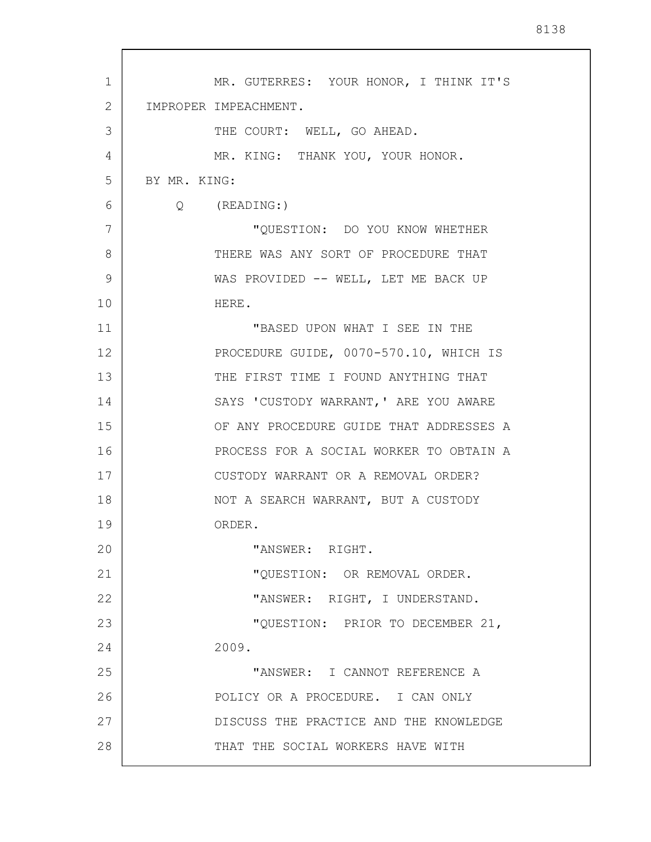| $\mathbf{1}$ | MR. GUTERRES: YOUR HONOR, I THINK IT'S  |
|--------------|-----------------------------------------|
| 2            | IMPROPER IMPEACHMENT.                   |
| 3            | THE COURT: WELL, GO AHEAD.              |
| 4            | MR. KING: THANK YOU, YOUR HONOR.        |
| 5            | BY MR. KING:                            |
| 6            | $Q$ (READING:)                          |
| 7            | "QUESTION: DO YOU KNOW WHETHER          |
| 8            | THERE WAS ANY SORT OF PROCEDURE THAT    |
| 9            | WAS PROVIDED -- WELL, LET ME BACK UP    |
| 10           | HERE.                                   |
| 11           | "BASED UPON WHAT I SEE IN THE           |
| 12           | PROCEDURE GUIDE, 0070-570.10, WHICH IS  |
| 13           | THE FIRST TIME I FOUND ANYTHING THAT    |
| 14           | SAYS 'CUSTODY WARRANT, ' ARE YOU AWARE  |
| 15           | OF ANY PROCEDURE GUIDE THAT ADDRESSES A |
| 16           | PROCESS FOR A SOCIAL WORKER TO OBTAIN A |
| 17           | CUSTODY WARRANT OR A REMOVAL ORDER?     |
| 18           | NOT A SEARCH WARRANT, BUT A CUSTODY     |
| 19           | ORDER.                                  |
| 20           | "ANSWER: RIGHT.                         |
| 21           | "QUESTION: OR REMOVAL ORDER.            |
| 22           | "ANSWER: RIGHT, I UNDERSTAND.           |
| 23           | "QUESTION: PRIOR TO DECEMBER 21,        |
| 24           | 2009.                                   |
| 25           | "ANSWER: I CANNOT REFERENCE A           |
| 26           | POLICY OR A PROCEDURE. I CAN ONLY       |
| 27           | DISCUSS THE PRACTICE AND THE KNOWLEDGE  |
| 28           | THAT THE SOCIAL WORKERS HAVE WITH       |
|              |                                         |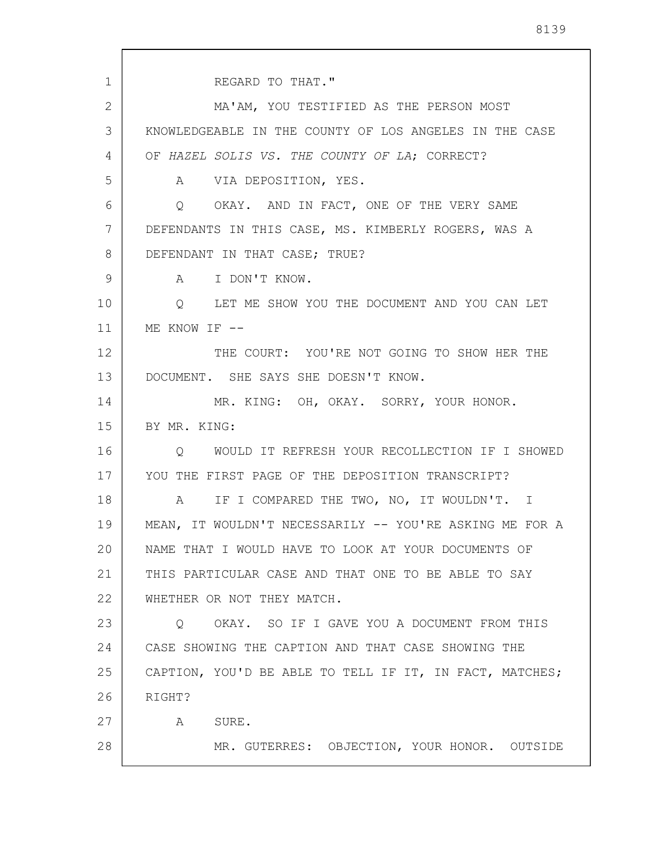1 2 3 4 5 6 7 8 9 10 11 12 13 14 15 16 17 18 19 20 21 22 23 24 25 26 27 28 REGARD TO THAT." MA'AM, YOU TESTIFIED AS THE PERSON MOST KNOWLEDGEABLE IN THE COUNTY OF LOS ANGELES IN THE CASE OF HAZEL SOLIS VS. THE COUNTY OF LA; CORRECT? A VIA DEPOSITION, YES. Q OKAY. AND IN FACT, ONE OF THE VERY SAME DEFENDANTS IN THIS CASE, MS. KIMBERLY ROGERS, WAS A DEFENDANT IN THAT CASE; TRUE? A I DON'T KNOW. Q LET ME SHOW YOU THE DOCUMENT AND YOU CAN LET ME KNOW IF  $--$ THE COURT: YOU'RE NOT GOING TO SHOW HER THE DOCUMENT. SHE SAYS SHE DOESN'T KNOW. MR. KING: OH, OKAY. SORRY, YOUR HONOR. BY MR. KING: Q WOULD IT REFRESH YOUR RECOLLECTION IF I SHOWED YOU THE FIRST PAGE OF THE DEPOSITION TRANSCRIPT? A IF I COMPARED THE TWO, NO, IT WOULDN'T. I MEAN, IT WOULDN'T NECESSARILY -- YOU'RE ASKING ME FOR A NAME THAT I WOULD HAVE TO LOOK AT YOUR DOCUMENTS OF THIS PARTICULAR CASE AND THAT ONE TO BE ABLE TO SAY WHETHER OR NOT THEY MATCH. Q OKAY. SO IF I GAVE YOU A DOCUMENT FROM THIS CASE SHOWING THE CAPTION AND THAT CASE SHOWING THE CAPTION, YOU'D BE ABLE TO TELL IF IT, IN FACT, MATCHES; RIGHT? A SURE. MR. GUTERRES: OBJECTION, YOUR HONOR. OUTSIDE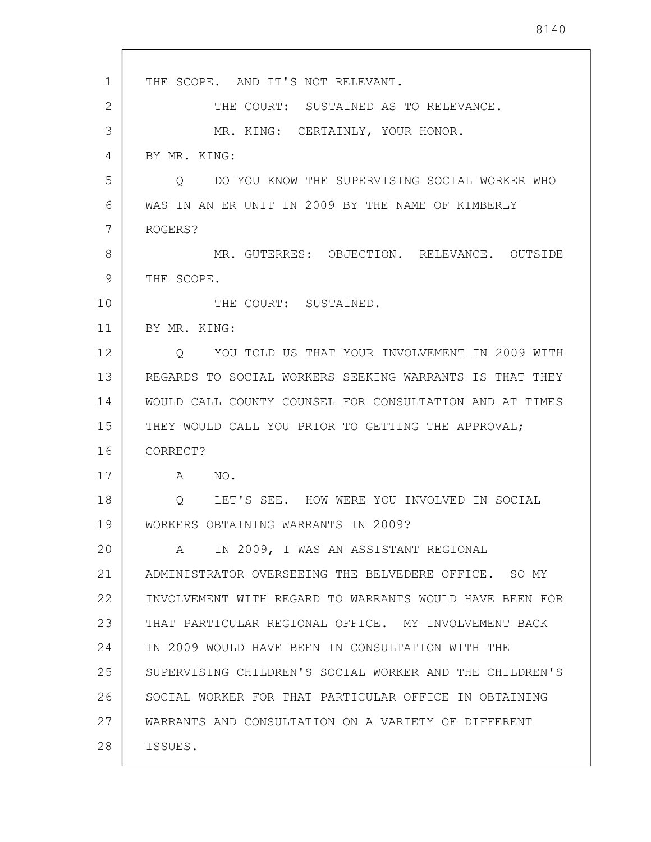1 2 3 4 5 6 7 8 9 10 11 12 13 14 15 16 17 18 19 20 21 22 23 24 25 26 27 28 THE SCOPE. AND IT'S NOT RELEVANT. THE COURT: SUSTAINED AS TO RELEVANCE. MR. KING: CERTAINLY, YOUR HONOR. BY MR. KING: Q DO YOU KNOW THE SUPERVISING SOCIAL WORKER WHO WAS IN AN ER UNIT IN 2009 BY THE NAME OF KIMBERLY ROGERS? MR. GUTERRES: OBJECTION. RELEVANCE. OUTSIDE THE SCOPE. THE COURT: SUSTAINED. BY MR. KING: Q YOU TOLD US THAT YOUR INVOLVEMENT IN 2009 WITH REGARDS TO SOCIAL WORKERS SEEKING WARRANTS IS THAT THEY WOULD CALL COUNTY COUNSEL FOR CONSULTATION AND AT TIMES THEY WOULD CALL YOU PRIOR TO GETTING THE APPROVAL; CORRECT? A NO. Q LET'S SEE. HOW WERE YOU INVOLVED IN SOCIAL WORKERS OBTAINING WARRANTS IN 2009? A IN 2009, I WAS AN ASSISTANT REGIONAL ADMINISTRATOR OVERSEEING THE BELVEDERE OFFICE. SO MY INVOLVEMENT WITH REGARD TO WARRANTS WOULD HAVE BEEN FOR THAT PARTICULAR REGIONAL OFFICE. MY INVOLVEMENT BACK IN 2009 WOULD HAVE BEEN IN CONSULTATION WITH THE SUPERVISING CHILDREN'S SOCIAL WORKER AND THE CHILDREN'S SOCIAL WORKER FOR THAT PARTICULAR OFFICE IN OBTAINING WARRANTS AND CONSULTATION ON A VARIETY OF DIFFERENT ISSUES.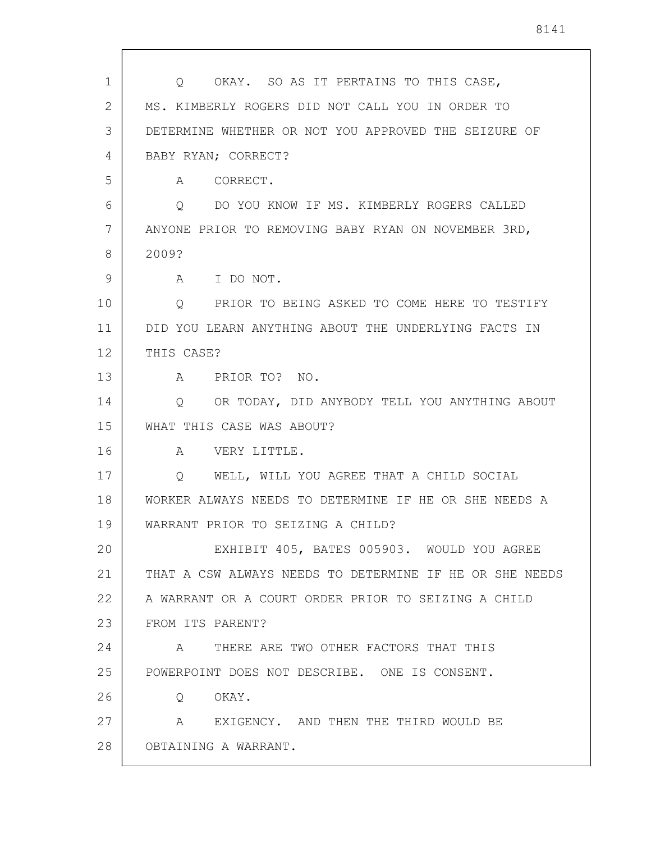| 1  | OKAY. SO AS IT PERTAINS TO THIS CASE,<br>Q               |
|----|----------------------------------------------------------|
| 2  | MS. KIMBERLY ROGERS DID NOT CALL YOU IN ORDER TO         |
| 3  | DETERMINE WHETHER OR NOT YOU APPROVED THE SEIZURE OF     |
| 4  | BABY RYAN; CORRECT?                                      |
| 5  | CORRECT.<br>A                                            |
| 6  | DO YOU KNOW IF MS. KIMBERLY ROGERS CALLED<br>O           |
| 7  | ANYONE PRIOR TO REMOVING BABY RYAN ON NOVEMBER 3RD,      |
| 8  | 2009?                                                    |
| 9  | A I DO NOT.                                              |
| 10 | PRIOR TO BEING ASKED TO COME HERE TO TESTIFY<br>$Q \sim$ |
| 11 | DID YOU LEARN ANYTHING ABOUT THE UNDERLYING FACTS IN     |
| 12 | THIS CASE?                                               |
| 13 | PRIOR TO? NO.<br>A                                       |
| 14 | OR TODAY, DID ANYBODY TELL YOU ANYTHING ABOUT<br>Q       |
| 15 | WHAT THIS CASE WAS ABOUT?                                |
| 16 | VERY LITTLE.<br>A                                        |
| 17 | WELL, WILL YOU AGREE THAT A CHILD SOCIAL<br>Q            |
| 18 | WORKER ALWAYS NEEDS TO DETERMINE IF HE OR SHE NEEDS A    |
| 19 | WARRANT PRIOR TO SEIZING A CHILD?                        |
| 20 | EXHIBIT 405, BATES 005903. WOULD YOU AGREE               |
| 21 | THAT A CSW ALWAYS NEEDS TO DETERMINE IF HE OR SHE NEEDS  |
| 22 | A WARRANT OR A COURT ORDER PRIOR TO SEIZING A CHILD      |
| 23 | FROM ITS PARENT?                                         |
| 24 | A THERE ARE TWO OTHER FACTORS THAT THIS                  |
| 25 | POWERPOINT DOES NOT DESCRIBE. ONE IS CONSENT.            |
| 26 | Q OKAY.                                                  |
| 27 | A EXIGENCY. AND THEN THE THIRD WOULD BE                  |
| 28 | OBTAINING A WARRANT.                                     |
|    |                                                          |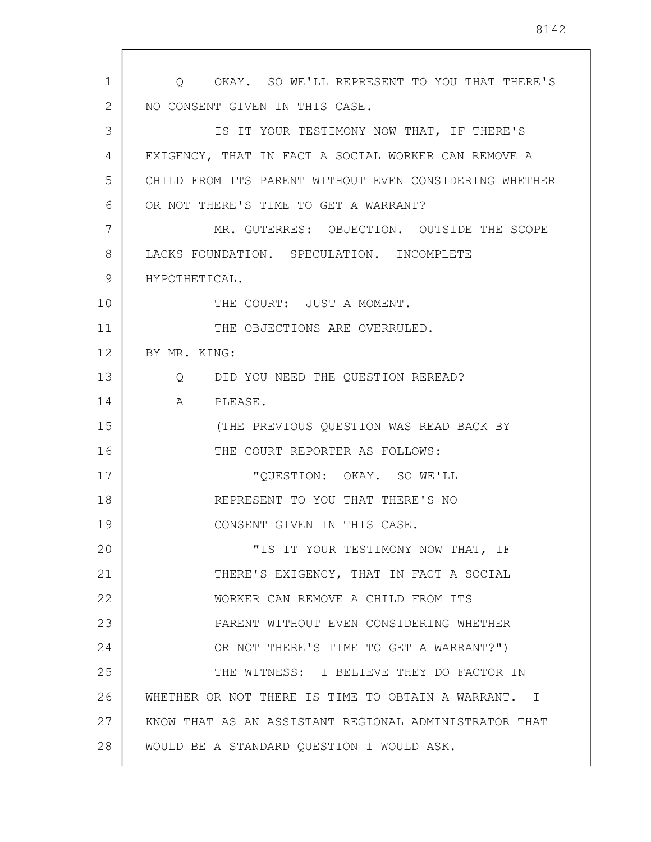1 2 3 4 5 6 7 8 9 10 11 12 13 14 15 16 17 18 19 20 21 22 23 24 25 26 27 28 Q OKAY. SO WE'LL REPRESENT TO YOU THAT THERE'S NO CONSENT GIVEN IN THIS CASE. IS IT YOUR TESTIMONY NOW THAT, IF THERE'S EXIGENCY, THAT IN FACT A SOCIAL WORKER CAN REMOVE A CHILD FROM ITS PARENT WITHOUT EVEN CONSIDERING WHETHER OR NOT THERE'S TIME TO GET A WARRANT? MR. GUTERRES: OBJECTION. OUTSIDE THE SCOPE LACKS FOUNDATION. SPECULATION. INCOMPLETE HYPOTHETICAL. THE COURT: JUST A MOMENT. THE OBJECTIONS ARE OVERRULED. BY MR. KING: Q DID YOU NEED THE QUESTION REREAD? A PLEASE. (THE PREVIOUS QUESTION WAS READ BACK BY THE COURT REPORTER AS FOLLOWS: "QUESTION: OKAY. SO WE'LL REPRESENT TO YOU THAT THERE'S NO CONSENT GIVEN IN THIS CASE. "IS IT YOUR TESTIMONY NOW THAT, IF THERE'S EXIGENCY, THAT IN FACT A SOCIAL WORKER CAN REMOVE A CHILD FROM ITS PARENT WITHOUT EVEN CONSIDERING WHETHER OR NOT THERE'S TIME TO GET A WARRANT?") THE WITNESS: I BELIEVE THEY DO FACTOR IN WHETHER OR NOT THERE IS TIME TO OBTAIN A WARRANT. I KNOW THAT AS AN ASSISTANT REGIONAL ADMINISTRATOR THAT WOULD BE A STANDARD QUESTION I WOULD ASK.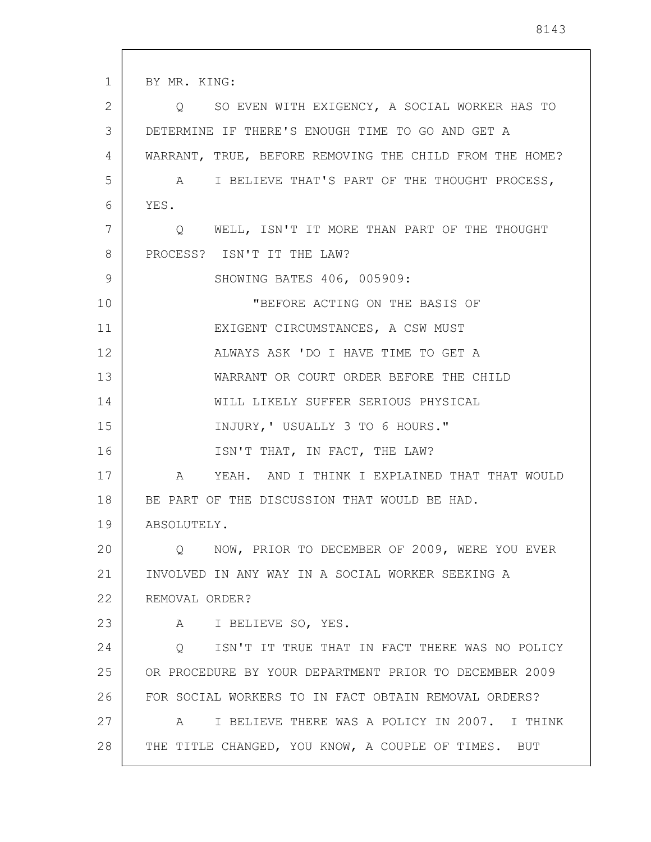1 2 3 4 5 6 7 8 9 10 11 12 13 14 15 16 17 18 19 20 21 22 23 24 25 26 27 28 BY MR. KING: Q SO EVEN WITH EXIGENCY, A SOCIAL WORKER HAS TO DETERMINE IF THERE'S ENOUGH TIME TO GO AND GET A WARRANT, TRUE, BEFORE REMOVING THE CHILD FROM THE HOME? A I BELIEVE THAT'S PART OF THE THOUGHT PROCESS, YES. Q WELL, ISN'T IT MORE THAN PART OF THE THOUGHT PROCESS? ISN'T IT THE LAW? SHOWING BATES 406, 005909: "BEFORE ACTING ON THE BASIS OF EXIGENT CIRCUMSTANCES, A CSW MUST ALWAYS ASK 'DO I HAVE TIME TO GET A WARRANT OR COURT ORDER BEFORE THE CHILD WILL LIKELY SUFFER SERIOUS PHYSICAL INJURY,' USUALLY 3 TO 6 HOURS." ISN'T THAT, IN FACT, THE LAW? A YEAH. AND I THINK I EXPLAINED THAT THAT WOULD BE PART OF THE DISCUSSION THAT WOULD BE HAD. ABSOLUTELY. Q NOW, PRIOR TO DECEMBER OF 2009, WERE YOU EVER INVOLVED IN ANY WAY IN A SOCIAL WORKER SEEKING A REMOVAL ORDER? A I BELIEVE SO, YES. Q ISN'T IT TRUE THAT IN FACT THERE WAS NO POLICY OR PROCEDURE BY YOUR DEPARTMENT PRIOR TO DECEMBER 2009 FOR SOCIAL WORKERS TO IN FACT OBTAIN REMOVAL ORDERS? A I BELIEVE THERE WAS A POLICY IN 2007. I THINK THE TITLE CHANGED, YOU KNOW, A COUPLE OF TIMES. BUT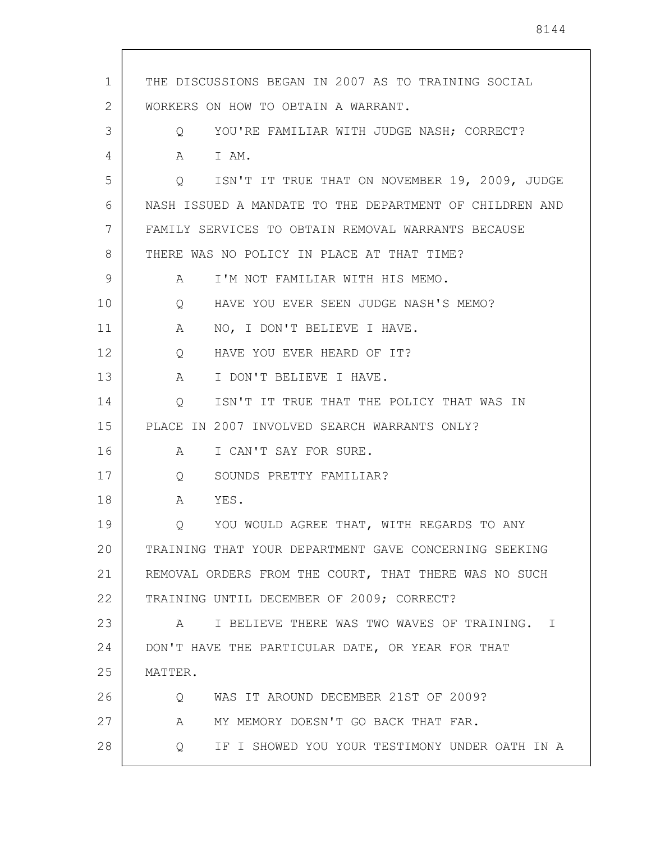1 2 3 4 5 6 7 8 9 10 11 12 13 14 15 16 17 18 19 20 21 22 23 24 25 26 27 28 THE DISCUSSIONS BEGAN IN 2007 AS TO TRAINING SOCIAL WORKERS ON HOW TO OBTAIN A WARRANT. Q YOU'RE FAMILIAR WITH JUDGE NASH; CORRECT? A I AM. Q ISN'T IT TRUE THAT ON NOVEMBER 19, 2009, JUDGE NASH ISSUED A MANDATE TO THE DEPARTMENT OF CHILDREN AND FAMILY SERVICES TO OBTAIN REMOVAL WARRANTS BECAUSE THERE WAS NO POLICY IN PLACE AT THAT TIME? A I'M NOT FAMILIAR WITH HIS MEMO. Q HAVE YOU EVER SEEN JUDGE NASH'S MEMO? A NO, I DON'T BELIEVE I HAVE. Q HAVE YOU EVER HEARD OF IT? A I DON'T BELIEVE I HAVE. Q ISN'T IT TRUE THAT THE POLICY THAT WAS IN PLACE IN 2007 INVOLVED SEARCH WARRANTS ONLY? A I CAN'T SAY FOR SURE. Q SOUNDS PRETTY FAMILIAR? A YES. Q YOU WOULD AGREE THAT, WITH REGARDS TO ANY TRAINING THAT YOUR DEPARTMENT GAVE CONCERNING SEEKING REMOVAL ORDERS FROM THE COURT, THAT THERE WAS NO SUCH TRAINING UNTIL DECEMBER OF 2009; CORRECT? A I BELIEVE THERE WAS TWO WAVES OF TRAINING. I DON'T HAVE THE PARTICULAR DATE, OR YEAR FOR THAT MATTER. Q WAS IT AROUND DECEMBER 21ST OF 2009? A MY MEMORY DOESN'T GO BACK THAT FAR. Q IF I SHOWED YOU YOUR TESTIMONY UNDER OATH IN A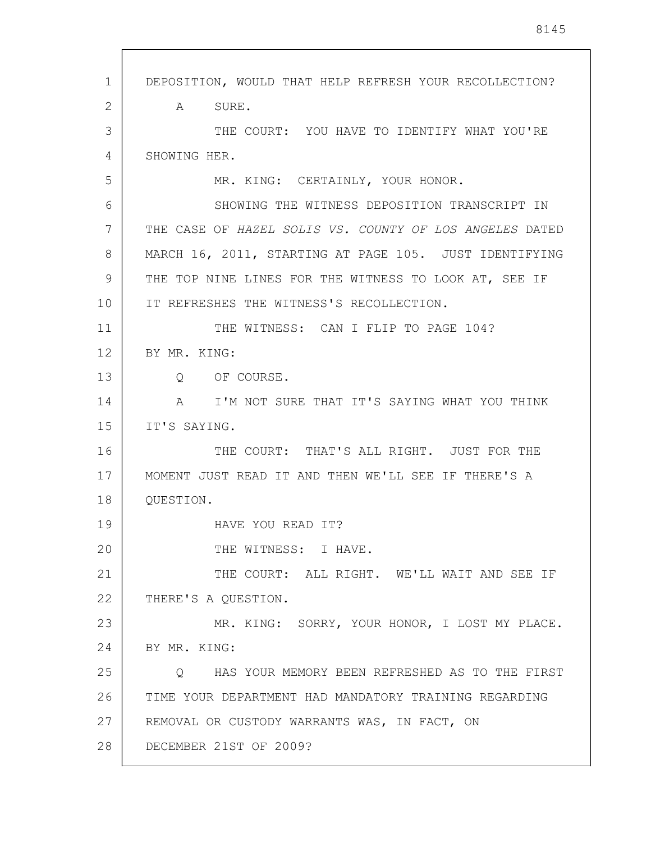1 2 3 4 5 6 7 8 9 10 11 12 13 14 15 16 17 18 19 20 21 22 23 24 25 26 27 28 DEPOSITION, WOULD THAT HELP REFRESH YOUR RECOLLECTION? A SURE. THE COURT: YOU HAVE TO IDENTIFY WHAT YOU'RE SHOWING HER. MR. KING: CERTAINLY, YOUR HONOR. SHOWING THE WITNESS DEPOSITION TRANSCRIPT IN THE CASE OF HAZEL SOLIS VS. COUNTY OF LOS ANGELES DATED MARCH 16, 2011, STARTING AT PAGE 105. JUST IDENTIFYING THE TOP NINE LINES FOR THE WITNESS TO LOOK AT, SEE IF IT REFRESHES THE WITNESS'S RECOLLECTION. THE WITNESS: CAN I FLIP TO PAGE 104? BY MR. KING: Q OF COURSE. A I'M NOT SURE THAT IT'S SAYING WHAT YOU THINK IT'S SAYING. THE COURT: THAT'S ALL RIGHT. JUST FOR THE MOMENT JUST READ IT AND THEN WE'LL SEE IF THERE'S A QUESTION. HAVE YOU READ IT? THE WITNESS: I HAVE. THE COURT: ALL RIGHT. WE'LL WAIT AND SEE IF THERE'S A QUESTION. MR. KING: SORRY, YOUR HONOR, I LOST MY PLACE. BY MR. KING: Q HAS YOUR MEMORY BEEN REFRESHED AS TO THE FIRST TIME YOUR DEPARTMENT HAD MANDATORY TRAINING REGARDING REMOVAL OR CUSTODY WARRANTS WAS, IN FACT, ON DECEMBER 21ST OF 2009?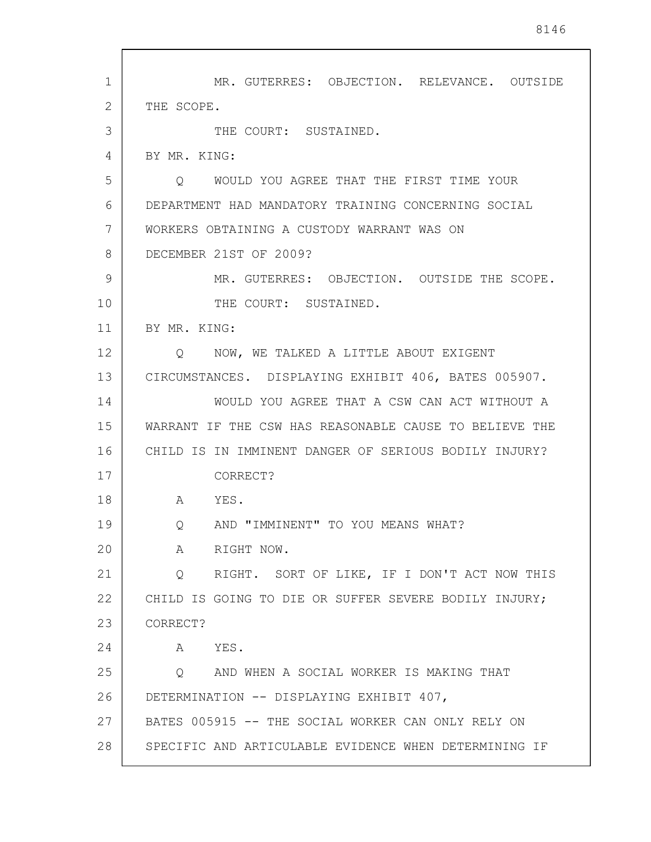1 2 3 4 5 6 7 8 9 10 11 12 13 14 15 16 17 18 19 20 21 22 23 24 25 26 27 28 MR. GUTERRES: OBJECTION. RELEVANCE. OUTSIDE THE SCOPE. THE COURT: SUSTAINED. BY MR. KING: Q WOULD YOU AGREE THAT THE FIRST TIME YOUR DEPARTMENT HAD MANDATORY TRAINING CONCERNING SOCIAL WORKERS OBTAINING A CUSTODY WARRANT WAS ON DECEMBER 21ST OF 2009? MR. GUTERRES: OBJECTION. OUTSIDE THE SCOPE. THE COURT: SUSTAINED. BY MR. KING: Q NOW, WE TALKED A LITTLE ABOUT EXIGENT CIRCUMSTANCES. DISPLAYING EXHIBIT 406, BATES 005907. WOULD YOU AGREE THAT A CSW CAN ACT WITHOUT A WARRANT IF THE CSW HAS REASONABLE CAUSE TO BELIEVE THE CHILD IS IN IMMINENT DANGER OF SERIOUS BODILY INJURY? CORRECT? A YES. Q AND "IMMINENT" TO YOU MEANS WHAT? A RIGHT NOW. Q RIGHT. SORT OF LIKE, IF I DON'T ACT NOW THIS CHILD IS GOING TO DIE OR SUFFER SEVERE BODILY INJURY; CORRECT? A YES. Q AND WHEN A SOCIAL WORKER IS MAKING THAT DETERMINATION -- DISPLAYING EXHIBIT 407, BATES 005915 -- THE SOCIAL WORKER CAN ONLY RELY ON SPECIFIC AND ARTICULABLE EVIDENCE WHEN DETERMINING IF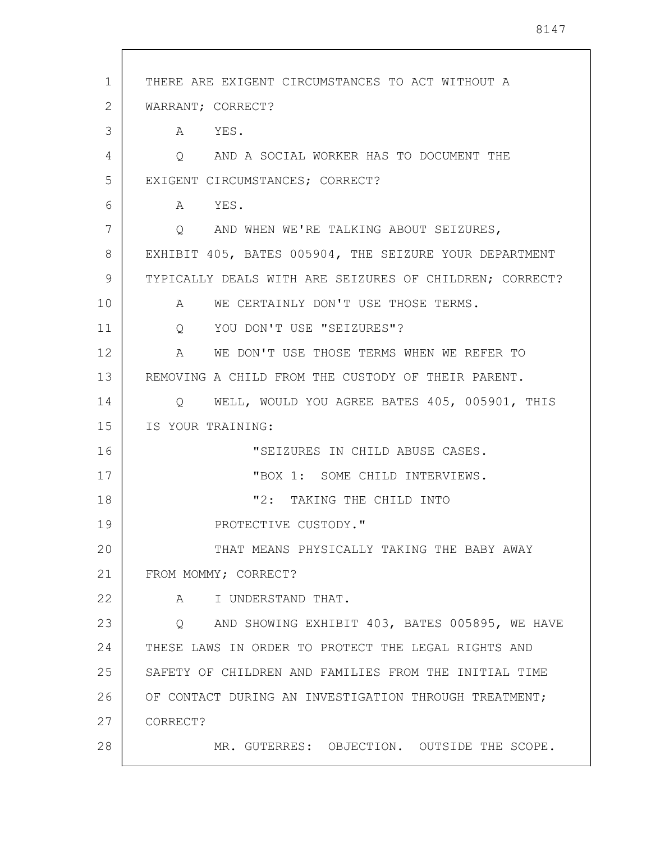| $\mathbf{1}$ | THERE ARE EXIGENT CIRCUMSTANCES TO ACT WITHOUT A         |
|--------------|----------------------------------------------------------|
| 2            | WARRANT; CORRECT?                                        |
| 3            | A YES.                                                   |
| 4            | AND A SOCIAL WORKER HAS TO DOCUMENT THE<br>Q             |
| 5            | EXIGENT CIRCUMSTANCES; CORRECT?                          |
| 6            | A YES.                                                   |
| 7            | AND WHEN WE'RE TALKING ABOUT SEIZURES,<br>Q              |
| 8            | EXHIBIT 405, BATES 005904, THE SEIZURE YOUR DEPARTMENT   |
| 9            | TYPICALLY DEALS WITH ARE SEIZURES OF CHILDREN; CORRECT?  |
| 10           | WE CERTAINLY DON'T USE THOSE TERMS.<br>A                 |
| 11           | Q YOU DON'T USE "SEIZURES"?                              |
| 12           | WE DON'T USE THOSE TERMS WHEN WE REFER TO<br>$\mathbb A$ |
| 13           | REMOVING A CHILD FROM THE CUSTODY OF THEIR PARENT.       |
| 14           | WELL, WOULD YOU AGREE BATES 405, 005901, THIS<br>$\circ$ |
| 15           | IS YOUR TRAINING:                                        |
| 16           | "SEIZURES IN CHILD ABUSE CASES.                          |
| 17           | "BOX 1: SOME CHILD INTERVIEWS.                           |
| 18           | "2: TAKING THE CHILD INTO                                |
| 19           | PROTECTIVE CUSTODY."                                     |
| 20           | THAT MEANS PHYSICALLY TAKING THE BABY AWAY               |
| 21           | FROM MOMMY; CORRECT?                                     |
| 22           | I UNDERSTAND THAT.<br>$\mathbb A$                        |
| 23           | Q AND SHOWING EXHIBIT 403, BATES 005895, WE HAVE         |
| 24           | THESE LAWS IN ORDER TO PROTECT THE LEGAL RIGHTS AND      |
| 25           | SAFETY OF CHILDREN AND FAMILIES FROM THE INITIAL TIME    |
| 26           | OF CONTACT DURING AN INVESTIGATION THROUGH TREATMENT;    |
| 27           | CORRECT?                                                 |
| 28           | MR. GUTERRES: OBJECTION. OUTSIDE THE SCOPE.              |
|              |                                                          |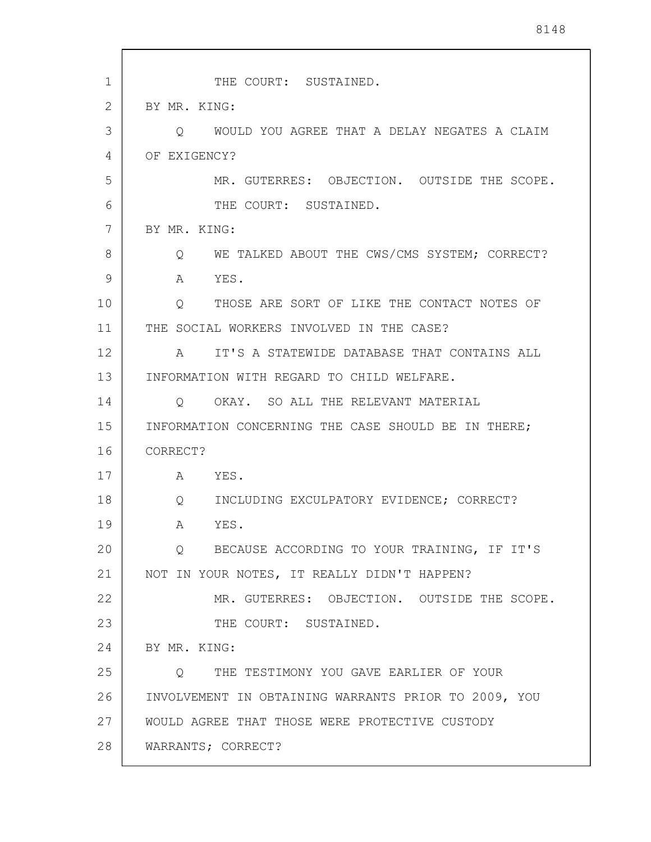| $\mathbf{1}$ | THE COURT: SUSTAINED.                                   |
|--------------|---------------------------------------------------------|
| 2            | BY MR. KING:                                            |
| 3            | WOULD YOU AGREE THAT A DELAY NEGATES A CLAIM<br>Ő       |
| 4            | OF EXIGENCY?                                            |
| 5            | MR. GUTERRES: OBJECTION. OUTSIDE THE SCOPE.             |
| 6            | THE COURT: SUSTAINED.                                   |
| 7            | BY MR. KING:                                            |
| 8            | WE TALKED ABOUT THE CWS/CMS SYSTEM; CORRECT?<br>$\circ$ |
| 9            | YES.<br>A                                               |
| 10           | Q THOSE ARE SORT OF LIKE THE CONTACT NOTES OF           |
| 11           | THE SOCIAL WORKERS INVOLVED IN THE CASE?                |
| 12           | IT'S A STATEWIDE DATABASE THAT CONTAINS ALL<br>A        |
| 13           | INFORMATION WITH REGARD TO CHILD WELFARE.               |
| 14           | OKAY. SO ALL THE RELEVANT MATERIAL<br>$\circ$           |
| 15           | INFORMATION CONCERNING THE CASE SHOULD BE IN THERE;     |
| 16           | CORRECT?                                                |
| 17           | A YES.                                                  |
| 18           | INCLUDING EXCULPATORY EVIDENCE; CORRECT?<br>Q           |
| 19           | A<br>YES.                                               |
| 20           | Q BECAUSE ACCORDING TO YOUR TRAINING, IF IT'S           |
| 21           | NOT IN YOUR NOTES, IT REALLY DIDN'T HAPPEN?             |
| 22           | MR. GUTERRES: OBJECTION. OUTSIDE THE SCOPE.             |
| 23           | THE COURT: SUSTAINED.                                   |
| 24           | BY MR. KING:                                            |
| 25           | Q THE TESTIMONY YOU GAVE EARLIER OF YOUR                |
| 26           | INVOLVEMENT IN OBTAINING WARRANTS PRIOR TO 2009, YOU    |
| 27           | WOULD AGREE THAT THOSE WERE PROTECTIVE CUSTODY          |
| 28           | WARRANTS; CORRECT?                                      |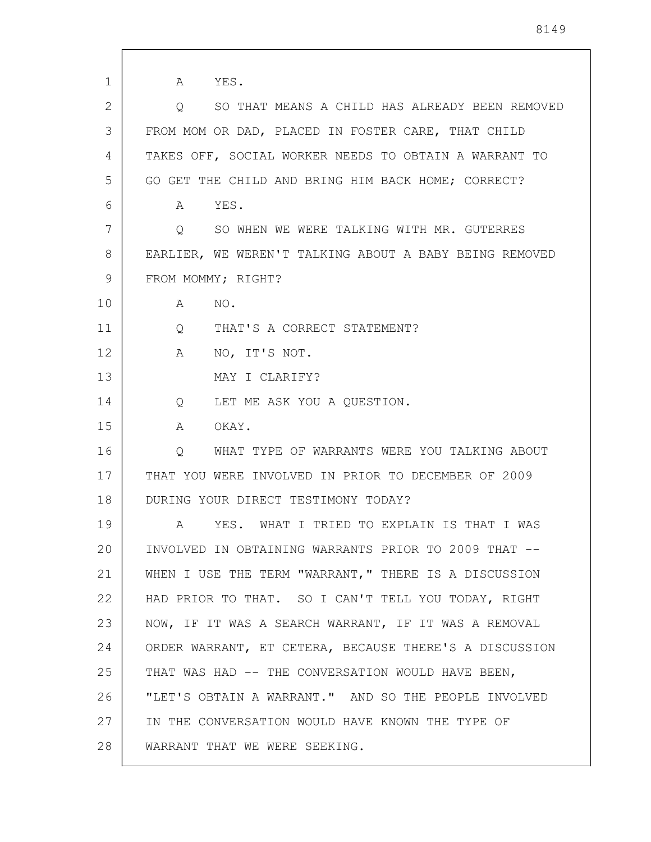| 1  | YES.<br>A                                              |
|----|--------------------------------------------------------|
| 2  | SO THAT MEANS A CHILD HAS ALREADY BEEN REMOVED<br>Q    |
| 3  | FROM MOM OR DAD, PLACED IN FOSTER CARE, THAT CHILD     |
| 4  | TAKES OFF, SOCIAL WORKER NEEDS TO OBTAIN A WARRANT TO  |
| 5  | GO GET THE CHILD AND BRING HIM BACK HOME; CORRECT?     |
| 6  | YES.<br>A                                              |
| 7  | Q<br>SO WHEN WE WERE TALKING WITH MR. GUTERRES         |
| 8  | EARLIER, WE WEREN'T TALKING ABOUT A BABY BEING REMOVED |
| 9  | FROM MOMMY; RIGHT?                                     |
| 10 | NO.<br>A                                               |
| 11 | $Q \qquad \qquad$<br>THAT'S A CORRECT STATEMENT?       |
| 12 | NO, IT'S NOT.<br>$\mathbf{A}$                          |
| 13 | MAY I CLARIFY?                                         |
| 14 | LET ME ASK YOU A QUESTION.<br>$Q \qquad \qquad$        |
| 15 | OKAY.<br>A                                             |
| 16 | WHAT TYPE OF WARRANTS WERE YOU TALKING ABOUT<br>Q      |
| 17 | THAT YOU WERE INVOLVED IN PRIOR TO DECEMBER OF 2009    |
| 18 | DURING YOUR DIRECT TESTIMONY TODAY?                    |
| 19 | WHAT I TRIED TO EXPLAIN IS THAT I WAS<br>YES.<br>A     |
| 20 | INVOLVED IN OBTAINING WARRANTS PRIOR TO 2009 THAT --   |
| 21 | WHEN I USE THE TERM "WARRANT," THERE IS A DISCUSSION   |
| 22 | HAD PRIOR TO THAT. SO I CAN'T TELL YOU TODAY, RIGHT    |
| 23 | NOW, IF IT WAS A SEARCH WARRANT, IF IT WAS A REMOVAL   |
| 24 | ORDER WARRANT, ET CETERA, BECAUSE THERE'S A DISCUSSION |
| 25 | THAT WAS HAD -- THE CONVERSATION WOULD HAVE BEEN,      |
| 26 | "LET'S OBTAIN A WARRANT." AND SO THE PEOPLE INVOLVED   |
| 27 | IN THE CONVERSATION WOULD HAVE KNOWN THE TYPE OF       |
| 28 | WARRANT THAT WE WERE SEEKING.                          |

 $\overline{\phantom{a}}$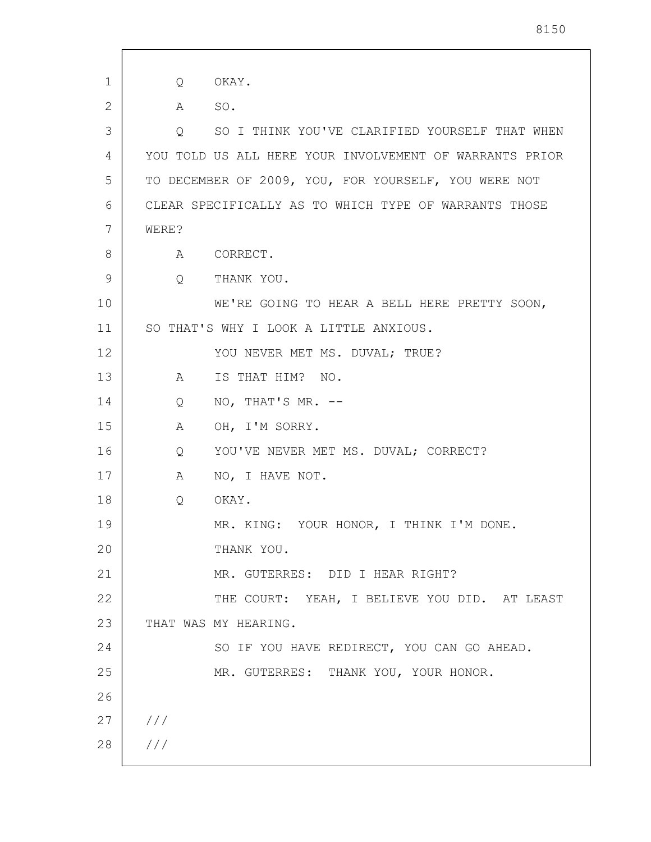1 2 3 4 5 6 7 8 9 10 11 12 13 14 15 16 17 18 19 20 21 22 23 24 25 26 27 28 /// /// Q OKAY. A SO. Q SO I THINK YOU'VE CLARIFIED YOURSELF THAT WHEN YOU TOLD US ALL HERE YOUR INVOLVEMENT OF WARRANTS PRIOR TO DECEMBER OF 2009, YOU, FOR YOURSELF, YOU WERE NOT CLEAR SPECIFICALLY AS TO WHICH TYPE OF WARRANTS THOSE WERE? A CORRECT. Q THANK YOU. WE'RE GOING TO HEAR A BELL HERE PRETTY SOON, SO THAT'S WHY I LOOK A LITTLE ANXIOUS. YOU NEVER MET MS. DUVAL; TRUE? A IS THAT HIM? NO. Q NO, THAT'S MR. -- A OH, I'M SORRY. Q YOU'VE NEVER MET MS. DUVAL; CORRECT? A NO, I HAVE NOT. Q OKAY. MR. KING: YOUR HONOR, I THINK I'M DONE. THANK YOU. MR. GUTERRES: DID I HEAR RIGHT? THE COURT: YEAH, I BELIEVE YOU DID. AT LEAST THAT WAS MY HEARING. SO IF YOU HAVE REDIRECT, YOU CAN GO AHEAD. MR. GUTERRES: THANK YOU, YOUR HONOR.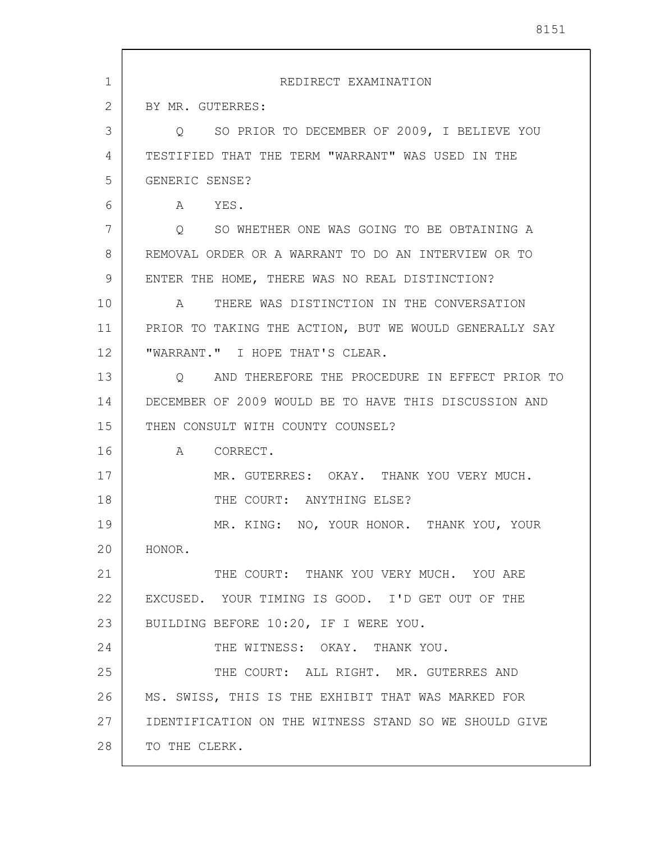| 1  | REDIRECT EXAMINATION                                         |
|----|--------------------------------------------------------------|
| 2  | BY MR. GUTERRES:                                             |
| 3  | SO PRIOR TO DECEMBER OF 2009, I BELIEVE YOU<br>$\circ$       |
| 4  | TESTIFIED THAT THE TERM "WARRANT" WAS USED IN THE            |
| 5  | GENERIC SENSE?                                               |
| 6  | A YES.                                                       |
| 7  | SO WHETHER ONE WAS GOING TO BE OBTAINING A<br>$\overline{Q}$ |
| 8  | REMOVAL ORDER OR A WARRANT TO DO AN INTERVIEW OR TO          |
| 9  | ENTER THE HOME, THERE WAS NO REAL DISTINCTION?               |
| 10 | THERE WAS DISTINCTION IN THE CONVERSATION<br>A               |
| 11 | PRIOR TO TAKING THE ACTION, BUT WE WOULD GENERALLY SAY       |
| 12 | "WARRANT." I HOPE THAT'S CLEAR.                              |
| 13 | Q AND THEREFORE THE PROCEDURE IN EFFECT PRIOR TO             |
| 14 | DECEMBER OF 2009 WOULD BE TO HAVE THIS DISCUSSION AND        |
| 15 | THEN CONSULT WITH COUNTY COUNSEL?                            |
| 16 | A CORRECT.                                                   |
| 17 | MR. GUTERRES: OKAY. THANK YOU VERY MUCH.                     |
| 18 | THE COURT: ANYTHING ELSE?                                    |
| 19 | MR. KING: NO, YOUR HONOR. THANK YOU, YOUR                    |
| 20 | HONOR.                                                       |
| 21 | THE COURT: THANK YOU VERY MUCH. YOU ARE                      |
| 22 | EXCUSED. YOUR TIMING IS GOOD. I'D GET OUT OF THE             |
| 23 | BUILDING BEFORE 10:20, IF I WERE YOU.                        |
| 24 | THE WITNESS: OKAY. THANK YOU.                                |
| 25 | THE COURT: ALL RIGHT. MR. GUTERRES AND                       |
| 26 | MS. SWISS, THIS IS THE EXHIBIT THAT WAS MARKED FOR           |
| 27 | IDENTIFICATION ON THE WITNESS STAND SO WE SHOULD GIVE        |
| 28 | TO THE CLERK.                                                |

-1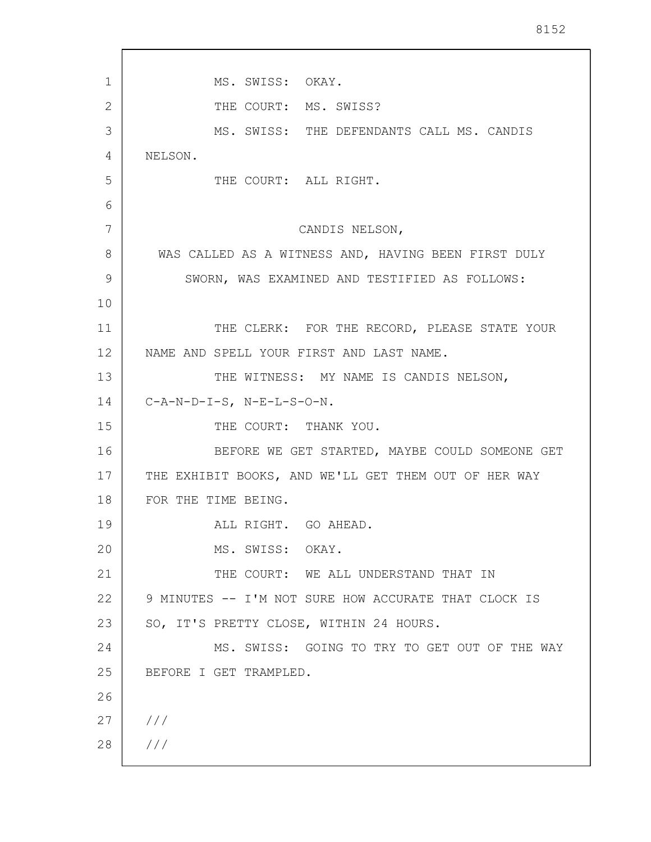| 1  | MS. SWISS: OKAY.                                     |
|----|------------------------------------------------------|
| 2  | THE COURT: MS. SWISS?                                |
| 3  | MS. SWISS: THE DEFENDANTS CALL MS. CANDIS            |
| 4  | NELSON.                                              |
| 5  | THE COURT: ALL RIGHT.                                |
| 6  |                                                      |
| 7  | CANDIS NELSON,                                       |
| 8  | WAS CALLED AS A WITNESS AND, HAVING BEEN FIRST DULY  |
| 9  | SWORN, WAS EXAMINED AND TESTIFIED AS FOLLOWS:        |
| 10 |                                                      |
| 11 | THE CLERK: FOR THE RECORD, PLEASE STATE YOUR         |
| 12 | NAME AND SPELL YOUR FIRST AND LAST NAME.             |
| 13 | THE WITNESS: MY NAME IS CANDIS NELSON,               |
| 14 | $C- A-N-D-I-S$ , $N-E-L-S-O-N$ .                     |
| 15 | THE COURT: THANK YOU.                                |
| 16 | BEFORE WE GET STARTED, MAYBE COULD SOMEONE GET       |
| 17 | THE EXHIBIT BOOKS, AND WE'LL GET THEM OUT OF HER WAY |
| 18 | FOR THE TIME BEING.                                  |
| 19 | ALL RIGHT. GO AHEAD.                                 |
| 20 | MS. SWISS: OKAY.                                     |
| 21 | THE COURT: WE ALL UNDERSTAND THAT IN                 |
| 22 | 9 MINUTES -- I'M NOT SURE HOW ACCURATE THAT CLOCK IS |
| 23 | SO, IT'S PRETTY CLOSE, WITHIN 24 HOURS.              |
| 24 | MS. SWISS: GOING TO TRY TO GET OUT OF THE WAY        |
| 25 | BEFORE I GET TRAMPLED.                               |
| 26 |                                                      |
| 27 | ///                                                  |
| 28 | 111                                                  |
|    |                                                      |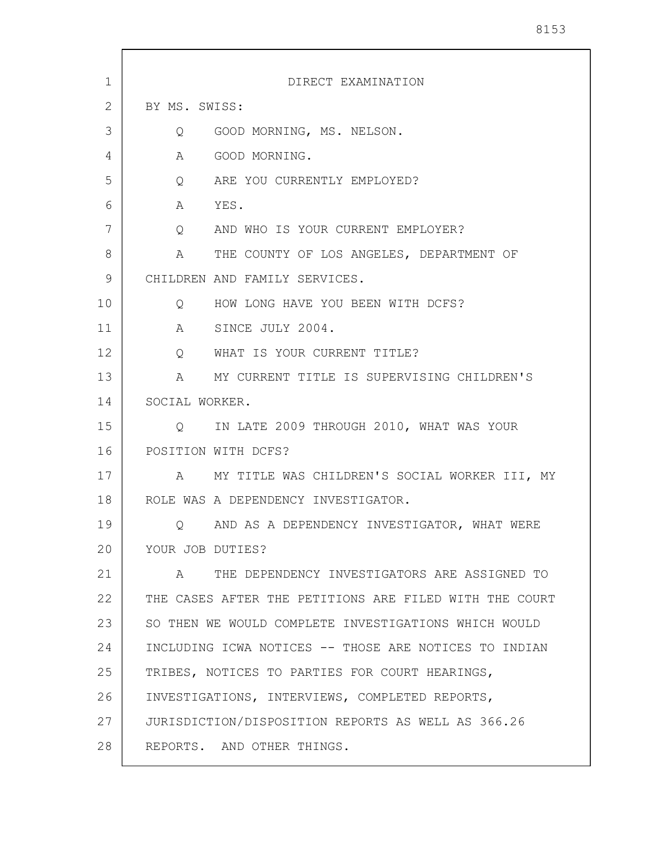| $\mathbf 1$ | DIRECT EXAMINATION                                     |
|-------------|--------------------------------------------------------|
| 2           | BY MS. SWISS:                                          |
| 3           | GOOD MORNING, MS. NELSON.<br>Q                         |
| 4           | GOOD MORNING.<br>A                                     |
| 5           | Q ARE YOU CURRENTLY EMPLOYED?                          |
| 6           | A YES.                                                 |
| 7           | Q AND WHO IS YOUR CURRENT EMPLOYER?                    |
| 8           | A THE COUNTY OF LOS ANGELES, DEPARTMENT OF             |
| 9           | CHILDREN AND FAMILY SERVICES.                          |
| 10          | Q HOW LONG HAVE YOU BEEN WITH DCFS?                    |
| 11          | A SINCE JULY 2004.                                     |
| 12          | Q WHAT IS YOUR CURRENT TITLE?                          |
| 13          | A MY CURRENT TITLE IS SUPERVISING CHILDREN'S           |
| 14          | SOCIAL WORKER.                                         |
| 15          | Q IN LATE 2009 THROUGH 2010, WHAT WAS YOUR             |
| 16          | POSITION WITH DCFS?                                    |
| 17          | MY TITLE WAS CHILDREN'S SOCIAL WORKER III, MY<br>A     |
| 18          | ROLE WAS A DEPENDENCY INVESTIGATOR.                    |
| 19          | AND AS A DEPENDENCY INVESTIGATOR, WHAT WERE<br>Q.      |
| 20          | YOUR JOB DUTIES?                                       |
| 21          | THE DEPENDENCY INVESTIGATORS ARE ASSIGNED TO<br>A      |
| 22          | THE CASES AFTER THE PETITIONS ARE FILED WITH THE COURT |
| 23          | SO THEN WE WOULD COMPLETE INVESTIGATIONS WHICH WOULD   |
| 24          | INCLUDING ICWA NOTICES -- THOSE ARE NOTICES TO INDIAN  |
| 25          | TRIBES, NOTICES TO PARTIES FOR COURT HEARINGS,         |
| 26          | INVESTIGATIONS, INTERVIEWS, COMPLETED REPORTS,         |
| 27          | JURISDICTION/DISPOSITION REPORTS AS WELL AS 366.26     |
| 28          | REPORTS. AND OTHER THINGS.                             |

 $\overline{\phantom{a}}$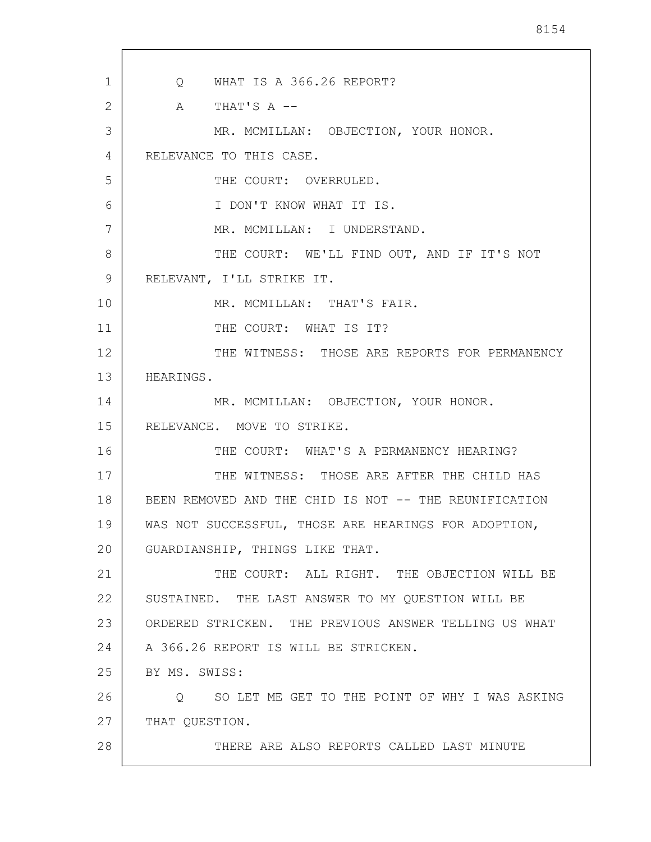1 2 3 4 5 6 7 8 9 10 11 12 13 14 15 16 17 18 19 20 21 22 23 24 25 26 27 28 Q WHAT IS A 366.26 REPORT?  $A$  THAT'S  $A$  --MR. MCMILLAN: OBJECTION, YOUR HONOR. RELEVANCE TO THIS CASE. THE COURT: OVERRULED. I DON'T KNOW WHAT IT IS. MR. MCMILLAN: I UNDERSTAND. THE COURT: WE'LL FIND OUT, AND IF IT'S NOT RELEVANT, I'LL STRIKE IT. MR. MCMILLAN: THAT'S FAIR. THE COURT: WHAT IS IT? THE WITNESS: THOSE ARE REPORTS FOR PERMANENCY HEARINGS. MR. MCMILLAN: OBJECTION, YOUR HONOR. RELEVANCE. MOVE TO STRIKE. THE COURT: WHAT'S A PERMANENCY HEARING? THE WITNESS: THOSE ARE AFTER THE CHILD HAS BEEN REMOVED AND THE CHID IS NOT -- THE REUNIFICATION WAS NOT SUCCESSFUL, THOSE ARE HEARINGS FOR ADOPTION, GUARDIANSHIP, THINGS LIKE THAT. THE COURT: ALL RIGHT. THE OBJECTION WILL BE SUSTAINED. THE LAST ANSWER TO MY QUESTION WILL BE ORDERED STRICKEN. THE PREVIOUS ANSWER TELLING US WHAT A 366.26 REPORT IS WILL BE STRICKEN. BY MS. SWISS: Q SO LET ME GET TO THE POINT OF WHY I WAS ASKING THAT QUESTION. THERE ARE ALSO REPORTS CALLED LAST MINUTE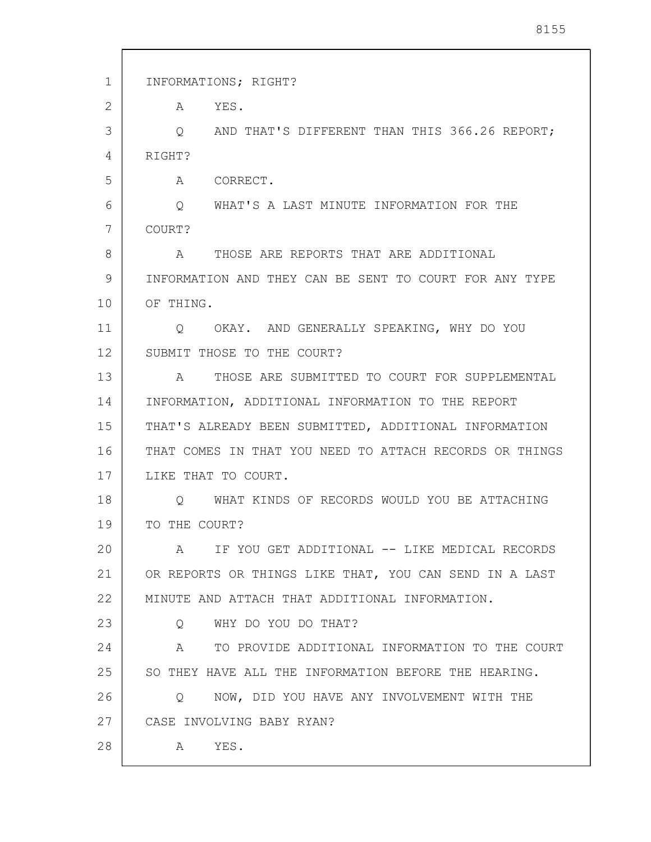| 1  | INFORMATIONS; RIGHT?                                     |
|----|----------------------------------------------------------|
| 2  | YES.<br>A                                                |
| 3  | AND THAT'S DIFFERENT THAN THIS 366.26 REPORT;<br>$\circ$ |
| 4  | RIGHT?                                                   |
| 5  | CORRECT.<br>A                                            |
| 6  | WHAT'S A LAST MINUTE INFORMATION FOR THE<br>$\circ$      |
| 7  | COURT?                                                   |
| 8  | THOSE ARE REPORTS THAT ARE ADDITIONAL<br>$\mathbb A$     |
| 9  | INFORMATION AND THEY CAN BE SENT TO COURT FOR ANY TYPE   |
| 10 | OF THING.                                                |
| 11 | OKAY. AND GENERALLY SPEAKING, WHY DO YOU<br>Q            |
| 12 | SUBMIT THOSE TO THE COURT?                               |
| 13 | THOSE ARE SUBMITTED TO COURT FOR SUPPLEMENTAL<br>A       |
| 14 | INFORMATION, ADDITIONAL INFORMATION TO THE REPORT        |
| 15 | THAT'S ALREADY BEEN SUBMITTED, ADDITIONAL INFORMATION    |
| 16 | THAT COMES IN THAT YOU NEED TO ATTACH RECORDS OR THINGS  |
| 17 | LIKE THAT TO COURT.                                      |
| 18 | WHAT KINDS OF RECORDS WOULD YOU BE ATTACHING<br>Q.       |
| 19 | TO THE COURT?                                            |
| 20 | IF YOU GET ADDITIONAL -- LIKE MEDICAL RECORDS<br>A       |
| 21 | OR REPORTS OR THINGS LIKE THAT, YOU CAN SEND IN A LAST   |
| 22 | MINUTE AND ATTACH THAT ADDITIONAL INFORMATION.           |
| 23 | WHY DO YOU DO THAT?<br>Q                                 |
| 24 | TO PROVIDE ADDITIONAL INFORMATION TO THE COURT<br>А      |
| 25 | SO THEY HAVE ALL THE INFORMATION BEFORE THE HEARING.     |
| 26 | NOW, DID YOU HAVE ANY INVOLVEMENT WITH THE<br>$\circ$    |
| 27 | CASE INVOLVING BABY RYAN?                                |
| 28 | YES.<br>A                                                |
|    |                                                          |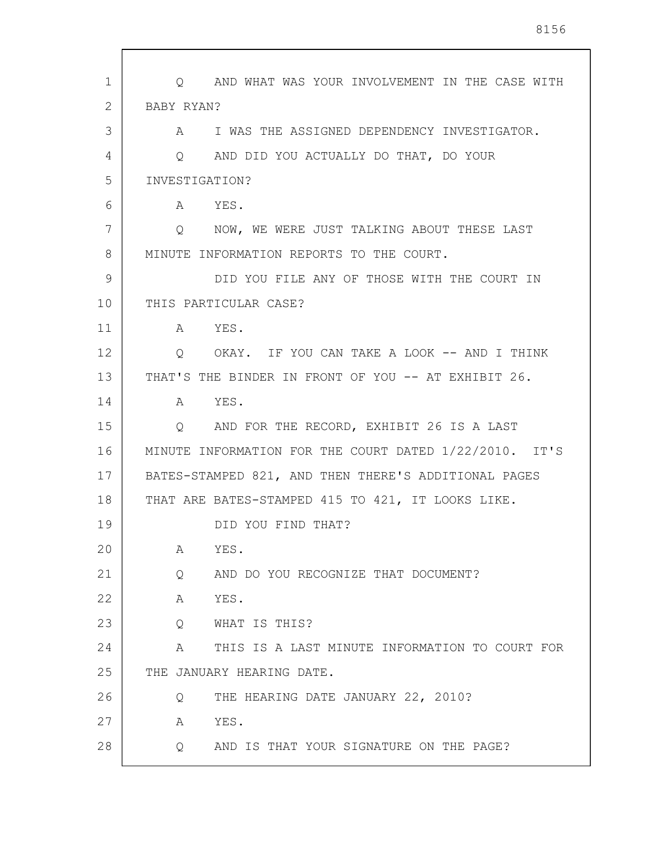| 1              | Q AND WHAT WAS YOUR INVOLVEMENT IN THE CASE WITH       |
|----------------|--------------------------------------------------------|
| $\overline{2}$ | BABY RYAN?                                             |
| 3              | A I WAS THE ASSIGNED DEPENDENCY INVESTIGATOR.          |
| 4              | Q AND DID YOU ACTUALLY DO THAT, DO YOUR                |
| 5              | INVESTIGATION?                                         |
| 6              | A YES.                                                 |
| 7              | Q NOW, WE WERE JUST TALKING ABOUT THESE LAST           |
| 8              | MINUTE INFORMATION REPORTS TO THE COURT.               |
| 9              | DID YOU FILE ANY OF THOSE WITH THE COURT IN            |
| 10             | THIS PARTICULAR CASE?                                  |
| 11             | A YES.                                                 |
| 12             | OKAY. IF YOU CAN TAKE A LOOK -- AND I THINK<br>$\circ$ |
| 13             | THAT'S THE BINDER IN FRONT OF YOU -- AT EXHIBIT 26.    |
| 14             | YES.<br>A                                              |
| 15             | Q AND FOR THE RECORD, EXHIBIT 26 IS A LAST             |
| 16             | MINUTE INFORMATION FOR THE COURT DATED 1/22/2010. IT'S |
| 17             | BATES-STAMPED 821, AND THEN THERE'S ADDITIONAL PAGES   |
| 18             | THAT ARE BATES-STAMPED 415 TO 421, IT LOOKS LIKE.      |
| 19             | DID YOU FIND THAT?                                     |
| 20             | YES.<br>Α                                              |
| 21             | AND DO YOU RECOGNIZE THAT DOCUMENT?<br>Q               |
| 22             | YES.<br>Α                                              |
| 23             | WHAT IS THIS?<br>Q                                     |
| 24             | THIS IS A LAST MINUTE INFORMATION TO COURT FOR<br>A    |
| 25             | THE JANUARY HEARING DATE.                              |
| 26             | THE HEARING DATE JANUARY 22, 2010?<br>Q                |
| 27             | YES.<br>Α                                              |
| 28             | AND IS THAT YOUR SIGNATURE ON THE PAGE?<br>Q           |
|                |                                                        |

 $\sqrt{ }$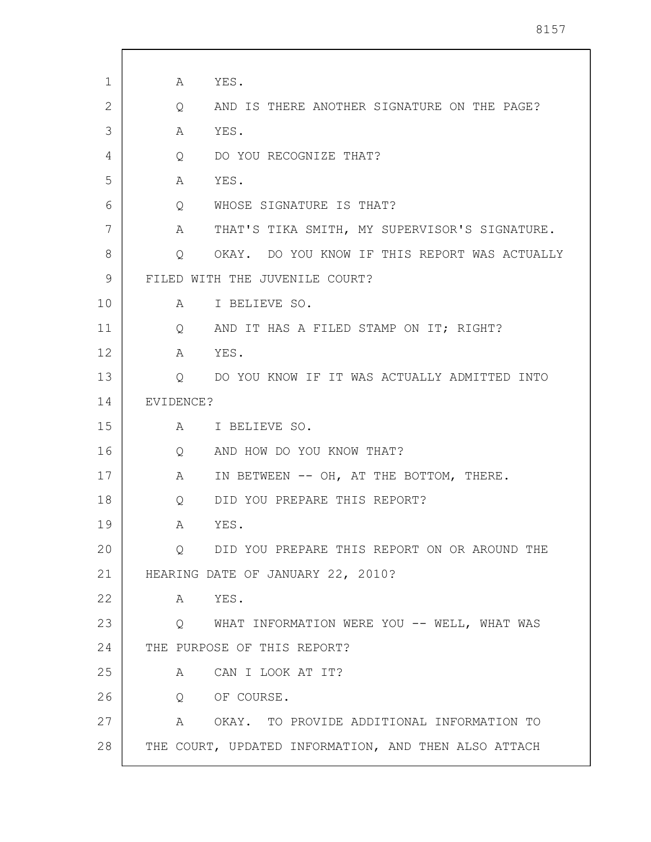| 1  | A                 | YES.                                                 |
|----|-------------------|------------------------------------------------------|
| 2  | Q                 | AND IS THERE ANOTHER SIGNATURE ON THE PAGE?          |
| 3  | A                 | YES.                                                 |
| 4  | Q                 | DO YOU RECOGNIZE THAT?                               |
| 5  | A                 | YES.                                                 |
| 6  | $Q \qquad \qquad$ | WHOSE SIGNATURE IS THAT?                             |
| 7  | A                 | THAT'S TIKA SMITH, MY SUPERVISOR'S SIGNATURE.        |
| 8  | $\overline{Q}$    | OKAY. DO YOU KNOW IF THIS REPORT WAS ACTUALLY        |
| 9  |                   | FILED WITH THE JUVENILE COURT?                       |
| 10 |                   | A I BELIEVE SO.                                      |
| 11 | $Q \qquad \qquad$ | AND IT HAS A FILED STAMP ON IT; RIGHT?               |
| 12 | A                 | YES.                                                 |
| 13 |                   | Q DO YOU KNOW IF IT WAS ACTUALLY ADMITTED INTO       |
| 14 | EVIDENCE?         |                                                      |
| 15 |                   | A I BELIEVE SO.                                      |
| 16 | $Q \qquad \qquad$ | AND HOW DO YOU KNOW THAT?                            |
| 17 | A                 | IN BETWEEN -- OH, AT THE BOTTOM, THERE.              |
| 18 | Q                 | DID YOU PREPARE THIS REPORT?                         |
| 19 | A                 | YES.                                                 |
| 20 | $Q \qquad \qquad$ | DID YOU PREPARE THIS REPORT ON OR AROUND THE         |
| 21 |                   | HEARING DATE OF JANUARY 22, 2010?                    |
| 22 | $\mathbb A$       | YES.                                                 |
| 23 |                   | Q WHAT INFORMATION WERE YOU -- WELL, WHAT WAS        |
| 24 |                   | THE PURPOSE OF THIS REPORT?                          |
| 25 | A                 | CAN I LOOK AT IT?                                    |
| 26 |                   | Q OF COURSE.                                         |
| 27 | A                 | OKAY. TO PROVIDE ADDITIONAL INFORMATION TO           |
| 28 |                   | THE COURT, UPDATED INFORMATION, AND THEN ALSO ATTACH |
|    |                   |                                                      |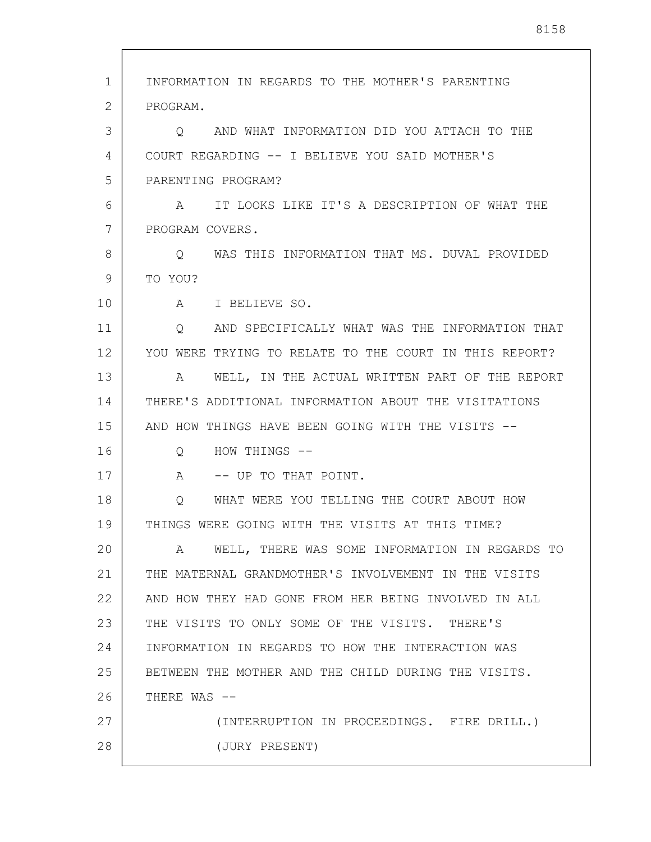| 1  | INFORMATION IN REGARDS TO THE MOTHER'S PARENTING        |
|----|---------------------------------------------------------|
| 2  | PROGRAM.                                                |
| 3  | AND WHAT INFORMATION DID YOU ATTACH TO THE<br>O         |
| 4  | COURT REGARDING -- I BELIEVE YOU SAID MOTHER'S          |
| 5  | PARENTING PROGRAM?                                      |
| 6  | IT LOOKS LIKE IT'S A DESCRIPTION OF WHAT THE<br>A       |
| 7  | PROGRAM COVERS.                                         |
| 8  | WAS THIS INFORMATION THAT MS. DUVAL PROVIDED<br>$\circ$ |
| 9  | TO YOU?                                                 |
| 10 | A I BELIEVE SO.                                         |
| 11 | AND SPECIFICALLY WHAT WAS THE INFORMATION THAT<br>Q     |
| 12 | YOU WERE TRYING TO RELATE TO THE COURT IN THIS REPORT?  |
| 13 | WELL, IN THE ACTUAL WRITTEN PART OF THE REPORT<br>A     |
| 14 | THERE'S ADDITIONAL INFORMATION ABOUT THE VISITATIONS    |
| 15 | AND HOW THINGS HAVE BEEN GOING WITH THE VISITS --       |
| 16 | HOW THINGS --<br>Q                                      |
| 17 | -- UP TO THAT POINT.<br>A                               |
| 18 | WHAT WERE YOU TELLING THE COURT ABOUT HOW<br>Q          |
| 19 | THINGS WERE GOING WITH THE VISITS AT THIS TIME?         |
| 20 | WELL, THERE WAS SOME INFORMATION IN REGARDS TO<br>A     |
| 21 | THE MATERNAL GRANDMOTHER'S INVOLVEMENT IN THE VISITS    |
| 22 | AND HOW THEY HAD GONE FROM HER BEING INVOLVED IN ALL    |
| 23 | THE VISITS TO ONLY SOME OF THE VISITS. THERE'S          |
| 24 | INFORMATION IN REGARDS TO HOW THE INTERACTION WAS       |
| 25 | BETWEEN THE MOTHER AND THE CHILD DURING THE VISITS.     |
| 26 | THERE WAS --                                            |
| 27 | (INTERRUPTION IN PROCEEDINGS. FIRE DRILL.)              |
| 28 | (JURY PRESENT)                                          |
|    |                                                         |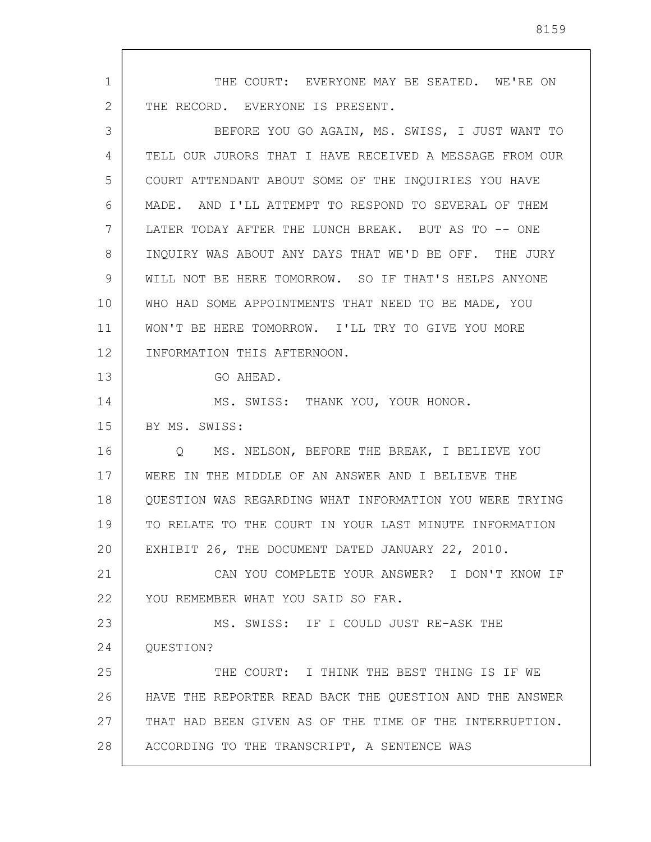1 2 3 4 5 6 7 8 9 10 11 12 13 14 15 16 17 18 19 20 21 22 23 24 25 26 27 28 THE COURT: EVERYONE MAY BE SEATED. WE'RE ON THE RECORD. EVERYONE IS PRESENT. BEFORE YOU GO AGAIN, MS. SWISS, I JUST WANT TO TELL OUR JURORS THAT I HAVE RECEIVED A MESSAGE FROM OUR COURT ATTENDANT ABOUT SOME OF THE INQUIRIES YOU HAVE MADE. AND I'LL ATTEMPT TO RESPOND TO SEVERAL OF THEM LATER TODAY AFTER THE LUNCH BREAK. BUT AS TO -- ONE INQUIRY WAS ABOUT ANY DAYS THAT WE'D BE OFF. THE JURY WILL NOT BE HERE TOMORROW. SO IF THAT'S HELPS ANYONE WHO HAD SOME APPOINTMENTS THAT NEED TO BE MADE, YOU WON'T BE HERE TOMORROW. I'LL TRY TO GIVE YOU MORE INFORMATION THIS AFTERNOON. GO AHEAD. MS. SWISS: THANK YOU, YOUR HONOR. BY MS. SWISS: Q MS. NELSON, BEFORE THE BREAK, I BELIEVE YOU WERE IN THE MIDDLE OF AN ANSWER AND I BELIEVE THE QUESTION WAS REGARDING WHAT INFORMATION YOU WERE TRYING TO RELATE TO THE COURT IN YOUR LAST MINUTE INFORMATION EXHIBIT 26, THE DOCUMENT DATED JANUARY 22, 2010. CAN YOU COMPLETE YOUR ANSWER? I DON'T KNOW IF YOU REMEMBER WHAT YOU SAID SO FAR. MS. SWISS: IF I COULD JUST RE-ASK THE QUESTION? THE COURT: I THINK THE BEST THING IS IF WE HAVE THE REPORTER READ BACK THE QUESTION AND THE ANSWER THAT HAD BEEN GIVEN AS OF THE TIME OF THE INTERRUPTION. ACCORDING TO THE TRANSCRIPT, A SENTENCE WAS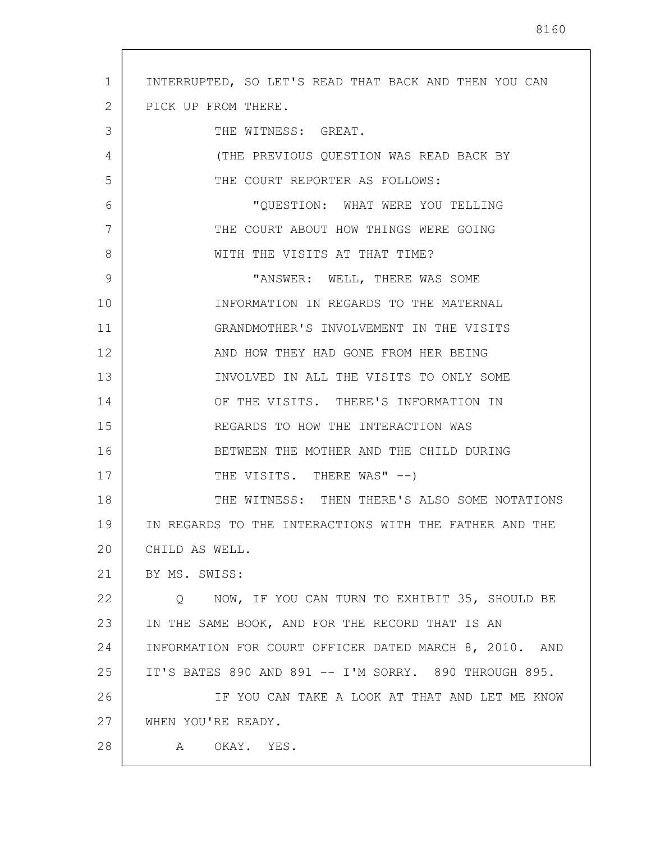| $\mathbf{1}$   | INTERRUPTED, SO LET'S READ THAT BACK AND THEN YOU CAN  |
|----------------|--------------------------------------------------------|
| $\overline{2}$ | PICK UP FROM THERE.                                    |
| 3              | THE WITNESS: GREAT.                                    |
| 4              | (THE PREVIOUS QUESTION WAS READ BACK BY                |
| 5              | THE COURT REPORTER AS FOLLOWS:                         |
| 6              | "QUESTION: WHAT WERE YOU TELLING                       |
| 7              | THE COURT ABOUT HOW THINGS WERE GOING                  |
| 8              | WITH THE VISITS AT THAT TIME?                          |
| 9              | "ANSWER: WELL, THERE WAS SOME                          |
| 10             | INFORMATION IN REGARDS TO THE MATERNAL                 |
| 11             | GRANDMOTHER'S INVOLVEMENT IN THE VISITS                |
| 12             | AND HOW THEY HAD GONE FROM HER BEING                   |
| 13             | INVOLVED IN ALL THE VISITS TO ONLY SOME                |
| 14             | OF THE VISITS. THERE'S INFORMATION IN                  |
| 15             | REGARDS TO HOW THE INTERACTION WAS                     |
| 16             | BETWEEN THE MOTHER AND THE CHILD DURING                |
| 17             | THE VISITS. THERE WAS" --)                             |
| 18             | THE WITNESS: THEN THERE'S ALSO SOME NOTATIONS          |
| 19             | IN REGARDS TO THE INTERACTIONS WITH THE FATHER AND THE |
| 20             | CHILD AS WELL.                                         |
| 21             | BY MS. SWISS:                                          |
| 22             | NOW, IF YOU CAN TURN TO EXHIBIT 35, SHOULD BE<br>Q     |
| 23             | IN THE SAME BOOK, AND FOR THE RECORD THAT IS AN        |
| 24             | INFORMATION FOR COURT OFFICER DATED MARCH 8, 2010. AND |
| 25             | IT'S BATES 890 AND 891 -- I'M SORRY. 890 THROUGH 895.  |
| 26             | IF YOU CAN TAKE A LOOK AT THAT AND LET ME KNOW         |
| 27             | WHEN YOU'RE READY.                                     |
| 28             | OKAY.<br>YES.<br>A                                     |

 $\sqrt{ }$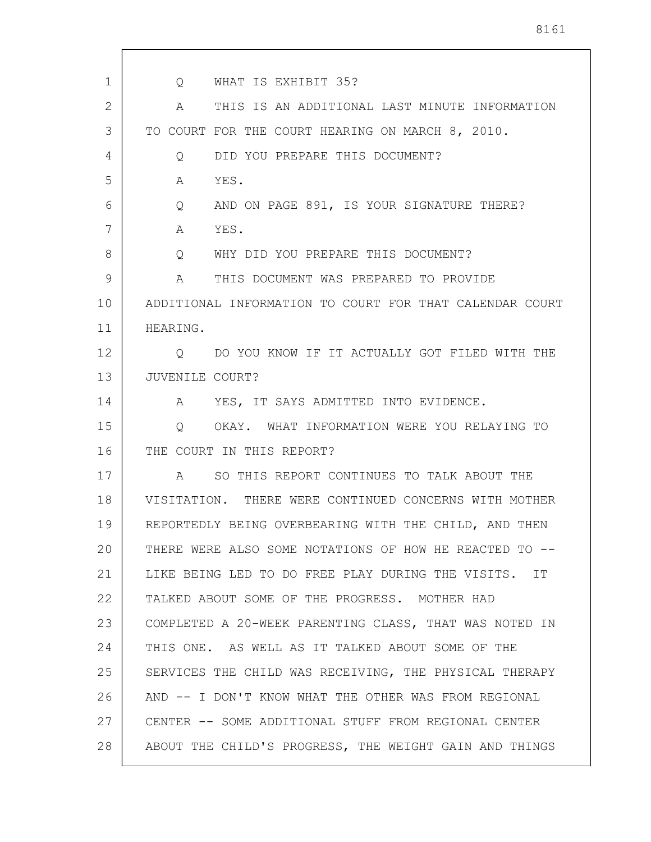| $\mathbf{1}$ | WHAT IS EXHIBIT 35?<br>Q                                 |
|--------------|----------------------------------------------------------|
| 2            | THIS IS AN ADDITIONAL LAST MINUTE INFORMATION<br>A       |
| 3            | TO COURT FOR THE COURT HEARING ON MARCH 8, 2010.         |
| 4            | DID YOU PREPARE THIS DOCUMENT?<br>Q                      |
| 5            | YES.<br>A                                                |
| 6            | AND ON PAGE 891, IS YOUR SIGNATURE THERE?<br>Q           |
| 7            | YES.<br>A                                                |
| 8            | WHY DID YOU PREPARE THIS DOCUMENT?<br>Q                  |
| 9            | THIS DOCUMENT WAS PREPARED TO PROVIDE<br>A               |
| 10           | ADDITIONAL INFORMATION TO COURT FOR THAT CALENDAR COURT  |
| 11           | HEARING.                                                 |
| 12           | DO YOU KNOW IF IT ACTUALLY GOT FILED WITH THE<br>$\circ$ |
| 13           | JUVENILE COURT?                                          |
| 14           | YES, IT SAYS ADMITTED INTO EVIDENCE.<br>A                |
| 15           | OKAY. WHAT INFORMATION WERE YOU RELAYING TO<br>$\circ$   |
| 16           | THE COURT IN THIS REPORT?                                |
| 17           | SO THIS REPORT CONTINUES TO TALK ABOUT THE<br>A          |
| 18           | VISITATION. THERE WERE CONTINUED CONCERNS WITH MOTHER    |
| 19           | REPORTEDLY BEING OVERBEARING WITH THE CHILD, AND THEN    |
| 20           | THERE WERE ALSO SOME NOTATIONS OF HOW HE REACTED TO --   |
| 21           | LIKE BEING LED TO DO FREE PLAY DURING THE VISITS. IT     |
| 22           | TALKED ABOUT SOME OF THE PROGRESS. MOTHER HAD            |
| 23           | COMPLETED A 20-WEEK PARENTING CLASS, THAT WAS NOTED IN   |
| 24           | THIS ONE. AS WELL AS IT TALKED ABOUT SOME OF THE         |
| 25           | SERVICES THE CHILD WAS RECEIVING, THE PHYSICAL THERAPY   |
| 26           | AND -- I DON'T KNOW WHAT THE OTHER WAS FROM REGIONAL     |
| 27           | CENTER -- SOME ADDITIONAL STUFF FROM REGIONAL CENTER     |
| 28           | ABOUT THE CHILD'S PROGRESS, THE WEIGHT GAIN AND THINGS   |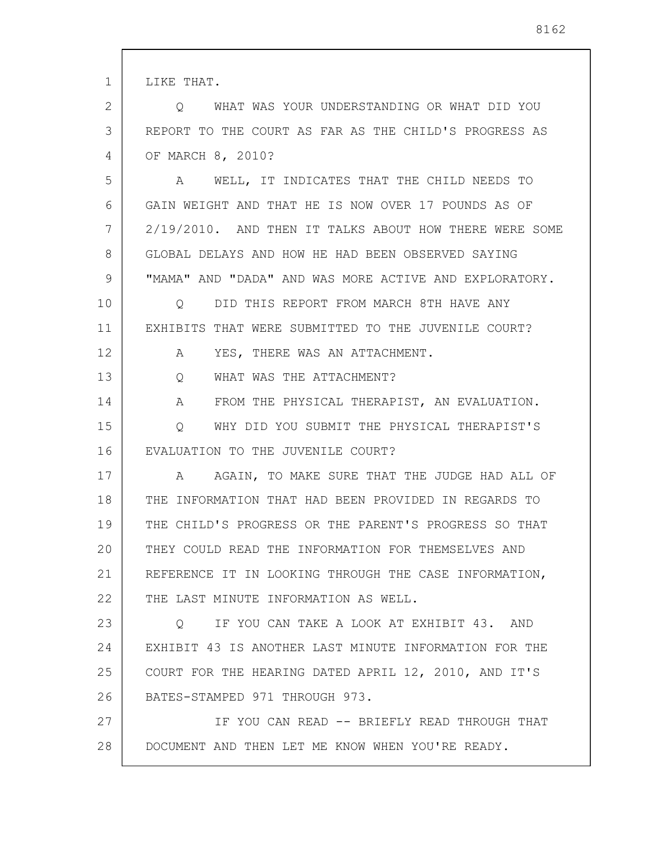| 1  | LIKE THAT.                                                      |
|----|-----------------------------------------------------------------|
| 2  | Q WHAT WAS YOUR UNDERSTANDING OR WHAT DID YOU                   |
| 3  | REPORT TO THE COURT AS FAR AS THE CHILD'S PROGRESS AS           |
| 4  | OF MARCH 8, 2010?                                               |
| 5  | A WELL, IT INDICATES THAT THE CHILD NEEDS TO                    |
| 6  | GAIN WEIGHT AND THAT HE IS NOW OVER 17 POUNDS AS OF             |
| 7  | 2/19/2010. AND THEN IT TALKS ABOUT HOW THERE WERE SOME          |
| 8  | GLOBAL DELAYS AND HOW HE HAD BEEN OBSERVED SAYING               |
| 9  | "MAMA" AND "DADA" AND WAS MORE ACTIVE AND EXPLORATORY.          |
| 10 | DID THIS REPORT FROM MARCH 8TH HAVE ANY<br>$\circ$              |
| 11 | EXHIBITS THAT WERE SUBMITTED TO THE JUVENILE COURT?             |
| 12 | YES, THERE WAS AN ATTACHMENT.<br>A                              |
| 13 | WHAT WAS THE ATTACHMENT?<br>Q                                   |
| 14 | FROM THE PHYSICAL THERAPIST, AN EVALUATION.<br>$A \quad \alpha$ |
| 15 | WHY DID YOU SUBMIT THE PHYSICAL THERAPIST'S<br>$\circ$          |
| 16 | EVALUATION TO THE JUVENILE COURT?                               |
| 17 | A AGAIN, TO MAKE SURE THAT THE JUDGE HAD ALL OF                 |
| 18 | THE INFORMATION THAT HAD BEEN PROVIDED IN REGARDS TO            |
| 19 | THE CHILD'S PROGRESS OR THE PARENT'S PROGRESS SO THAT           |
| 20 | THEY COULD READ THE INFORMATION FOR THEMSELVES AND              |
| 21 | REFERENCE IT IN LOOKING THROUGH THE CASE INFORMATION,           |
| 22 | THE LAST MINUTE INFORMATION AS WELL.                            |
| 23 | Q IF YOU CAN TAKE A LOOK AT EXHIBIT 43. AND                     |
| 24 | EXHIBIT 43 IS ANOTHER LAST MINUTE INFORMATION FOR THE           |
| 25 | COURT FOR THE HEARING DATED APRIL 12, 2010, AND IT'S            |
| 26 | BATES-STAMPED 971 THROUGH 973.                                  |
| 27 | IF YOU CAN READ -- BRIEFLY READ THROUGH THAT                    |
| 28 | DOCUMENT AND THEN LET ME KNOW WHEN YOU'RE READY.                |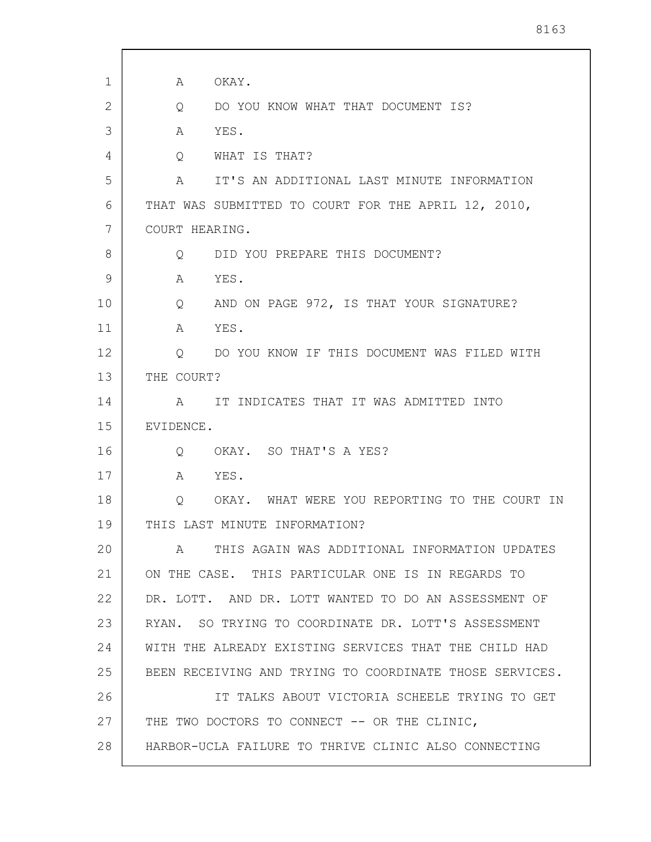| 1  | OKAY.<br>A                                                    |
|----|---------------------------------------------------------------|
| 2  | DO YOU KNOW WHAT THAT DOCUMENT IS?<br>Q                       |
| 3  | YES.<br>Α                                                     |
| 4  | WHAT IS THAT?<br>Q                                            |
| 5  | IT'S AN ADDITIONAL LAST MINUTE INFORMATION<br>A               |
| 6  | THAT WAS SUBMITTED TO COURT FOR THE APRIL 12, 2010,           |
| 7  | COURT HEARING.                                                |
| 8  | DID YOU PREPARE THIS DOCUMENT?<br>Q                           |
| 9  | YES.<br>A                                                     |
| 10 | AND ON PAGE 972, IS THAT YOUR SIGNATURE?<br>$Q \qquad \qquad$ |
| 11 | YES.<br>A                                                     |
| 12 | DO YOU KNOW IF THIS DOCUMENT WAS FILED WITH<br>Q              |
| 13 | THE COURT?                                                    |
| 14 | IT INDICATES THAT IT WAS ADMITTED INTO<br>A                   |
| 15 | EVIDENCE.                                                     |
| 16 | OKAY. SO THAT'S A YES?<br>Q                                   |
| 17 | YES.<br>A                                                     |
| 18 | OKAY. WHAT WERE YOU REPORTING TO THE COURT IN<br>Q            |
| 19 | THIS LAST MINUTE INFORMATION?                                 |
| 20 | THIS AGAIN WAS ADDITIONAL INFORMATION UPDATES<br>A            |
| 21 | ON THE CASE. THIS PARTICULAR ONE IS IN REGARDS TO             |
| 22 | DR. LOTT. AND DR. LOTT WANTED TO DO AN ASSESSMENT OF          |
| 23 | RYAN. SO TRYING TO COORDINATE DR. LOTT'S ASSESSMENT           |
| 24 | WITH THE ALREADY EXISTING SERVICES THAT THE CHILD HAD         |
| 25 | BEEN RECEIVING AND TRYING TO COORDINATE THOSE SERVICES.       |
| 26 | IT TALKS ABOUT VICTORIA SCHEELE TRYING TO GET                 |
| 27 | THE TWO DOCTORS TO CONNECT -- OR THE CLINIC,                  |
| 28 | HARBOR-UCLA FAILURE TO THRIVE CLINIC ALSO CONNECTING          |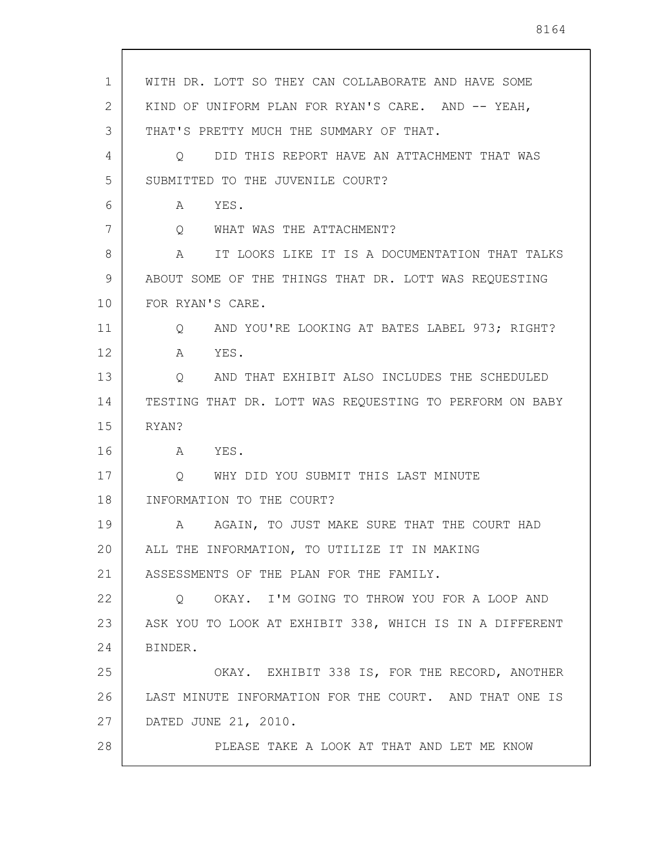| 1  | WITH DR. LOTT SO THEY CAN COLLABORATE AND HAVE SOME     |
|----|---------------------------------------------------------|
| 2  | KIND OF UNIFORM PLAN FOR RYAN'S CARE. AND -- YEAH,      |
| 3  | THAT'S PRETTY MUCH THE SUMMARY OF THAT.                 |
| 4  | DID THIS REPORT HAVE AN ATTACHMENT THAT WAS<br>Q        |
| 5  | SUBMITTED TO THE JUVENILE COURT?                        |
| 6  | YES.<br>A                                               |
| 7  | WHAT WAS THE ATTACHMENT?<br>$Q_{\rm max}$               |
| 8  | IT LOOKS LIKE IT IS A DOCUMENTATION THAT TALKS<br>A     |
| 9  | ABOUT SOME OF THE THINGS THAT DR. LOTT WAS REQUESTING   |
| 10 | FOR RYAN'S CARE.                                        |
| 11 | AND YOU'RE LOOKING AT BATES LABEL 973; RIGHT?<br>Q      |
| 12 | YES.<br>A                                               |
| 13 | AND THAT EXHIBIT ALSO INCLUDES THE SCHEDULED<br>Q       |
| 14 | TESTING THAT DR. LOTT WAS REQUESTING TO PERFORM ON BABY |
| 15 | RYAN?                                                   |
| 16 | YES.<br>A                                               |
| 17 | WHY DID YOU SUBMIT THIS LAST MINUTE<br>$\circ$          |
| 18 | INFORMATION TO THE COURT?                               |
| 19 | AGAIN, TO JUST MAKE SURE THAT THE COURT HAD<br>A        |
| 20 | ALL THE INFORMATION, TO UTILIZE IT IN MAKING            |
| 21 | ASSESSMENTS OF THE PLAN FOR THE FAMILY.                 |
| 22 | Q OKAY. I'M GOING TO THROW YOU FOR A LOOP AND           |
| 23 | ASK YOU TO LOOK AT EXHIBIT 338, WHICH IS IN A DIFFERENT |
| 24 | BINDER.                                                 |
| 25 | OKAY. EXHIBIT 338 IS, FOR THE RECORD, ANOTHER           |
| 26 | LAST MINUTE INFORMATION FOR THE COURT. AND THAT ONE IS  |
| 27 | DATED JUNE 21, 2010.                                    |
| 28 | PLEASE TAKE A LOOK AT THAT AND LET ME KNOW              |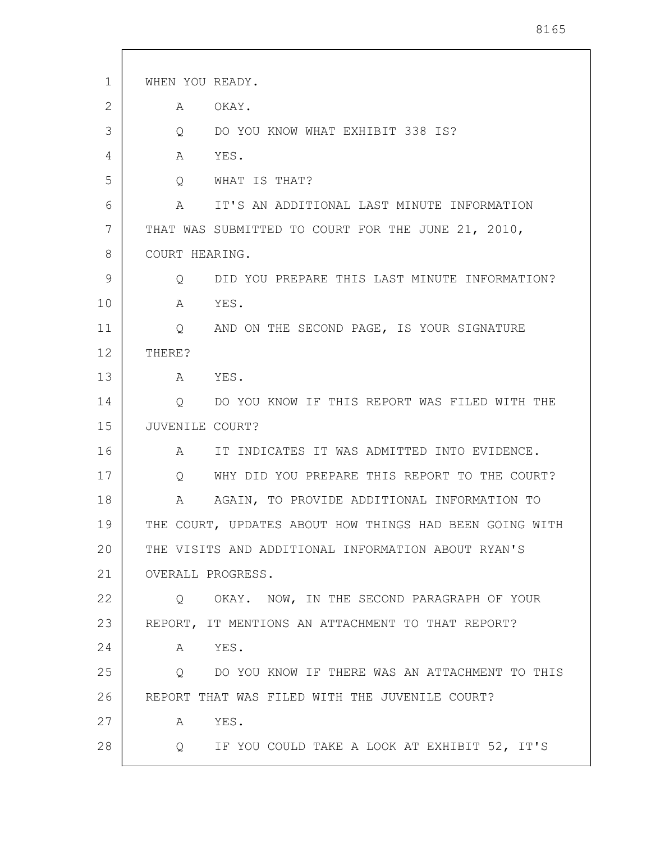| 1  | WHEN YOU READY.                                                    |
|----|--------------------------------------------------------------------|
| 2  | OKAY.<br>Α                                                         |
| 3  | DO YOU KNOW WHAT EXHIBIT 338 IS?<br>Q                              |
| 4  | YES.<br>A                                                          |
| 5  | Q<br>WHAT IS THAT?                                                 |
| 6  | IT'S AN ADDITIONAL LAST MINUTE INFORMATION<br>A                    |
| 7  | THAT WAS SUBMITTED TO COURT FOR THE JUNE 21, 2010,                 |
| 8  | COURT HEARING.                                                     |
| 9  | DID YOU PREPARE THIS LAST MINUTE INFORMATION?<br>$Q \qquad \qquad$ |
| 10 | Α<br>YES.                                                          |
| 11 | AND ON THE SECOND PAGE, IS YOUR SIGNATURE<br>$Q \qquad \qquad$     |
| 12 | THERE?                                                             |
| 13 | YES.<br>A                                                          |
| 14 | Q<br>DO YOU KNOW IF THIS REPORT WAS FILED WITH THE                 |
| 15 | JUVENILE COURT?                                                    |
| 16 | IT INDICATES IT WAS ADMITTED INTO EVIDENCE.<br>A                   |
| 17 | WHY DID YOU PREPARE THIS REPORT TO THE COURT?<br>$Q \qquad \qquad$ |
| 18 | AGAIN, TO PROVIDE ADDITIONAL INFORMATION TO<br>A                   |
| 19 | THE COURT, UPDATES ABOUT HOW THINGS HAD BEEN GOING WITH            |
| 20 | THE VISITS AND ADDITIONAL INFORMATION ABOUT RYAN'S                 |
| 21 | OVERALL PROGRESS.                                                  |
| 22 | Q OKAY. NOW, IN THE SECOND PARAGRAPH OF YOUR                       |
| 23 | REPORT, IT MENTIONS AN ATTACHMENT TO THAT REPORT?                  |
| 24 | A YES.                                                             |
| 25 | Q DO YOU KNOW IF THERE WAS AN ATTACHMENT TO THIS                   |
| 26 | REPORT THAT WAS FILED WITH THE JUVENILE COURT?                     |
| 27 | YES.<br>A                                                          |
| 28 | Q IF YOU COULD TAKE A LOOK AT EXHIBIT 52, IT'S                     |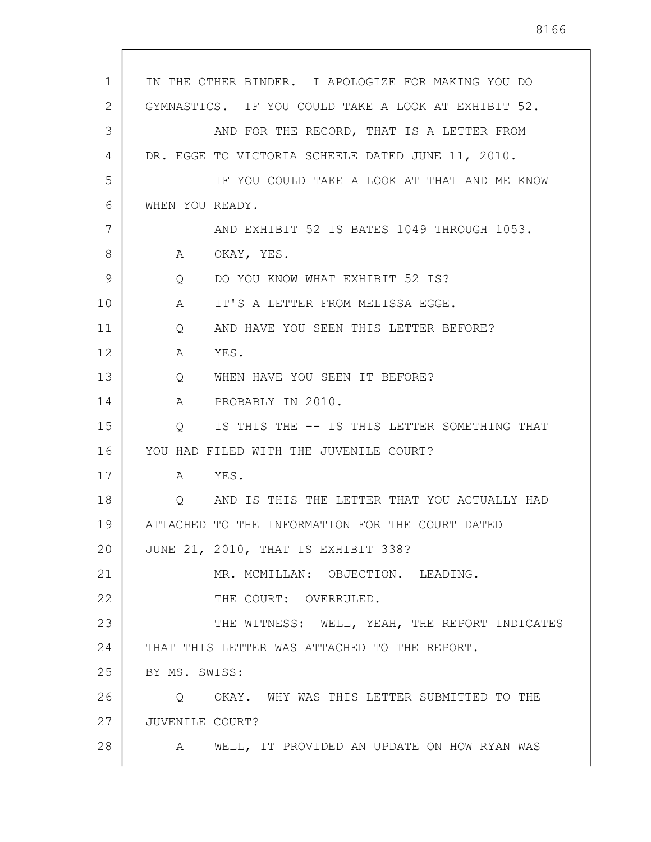| $\mathbf{1}$ | IN THE OTHER BINDER. I APOLOGIZE FOR MAKING YOU DO      |
|--------------|---------------------------------------------------------|
| 2            | GYMNASTICS. IF YOU COULD TAKE A LOOK AT EXHIBIT 52.     |
| 3            | AND FOR THE RECORD, THAT IS A LETTER FROM               |
| 4            | DR. EGGE TO VICTORIA SCHEELE DATED JUNE 11, 2010.       |
| 5            | IF YOU COULD TAKE A LOOK AT THAT AND ME KNOW            |
| 6            | WHEN YOU READY.                                         |
| 7            | AND EXHIBIT 52 IS BATES 1049 THROUGH 1053.              |
| 8            | OKAY, YES.<br>A                                         |
| 9            | DO YOU KNOW WHAT EXHIBIT 52 IS?<br>Q                    |
| 10           | IT'S A LETTER FROM MELISSA EGGE.<br>A                   |
| 11           | AND HAVE YOU SEEN THIS LETTER BEFORE?<br>Q              |
| 12           | YES.<br>A                                               |
| 13           | WHEN HAVE YOU SEEN IT BEFORE?<br>Q                      |
| 14           | PROBABLY IN 2010.<br>A                                  |
| 15           | IS THIS THE -- IS THIS LETTER SOMETHING THAT<br>$\circ$ |
| 16           | YOU HAD FILED WITH THE JUVENILE COURT?                  |
| 17           | A YES.                                                  |
| 18           | Q AND IS THIS THE LETTER THAT YOU ACTUALLY HAD          |
| 19           | ATTACHED TO THE INFORMATION FOR THE COURT DATED         |
| 20           | JUNE 21, 2010, THAT IS EXHIBIT 338?                     |
| 21           | MR. MCMILLAN: OBJECTION. LEADING.                       |
| 22           | THE COURT: OVERRULED.                                   |
| 23           | THE WITNESS: WELL, YEAH, THE REPORT INDICATES           |
| 24           | THAT THIS LETTER WAS ATTACHED TO THE REPORT.            |
| 25           | BY MS. SWISS:                                           |
| 26           | OKAY. WHY WAS THIS LETTER SUBMITTED TO THE<br>Q         |
| 27           | JUVENILE COURT?                                         |
| 28           | WELL, IT PROVIDED AN UPDATE ON HOW RYAN WAS<br>A        |
|              |                                                         |

 $\mathsf{l}$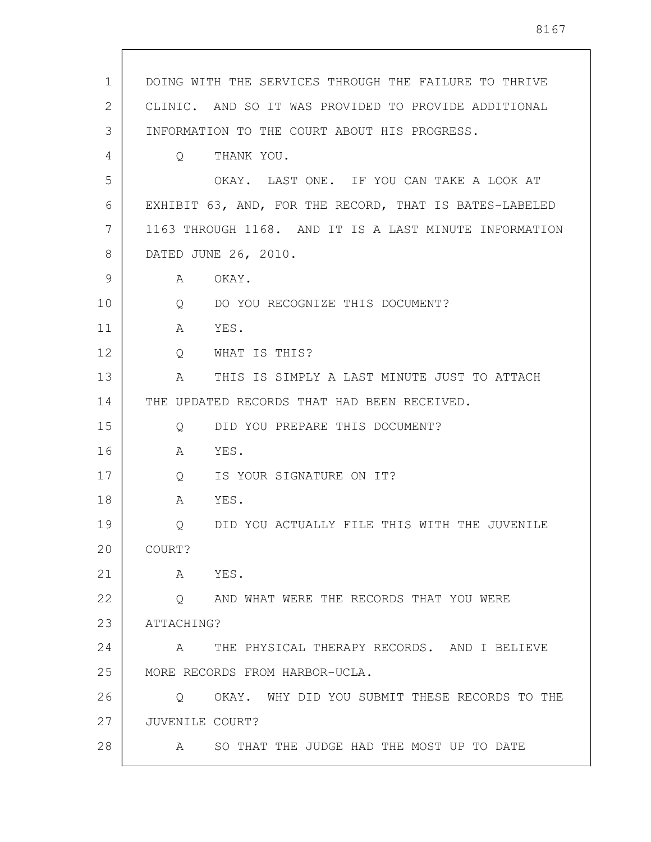1 2 3 4 5 6 7 8 9 10 11 12 13 14 15 16 17 18 19 20 21 22 23 24 25 26 27 28 DOING WITH THE SERVICES THROUGH THE FAILURE TO THRIVE CLINIC. AND SO IT WAS PROVIDED TO PROVIDE ADDITIONAL INFORMATION TO THE COURT ABOUT HIS PROGRESS. Q THANK YOU. OKAY. LAST ONE. IF YOU CAN TAKE A LOOK AT EXHIBIT 63, AND, FOR THE RECORD, THAT IS BATES-LABELED 1163 THROUGH 1168. AND IT IS A LAST MINUTE INFORMATION DATED JUNE 26, 2010. A OKAY. Q DO YOU RECOGNIZE THIS DOCUMENT? A YES. Q WHAT IS THIS? A THIS IS SIMPLY A LAST MINUTE JUST TO ATTACH THE UPDATED RECORDS THAT HAD BEEN RECEIVED. Q DID YOU PREPARE THIS DOCUMENT? A YES. Q IS YOUR SIGNATURE ON IT? A YES. Q DID YOU ACTUALLY FILE THIS WITH THE JUVENILE COURT? A YES. Q AND WHAT WERE THE RECORDS THAT YOU WERE ATTACHING? A THE PHYSICAL THERAPY RECORDS. AND I BELIEVE MORE RECORDS FROM HARBOR-UCLA. Q OKAY. WHY DID YOU SUBMIT THESE RECORDS TO THE JUVENILE COURT? A SO THAT THE JUDGE HAD THE MOST UP TO DATE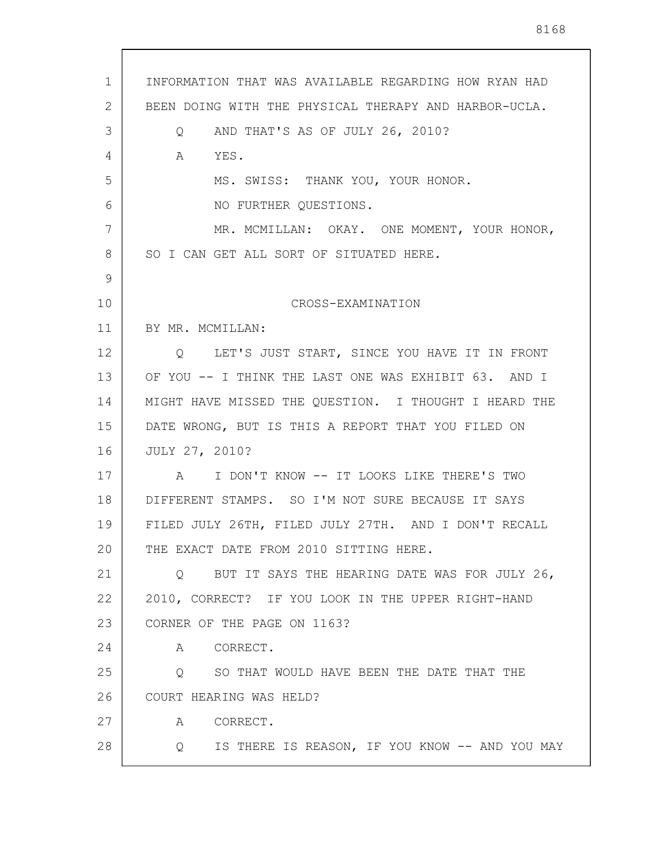| $\mathbf{1}$<br>2<br>3<br>4<br>5<br>6 | INFORMATION THAT WAS AVAILABLE REGARDING HOW RYAN HAD<br>BEEN DOING WITH THE PHYSICAL THERAPY AND HARBOR-UCLA.<br>AND THAT'S AS OF JULY 26, 2010?<br>Q |
|---------------------------------------|--------------------------------------------------------------------------------------------------------------------------------------------------------|
|                                       |                                                                                                                                                        |
|                                       |                                                                                                                                                        |
|                                       |                                                                                                                                                        |
|                                       | A YES.                                                                                                                                                 |
|                                       | MS. SWISS: THANK YOU, YOUR HONOR.                                                                                                                      |
|                                       | NO FURTHER QUESTIONS.                                                                                                                                  |
| 7                                     | MR. MCMILLAN: OKAY. ONE MOMENT, YOUR HONOR,                                                                                                            |
| 8                                     | SO I CAN GET ALL SORT OF SITUATED HERE.                                                                                                                |
| 9                                     |                                                                                                                                                        |
| 10                                    | CROSS-EXAMINATION                                                                                                                                      |
| 11                                    | BY MR. MCMILLAN:                                                                                                                                       |
| 12                                    | Q LET'S JUST START, SINCE YOU HAVE IT IN FRONT                                                                                                         |
| 13                                    | OF YOU -- I THINK THE LAST ONE WAS EXHIBIT 63. AND I                                                                                                   |
| 14                                    | MIGHT HAVE MISSED THE QUESTION. I THOUGHT I HEARD THE                                                                                                  |
| 15                                    | DATE WRONG, BUT IS THIS A REPORT THAT YOU FILED ON                                                                                                     |
| 16                                    | JULY 27, 2010?                                                                                                                                         |
| 17                                    | A I DON'T KNOW -- IT LOOKS LIKE THERE'S TWO                                                                                                            |
| 18                                    | DIFFERENT STAMPS. SO I'M NOT SURE BECAUSE IT SAYS                                                                                                      |
| 19                                    | FILED JULY 26TH, FILED JULY 27TH. AND I DON'T RECALL                                                                                                   |
| 20                                    | THE EXACT DATE FROM 2010 SITTING HERE.                                                                                                                 |
| 21                                    | Q BUT IT SAYS THE HEARING DATE WAS FOR JULY 26,                                                                                                        |
| 22                                    | 2010, CORRECT? IF YOU LOOK IN THE UPPER RIGHT-HAND                                                                                                     |
| 23                                    | CORNER OF THE PAGE ON 1163?                                                                                                                            |
| 24                                    | A CORRECT.                                                                                                                                             |
| 25                                    | SO THAT WOULD HAVE BEEN THE DATE THAT THE<br>Q                                                                                                         |
| 26                                    | COURT HEARING WAS HELD?                                                                                                                                |
| 27                                    | CORRECT.<br>A                                                                                                                                          |
| 28                                    | Q IS THERE IS REASON, IF YOU KNOW -- AND YOU MAY                                                                                                       |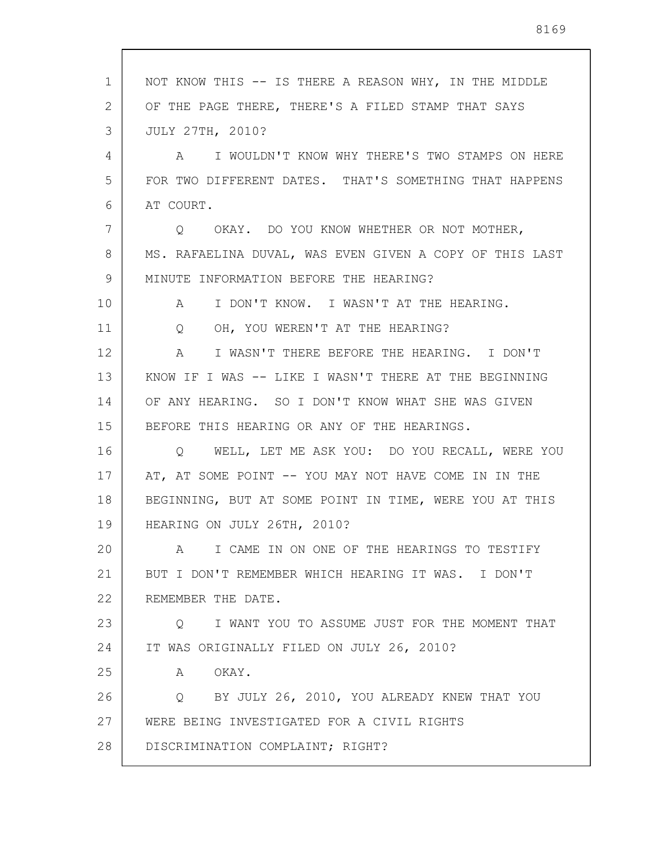| 1  | NOT KNOW THIS -- IS THERE A REASON WHY, IN THE MIDDLE      |
|----|------------------------------------------------------------|
| 2  | OF THE PAGE THERE, THERE'S A FILED STAMP THAT SAYS         |
| 3  | <b>JULY 27TH, 2010?</b>                                    |
| 4  | A I WOULDN'T KNOW WHY THERE'S TWO STAMPS ON HERE           |
| 5  | FOR TWO DIFFERENT DATES. THAT'S SOMETHING THAT HAPPENS     |
| 6  | AT COURT.                                                  |
| 7  | Q OKAY. DO YOU KNOW WHETHER OR NOT MOTHER,                 |
| 8  | MS. RAFAELINA DUVAL, WAS EVEN GIVEN A COPY OF THIS LAST    |
| 9  | MINUTE INFORMATION BEFORE THE HEARING?                     |
| 10 | I DON'T KNOW. I WASN'T AT THE HEARING.<br>$A \quad \alpha$ |
| 11 | OH, YOU WEREN'T AT THE HEARING?<br>Q                       |
| 12 | I WASN'T THERE BEFORE THE HEARING. I DON'T<br>A            |
| 13 | KNOW IF I WAS -- LIKE I WASN'T THERE AT THE BEGINNING      |
| 14 | OF ANY HEARING. SO I DON'T KNOW WHAT SHE WAS GIVEN         |
| 15 | BEFORE THIS HEARING OR ANY OF THE HEARINGS.                |
| 16 | Q WELL, LET ME ASK YOU: DO YOU RECALL, WERE YOU            |
| 17 | AT, AT SOME POINT -- YOU MAY NOT HAVE COME IN IN THE       |
| 18 | BEGINNING, BUT AT SOME POINT IN TIME, WERE YOU AT THIS     |
| 19 | HEARING ON JULY 26TH, 2010?                                |
| 20 | I CAME IN ON ONE OF THE HEARINGS TO TESTIFY                |
| 21 | BUT I DON'T REMEMBER WHICH HEARING IT WAS. I DON'T         |
| 22 | REMEMBER THE DATE.                                         |
| 23 | I WANT YOU TO ASSUME JUST FOR THE MOMENT THAT<br>$\circ$   |
| 24 | IT WAS ORIGINALLY FILED ON JULY 26, 2010?                  |
| 25 | OKAY.<br>A                                                 |
| 26 | BY JULY 26, 2010, YOU ALREADY KNEW THAT YOU<br>$\circ$     |
| 27 | WERE BEING INVESTIGATED FOR A CIVIL RIGHTS                 |
| 28 | DISCRIMINATION COMPLAINT; RIGHT?                           |

 $\overline{\phantom{a}}$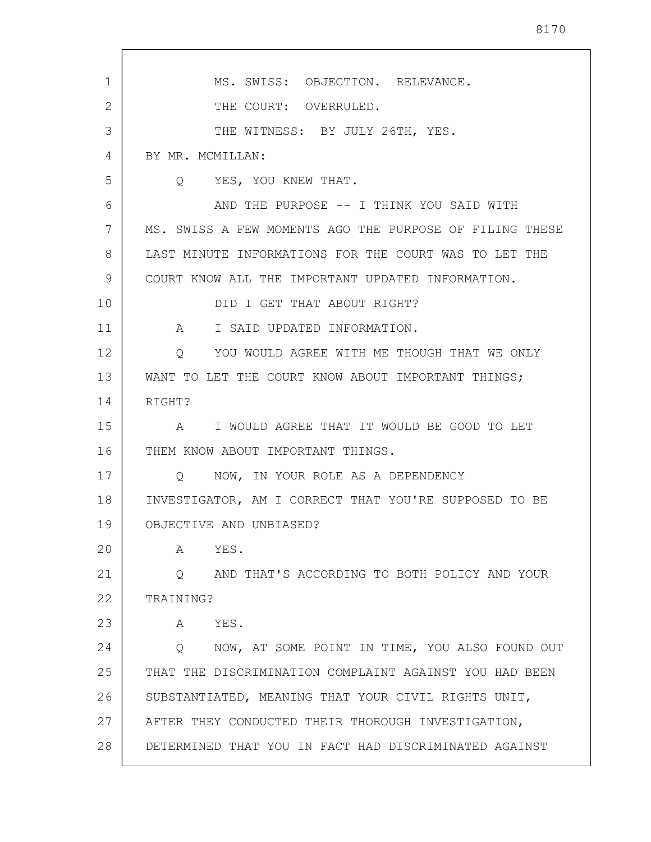1 2 3 4 5 6 7 8 9 10 11 12 13 14 15 16 17 18 19 20 21 22 23 24 25 26 27 28 MS. SWISS: OBJECTION. RELEVANCE. THE COURT: OVERRULED. THE WITNESS: BY JULY 26TH, YES. BY MR. MCMILLAN: Q YES, YOU KNEW THAT. AND THE PURPOSE -- I THINK YOU SAID WITH MS. SWISS A FEW MOMENTS AGO THE PURPOSE OF FILING THESE LAST MINUTE INFORMATIONS FOR THE COURT WAS TO LET THE COURT KNOW ALL THE IMPORTANT UPDATED INFORMATION. DID I GET THAT ABOUT RIGHT? A I SAID UPDATED INFORMATION. Q YOU WOULD AGREE WITH ME THOUGH THAT WE ONLY WANT TO LET THE COURT KNOW ABOUT IMPORTANT THINGS: RIGHT? A I WOULD AGREE THAT IT WOULD BE GOOD TO LET THEM KNOW ABOUT IMPORTANT THINGS. Q NOW, IN YOUR ROLE AS A DEPENDENCY INVESTIGATOR, AM I CORRECT THAT YOU'RE SUPPOSED TO BE OBJECTIVE AND UNBIASED? A YES. Q AND THAT'S ACCORDING TO BOTH POLICY AND YOUR TRAINING? A YES. Q NOW, AT SOME POINT IN TIME, YOU ALSO FOUND OUT THAT THE DISCRIMINATION COMPLAINT AGAINST YOU HAD BEEN SUBSTANTIATED, MEANING THAT YOUR CIVIL RIGHTS UNIT, AFTER THEY CONDUCTED THEIR THOROUGH INVESTIGATION, DETERMINED THAT YOU IN FACT HAD DISCRIMINATED AGAINST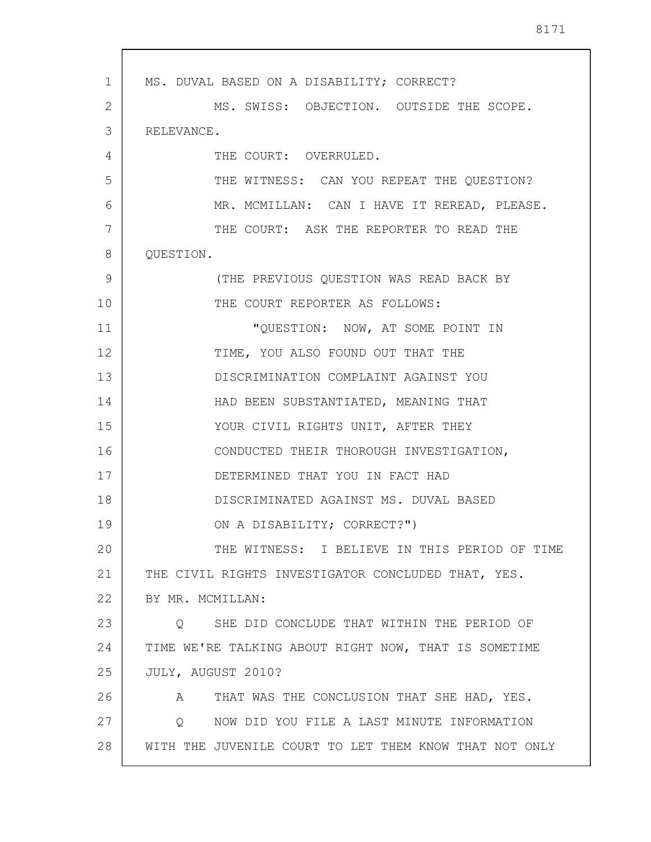1 2 3 4 5 6 7 8 9 10 11 12 13 14 15 16 17 18 19 20 21 22 23 24 25 26 27 28 MS. DUVAL BASED ON A DISABILITY; CORRECT? MS. SWISS: OBJECTION. OUTSIDE THE SCOPE. RELEVANCE. THE COURT: OVERRULED. THE WITNESS: CAN YOU REPEAT THE QUESTION? MR. MCMILLAN: CAN I HAVE IT REREAD, PLEASE. THE COURT: ASK THE REPORTER TO READ THE QUESTION. (THE PREVIOUS QUESTION WAS READ BACK BY THE COURT REPORTER AS FOLLOWS: "QUESTION: NOW, AT SOME POINT IN TIME, YOU ALSO FOUND OUT THAT THE DISCRIMINATION COMPLAINT AGAINST YOU HAD BEEN SUBSTANTIATED, MEANING THAT YOUR CIVIL RIGHTS UNIT, AFTER THEY CONDUCTED THEIR THOROUGH INVESTIGATION, DETERMINED THAT YOU IN FACT HAD DISCRIMINATED AGAINST MS. DUVAL BASED ON A DISABILITY; CORRECT?") THE WITNESS: I BELIEVE IN THIS PERIOD OF TIME THE CIVIL RIGHTS INVESTIGATOR CONCLUDED THAT, YES. BY MR. MCMILLAN: Q SHE DID CONCLUDE THAT WITHIN THE PERIOD OF TIME WE'RE TALKING ABOUT RIGHT NOW, THAT IS SOMETIME JULY, AUGUST 2010? A THAT WAS THE CONCLUSION THAT SHE HAD, YES. Q NOW DID YOU FILE A LAST MINUTE INFORMATION WITH THE JUVENILE COURT TO LET THEM KNOW THAT NOT ONLY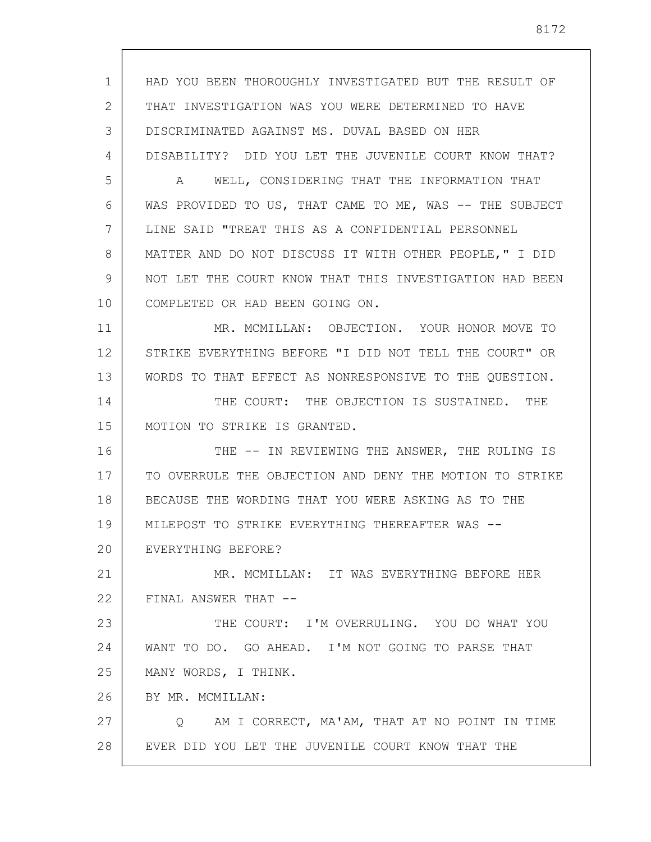1 2 3 4 5 6 7 8 9 10 11 12 13 14 15 16 17 18 19 20 21 22 23 24 25 26 27 28 HAD YOU BEEN THOROUGHLY INVESTIGATED BUT THE RESULT OF THAT INVESTIGATION WAS YOU WERE DETERMINED TO HAVE DISCRIMINATED AGAINST MS. DUVAL BASED ON HER DISABILITY? DID YOU LET THE JUVENILE COURT KNOW THAT? A WELL, CONSIDERING THAT THE INFORMATION THAT WAS PROVIDED TO US, THAT CAME TO ME, WAS -- THE SUBJECT LINE SAID "TREAT THIS AS A CONFIDENTIAL PERSONNEL MATTER AND DO NOT DISCUSS IT WITH OTHER PEOPLE," I DID NOT LET THE COURT KNOW THAT THIS INVESTIGATION HAD BEEN COMPLETED OR HAD BEEN GOING ON. MR. MCMILLAN: OBJECTION. YOUR HONOR MOVE TO STRIKE EVERYTHING BEFORE "I DID NOT TELL THE COURT" OR WORDS TO THAT EFFECT AS NONRESPONSIVE TO THE QUESTION. THE COURT: THE OBJECTION IS SUSTAINED. THE MOTION TO STRIKE IS GRANTED. THE -- IN REVIEWING THE ANSWER, THE RULING IS TO OVERRULE THE OBJECTION AND DENY THE MOTION TO STRIKE BECAUSE THE WORDING THAT YOU WERE ASKING AS TO THE MILEPOST TO STRIKE EVERYTHING THEREAFTER WAS -- EVERYTHING BEFORE? MR. MCMILLAN: IT WAS EVERYTHING BEFORE HER FINAL ANSWER THAT -- THE COURT: I'M OVERRULING. YOU DO WHAT YOU WANT TO DO. GO AHEAD. I'M NOT GOING TO PARSE THAT MANY WORDS, I THINK. BY MR. MCMILLAN: Q AM I CORRECT, MA'AM, THAT AT NO POINT IN TIME EVER DID YOU LET THE JUVENILE COURT KNOW THAT THE

8172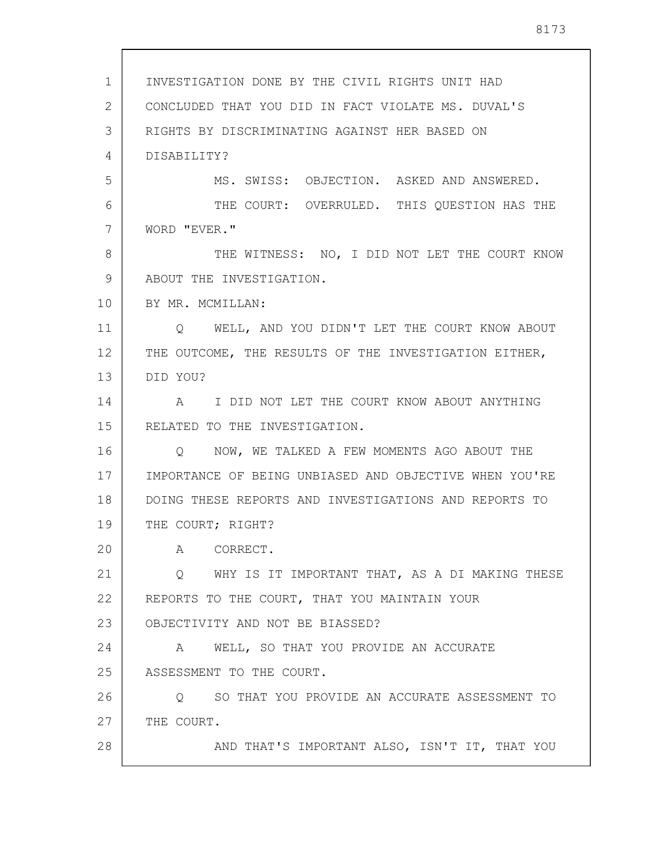1 2 3 4 5 6 7 8 9 10 11 12 13 14 15 16 17 18 19 20 21 22 23 24 25 26 27 28 INVESTIGATION DONE BY THE CIVIL RIGHTS UNIT HAD CONCLUDED THAT YOU DID IN FACT VIOLATE MS. DUVAL'S RIGHTS BY DISCRIMINATING AGAINST HER BASED ON DISABILITY? MS. SWISS: OBJECTION. ASKED AND ANSWERED. THE COURT: OVERRULED. THIS QUESTION HAS THE WORD "EVER." THE WITNESS: NO, I DID NOT LET THE COURT KNOW ABOUT THE INVESTIGATION. BY MR. MCMILLAN: Q WELL, AND YOU DIDN'T LET THE COURT KNOW ABOUT THE OUTCOME, THE RESULTS OF THE INVESTIGATION EITHER, DID YOU? A I DID NOT LET THE COURT KNOW ABOUT ANYTHING RELATED TO THE INVESTIGATION. Q NOW, WE TALKED A FEW MOMENTS AGO ABOUT THE IMPORTANCE OF BEING UNBIASED AND OBJECTIVE WHEN YOU'RE DOING THESE REPORTS AND INVESTIGATIONS AND REPORTS TO THE COURT; RIGHT? A CORRECT. Q WHY IS IT IMPORTANT THAT, AS A DI MAKING THESE REPORTS TO THE COURT, THAT YOU MAINTAIN YOUR OBJECTIVITY AND NOT BE BIASSED? A WELL, SO THAT YOU PROVIDE AN ACCURATE ASSESSMENT TO THE COURT. Q SO THAT YOU PROVIDE AN ACCURATE ASSESSMENT TO THE COURT. AND THAT'S IMPORTANT ALSO, ISN'T IT, THAT YOU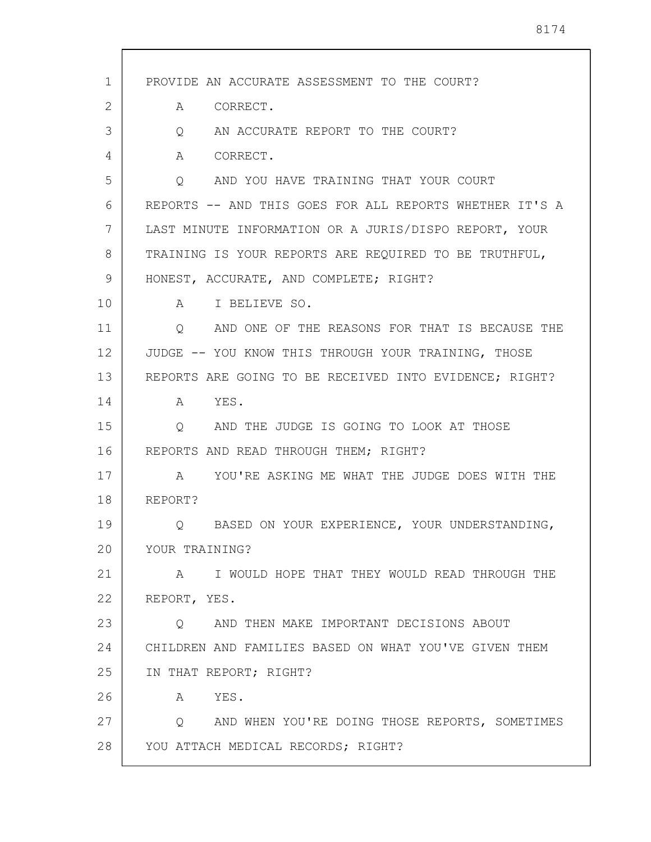| 1<br>PROVIDE AN ACCURATE ASSESSMENT TO THE COURT?<br>2<br>CORRECT.<br>A<br>3<br>AN ACCURATE REPORT TO THE COURT?<br>Q<br>CORRECT.<br>4<br>A<br>5<br>AND YOU HAVE TRAINING THAT YOUR COURT<br>Q<br>6<br>REPORTS -- AND THIS GOES FOR ALL REPORTS WHETHER IT'S A<br>7<br>LAST MINUTE INFORMATION OR A JURIS/DISPO REPORT, YOUR<br>8<br>TRAINING IS YOUR REPORTS ARE REQUIRED TO BE TRUTHFUL,<br>9<br>HONEST, ACCURATE, AND COMPLETE; RIGHT?<br>10<br>I BELIEVE SO.<br>$A \quad \alpha$<br>11<br>AND ONE OF THE REASONS FOR THAT IS BECAUSE THE<br>Q<br>12<br>JUDGE -- YOU KNOW THIS THROUGH YOUR TRAINING, THOSE<br>13<br>REPORTS ARE GOING TO BE RECEIVED INTO EVIDENCE; RIGHT?<br>14<br>YES.<br>$\mathbb A$<br>15<br>AND THE JUDGE IS GOING TO LOOK AT THOSE<br>Q<br>16<br>REPORTS AND READ THROUGH THEM; RIGHT?<br>17<br>YOU'RE ASKING ME WHAT THE JUDGE DOES WITH THE<br>A<br>18<br>REPORT?<br>19<br>BASED ON YOUR EXPERIENCE, YOUR UNDERSTANDING,<br>20<br>YOUR TRAINING?<br>21<br>I WOULD HOPE THAT THEY WOULD READ THROUGH THE<br>A<br>22<br>REPORT, YES.<br>23<br>Q AND THEN MAKE IMPORTANT DECISIONS ABOUT<br>24<br>CHILDREN AND FAMILIES BASED ON WHAT YOU'VE GIVEN THEM<br>25<br>IN THAT REPORT; RIGHT?<br>26<br>YES.<br>A<br>27<br>Q AND WHEN YOU'RE DOING THOSE REPORTS, SOMETIMES<br>28<br>YOU ATTACH MEDICAL RECORDS; RIGHT? |  |
|-------------------------------------------------------------------------------------------------------------------------------------------------------------------------------------------------------------------------------------------------------------------------------------------------------------------------------------------------------------------------------------------------------------------------------------------------------------------------------------------------------------------------------------------------------------------------------------------------------------------------------------------------------------------------------------------------------------------------------------------------------------------------------------------------------------------------------------------------------------------------------------------------------------------------------------------------------------------------------------------------------------------------------------------------------------------------------------------------------------------------------------------------------------------------------------------------------------------------------------------------------------------------------------------------------------------------------------------|--|
|                                                                                                                                                                                                                                                                                                                                                                                                                                                                                                                                                                                                                                                                                                                                                                                                                                                                                                                                                                                                                                                                                                                                                                                                                                                                                                                                           |  |
|                                                                                                                                                                                                                                                                                                                                                                                                                                                                                                                                                                                                                                                                                                                                                                                                                                                                                                                                                                                                                                                                                                                                                                                                                                                                                                                                           |  |
|                                                                                                                                                                                                                                                                                                                                                                                                                                                                                                                                                                                                                                                                                                                                                                                                                                                                                                                                                                                                                                                                                                                                                                                                                                                                                                                                           |  |
|                                                                                                                                                                                                                                                                                                                                                                                                                                                                                                                                                                                                                                                                                                                                                                                                                                                                                                                                                                                                                                                                                                                                                                                                                                                                                                                                           |  |
|                                                                                                                                                                                                                                                                                                                                                                                                                                                                                                                                                                                                                                                                                                                                                                                                                                                                                                                                                                                                                                                                                                                                                                                                                                                                                                                                           |  |
|                                                                                                                                                                                                                                                                                                                                                                                                                                                                                                                                                                                                                                                                                                                                                                                                                                                                                                                                                                                                                                                                                                                                                                                                                                                                                                                                           |  |
|                                                                                                                                                                                                                                                                                                                                                                                                                                                                                                                                                                                                                                                                                                                                                                                                                                                                                                                                                                                                                                                                                                                                                                                                                                                                                                                                           |  |
|                                                                                                                                                                                                                                                                                                                                                                                                                                                                                                                                                                                                                                                                                                                                                                                                                                                                                                                                                                                                                                                                                                                                                                                                                                                                                                                                           |  |
|                                                                                                                                                                                                                                                                                                                                                                                                                                                                                                                                                                                                                                                                                                                                                                                                                                                                                                                                                                                                                                                                                                                                                                                                                                                                                                                                           |  |
|                                                                                                                                                                                                                                                                                                                                                                                                                                                                                                                                                                                                                                                                                                                                                                                                                                                                                                                                                                                                                                                                                                                                                                                                                                                                                                                                           |  |
|                                                                                                                                                                                                                                                                                                                                                                                                                                                                                                                                                                                                                                                                                                                                                                                                                                                                                                                                                                                                                                                                                                                                                                                                                                                                                                                                           |  |
|                                                                                                                                                                                                                                                                                                                                                                                                                                                                                                                                                                                                                                                                                                                                                                                                                                                                                                                                                                                                                                                                                                                                                                                                                                                                                                                                           |  |
|                                                                                                                                                                                                                                                                                                                                                                                                                                                                                                                                                                                                                                                                                                                                                                                                                                                                                                                                                                                                                                                                                                                                                                                                                                                                                                                                           |  |
|                                                                                                                                                                                                                                                                                                                                                                                                                                                                                                                                                                                                                                                                                                                                                                                                                                                                                                                                                                                                                                                                                                                                                                                                                                                                                                                                           |  |
|                                                                                                                                                                                                                                                                                                                                                                                                                                                                                                                                                                                                                                                                                                                                                                                                                                                                                                                                                                                                                                                                                                                                                                                                                                                                                                                                           |  |
|                                                                                                                                                                                                                                                                                                                                                                                                                                                                                                                                                                                                                                                                                                                                                                                                                                                                                                                                                                                                                                                                                                                                                                                                                                                                                                                                           |  |
|                                                                                                                                                                                                                                                                                                                                                                                                                                                                                                                                                                                                                                                                                                                                                                                                                                                                                                                                                                                                                                                                                                                                                                                                                                                                                                                                           |  |
|                                                                                                                                                                                                                                                                                                                                                                                                                                                                                                                                                                                                                                                                                                                                                                                                                                                                                                                                                                                                                                                                                                                                                                                                                                                                                                                                           |  |
|                                                                                                                                                                                                                                                                                                                                                                                                                                                                                                                                                                                                                                                                                                                                                                                                                                                                                                                                                                                                                                                                                                                                                                                                                                                                                                                                           |  |
|                                                                                                                                                                                                                                                                                                                                                                                                                                                                                                                                                                                                                                                                                                                                                                                                                                                                                                                                                                                                                                                                                                                                                                                                                                                                                                                                           |  |
|                                                                                                                                                                                                                                                                                                                                                                                                                                                                                                                                                                                                                                                                                                                                                                                                                                                                                                                                                                                                                                                                                                                                                                                                                                                                                                                                           |  |
|                                                                                                                                                                                                                                                                                                                                                                                                                                                                                                                                                                                                                                                                                                                                                                                                                                                                                                                                                                                                                                                                                                                                                                                                                                                                                                                                           |  |
|                                                                                                                                                                                                                                                                                                                                                                                                                                                                                                                                                                                                                                                                                                                                                                                                                                                                                                                                                                                                                                                                                                                                                                                                                                                                                                                                           |  |
|                                                                                                                                                                                                                                                                                                                                                                                                                                                                                                                                                                                                                                                                                                                                                                                                                                                                                                                                                                                                                                                                                                                                                                                                                                                                                                                                           |  |
|                                                                                                                                                                                                                                                                                                                                                                                                                                                                                                                                                                                                                                                                                                                                                                                                                                                                                                                                                                                                                                                                                                                                                                                                                                                                                                                                           |  |
|                                                                                                                                                                                                                                                                                                                                                                                                                                                                                                                                                                                                                                                                                                                                                                                                                                                                                                                                                                                                                                                                                                                                                                                                                                                                                                                                           |  |
|                                                                                                                                                                                                                                                                                                                                                                                                                                                                                                                                                                                                                                                                                                                                                                                                                                                                                                                                                                                                                                                                                                                                                                                                                                                                                                                                           |  |
|                                                                                                                                                                                                                                                                                                                                                                                                                                                                                                                                                                                                                                                                                                                                                                                                                                                                                                                                                                                                                                                                                                                                                                                                                                                                                                                                           |  |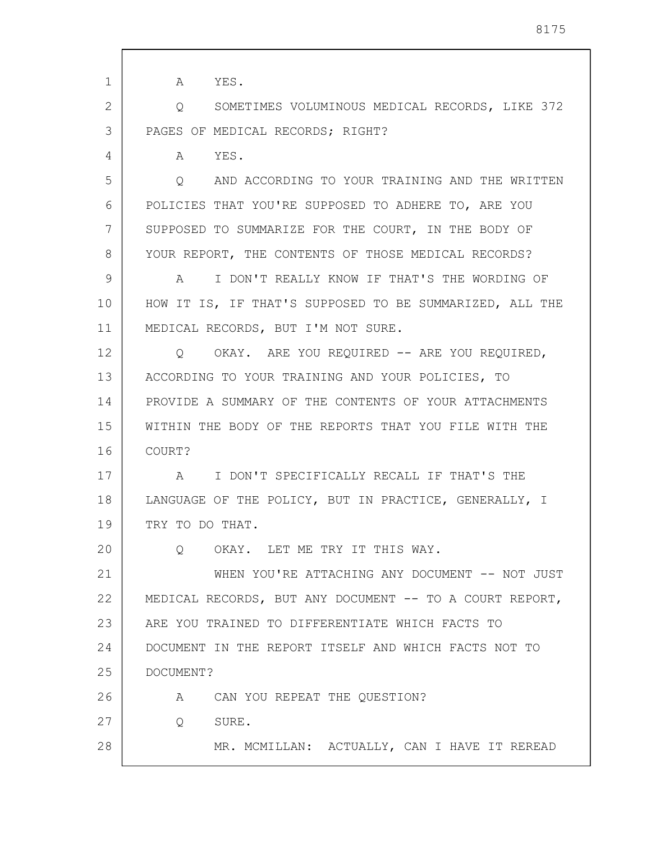| $\mathbf{1}$ | YES.<br>A                                                 |
|--------------|-----------------------------------------------------------|
| 2            | SOMETIMES VOLUMINOUS MEDICAL RECORDS, LIKE 372<br>Q       |
| 3            | PAGES OF MEDICAL RECORDS; RIGHT?                          |
| 4            | YES.<br>A                                                 |
| 5            | AND ACCORDING TO YOUR TRAINING AND THE WRITTEN<br>$\circ$ |
| 6            | POLICIES THAT YOU'RE SUPPOSED TO ADHERE TO, ARE YOU       |
| 7            | SUPPOSED TO SUMMARIZE FOR THE COURT, IN THE BODY OF       |
| 8            | YOUR REPORT, THE CONTENTS OF THOSE MEDICAL RECORDS?       |
| 9            | I DON'T REALLY KNOW IF THAT'S THE WORDING OF<br>A         |
| 10           | HOW IT IS, IF THAT'S SUPPOSED TO BE SUMMARIZED, ALL THE   |
| 11           | MEDICAL RECORDS, BUT I'M NOT SURE.                        |
| 12           | Q OKAY. ARE YOU REQUIRED -- ARE YOU REQUIRED,             |
| 13           | ACCORDING TO YOUR TRAINING AND YOUR POLICIES, TO          |
| 14           | PROVIDE A SUMMARY OF THE CONTENTS OF YOUR ATTACHMENTS     |
| 15           | WITHIN THE BODY OF THE REPORTS THAT YOU FILE WITH THE     |
| 16           | COURT?                                                    |
| 17           | I DON'T SPECIFICALLY RECALL IF THAT'S THE<br>A            |
| 18           | LANGUAGE OF THE POLICY, BUT IN PRACTICE, GENERALLY, I     |
| 19           | TRY TO DO THAT.                                           |
| 20           | OKAY. LET ME TRY IT THIS WAY.<br>$\circ$                  |
| 21           | WHEN YOU'RE ATTACHING ANY DOCUMENT -- NOT JUST            |
| 22           | MEDICAL RECORDS, BUT ANY DOCUMENT -- TO A COURT REPORT,   |
| 23           | ARE YOU TRAINED TO DIFFERENTIATE WHICH FACTS TO           |
| 24           | DOCUMENT IN THE REPORT ITSELF AND WHICH FACTS NOT TO      |
| 25           | DOCUMENT?                                                 |
| 26           | A CAN YOU REPEAT THE QUESTION?                            |
| 27           | $\overline{Q}$<br>SURE.                                   |
| 28           | MR. MCMILLAN: ACTUALLY, CAN I HAVE IT REREAD              |
|              |                                                           |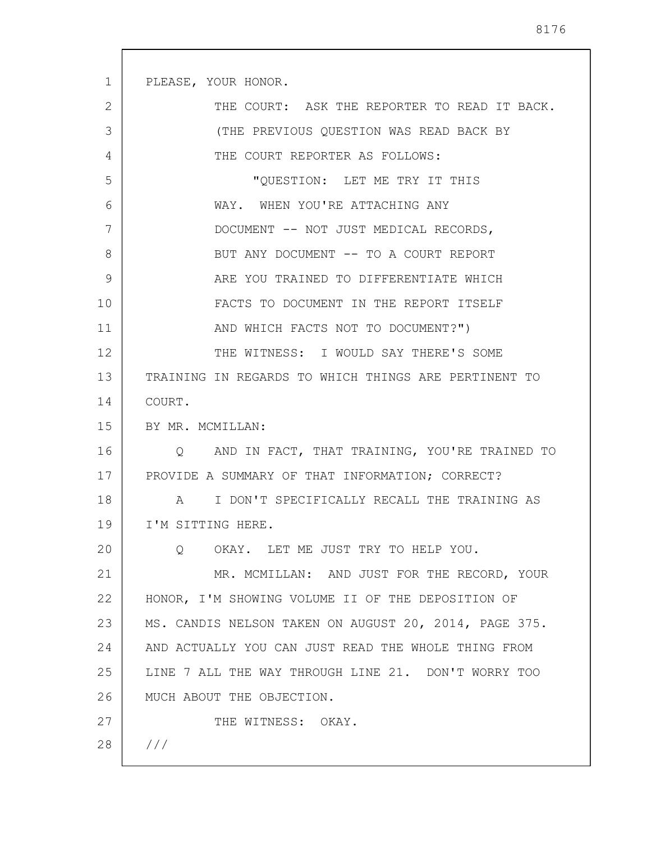| 1  | PLEASE, YOUR HONOR.                                   |
|----|-------------------------------------------------------|
| 2  | THE COURT: ASK THE REPORTER TO READ IT BACK.          |
| 3  | (THE PREVIOUS QUESTION WAS READ BACK BY               |
| 4  | THE COURT REPORTER AS FOLLOWS:                        |
| 5  | "QUESTION: LET ME TRY IT THIS                         |
| 6  | WAY. WHEN YOU'RE ATTACHING ANY                        |
| 7  | DOCUMENT -- NOT JUST MEDICAL RECORDS,                 |
| 8  | BUT ANY DOCUMENT -- TO A COURT REPORT                 |
| 9  | ARE YOU TRAINED TO DIFFERENTIATE WHICH                |
| 10 | FACTS TO DOCUMENT IN THE REPORT ITSELF                |
| 11 | AND WHICH FACTS NOT TO DOCUMENT?")                    |
| 12 | THE WITNESS: I WOULD SAY THERE'S SOME                 |
| 13 | TRAINING IN REGARDS TO WHICH THINGS ARE PERTINENT TO  |
| 14 | COURT.                                                |
| 15 | BY MR. MCMILLAN:                                      |
| 16 | Q AND IN FACT, THAT TRAINING, YOU'RE TRAINED TO       |
| 17 | PROVIDE A SUMMARY OF THAT INFORMATION; CORRECT?       |
| 18 | A I DON'T SPECIFICALLY RECALL THE TRAINING AS         |
| 19 | I'M SITTING HERE.                                     |
| 20 | OKAY. LET ME JUST TRY TO HELP YOU.<br>$Q_{\cdot}$     |
| 21 | MR. MCMILLAN: AND JUST FOR THE RECORD, YOUR           |
| 22 | HONOR, I'M SHOWING VOLUME II OF THE DEPOSITION OF     |
| 23 | MS. CANDIS NELSON TAKEN ON AUGUST 20, 2014, PAGE 375. |
| 24 | AND ACTUALLY YOU CAN JUST READ THE WHOLE THING FROM   |
| 25 | LINE 7 ALL THE WAY THROUGH LINE 21. DON'T WORRY TOO   |
| 26 | MUCH ABOUT THE OBJECTION.                             |
| 27 | THE WITNESS: OKAY.                                    |
| 28 | 111                                                   |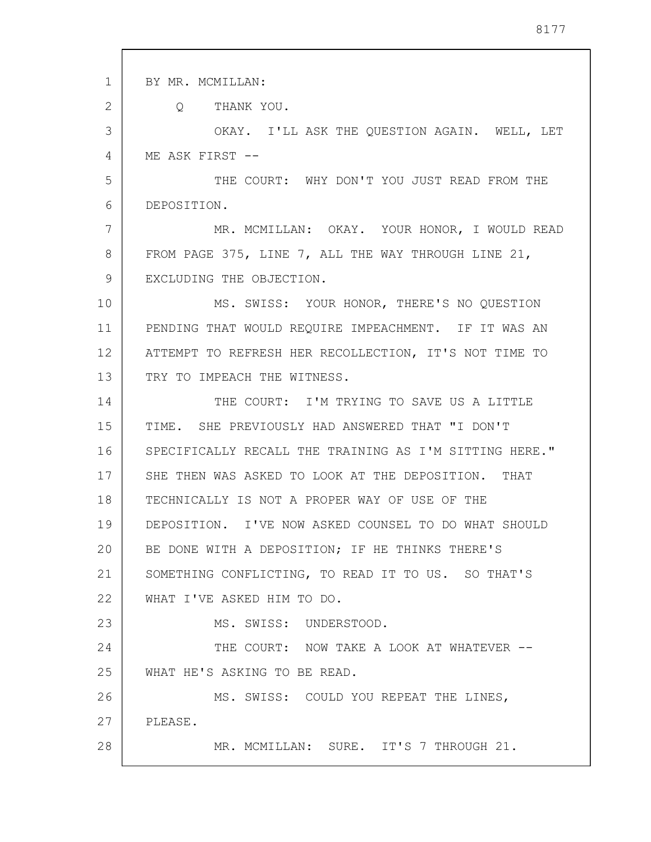1 2 3 4 5 6 7 8 9 10 11 12 13 14 15 16 17 18 19 20 21 22 23 24 25 26 27 28 BY MR. MCMILLAN: Q THANK YOU. OKAY. I'LL ASK THE QUESTION AGAIN. WELL, LET ME ASK FIRST -- THE COURT: WHY DON'T YOU JUST READ FROM THE DEPOSITION. MR. MCMILLAN: OKAY. YOUR HONOR, I WOULD READ FROM PAGE 375, LINE 7, ALL THE WAY THROUGH LINE 21, EXCLUDING THE OBJECTION. MS. SWISS: YOUR HONOR, THERE'S NO QUESTION PENDING THAT WOULD REQUIRE IMPEACHMENT. IF IT WAS AN ATTEMPT TO REFRESH HER RECOLLECTION, IT'S NOT TIME TO TRY TO IMPEACH THE WITNESS. THE COURT: I'M TRYING TO SAVE US A LITTLE TIME. SHE PREVIOUSLY HAD ANSWERED THAT "I DON'T SPECIFICALLY RECALL THE TRAINING AS I'M SITTING HERE." SHE THEN WAS ASKED TO LOOK AT THE DEPOSITION. THAT TECHNICALLY IS NOT A PROPER WAY OF USE OF THE DEPOSITION. I'VE NOW ASKED COUNSEL TO DO WHAT SHOULD BE DONE WITH A DEPOSITION; IF HE THINKS THERE'S SOMETHING CONFLICTING, TO READ IT TO US. SO THAT'S WHAT I'VE ASKED HIM TO DO. MS. SWISS: UNDERSTOOD. THE COURT: NOW TAKE A LOOK AT WHATEVER --WHAT HE'S ASKING TO BE READ. MS. SWISS: COULD YOU REPEAT THE LINES, PLEASE. MR. MCMILLAN: SURE. IT'S 7 THROUGH 21.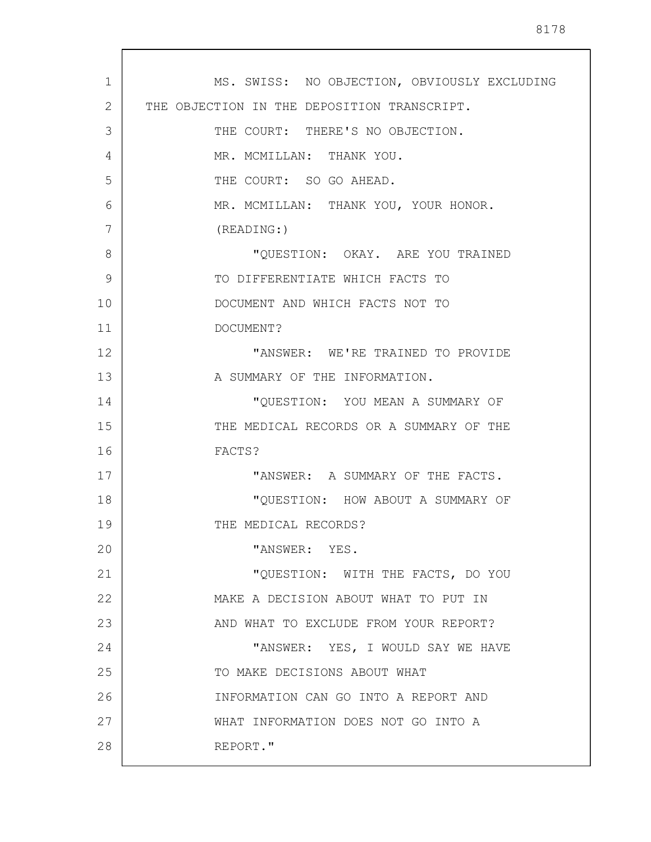| MS. SWISS: NO OBJECTION, OBVIOUSLY EXCLUDING |
|----------------------------------------------|
| THE OBJECTION IN THE DEPOSITION TRANSCRIPT.  |
| THE COURT: THERE'S NO OBJECTION.             |
| MR. MCMILLAN: THANK YOU.                     |
| THE COURT: SO GO AHEAD.                      |
| MR. MCMILLAN: THANK YOU, YOUR HONOR.         |
| (READING: )                                  |
| "QUESTION: OKAY. ARE YOU TRAINED             |
| TO DIFFERENTIATE WHICH FACTS TO              |
| DOCUMENT AND WHICH FACTS NOT TO              |
| DOCUMENT?                                    |
| "ANSWER: WE'RE TRAINED TO PROVIDE            |
| A SUMMARY OF THE INFORMATION.                |
| "QUESTION: YOU MEAN A SUMMARY OF             |
| THE MEDICAL RECORDS OR A SUMMARY OF THE      |
| FACTS?                                       |
| "ANSWER: A SUMMARY OF THE FACTS.             |
| "QUESTION: HOW ABOUT A SUMMARY OF            |
| THE MEDICAL RECORDS?                         |
| "ANSWER: YES.                                |
| "QUESTION: WITH THE FACTS, DO YOU            |
| MAKE A DECISION ABOUT WHAT TO PUT IN         |
| AND WHAT TO EXCLUDE FROM YOUR REPORT?        |
| "ANSWER: YES, I WOULD SAY WE HAVE            |
| TO MAKE DECISIONS ABOUT WHAT                 |
| INFORMATION CAN GO INTO A REPORT AND         |
| WHAT INFORMATION DOES NOT GO INTO A          |
| REPORT."                                     |
|                                              |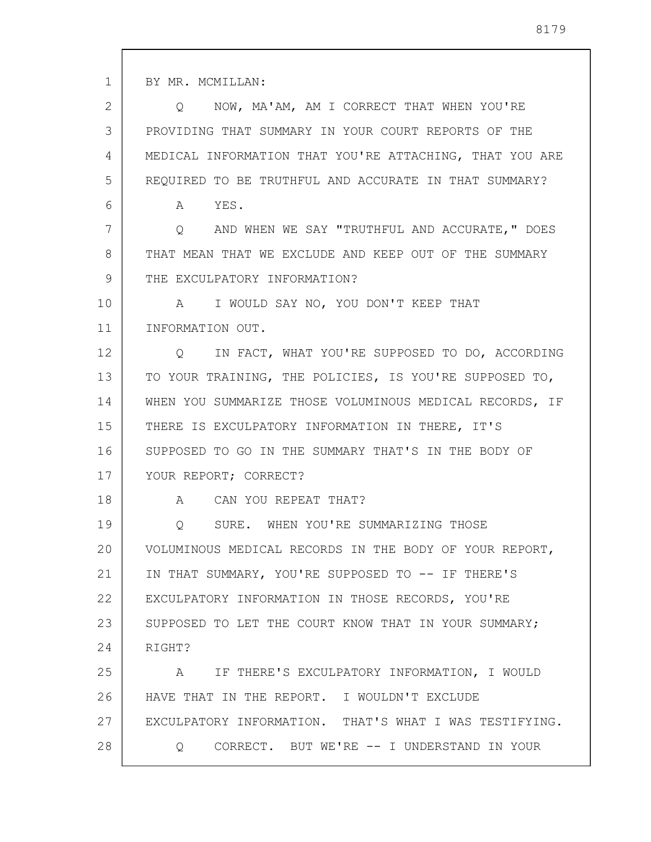1

2 3 4 5 6 7 8 9 10 11 12 13 14 15 16 17 18 19 20 21 22 23 24 25 26 27 28 Q NOW, MA'AM, AM I CORRECT THAT WHEN YOU'RE PROVIDING THAT SUMMARY IN YOUR COURT REPORTS OF THE MEDICAL INFORMATION THAT YOU'RE ATTACHING, THAT YOU ARE REQUIRED TO BE TRUTHFUL AND ACCURATE IN THAT SUMMARY? A YES. Q AND WHEN WE SAY "TRUTHFUL AND ACCURATE," DOES THAT MEAN THAT WE EXCLUDE AND KEEP OUT OF THE SUMMARY THE EXCULPATORY INFORMATION? A I WOULD SAY NO, YOU DON'T KEEP THAT INFORMATION OUT. Q IN FACT, WHAT YOU'RE SUPPOSED TO DO, ACCORDING TO YOUR TRAINING, THE POLICIES, IS YOU'RE SUPPOSED TO, WHEN YOU SUMMARIZE THOSE VOLUMINOUS MEDICAL RECORDS, IF THERE IS EXCULPATORY INFORMATION IN THERE, IT'S SUPPOSED TO GO IN THE SUMMARY THAT'S IN THE BODY OF YOUR REPORT; CORRECT? A CAN YOU REPEAT THAT? Q SURE. WHEN YOU'RE SUMMARIZING THOSE VOLUMINOUS MEDICAL RECORDS IN THE BODY OF YOUR REPORT, IN THAT SUMMARY, YOU'RE SUPPOSED TO -- IF THERE'S EXCULPATORY INFORMATION IN THOSE RECORDS, YOU'RE SUPPOSED TO LET THE COURT KNOW THAT IN YOUR SUMMARY; RIGHT? A IF THERE'S EXCULPATORY INFORMATION, I WOULD HAVE THAT IN THE REPORT. I WOULDN'T EXCLUDE EXCULPATORY INFORMATION. THAT'S WHAT I WAS TESTIFYING. Q CORRECT. BUT WE'RE -- I UNDERSTAND IN YOUR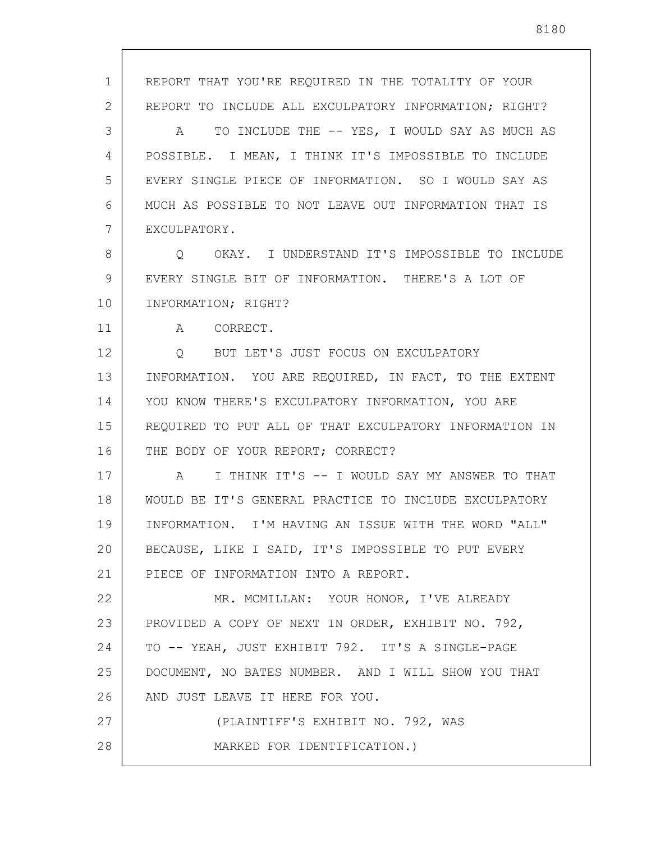1 2 3 4 5 6 7 8 9 10 11 12 13 14 15 16 17 18 19 20 21 22 23 24 25 26 27 28 REPORT THAT YOU'RE REQUIRED IN THE TOTALITY OF YOUR REPORT TO INCLUDE ALL EXCULPATORY INFORMATION; RIGHT? A TO INCLUDE THE -- YES, I WOULD SAY AS MUCH AS POSSIBLE. I MEAN, I THINK IT'S IMPOSSIBLE TO INCLUDE EVERY SINGLE PIECE OF INFORMATION. SO I WOULD SAY AS MUCH AS POSSIBLE TO NOT LEAVE OUT INFORMATION THAT IS EXCULPATORY. Q OKAY. I UNDERSTAND IT'S IMPOSSIBLE TO INCLUDE EVERY SINGLE BIT OF INFORMATION. THERE'S A LOT OF INFORMATION; RIGHT? A CORRECT. Q BUT LET'S JUST FOCUS ON EXCULPATORY INFORMATION. YOU ARE REQUIRED, IN FACT, TO THE EXTENT YOU KNOW THERE'S EXCULPATORY INFORMATION, YOU ARE REQUIRED TO PUT ALL OF THAT EXCULPATORY INFORMATION IN THE BODY OF YOUR REPORT; CORRECT? A I THINK IT'S -- I WOULD SAY MY ANSWER TO THAT WOULD BE IT'S GENERAL PRACTICE TO INCLUDE EXCULPATORY INFORMATION. I'M HAVING AN ISSUE WITH THE WORD "ALL" BECAUSE, LIKE I SAID, IT'S IMPOSSIBLE TO PUT EVERY PIECE OF INFORMATION INTO A REPORT. MR. MCMILLAN: YOUR HONOR, I'VE ALREADY PROVIDED A COPY OF NEXT IN ORDER, EXHIBIT NO. 792, TO -- YEAH, JUST EXHIBIT 792. IT'S A SINGLE-PAGE DOCUMENT, NO BATES NUMBER. AND I WILL SHOW YOU THAT AND JUST LEAVE IT HERE FOR YOU. (PLAINTIFF'S EXHIBIT NO. 792, WAS MARKED FOR IDENTIFICATION.)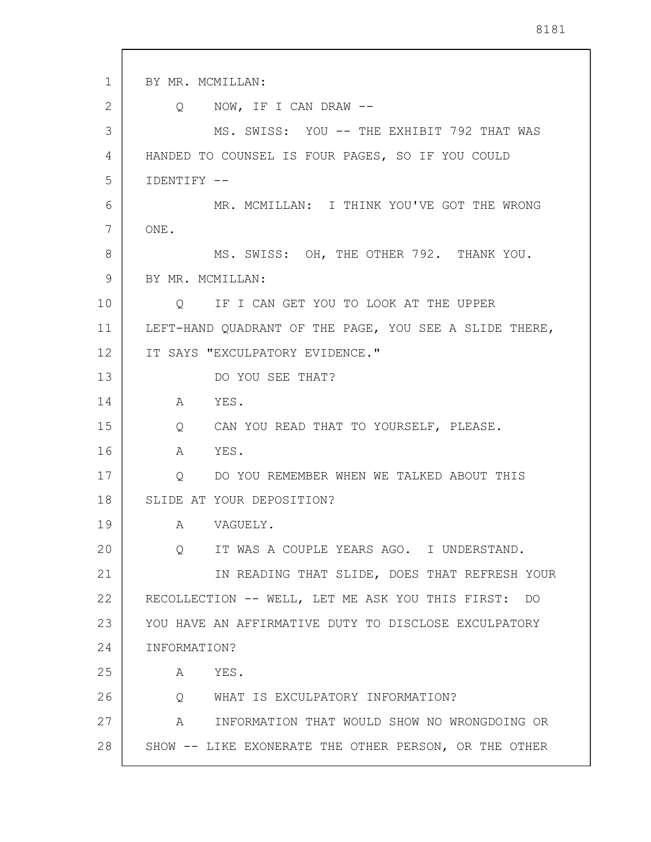1 2 3 4 5 6 7 8 9 10 11 12 13 14 15 16 17 18 19 20 21 22 23 24 25 26 27 28 BY MR. MCMILLAN: Q NOW, IF I CAN DRAW -- MS. SWISS: YOU -- THE EXHIBIT 792 THAT WAS HANDED TO COUNSEL IS FOUR PAGES, SO IF YOU COULD IDENTIFY -- MR. MCMILLAN: I THINK YOU'VE GOT THE WRONG ONE. MS. SWISS: OH, THE OTHER 792. THANK YOU. BY MR. MCMILLAN: Q IF I CAN GET YOU TO LOOK AT THE UPPER LEFT-HAND QUADRANT OF THE PAGE, YOU SEE A SLIDE THERE, IT SAYS "EXCULPATORY EVIDENCE." DO YOU SEE THAT? A YES. Q CAN YOU READ THAT TO YOURSELF, PLEASE. A YES. Q DO YOU REMEMBER WHEN WE TALKED ABOUT THIS SLIDE AT YOUR DEPOSITION? A VAGUELY. Q IT WAS A COUPLE YEARS AGO. I UNDERSTAND. IN READING THAT SLIDE, DOES THAT REFRESH YOUR RECOLLECTION -- WELL, LET ME ASK YOU THIS FIRST: DO YOU HAVE AN AFFIRMATIVE DUTY TO DISCLOSE EXCULPATORY INFORMATION? A YES. Q WHAT IS EXCULPATORY INFORMATION? A INFORMATION THAT WOULD SHOW NO WRONGDOING OR SHOW -- LIKE EXONERATE THE OTHER PERSON, OR THE OTHER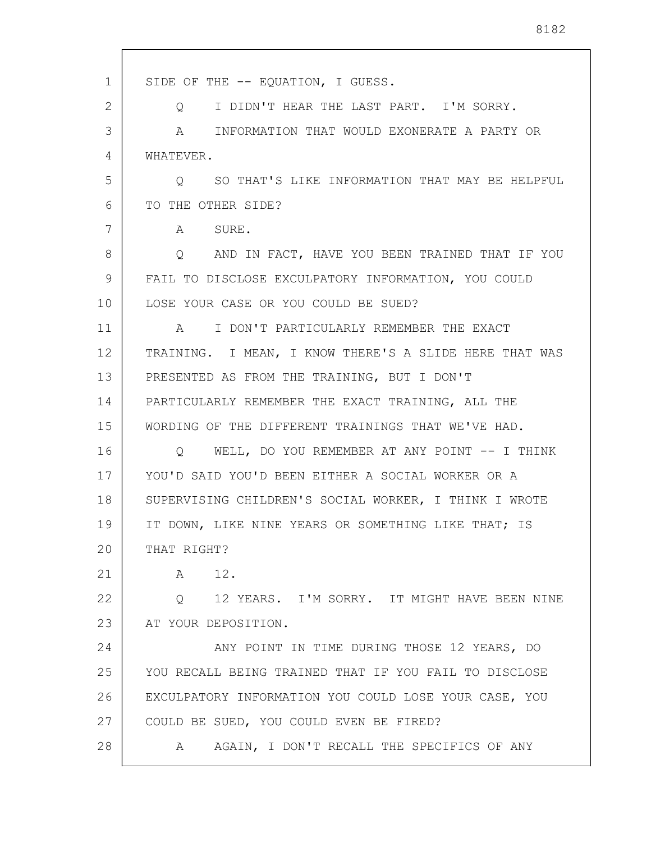| $\mathbf{1}$ | SIDE OF THE -- EQUATION, I GUESS.                      |
|--------------|--------------------------------------------------------|
| 2            | I DIDN'T HEAR THE LAST PART. I'M SORRY.<br>Q           |
| 3            | A INFORMATION THAT WOULD EXONERATE A PARTY OR          |
| 4            | WHATEVER.                                              |
| 5            | SO THAT'S LIKE INFORMATION THAT MAY BE HELPFUL<br>Q    |
| 6            | TO THE OTHER SIDE?                                     |
| 7            | A SURE.                                                |
| 8            | Q AND IN FACT, HAVE YOU BEEN TRAINED THAT IF YOU       |
| 9            | FAIL TO DISCLOSE EXCULPATORY INFORMATION, YOU COULD    |
| 10           | LOSE YOUR CASE OR YOU COULD BE SUED?                   |
| 11           | I DON'T PARTICULARLY REMEMBER THE EXACT<br>A           |
| 12           | TRAINING. I MEAN, I KNOW THERE'S A SLIDE HERE THAT WAS |
| 13           | PRESENTED AS FROM THE TRAINING, BUT I DON'T            |
| 14           | PARTICULARLY REMEMBER THE EXACT TRAINING, ALL THE      |
| 15           | WORDING OF THE DIFFERENT TRAININGS THAT WE'VE HAD.     |
| 16           | WELL, DO YOU REMEMBER AT ANY POINT -- I THINK<br>O     |
| 17           | YOU'D SAID YOU'D BEEN EITHER A SOCIAL WORKER OR A      |
| 18           | SUPERVISING CHILDREN'S SOCIAL WORKER, I THINK I WROTE  |
| 19           | IT DOWN, LIKE NINE YEARS OR SOMETHING LIKE THAT; IS    |
| 20           | THAT RIGHT?                                            |
| 21           | 12.<br>A                                               |
| 22           | 12 YEARS. I'M SORRY. IT MIGHT HAVE BEEN NINE<br>Q      |
| 23           | AT YOUR DEPOSITION.                                    |
| 24           | ANY POINT IN TIME DURING THOSE 12 YEARS, DO            |
| 25           | YOU RECALL BEING TRAINED THAT IF YOU FAIL TO DISCLOSE  |
| 26           | EXCULPATORY INFORMATION YOU COULD LOSE YOUR CASE, YOU  |
| 27           | COULD BE SUED, YOU COULD EVEN BE FIRED?                |
| 28           | AGAIN, I DON'T RECALL THE SPECIFICS OF ANY<br>A        |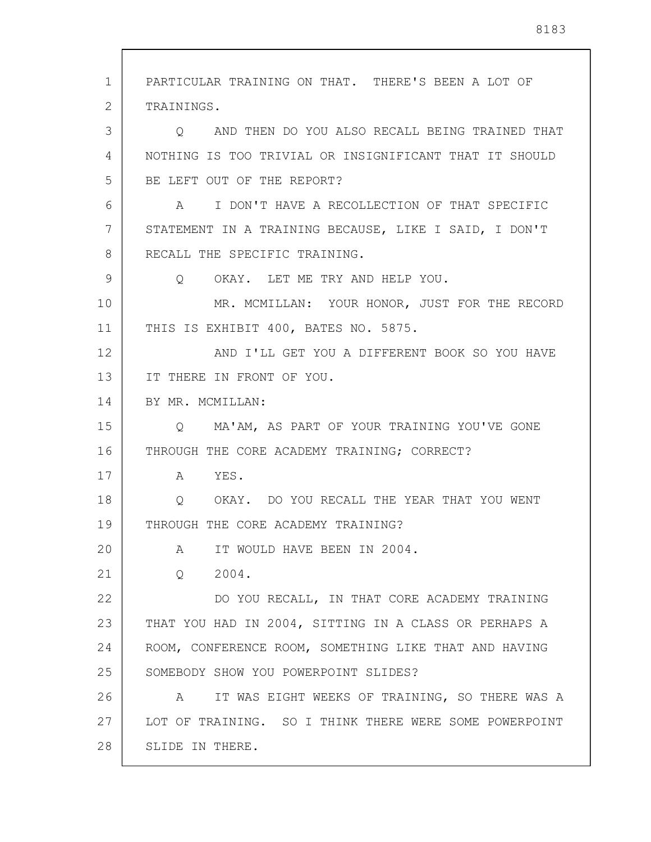1 2 3 4 5 6 7 8 9 10 11 12 13 14 15 16 17 18 19 20 21 22 23 24 25 26 27 28 PARTICULAR TRAINING ON THAT. THERE'S BEEN A LOT OF TRAININGS. Q AND THEN DO YOU ALSO RECALL BEING TRAINED THAT NOTHING IS TOO TRIVIAL OR INSIGNIFICANT THAT IT SHOULD BE LEFT OUT OF THE REPORT? A I DON'T HAVE A RECOLLECTION OF THAT SPECIFIC STATEMENT IN A TRAINING BECAUSE, LIKE I SAID, I DON'T RECALL THE SPECIFIC TRAINING. Q OKAY. LET ME TRY AND HELP YOU. MR. MCMILLAN: YOUR HONOR, JUST FOR THE RECORD THIS IS EXHIBIT 400, BATES NO. 5875. AND I'LL GET YOU A DIFFERENT BOOK SO YOU HAVE IT THERE IN FRONT OF YOU. BY MR. MCMILLAN: Q MA'AM, AS PART OF YOUR TRAINING YOU'VE GONE THROUGH THE CORE ACADEMY TRAINING; CORRECT? A YES. Q OKAY. DO YOU RECALL THE YEAR THAT YOU WENT THROUGH THE CORE ACADEMY TRAINING? A IT WOULD HAVE BEEN IN 2004. Q 2004. DO YOU RECALL, IN THAT CORE ACADEMY TRAINING THAT YOU HAD IN 2004, SITTING IN A CLASS OR PERHAPS A ROOM, CONFERENCE ROOM, SOMETHING LIKE THAT AND HAVING SOMEBODY SHOW YOU POWERPOINT SLIDES? A IT WAS EIGHT WEEKS OF TRAINING, SO THERE WAS A LOT OF TRAINING. SO I THINK THERE WERE SOME POWERPOINT SLIDE IN THERE.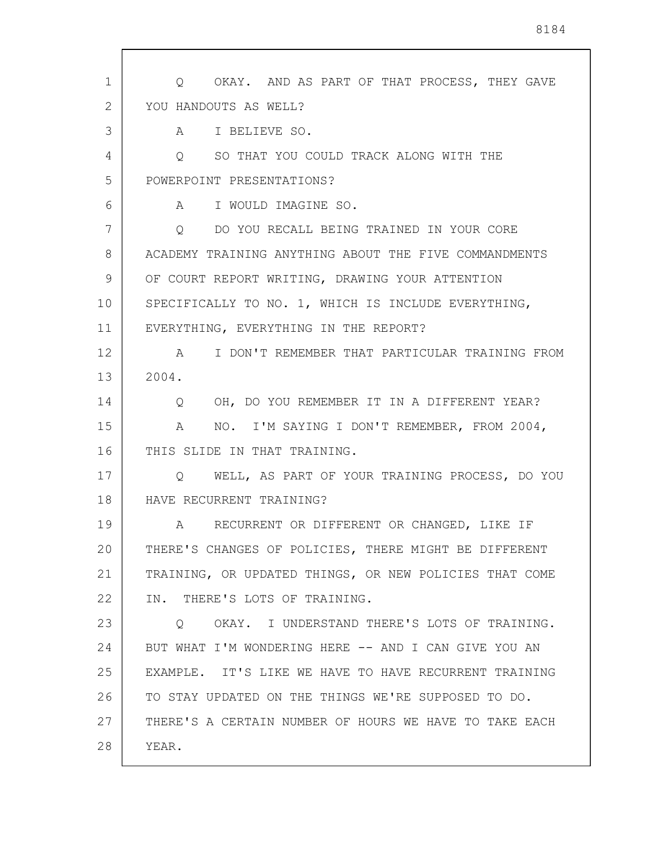1 2 3 4 5 6 7 8 9 10 11 12 13 14 15 16 17 18 19 20 21 22 23 24 25 26 27 28 Q OKAY. AND AS PART OF THAT PROCESS, THEY GAVE YOU HANDOUTS AS WELL? A I BELIEVE SO. Q SO THAT YOU COULD TRACK ALONG WITH THE POWERPOINT PRESENTATIONS? A I WOULD IMAGINE SO. Q DO YOU RECALL BEING TRAINED IN YOUR CORE ACADEMY TRAINING ANYTHING ABOUT THE FIVE COMMANDMENTS OF COURT REPORT WRITING, DRAWING YOUR ATTENTION SPECIFICALLY TO NO. 1, WHICH IS INCLUDE EVERYTHING, EVERYTHING, EVERYTHING IN THE REPORT? A I DON'T REMEMBER THAT PARTICULAR TRAINING FROM 2004. Q OH, DO YOU REMEMBER IT IN A DIFFERENT YEAR? A NO. I'M SAYING I DON'T REMEMBER, FROM 2004, THIS SLIDE IN THAT TRAINING. Q WELL, AS PART OF YOUR TRAINING PROCESS, DO YOU HAVE RECURRENT TRAINING? A RECURRENT OR DIFFERENT OR CHANGED, LIKE IF THERE'S CHANGES OF POLICIES, THERE MIGHT BE DIFFERENT TRAINING, OR UPDATED THINGS, OR NEW POLICIES THAT COME IN. THERE'S LOTS OF TRAINING. Q OKAY. I UNDERSTAND THERE'S LOTS OF TRAINING. BUT WHAT I'M WONDERING HERE -- AND I CAN GIVE YOU AN EXAMPLE. IT'S LIKE WE HAVE TO HAVE RECURRENT TRAINING TO STAY UPDATED ON THE THINGS WE'RE SUPPOSED TO DO. THERE'S A CERTAIN NUMBER OF HOURS WE HAVE TO TAKE EACH YEAR.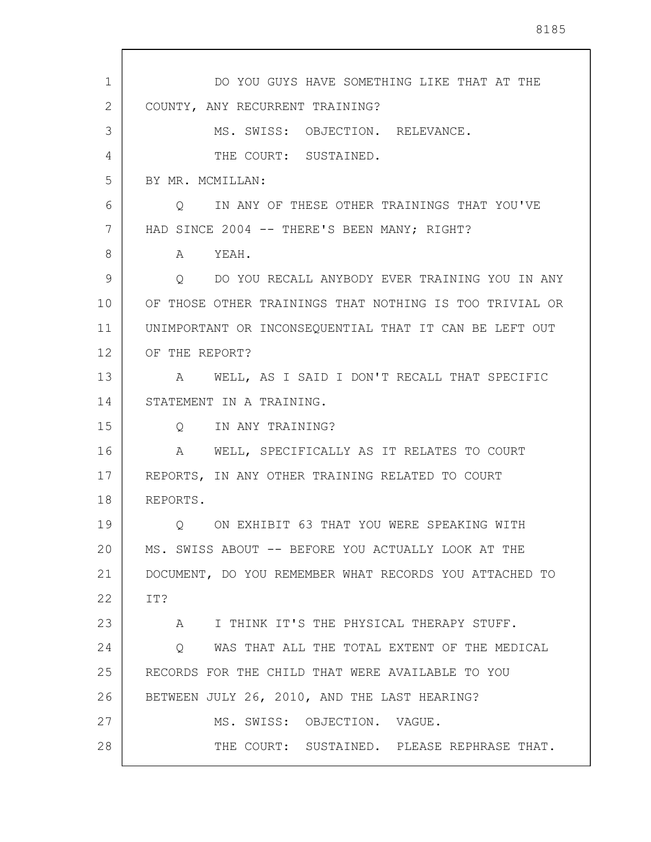| 1  | DO YOU GUYS HAVE SOMETHING LIKE THAT AT THE             |
|----|---------------------------------------------------------|
| 2  | COUNTY, ANY RECURRENT TRAINING?                         |
| 3  | MS. SWISS: OBJECTION. RELEVANCE.                        |
| 4  | THE COURT: SUSTAINED.                                   |
| 5  | BY MR. MCMILLAN:                                        |
| 6  | Q IN ANY OF THESE OTHER TRAININGS THAT YOU'VE           |
| 7  | HAD SINCE 2004 -- THERE'S BEEN MANY; RIGHT?             |
| 8  | A YEAH.                                                 |
| 9  | O DO YOU RECALL ANYBODY EVER TRAINING YOU IN ANY        |
| 10 | OF THOSE OTHER TRAININGS THAT NOTHING IS TOO TRIVIAL OR |
| 11 | UNIMPORTANT OR INCONSEQUENTIAL THAT IT CAN BE LEFT OUT  |
| 12 | OF THE REPORT?                                          |
| 13 | A WELL, AS I SAID I DON'T RECALL THAT SPECIFIC          |
| 14 | STATEMENT IN A TRAINING.                                |
| 15 | Q IN ANY TRAINING?                                      |
| 16 | A WELL, SPECIFICALLY AS IT RELATES TO COURT             |
| 17 | REPORTS, IN ANY OTHER TRAINING RELATED TO COURT         |
| 18 | REPORTS.                                                |
| 19 | ON EXHIBIT 63 THAT YOU WERE SPEAKING WITH               |
| 20 | MS. SWISS ABOUT -- BEFORE YOU ACTUALLY LOOK AT THE      |
| 21 | DOCUMENT, DO YOU REMEMBER WHAT RECORDS YOU ATTACHED TO  |
| 22 | IT?                                                     |
| 23 | A I THINK IT'S THE PHYSICAL THERAPY STUFF.              |
| 24 | Q WAS THAT ALL THE TOTAL EXTENT OF THE MEDICAL          |
| 25 | RECORDS FOR THE CHILD THAT WERE AVAILABLE TO YOU        |
| 26 | BETWEEN JULY 26, 2010, AND THE LAST HEARING?            |
| 27 | MS. SWISS: OBJECTION. VAGUE.                            |
| 28 | THE COURT: SUSTAINED. PLEASE REPHRASE THAT.             |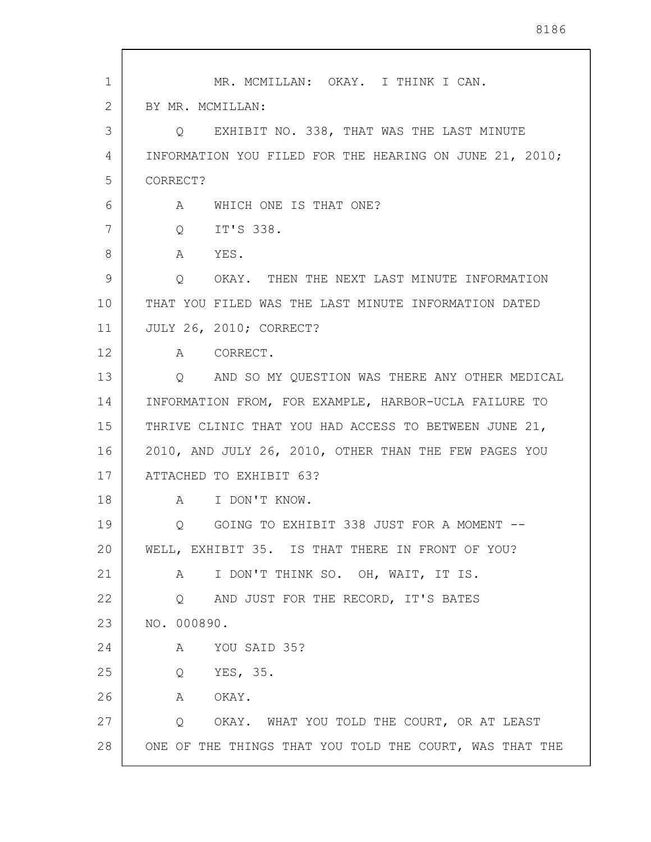| 1              | MR. MCMILLAN: OKAY. I THINK I CAN.                        |
|----------------|-----------------------------------------------------------|
| $\overline{2}$ | BY MR. MCMILLAN:                                          |
| 3              | Q EXHIBIT NO. 338, THAT WAS THE LAST MINUTE               |
| 4              | INFORMATION YOU FILED FOR THE HEARING ON JUNE 21, 2010;   |
| 5              | CORRECT?                                                  |
| 6              | WHICH ONE IS THAT ONE?<br>A                               |
| 7              | IT'S 338.<br>Q                                            |
| 8              | A<br>YES.                                                 |
| 9              | Q<br>OKAY. THEN THE NEXT LAST MINUTE INFORMATION          |
| 10             | THAT YOU FILED WAS THE LAST MINUTE INFORMATION DATED      |
| 11             | JULY 26, 2010; CORRECT?                                   |
| 12             | A CORRECT.                                                |
| 13             | AND SO MY QUESTION WAS THERE ANY OTHER MEDICAL<br>$\circ$ |
| 14             | INFORMATION FROM, FOR EXAMPLE, HARBOR-UCLA FAILURE TO     |
| 15             | THRIVE CLINIC THAT YOU HAD ACCESS TO BETWEEN JUNE 21,     |
| 16             | 2010, AND JULY 26, 2010, OTHER THAN THE FEW PAGES YOU     |
| 17             | ATTACHED TO EXHIBIT 63?                                   |
| 18             | A I DON'T KNOW.                                           |
| 19             | GOING TO EXHIBIT 338 JUST FOR A MOMENT --<br>Q            |
| 20             | WELL, EXHIBIT 35. IS THAT THERE IN FRONT OF YOU?          |
| 21             | I DON'T THINK SO. OH, WAIT, IT IS.<br>А                   |
| 22             | Q AND JUST FOR THE RECORD, IT'S BATES                     |
| 23             | NO. 000890.                                               |
| 24             | YOU SAID 35?<br>Α                                         |
| 25             | YES, 35.<br>Q                                             |
| 26             | OKAY.<br>A                                                |
| 27             | OKAY. WHAT YOU TOLD THE COURT, OR AT LEAST<br>Q           |
| 28             | ONE OF THE THINGS THAT YOU TOLD THE COURT, WAS THAT THE   |

 $\sqrt{ }$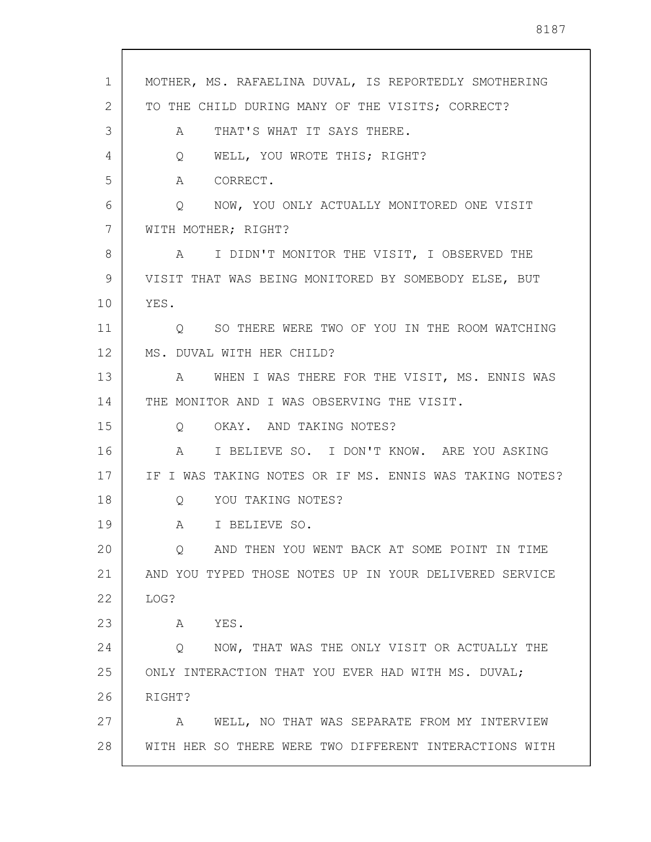| $\mathbf{1}$ | MOTHER, MS. RAFAELINA DUVAL, IS REPORTEDLY SMOTHERING   |
|--------------|---------------------------------------------------------|
| 2            | TO THE CHILD DURING MANY OF THE VISITS; CORRECT?        |
| 3            | THAT'S WHAT IT SAYS THERE.<br>A                         |
| 4            | WELL, YOU WROTE THIS; RIGHT?<br>Q                       |
| 5            | A CORRECT.                                              |
| 6            | Q NOW, YOU ONLY ACTUALLY MONITORED ONE VISIT            |
| 7            | WITH MOTHER; RIGHT?                                     |
| 8            | A I DIDN'T MONITOR THE VISIT, I OBSERVED THE            |
| 9            | VISIT THAT WAS BEING MONITORED BY SOMEBODY ELSE, BUT    |
| 10           | YES.                                                    |
| 11           | Q SO THERE WERE TWO OF YOU IN THE ROOM WATCHING         |
| $12 \,$      | MS. DUVAL WITH HER CHILD?                               |
| 13           | A WHEN I WAS THERE FOR THE VISIT, MS. ENNIS WAS         |
| 14           | THE MONITOR AND I WAS OBSERVING THE VISIT.              |
| 15           | Q OKAY. AND TAKING NOTES?                               |
| 16           | I BELIEVE SO. I DON'T KNOW. ARE YOU ASKING<br>A         |
| 17           | IF I WAS TAKING NOTES OR IF MS. ENNIS WAS TAKING NOTES? |
| 18           | YOU TAKING NOTES?<br>$\circ$                            |
| 19           | A I BELIEVE SO.                                         |
| 20           | AND THEN YOU WENT BACK AT SOME POINT IN TIME<br>Q       |
| 21           | AND YOU TYPED THOSE NOTES UP IN YOUR DELIVERED SERVICE  |
| 22           | LOG?                                                    |
| 23           | YES.<br>Α                                               |
| 24           | NOW, THAT WAS THE ONLY VISIT OR ACTUALLY THE<br>Q       |
| 25           | ONLY INTERACTION THAT YOU EVER HAD WITH MS. DUVAL;      |
| 26           | RIGHT?                                                  |
| 27           | A WELL, NO THAT WAS SEPARATE FROM MY INTERVIEW          |
| 28           | WITH HER SO THERE WERE TWO DIFFERENT INTERACTIONS WITH  |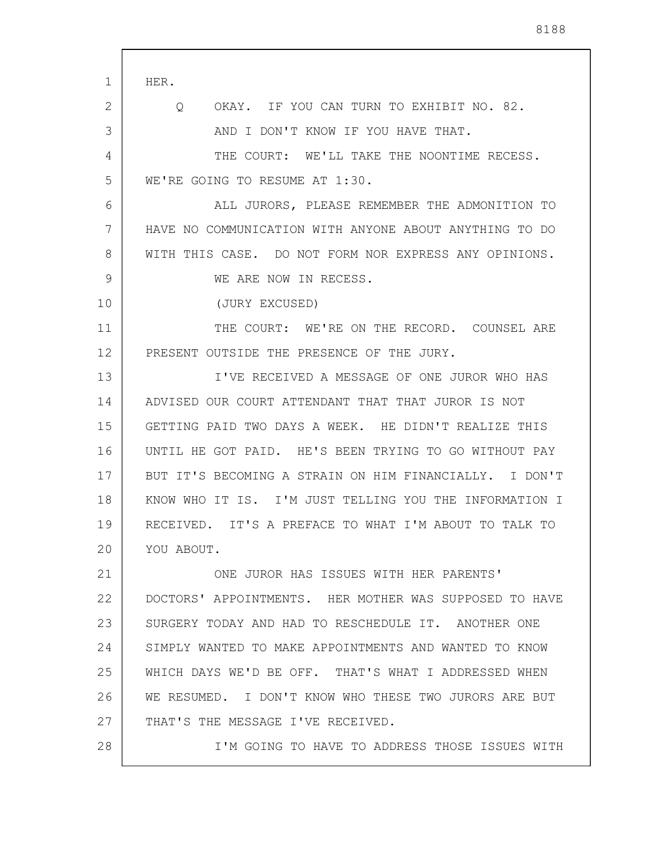| 1  | HER.                                                     |
|----|----------------------------------------------------------|
| 2  | OKAY. IF YOU CAN TURN TO EXHIBIT NO. 82.<br>Q            |
| 3  | AND I DON'T KNOW IF YOU HAVE THAT.                       |
| 4  | THE COURT: WE'LL TAKE THE NOONTIME RECESS.               |
| 5  | WE'RE GOING TO RESUME AT 1:30.                           |
| 6  | ALL JURORS, PLEASE REMEMBER THE ADMONITION TO            |
| 7  | HAVE NO COMMUNICATION WITH ANYONE ABOUT ANYTHING TO DO   |
| 8  | WITH THIS CASE. DO NOT FORM NOR EXPRESS ANY OPINIONS.    |
| 9  | WE ARE NOW IN RECESS.                                    |
| 10 | (JURY EXCUSED)                                           |
| 11 | THE COURT: WE'RE ON THE RECORD. COUNSEL ARE              |
| 12 | PRESENT OUTSIDE THE PRESENCE OF THE JURY.                |
| 13 | I'VE RECEIVED A MESSAGE OF ONE JUROR WHO HAS             |
| 14 | ADVISED OUR COURT ATTENDANT THAT THAT JUROR IS NOT       |
| 15 | GETTING PAID TWO DAYS A WEEK. HE DIDN'T REALIZE THIS     |
| 16 | UNTIL HE GOT PAID. HE'S BEEN TRYING TO GO WITHOUT PAY    |
| 17 | BUT IT'S BECOMING A STRAIN ON HIM FINANCIALLY. I DON'T   |
| 18 | KNOW WHO IT IS. I'M JUST TELLING YOU THE INFORMATION I   |
| 19 | RECEIVED.<br>IT'S A PREFACE TO WHAT I'M ABOUT TO TALK TO |
| 20 | YOU ABOUT.                                               |
| 21 | ONE JUROR HAS ISSUES WITH HER PARENTS'                   |
| 22 | DOCTORS' APPOINTMENTS. HER MOTHER WAS SUPPOSED TO HAVE   |
| 23 | SURGERY TODAY AND HAD TO RESCHEDULE IT. ANOTHER ONE      |
| 24 | SIMPLY WANTED TO MAKE APPOINTMENTS AND WANTED TO KNOW    |
| 25 | WHICH DAYS WE'D BE OFF. THAT'S WHAT I ADDRESSED WHEN     |
| 26 | WE RESUMED. I DON'T KNOW WHO THESE TWO JURORS ARE BUT    |
| 27 | THAT'S THE MESSAGE I'VE RECEIVED.                        |
| 28 | I'M GOING TO HAVE TO ADDRESS THOSE ISSUES WITH           |
|    |                                                          |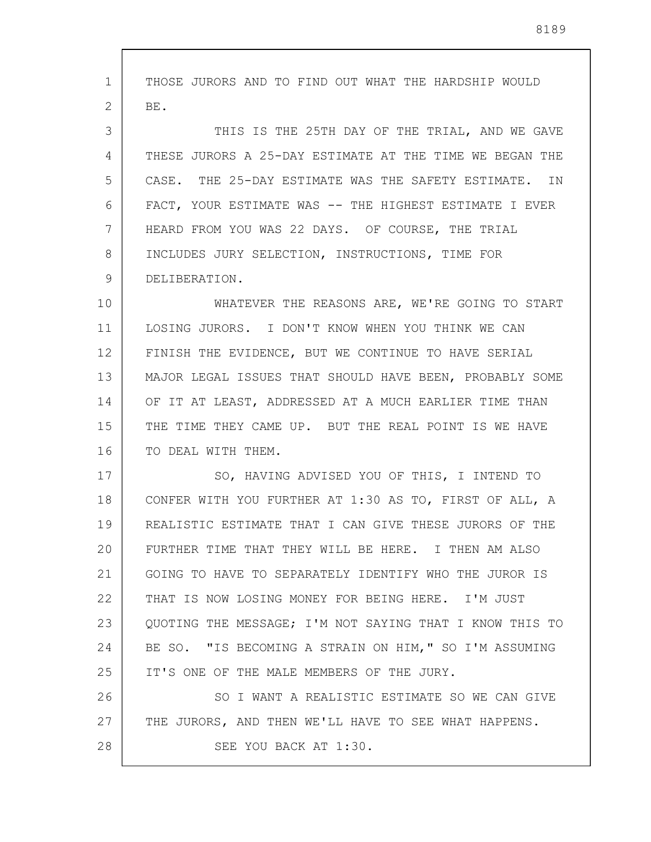1 2 3 4 5 6 7 8 9 10 11 12 13 14 15 16 17 18 19 20 21 22 23 24 25 26 27 28 THOSE JURORS AND TO FIND OUT WHAT THE HARDSHIP WOULD BE. THIS IS THE 25TH DAY OF THE TRIAL, AND WE GAVE THESE JURORS A 25-DAY ESTIMATE AT THE TIME WE BEGAN THE CASE. THE 25-DAY ESTIMATE WAS THE SAFETY ESTIMATE. IN FACT, YOUR ESTIMATE WAS -- THE HIGHEST ESTIMATE I EVER HEARD FROM YOU WAS 22 DAYS. OF COURSE, THE TRIAL INCLUDES JURY SELECTION, INSTRUCTIONS, TIME FOR DELIBERATION. WHATEVER THE REASONS ARE, WE'RE GOING TO START LOSING JURORS. I DON'T KNOW WHEN YOU THINK WE CAN FINISH THE EVIDENCE, BUT WE CONTINUE TO HAVE SERIAL MAJOR LEGAL ISSUES THAT SHOULD HAVE BEEN, PROBABLY SOME OF IT AT LEAST, ADDRESSED AT A MUCH EARLIER TIME THAN THE TIME THEY CAME UP. BUT THE REAL POINT IS WE HAVE TO DEAL WITH THEM. SO, HAVING ADVISED YOU OF THIS, I INTEND TO CONFER WITH YOU FURTHER AT 1:30 AS TO, FIRST OF ALL, A REALISTIC ESTIMATE THAT I CAN GIVE THESE JURORS OF THE FURTHER TIME THAT THEY WILL BE HERE. I THEN AM ALSO GOING TO HAVE TO SEPARATELY IDENTIFY WHO THE JUROR IS THAT IS NOW LOSING MONEY FOR BEING HERE. I'M JUST QUOTING THE MESSAGE; I'M NOT SAYING THAT I KNOW THIS TO BE SO. "IS BECOMING A STRAIN ON HIM," SO I'M ASSUMING IT'S ONE OF THE MALE MEMBERS OF THE JURY. SO I WANT A REALISTIC ESTIMATE SO WE CAN GIVE THE JURORS, AND THEN WE'LL HAVE TO SEE WHAT HAPPENS. SEE YOU BACK AT 1:30.

8189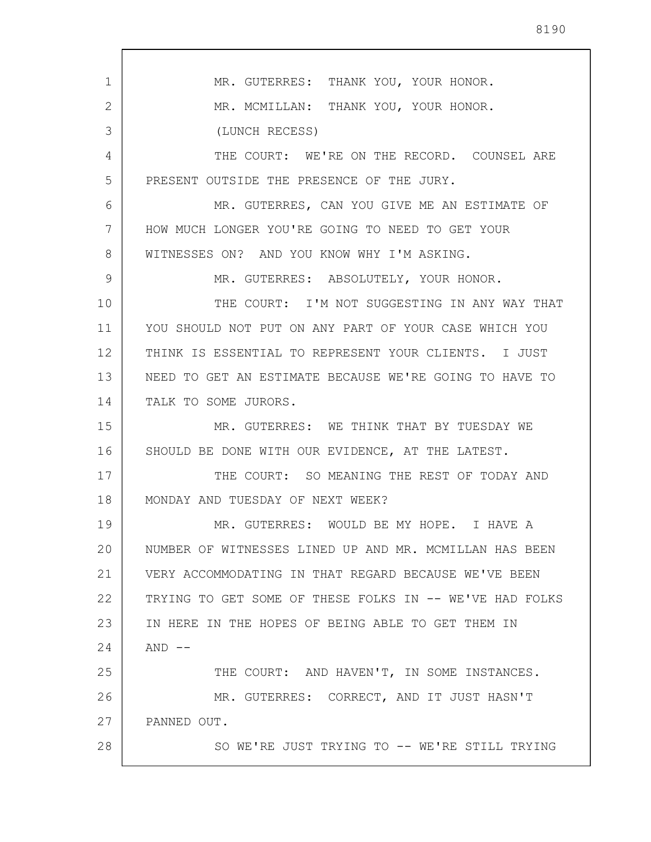1 2 3 4 5 6 7 8 9 10 11 12 13 14 15 16 17 18 19 20 21 22 23 24 25 26 27 28 MR. GUTERRES: THANK YOU, YOUR HONOR. MR. MCMILLAN: THANK YOU, YOUR HONOR. (LUNCH RECESS) THE COURT: WE'RE ON THE RECORD. COUNSEL ARE PRESENT OUTSIDE THE PRESENCE OF THE JURY. MR. GUTERRES, CAN YOU GIVE ME AN ESTIMATE OF HOW MUCH LONGER YOU'RE GOING TO NEED TO GET YOUR WITNESSES ON? AND YOU KNOW WHY I'M ASKING. MR. GUTERRES: ABSOLUTELY, YOUR HONOR. THE COURT: I'M NOT SUGGESTING IN ANY WAY THAT YOU SHOULD NOT PUT ON ANY PART OF YOUR CASE WHICH YOU THINK IS ESSENTIAL TO REPRESENT YOUR CLIENTS. I JUST NEED TO GET AN ESTIMATE BECAUSE WE'RE GOING TO HAVE TO TALK TO SOME JURORS. MR. GUTERRES: WE THINK THAT BY TUESDAY WE SHOULD BE DONE WITH OUR EVIDENCE, AT THE LATEST. THE COURT: SO MEANING THE REST OF TODAY AND MONDAY AND TUESDAY OF NEXT WEEK? MR. GUTERRES: WOULD BE MY HOPE. I HAVE A NUMBER OF WITNESSES LINED UP AND MR. MCMILLAN HAS BEEN VERY ACCOMMODATING IN THAT REGARD BECAUSE WE'VE BEEN TRYING TO GET SOME OF THESE FOLKS IN -- WE'VE HAD FOLKS IN HERE IN THE HOPES OF BEING ABLE TO GET THEM IN  $AND$   $--$ THE COURT: AND HAVEN'T, IN SOME INSTANCES. MR. GUTERRES: CORRECT, AND IT JUST HASN'T PANNED OUT. SO WE'RE JUST TRYING TO -- WE'RE STILL TRYING

8190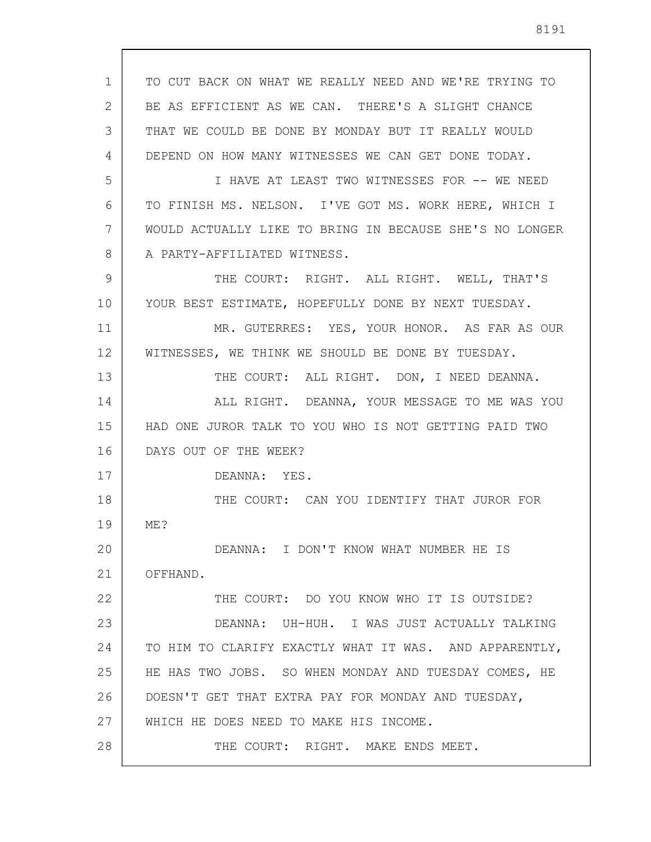| 1  | TO CUT BACK ON WHAT WE REALLY NEED AND WE'RE TRYING TO  |
|----|---------------------------------------------------------|
| 2  | BE AS EFFICIENT AS WE CAN. THERE'S A SLIGHT CHANCE      |
| 3  | THAT WE COULD BE DONE BY MONDAY BUT IT REALLY WOULD     |
| 4  | DEPEND ON HOW MANY WITNESSES WE CAN GET DONE TODAY.     |
| 5  | I HAVE AT LEAST TWO WITNESSES FOR -- WE NEED            |
| 6  | TO FINISH MS. NELSON. I'VE GOT MS. WORK HERE, WHICH I   |
| 7  | WOULD ACTUALLY LIKE TO BRING IN BECAUSE SHE'S NO LONGER |
| 8  | A PARTY-AFFILIATED WITNESS.                             |
| 9  | THE COURT: RIGHT. ALL RIGHT. WELL, THAT'S               |
| 10 | YOUR BEST ESTIMATE, HOPEFULLY DONE BY NEXT TUESDAY.     |
| 11 | MR. GUTERRES: YES, YOUR HONOR. AS FAR AS OUR            |
| 12 | WITNESSES, WE THINK WE SHOULD BE DONE BY TUESDAY.       |
| 13 | THE COURT: ALL RIGHT. DON, I NEED DEANNA.               |
| 14 | ALL RIGHT. DEANNA, YOUR MESSAGE TO ME WAS YOU           |
| 15 | HAD ONE JUROR TALK TO YOU WHO IS NOT GETTING PAID TWO   |
| 16 | DAYS OUT OF THE WEEK?                                   |
| 17 | DEANNA: YES.                                            |
| 18 | THE COURT: CAN YOU IDENTIFY THAT JUROR FOR              |
| 19 | ME?                                                     |
| 20 | DEANNA: I DON'T KNOW WHAT NUMBER HE IS                  |
| 21 | OFFHAND.                                                |
| 22 | THE COURT: DO YOU KNOW WHO IT IS OUTSIDE?               |
| 23 | DEANNA: UH-HUH. I WAS JUST ACTUALLY TALKING             |
| 24 | TO HIM TO CLARIFY EXACTLY WHAT IT WAS. AND APPARENTLY,  |
| 25 | HE HAS TWO JOBS. SO WHEN MONDAY AND TUESDAY COMES, HE   |
| 26 | DOESN'T GET THAT EXTRA PAY FOR MONDAY AND TUESDAY,      |
| 27 | WHICH HE DOES NEED TO MAKE HIS INCOME.                  |
| 28 | THE COURT: RIGHT. MAKE ENDS MEET.                       |

 $\overline{\phantom{a}}$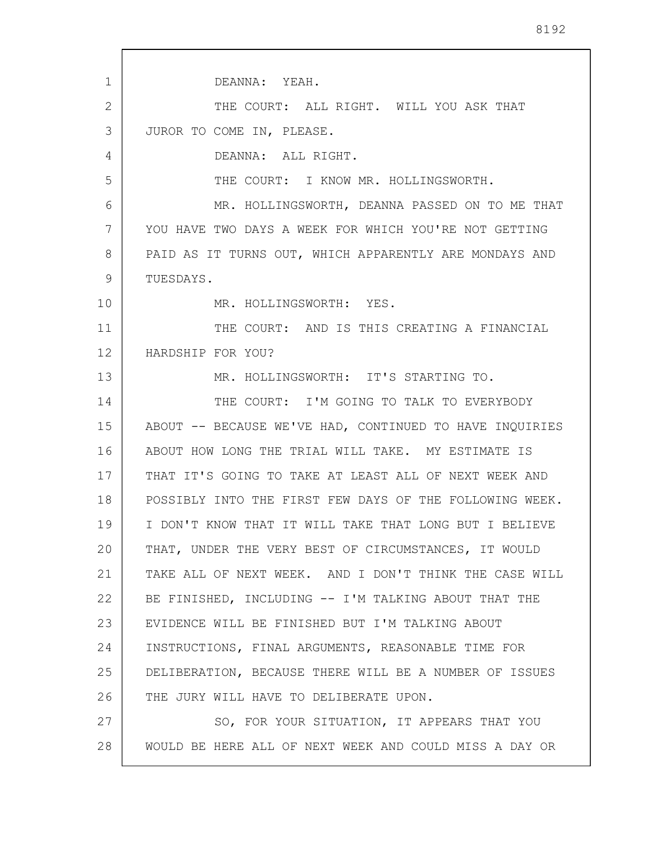1 2 3 4 5 6 7 8 9 10 11 12 13 14 15 16 17 18 19 20 21 22 23 24 25 26 27 28 DEANNA: YEAH. THE COURT: ALL RIGHT. WILL YOU ASK THAT JUROR TO COME IN, PLEASE. DEANNA: ALL RIGHT. THE COURT: I KNOW MR. HOLLINGSWORTH. MR. HOLLINGSWORTH, DEANNA PASSED ON TO ME THAT YOU HAVE TWO DAYS A WEEK FOR WHICH YOU'RE NOT GETTING PAID AS IT TURNS OUT, WHICH APPARENTLY ARE MONDAYS AND TUESDAYS. MR. HOLLINGSWORTH: YES. THE COURT: AND IS THIS CREATING A FINANCIAL HARDSHIP FOR YOU? MR. HOLLINGSWORTH: IT'S STARTING TO. THE COURT: I'M GOING TO TALK TO EVERYBODY ABOUT -- BECAUSE WE'VE HAD, CONTINUED TO HAVE INQUIRIES ABOUT HOW LONG THE TRIAL WILL TAKE. MY ESTIMATE IS THAT IT'S GOING TO TAKE AT LEAST ALL OF NEXT WEEK AND POSSIBLY INTO THE FIRST FEW DAYS OF THE FOLLOWING WEEK. I DON'T KNOW THAT IT WILL TAKE THAT LONG BUT I BELIEVE THAT, UNDER THE VERY BEST OF CIRCUMSTANCES, IT WOULD TAKE ALL OF NEXT WEEK. AND I DON'T THINK THE CASE WILL BE FINISHED, INCLUDING -- I'M TALKING ABOUT THAT THE EVIDENCE WILL BE FINISHED BUT I'M TALKING ABOUT INSTRUCTIONS, FINAL ARGUMENTS, REASONABLE TIME FOR DELIBERATION, BECAUSE THERE WILL BE A NUMBER OF ISSUES THE JURY WILL HAVE TO DELIBERATE UPON. SO, FOR YOUR SITUATION, IT APPEARS THAT YOU WOULD BE HERE ALL OF NEXT WEEK AND COULD MISS A DAY OR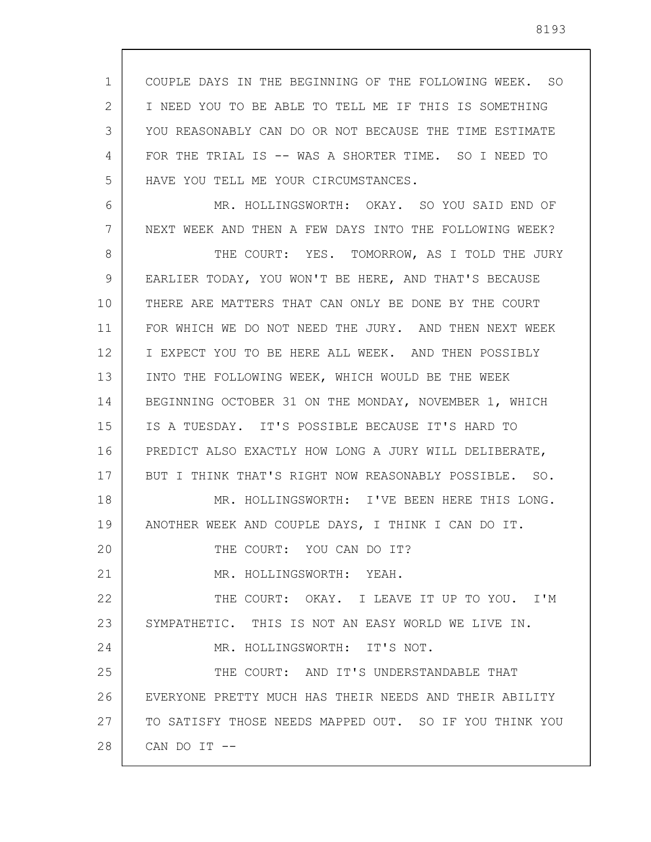1 2 3 4 5 COUPLE DAYS IN THE BEGINNING OF THE FOLLOWING WEEK. SO I NEED YOU TO BE ABLE TO TELL ME IF THIS IS SOMETHING YOU REASONABLY CAN DO OR NOT BECAUSE THE TIME ESTIMATE FOR THE TRIAL IS -- WAS A SHORTER TIME. SO I NEED TO HAVE YOU TELL ME YOUR CIRCUMSTANCES.

6 7 8 9 10 11 12 13 14 15 16 17 18 19 20 21 22 23 24 25 26 27 28 MR. HOLLINGSWORTH: OKAY. SO YOU SAID END OF NEXT WEEK AND THEN A FEW DAYS INTO THE FOLLOWING WEEK? THE COURT: YES. TOMORROW, AS I TOLD THE JURY EARLIER TODAY, YOU WON'T BE HERE, AND THAT'S BECAUSE THERE ARE MATTERS THAT CAN ONLY BE DONE BY THE COURT FOR WHICH WE DO NOT NEED THE JURY. AND THEN NEXT WEEK I EXPECT YOU TO BE HERE ALL WEEK. AND THEN POSSIBLY INTO THE FOLLOWING WEEK, WHICH WOULD BE THE WEEK BEGINNING OCTOBER 31 ON THE MONDAY, NOVEMBER 1, WHICH IS A TUESDAY. IT'S POSSIBLE BECAUSE IT'S HARD TO PREDICT ALSO EXACTLY HOW LONG A JURY WILL DELIBERATE, BUT I THINK THAT'S RIGHT NOW REASONABLY POSSIBLE. SO. MR. HOLLINGSWORTH: I'VE BEEN HERE THIS LONG. ANOTHER WEEK AND COUPLE DAYS, I THINK I CAN DO IT. THE COURT: YOU CAN DO IT? MR. HOLLINGSWORTH: YEAH. THE COURT: OKAY. I LEAVE IT UP TO YOU. I'M SYMPATHETIC. THIS IS NOT AN EASY WORLD WE LIVE IN. MR. HOLLINGSWORTH: IT'S NOT. THE COURT: AND IT'S UNDERSTANDABLE THAT EVERYONE PRETTY MUCH HAS THEIR NEEDS AND THEIR ABILITY TO SATISFY THOSE NEEDS MAPPED OUT. SO IF YOU THINK YOU CAN DO IT --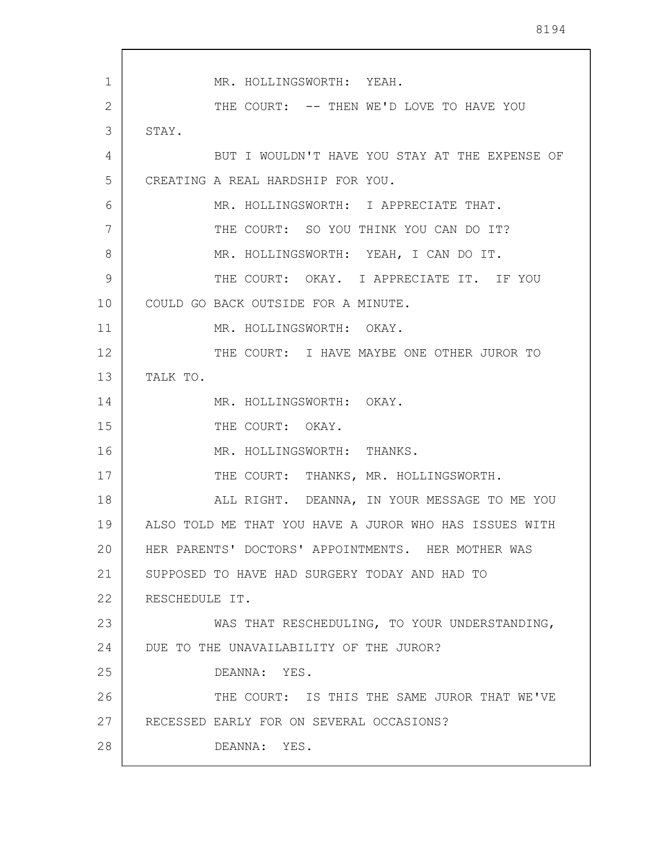1 2 3 4 5 6 7 8 9 10 11 12 13 14 15 16 17 18 19 20 21 22 23 24 25 26 27 28 MR. HOLLINGSWORTH: YEAH. THE COURT: -- THEN WE'D LOVE TO HAVE YOU STAY. BUT I WOULDN'T HAVE YOU STAY AT THE EXPENSE OF CREATING A REAL HARDSHIP FOR YOU. MR. HOLLINGSWORTH: I APPRECIATE THAT. THE COURT: SO YOU THINK YOU CAN DO IT? MR. HOLLINGSWORTH: YEAH, I CAN DO IT. THE COURT: OKAY. I APPRECIATE IT. IF YOU COULD GO BACK OUTSIDE FOR A MINUTE. MR. HOLLINGSWORTH: OKAY. THE COURT: I HAVE MAYBE ONE OTHER JUROR TO TALK TO. MR. HOLLINGSWORTH: OKAY. THE COURT: OKAY. MR. HOLLINGSWORTH: THANKS. THE COURT: THANKS, MR. HOLLINGSWORTH. ALL RIGHT. DEANNA, IN YOUR MESSAGE TO ME YOU ALSO TOLD ME THAT YOU HAVE A JUROR WHO HAS ISSUES WITH HER PARENTS' DOCTORS' APPOINTMENTS. HER MOTHER WAS SUPPOSED TO HAVE HAD SURGERY TODAY AND HAD TO RESCHEDULE IT. WAS THAT RESCHEDULING, TO YOUR UNDERSTANDING, DUE TO THE UNAVAILABILITY OF THE JUROR? DEANNA: YES. THE COURT: IS THIS THE SAME JUROR THAT WE'VE RECESSED EARLY FOR ON SEVERAL OCCASIONS? DEANNA: YES.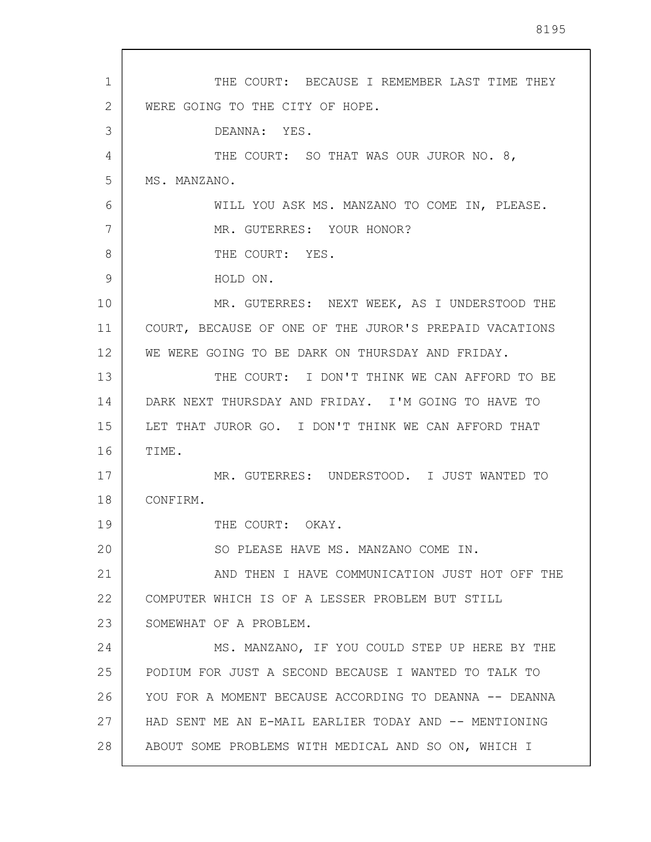1 2 3 4 5 6 7 8 9 10 11 12 13 14 15 16 17 18 19 20 21 22 23 24 25 26 27 28 THE COURT: BECAUSE I REMEMBER LAST TIME THEY WERE GOING TO THE CITY OF HOPE. DEANNA: YES. THE COURT: SO THAT WAS OUR JUROR NO. 8, MS. MANZANO. WILL YOU ASK MS. MANZANO TO COME IN, PLEASE. MR. GUTERRES: YOUR HONOR? THE COURT: YES. HOLD ON. MR. GUTERRES: NEXT WEEK, AS I UNDERSTOOD THE COURT, BECAUSE OF ONE OF THE JUROR'S PREPAID VACATIONS WE WERE GOING TO BE DARK ON THURSDAY AND FRIDAY. THE COURT: I DON'T THINK WE CAN AFFORD TO BE DARK NEXT THURSDAY AND FRIDAY. I'M GOING TO HAVE TO LET THAT JUROR GO. I DON'T THINK WE CAN AFFORD THAT TIME. MR. GUTERRES: UNDERSTOOD. I JUST WANTED TO CONFIRM. THE COURT: OKAY. SO PLEASE HAVE MS. MANZANO COME IN. AND THEN I HAVE COMMUNICATION JUST HOT OFF THE COMPUTER WHICH IS OF A LESSER PROBLEM BUT STILL SOMEWHAT OF A PROBLEM. MS. MANZANO, IF YOU COULD STEP UP HERE BY THE PODIUM FOR JUST A SECOND BECAUSE I WANTED TO TALK TO YOU FOR A MOMENT BECAUSE ACCORDING TO DEANNA -- DEANNA HAD SENT ME AN E-MAIL EARLIER TODAY AND -- MENTIONING ABOUT SOME PROBLEMS WITH MEDICAL AND SO ON, WHICH I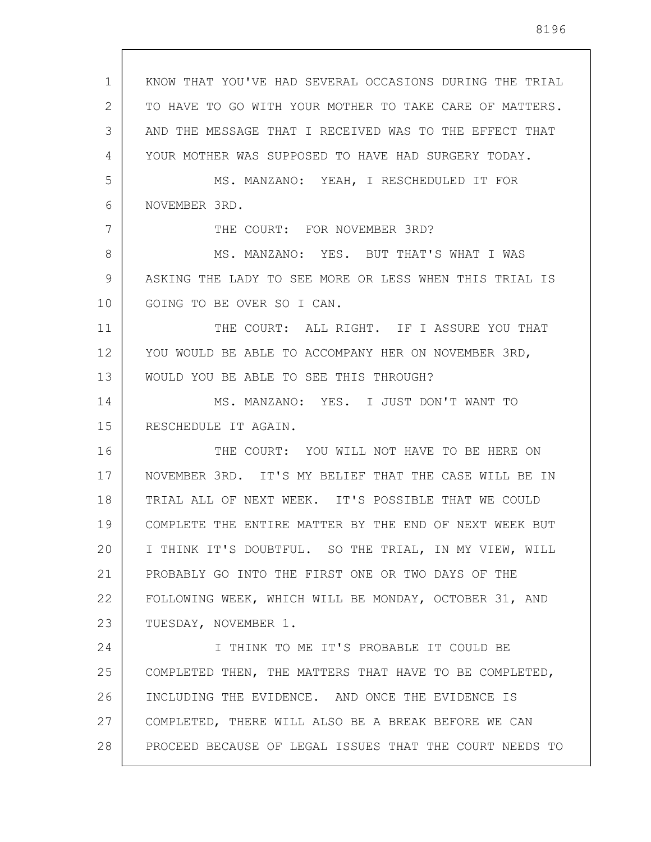1 2 3 4 5 6 7 8 9 10 11 12 13 14 15 16 17 18 19 20 21 22 23 24 25 26 27 28 KNOW THAT YOU'VE HAD SEVERAL OCCASIONS DURING THE TRIAL TO HAVE TO GO WITH YOUR MOTHER TO TAKE CARE OF MATTERS. AND THE MESSAGE THAT I RECEIVED WAS TO THE EFFECT THAT YOUR MOTHER WAS SUPPOSED TO HAVE HAD SURGERY TODAY. MS. MANZANO: YEAH, I RESCHEDULED IT FOR NOVEMBER 3RD. THE COURT: FOR NOVEMBER 3RD? MS. MANZANO: YES. BUT THAT'S WHAT I WAS ASKING THE LADY TO SEE MORE OR LESS WHEN THIS TRIAL IS GOING TO BE OVER SO I CAN. THE COURT: ALL RIGHT. IF I ASSURE YOU THAT YOU WOULD BE ABLE TO ACCOMPANY HER ON NOVEMBER 3RD, WOULD YOU BE ABLE TO SEE THIS THROUGH? MS. MANZANO: YES. I JUST DON'T WANT TO RESCHEDULE IT AGAIN. THE COURT: YOU WILL NOT HAVE TO BE HERE ON NOVEMBER 3RD. IT'S MY BELIEF THAT THE CASE WILL BE IN TRIAL ALL OF NEXT WEEK. IT'S POSSIBLE THAT WE COULD COMPLETE THE ENTIRE MATTER BY THE END OF NEXT WEEK BUT I THINK IT'S DOUBTFUL. SO THE TRIAL, IN MY VIEW, WILL PROBABLY GO INTO THE FIRST ONE OR TWO DAYS OF THE FOLLOWING WEEK, WHICH WILL BE MONDAY, OCTOBER 31, AND TUESDAY, NOVEMBER 1. I THINK TO ME IT'S PROBABLE IT COULD BE COMPLETED THEN, THE MATTERS THAT HAVE TO BE COMPLETED, INCLUDING THE EVIDENCE. AND ONCE THE EVIDENCE IS COMPLETED, THERE WILL ALSO BE A BREAK BEFORE WE CAN PROCEED BECAUSE OF LEGAL ISSUES THAT THE COURT NEEDS TO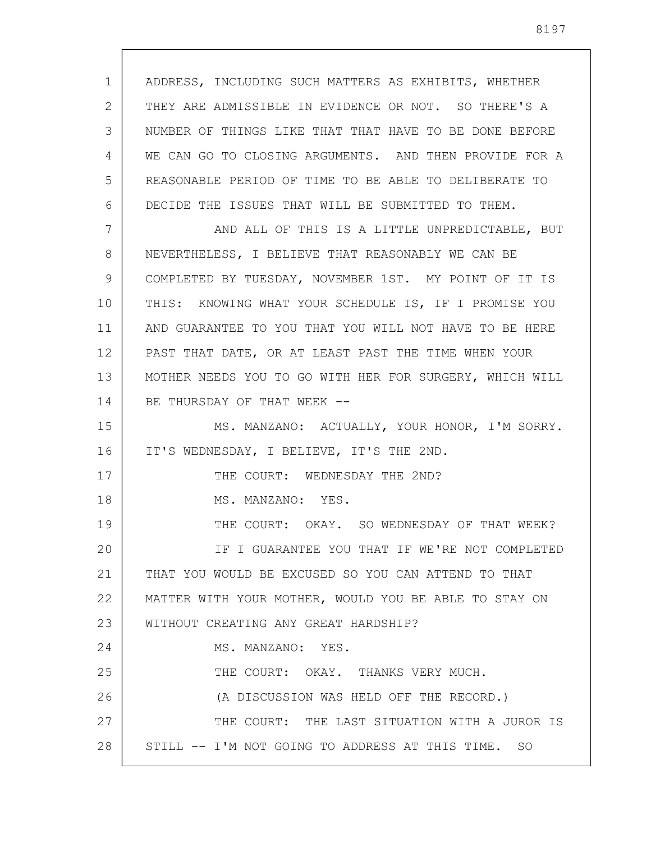1 2 3 4 5 6 7 8 9 10 11 12 13 14 15 16 17 18 19 20 21 22 23 24 25 26 27 28 ADDRESS, INCLUDING SUCH MATTERS AS EXHIBITS, WHETHER THEY ARE ADMISSIBLE IN EVIDENCE OR NOT. SO THERE'S A NUMBER OF THINGS LIKE THAT THAT HAVE TO BE DONE BEFORE WE CAN GO TO CLOSING ARGUMENTS. AND THEN PROVIDE FOR A REASONABLE PERIOD OF TIME TO BE ABLE TO DELIBERATE TO DECIDE THE ISSUES THAT WILL BE SUBMITTED TO THEM. AND ALL OF THIS IS A LITTLE UNPREDICTABLE, BUT NEVERTHELESS, I BELIEVE THAT REASONABLY WE CAN BE COMPLETED BY TUESDAY, NOVEMBER 1ST. MY POINT OF IT IS THIS: KNOWING WHAT YOUR SCHEDULE IS, IF I PROMISE YOU AND GUARANTEE TO YOU THAT YOU WILL NOT HAVE TO BE HERE PAST THAT DATE, OR AT LEAST PAST THE TIME WHEN YOUR MOTHER NEEDS YOU TO GO WITH HER FOR SURGERY, WHICH WILL BE THURSDAY OF THAT WEEK --MS. MANZANO: ACTUALLY, YOUR HONOR, I'M SORRY. IT'S WEDNESDAY, I BELIEVE, IT'S THE 2ND. THE COURT: WEDNESDAY THE 2ND? MS. MANZANO: YES. THE COURT: OKAY. SO WEDNESDAY OF THAT WEEK? IF I GUARANTEE YOU THAT IF WE'RE NOT COMPLETED THAT YOU WOULD BE EXCUSED SO YOU CAN ATTEND TO THAT MATTER WITH YOUR MOTHER, WOULD YOU BE ABLE TO STAY ON WITHOUT CREATING ANY GREAT HARDSHIP? MS. MANZANO: YES. THE COURT: OKAY. THANKS VERY MUCH. (A DISCUSSION WAS HELD OFF THE RECORD.) THE COURT: THE LAST SITUATION WITH A JUROR IS STILL -- I'M NOT GOING TO ADDRESS AT THIS TIME. SO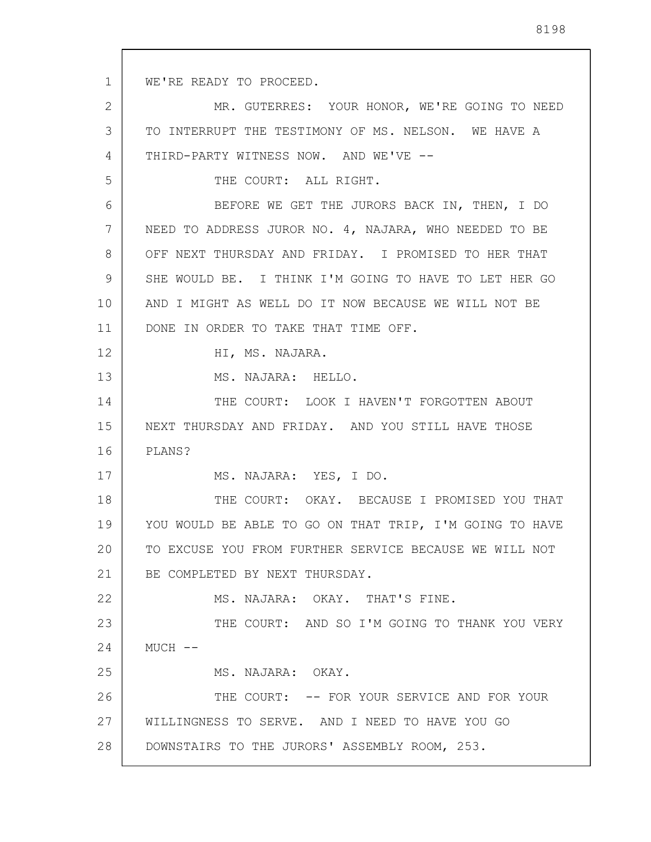1 2 3 4 5 6 7 8 9 10 11 12 13 14 15 16 17 18 19 20 21 22 23 24 25 26 27 28 WE'RE READY TO PROCEED. MR. GUTERRES: YOUR HONOR, WE'RE GOING TO NEED TO INTERRUPT THE TESTIMONY OF MS. NELSON. WE HAVE A THIRD-PARTY WITNESS NOW. AND WE'VE -- THE COURT: ALL RIGHT. BEFORE WE GET THE JURORS BACK IN, THEN, I DO NEED TO ADDRESS JUROR NO. 4, NAJARA, WHO NEEDED TO BE OFF NEXT THURSDAY AND FRIDAY. I PROMISED TO HER THAT SHE WOULD BE. I THINK I'M GOING TO HAVE TO LET HER GO AND I MIGHT AS WELL DO IT NOW BECAUSE WE WILL NOT BE DONE IN ORDER TO TAKE THAT TIME OFF. HI, MS. NAJARA. MS. NAJARA: HELLO. THE COURT: LOOK I HAVEN'T FORGOTTEN ABOUT NEXT THURSDAY AND FRIDAY. AND YOU STILL HAVE THOSE PLANS? MS. NAJARA: YES, I DO. THE COURT: OKAY. BECAUSE I PROMISED YOU THAT YOU WOULD BE ABLE TO GO ON THAT TRIP, I'M GOING TO HAVE TO EXCUSE YOU FROM FURTHER SERVICE BECAUSE WE WILL NOT BE COMPLETED BY NEXT THURSDAY. MS. NAJARA: OKAY. THAT'S FINE. THE COURT: AND SO I'M GOING TO THANK YOU VERY  $MUCH$   $--$ MS. NAJARA: OKAY. THE COURT: -- FOR YOUR SERVICE AND FOR YOUR WILLINGNESS TO SERVE. AND I NEED TO HAVE YOU GO DOWNSTAIRS TO THE JURORS' ASSEMBLY ROOM, 253.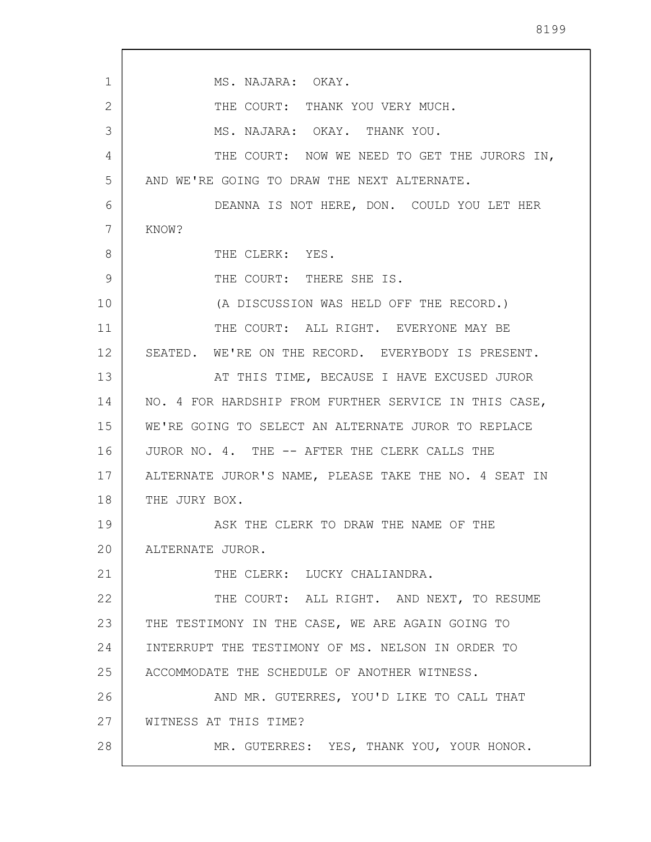1 2 3 4 5 6 7 8 9 10 11 12 13 14 15 16 17 18 19 20 21 22 23 24 25 26 27 28 MS. NAJARA: OKAY. THE COURT: THANK YOU VERY MUCH. MS. NAJARA: OKAY. THANK YOU. THE COURT: NOW WE NEED TO GET THE JURORS IN, AND WE'RE GOING TO DRAW THE NEXT ALTERNATE. DEANNA IS NOT HERE, DON. COULD YOU LET HER KNOW? THE CLERK: YES. THE COURT: THERE SHE IS. (A DISCUSSION WAS HELD OFF THE RECORD.) THE COURT: ALL RIGHT. EVERYONE MAY BE SEATED. WE'RE ON THE RECORD. EVERYBODY IS PRESENT. AT THIS TIME, BECAUSE I HAVE EXCUSED JUROR NO. 4 FOR HARDSHIP FROM FURTHER SERVICE IN THIS CASE, WE'RE GOING TO SELECT AN ALTERNATE JUROR TO REPLACE JUROR NO. 4. THE -- AFTER THE CLERK CALLS THE ALTERNATE JUROR'S NAME, PLEASE TAKE THE NO. 4 SEAT IN THE JURY BOX. ASK THE CLERK TO DRAW THE NAME OF THE ALTERNATE JUROR. THE CLERK: LUCKY CHALIANDRA. THE COURT: ALL RIGHT. AND NEXT, TO RESUME THE TESTIMONY IN THE CASE, WE ARE AGAIN GOING TO INTERRUPT THE TESTIMONY OF MS. NELSON IN ORDER TO ACCOMMODATE THE SCHEDULE OF ANOTHER WITNESS. AND MR. GUTERRES, YOU'D LIKE TO CALL THAT WITNESS AT THIS TIME? MR. GUTERRES: YES, THANK YOU, YOUR HONOR.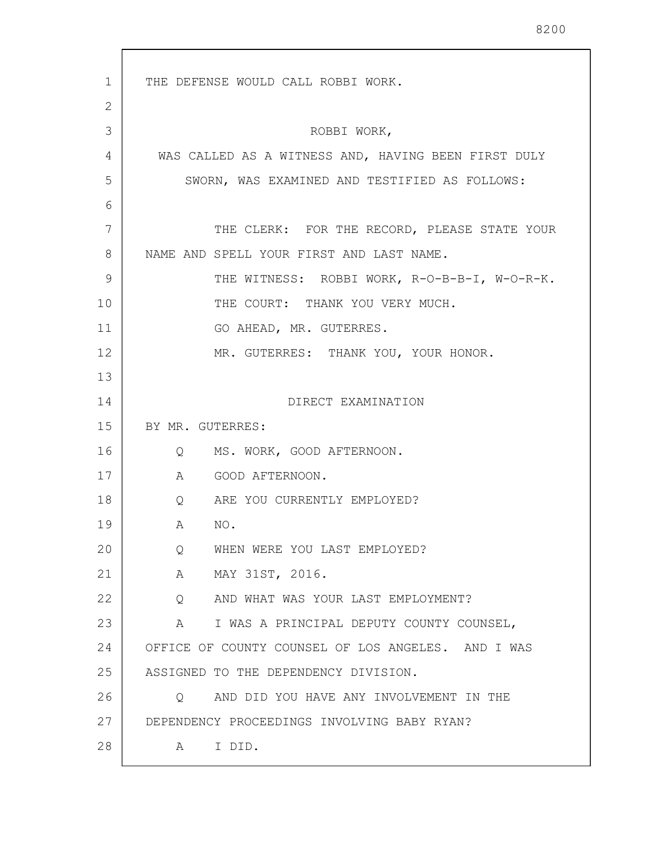1 2 3 4 5 6 7 8 9 10 11 12 13 14 15 16 17 18 19 20 21 22 23 24 25 26 27 28 THE DEFENSE WOULD CALL ROBBI WORK. ROBBI WORK, WAS CALLED AS A WITNESS AND, HAVING BEEN FIRST DULY SWORN, WAS EXAMINED AND TESTIFIED AS FOLLOWS: THE CLERK: FOR THE RECORD, PLEASE STATE YOUR NAME AND SPELL YOUR FIRST AND LAST NAME. THE WITNESS: ROBBI WORK, R-O-B-B-I, W-O-R-K. THE COURT: THANK YOU VERY MUCH. GO AHEAD, MR. GUTERRES. MR. GUTERRES: THANK YOU, YOUR HONOR. DIRECT EXAMINATION BY MR. GUTERRES: Q MS. WORK, GOOD AFTERNOON. A GOOD AFTERNOON. Q ARE YOU CURRENTLY EMPLOYED? A NO. Q WHEN WERE YOU LAST EMPLOYED? A MAY 31ST, 2016. Q AND WHAT WAS YOUR LAST EMPLOYMENT? A I WAS A PRINCIPAL DEPUTY COUNTY COUNSEL, OFFICE OF COUNTY COUNSEL OF LOS ANGELES. AND I WAS ASSIGNED TO THE DEPENDENCY DIVISION. Q AND DID YOU HAVE ANY INVOLVEMENT IN THE DEPENDENCY PROCEEDINGS INVOLVING BABY RYAN? A I DID.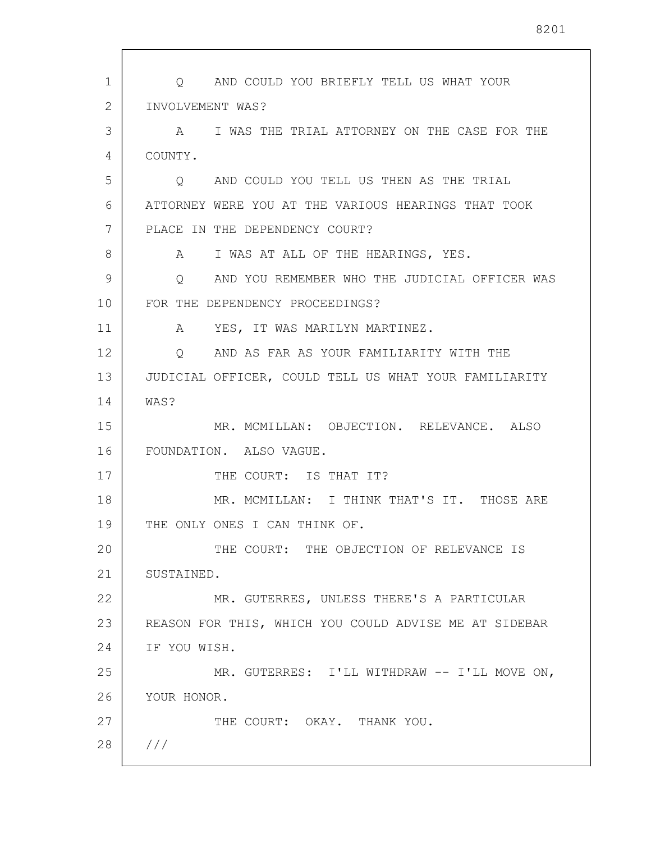1 2 3 4 5 6 7 8 9 10 11 12 13 14 15 16 17 18 19 20 21 22 23 24 25 26 27 28 /// Q AND COULD YOU BRIEFLY TELL US WHAT YOUR INVOLVEMENT WAS? A I WAS THE TRIAL ATTORNEY ON THE CASE FOR THE COUNTY. Q AND COULD YOU TELL US THEN AS THE TRIAL ATTORNEY WERE YOU AT THE VARIOUS HEARINGS THAT TOOK PLACE IN THE DEPENDENCY COURT? A I WAS AT ALL OF THE HEARINGS, YES. Q AND YOU REMEMBER WHO THE JUDICIAL OFFICER WAS FOR THE DEPENDENCY PROCEEDINGS? A YES, IT WAS MARILYN MARTINEZ. Q AND AS FAR AS YOUR FAMILIARITY WITH THE JUDICIAL OFFICER, COULD TELL US WHAT YOUR FAMILIARITY WAS? MR. MCMILLAN: OBJECTION. RELEVANCE. ALSO FOUNDATION. ALSO VAGUE. THE COURT: IS THAT IT? MR. MCMILLAN: I THINK THAT'S IT. THOSE ARE THE ONLY ONES I CAN THINK OF. THE COURT: THE OBJECTION OF RELEVANCE IS SUSTAINED. MR. GUTERRES, UNLESS THERE'S A PARTICULAR REASON FOR THIS, WHICH YOU COULD ADVISE ME AT SIDEBAR IF YOU WISH. MR. GUTERRES: I'LL WITHDRAW -- I'LL MOVE ON, YOUR HONOR. THE COURT: OKAY. THANK YOU.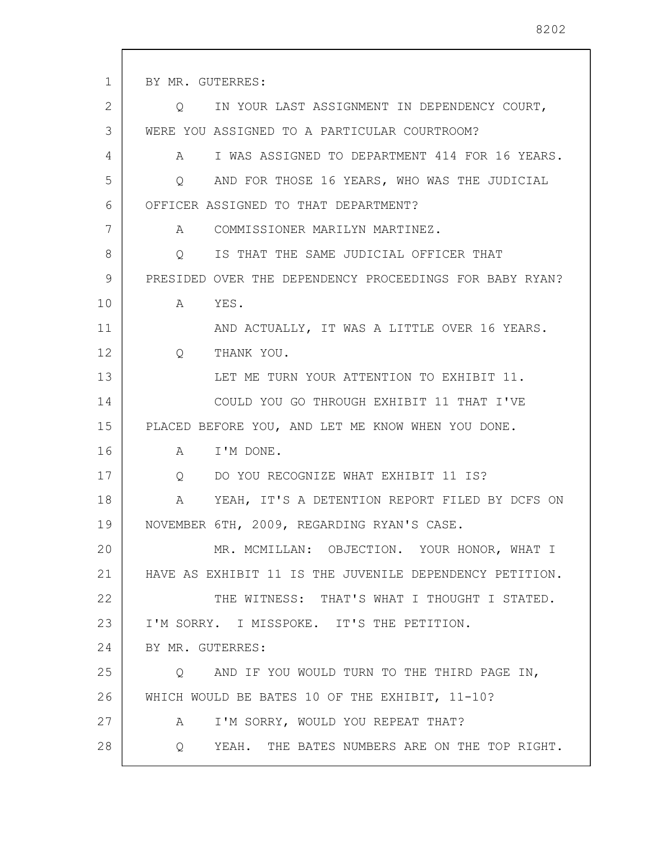1 2 3 4 5 6 7 8 9 10 11 12 13 14 15 16 17 18 19 20 21 22 23 24 25 26 27 28 BY MR. GUTERRES: Q IN YOUR LAST ASSIGNMENT IN DEPENDENCY COURT, WERE YOU ASSIGNED TO A PARTICULAR COURTROOM? A I WAS ASSIGNED TO DEPARTMENT 414 FOR 16 YEARS. Q AND FOR THOSE 16 YEARS, WHO WAS THE JUDICIAL OFFICER ASSIGNED TO THAT DEPARTMENT? A COMMISSIONER MARILYN MARTINEZ. Q IS THAT THE SAME JUDICIAL OFFICER THAT PRESIDED OVER THE DEPENDENCY PROCEEDINGS FOR BABY RYAN? A YES. AND ACTUALLY, IT WAS A LITTLE OVER 16 YEARS. Q THANK YOU. LET ME TURN YOUR ATTENTION TO EXHIBIT 11. COULD YOU GO THROUGH EXHIBIT 11 THAT I'VE PLACED BEFORE YOU, AND LET ME KNOW WHEN YOU DONE. A I'M DONE. Q DO YOU RECOGNIZE WHAT EXHIBIT 11 IS? A YEAH, IT'S A DETENTION REPORT FILED BY DCFS ON NOVEMBER 6TH, 2009, REGARDING RYAN'S CASE. MR. MCMILLAN: OBJECTION. YOUR HONOR, WHAT I HAVE AS EXHIBIT 11 IS THE JUVENILE DEPENDENCY PETITION. THE WITNESS: THAT'S WHAT I THOUGHT I STATED. I'M SORRY. I MISSPOKE. IT'S THE PETITION. BY MR. GUTERRES: Q AND IF YOU WOULD TURN TO THE THIRD PAGE IN, WHICH WOULD BE BATES 10 OF THE EXHIBIT, 11-10? A I'M SORRY, WOULD YOU REPEAT THAT? Q YEAH. THE BATES NUMBERS ARE ON THE TOP RIGHT.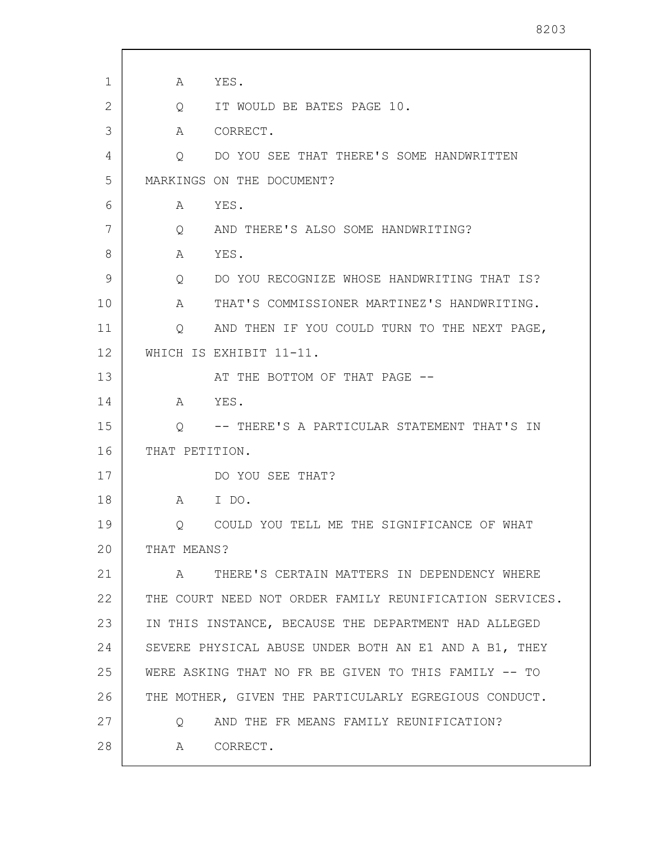1 2 3 4 5 6 7 8 9 10 11 12 13 14 15 16 17 18 19 20 21 22 23 24 25 26 27 28 A YES. Q IT WOULD BE BATES PAGE 10. A CORRECT. Q DO YOU SEE THAT THERE'S SOME HANDWRITTEN MARKINGS ON THE DOCUMENT? A YES. Q AND THERE'S ALSO SOME HANDWRITING? A YES. Q DO YOU RECOGNIZE WHOSE HANDWRITING THAT IS? A THAT'S COMMISSIONER MARTINEZ'S HANDWRITING. Q AND THEN IF YOU COULD TURN TO THE NEXT PAGE, WHICH IS EXHIBIT 11-11. AT THE BOTTOM OF THAT PAGE -- A YES. Q -- THERE'S A PARTICULAR STATEMENT THAT'S IN THAT PETITION. DO YOU SEE THAT? A I DO. Q COULD YOU TELL ME THE SIGNIFICANCE OF WHAT THAT MEANS? A THERE'S CERTAIN MATTERS IN DEPENDENCY WHERE THE COURT NEED NOT ORDER FAMILY REUNIFICATION SERVICES. IN THIS INSTANCE, BECAUSE THE DEPARTMENT HAD ALLEGED SEVERE PHYSICAL ABUSE UNDER BOTH AN E1 AND A B1, THEY WERE ASKING THAT NO FR BE GIVEN TO THIS FAMILY -- TO THE MOTHER, GIVEN THE PARTICULARLY EGREGIOUS CONDUCT. Q AND THE FR MEANS FAMILY REUNIFICATION? A CORRECT.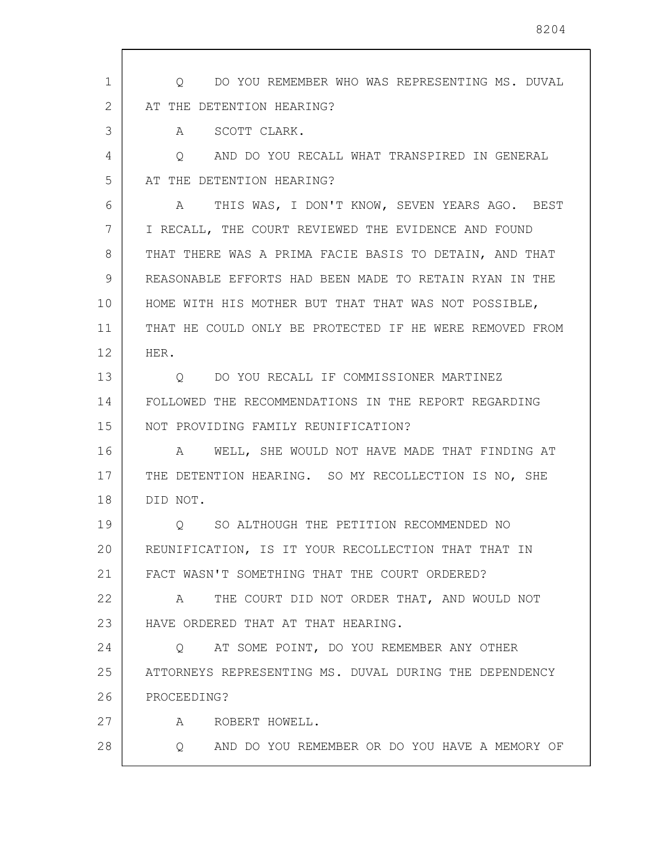1 2 3 4 5 6 7 8 9 10 11 12 13 14 15 16 17 18 19 20 21 22 23 24 25 26 27 28 Q DO YOU REMEMBER WHO WAS REPRESENTING MS. DUVAL AT THE DETENTION HEARING? A SCOTT CLARK. Q AND DO YOU RECALL WHAT TRANSPIRED IN GENERAL AT THE DETENTION HEARING? A THIS WAS, I DON'T KNOW, SEVEN YEARS AGO. BEST I RECALL, THE COURT REVIEWED THE EVIDENCE AND FOUND THAT THERE WAS A PRIMA FACIE BASIS TO DETAIN, AND THAT REASONABLE EFFORTS HAD BEEN MADE TO RETAIN RYAN IN THE HOME WITH HIS MOTHER BUT THAT THAT WAS NOT POSSIBLE, THAT HE COULD ONLY BE PROTECTED IF HE WERE REMOVED FROM HER. Q DO YOU RECALL IF COMMISSIONER MARTINEZ FOLLOWED THE RECOMMENDATIONS IN THE REPORT REGARDING NOT PROVIDING FAMILY REUNIFICATION? A WELL, SHE WOULD NOT HAVE MADE THAT FINDING AT THE DETENTION HEARING. SO MY RECOLLECTION IS NO, SHE DID NOT. Q SO ALTHOUGH THE PETITION RECOMMENDED NO REUNIFICATION, IS IT YOUR RECOLLECTION THAT THAT IN FACT WASN'T SOMETHING THAT THE COURT ORDERED? A THE COURT DID NOT ORDER THAT, AND WOULD NOT HAVE ORDERED THAT AT THAT HEARING. Q AT SOME POINT, DO YOU REMEMBER ANY OTHER ATTORNEYS REPRESENTING MS. DUVAL DURING THE DEPENDENCY PROCEEDING? A ROBERT HOWELL. Q AND DO YOU REMEMBER OR DO YOU HAVE A MEMORY OF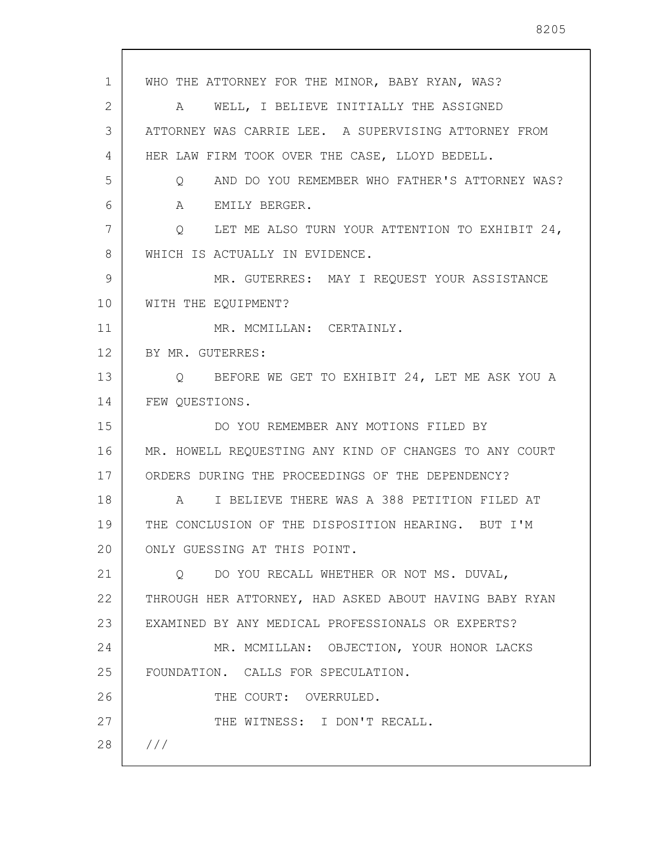1 2 3 4 5 6 7 8 9 10 11 12 13 14 15 16 17 18 19 20 21 22 23 24 25 26 27 28 /// WHO THE ATTORNEY FOR THE MINOR, BABY RYAN, WAS? A WELL, I BELIEVE INITIALLY THE ASSIGNED ATTORNEY WAS CARRIE LEE. A SUPERVISING ATTORNEY FROM HER LAW FIRM TOOK OVER THE CASE, LLOYD BEDELL. Q AND DO YOU REMEMBER WHO FATHER'S ATTORNEY WAS? A EMILY BERGER. Q LET ME ALSO TURN YOUR ATTENTION TO EXHIBIT 24, WHICH IS ACTUALLY IN EVIDENCE. MR. GUTERRES: MAY I REQUEST YOUR ASSISTANCE WITH THE EQUIPMENT? MR. MCMILLAN: CERTAINLY. BY MR. GUTERRES: Q BEFORE WE GET TO EXHIBIT 24, LET ME ASK YOU A FEW QUESTIONS. DO YOU REMEMBER ANY MOTIONS FILED BY MR. HOWELL REQUESTING ANY KIND OF CHANGES TO ANY COURT ORDERS DURING THE PROCEEDINGS OF THE DEPENDENCY? A I BELIEVE THERE WAS A 388 PETITION FILED AT THE CONCLUSION OF THE DISPOSITION HEARING. BUT I'M ONLY GUESSING AT THIS POINT. Q DO YOU RECALL WHETHER OR NOT MS. DUVAL, THROUGH HER ATTORNEY, HAD ASKED ABOUT HAVING BABY RYAN EXAMINED BY ANY MEDICAL PROFESSIONALS OR EXPERTS? MR. MCMILLAN: OBJECTION, YOUR HONOR LACKS FOUNDATION. CALLS FOR SPECULATION. THE COURT: OVERRULED. THE WITNESS: I DON'T RECALL.

8205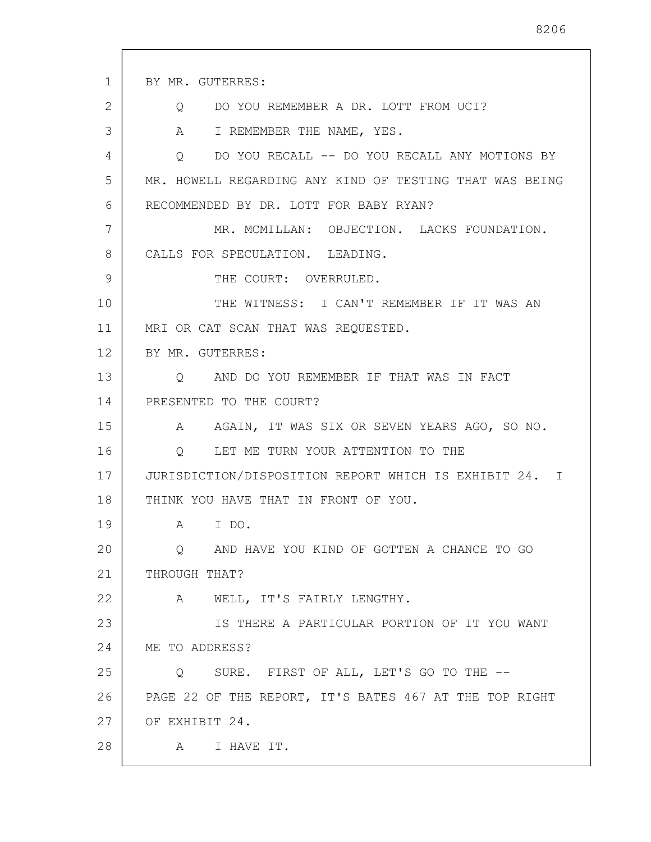| $\mathbf{1}$ | BY MR. GUTERRES:                                          |
|--------------|-----------------------------------------------------------|
| 2            | DO YOU REMEMBER A DR. LOTT FROM UCI?<br>$Q \qquad \qquad$ |
| 3            | A<br>I REMEMBER THE NAME, YES.                            |
| 4            | DO YOU RECALL -- DO YOU RECALL ANY MOTIONS BY<br>Q        |
| 5            | MR. HOWELL REGARDING ANY KIND OF TESTING THAT WAS BEING   |
| 6            | RECOMMENDED BY DR. LOTT FOR BABY RYAN?                    |
| 7            | MR. MCMILLAN: OBJECTION. LACKS FOUNDATION.                |
| 8            | CALLS FOR SPECULATION. LEADING.                           |
| 9            | THE COURT: OVERRULED.                                     |
| 10           | THE WITNESS: I CAN'T REMEMBER IF IT WAS AN                |
| 11           | MRI OR CAT SCAN THAT WAS REQUESTED.                       |
| 12           | BY MR. GUTERRES:                                          |
| 13           | AND DO YOU REMEMBER IF THAT WAS IN FACT<br>O              |
| 14           | PRESENTED TO THE COURT?                                   |
| 15           | A AGAIN, IT WAS SIX OR SEVEN YEARS AGO, SO NO.            |
| 16           | LET ME TURN YOUR ATTENTION TO THE<br>$\circ$              |
| 17           | JURISDICTION/DISPOSITION REPORT WHICH IS EXHIBIT 24. I    |
| 18           | THINK YOU HAVE THAT IN FRONT OF YOU.                      |
| 19           | I DO.<br>A                                                |
| 20           | AND HAVE YOU KIND OF GOTTEN A CHANCE TO GO<br>O           |
| 21           | THROUGH THAT?                                             |
| 22           | A WELL, IT'S FAIRLY LENGTHY.                              |
| 23           | IS THERE A PARTICULAR PORTION OF IT YOU WANT              |
| 24           | ME TO ADDRESS?                                            |
| 25           | SURE. FIRST OF ALL, LET'S GO TO THE --<br>Q               |
| 26           | PAGE 22 OF THE REPORT, IT'S BATES 467 AT THE TOP RIGHT    |
| 27           | OF EXHIBIT 24.                                            |
| 28           | I HAVE IT.<br>A                                           |

 $\sqrt{ }$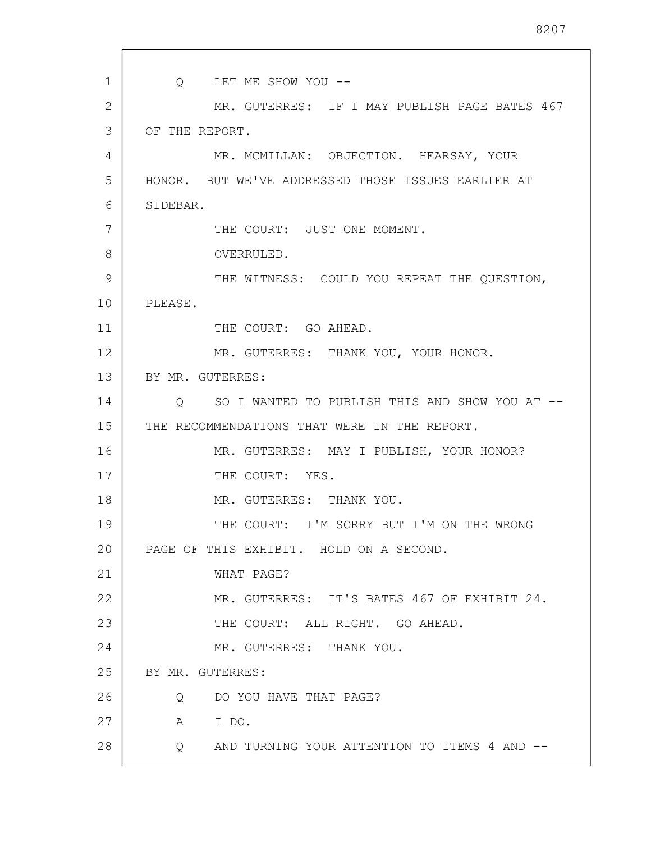1 2 3 4 5 6 7 8 9 10 11 12 13 14 15 16 17 18 19 20 21 22 23 24 25 26 27 28 Q LET ME SHOW YOU -- MR. GUTERRES: IF I MAY PUBLISH PAGE BATES 467 OF THE REPORT. MR. MCMILLAN: OBJECTION. HEARSAY, YOUR HONOR. BUT WE'VE ADDRESSED THOSE ISSUES EARLIER AT SIDEBAR. THE COURT: JUST ONE MOMENT. OVERRULED. THE WITNESS: COULD YOU REPEAT THE QUESTION, PLEASE. THE COURT: GO AHEAD. MR. GUTERRES: THANK YOU, YOUR HONOR. BY MR. GUTERRES: Q SO I WANTED TO PUBLISH THIS AND SHOW YOU AT -- THE RECOMMENDATIONS THAT WERE IN THE REPORT. MR. GUTERRES: MAY I PUBLISH, YOUR HONOR? THE COURT: YES. MR. GUTERRES: THANK YOU. THE COURT: I'M SORRY BUT I'M ON THE WRONG PAGE OF THIS EXHIBIT. HOLD ON A SECOND. WHAT PAGE? MR. GUTERRES: IT'S BATES 467 OF EXHIBIT 24. THE COURT: ALL RIGHT. GO AHEAD. MR. GUTERRES: THANK YOU. BY MR. GUTERRES: Q DO YOU HAVE THAT PAGE? A I DO. Q AND TURNING YOUR ATTENTION TO ITEMS 4 AND --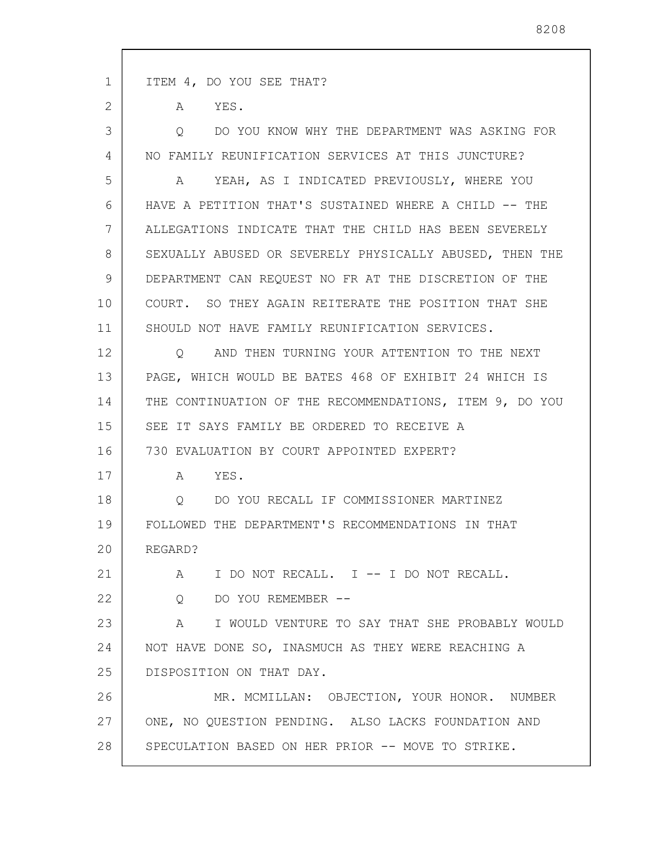1 2 3 4 5 6 7 8 9 10 11 12 13 14 15 16 17 18 19 20 21 22 23 24 25 26 27 28 ITEM 4, DO YOU SEE THAT? A YES. Q DO YOU KNOW WHY THE DEPARTMENT WAS ASKING FOR NO FAMILY REUNIFICATION SERVICES AT THIS JUNCTURE? A YEAH, AS I INDICATED PREVIOUSLY, WHERE YOU HAVE A PETITION THAT'S SUSTAINED WHERE A CHILD -- THE ALLEGATIONS INDICATE THAT THE CHILD HAS BEEN SEVERELY SEXUALLY ABUSED OR SEVERELY PHYSICALLY ABUSED, THEN THE DEPARTMENT CAN REQUEST NO FR AT THE DISCRETION OF THE COURT. SO THEY AGAIN REITERATE THE POSITION THAT SHE SHOULD NOT HAVE FAMILY REUNIFICATION SERVICES. Q AND THEN TURNING YOUR ATTENTION TO THE NEXT PAGE, WHICH WOULD BE BATES 468 OF EXHIBIT 24 WHICH IS THE CONTINUATION OF THE RECOMMENDATIONS, ITEM 9, DO YOU SEE IT SAYS FAMILY BE ORDERED TO RECEIVE A 730 EVALUATION BY COURT APPOINTED EXPERT? A YES. Q DO YOU RECALL IF COMMISSIONER MARTINEZ FOLLOWED THE DEPARTMENT'S RECOMMENDATIONS IN THAT REGARD? A I DO NOT RECALL. I -- I DO NOT RECALL. Q DO YOU REMEMBER -- A I WOULD VENTURE TO SAY THAT SHE PROBABLY WOULD NOT HAVE DONE SO, INASMUCH AS THEY WERE REACHING A DISPOSITION ON THAT DAY. MR. MCMILLAN: OBJECTION, YOUR HONOR. NUMBER ONE, NO QUESTION PENDING. ALSO LACKS FOUNDATION AND SPECULATION BASED ON HER PRIOR -- MOVE TO STRIKE.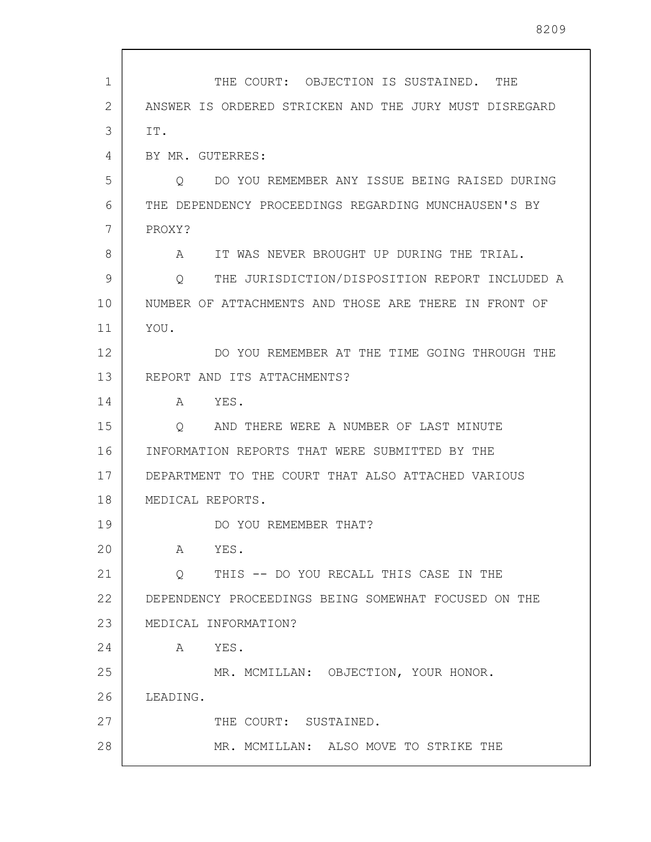| $\mathbf{1}$ | THE COURT: OBJECTION IS SUSTAINED. THE                 |
|--------------|--------------------------------------------------------|
| 2            | ANSWER IS ORDERED STRICKEN AND THE JURY MUST DISREGARD |
| 3            | IT.                                                    |
| 4            | BY MR. GUTERRES:                                       |
| 5            | DO YOU REMEMBER ANY ISSUE BEING RAISED DURING<br>Q     |
| 6            | THE DEPENDENCY PROCEEDINGS REGARDING MUNCHAUSEN'S BY   |
| 7            | PROXY?                                                 |
| 8            | IT WAS NEVER BROUGHT UP DURING THE TRIAL.<br>A         |
| 9            | THE JURISDICTION/DISPOSITION REPORT INCLUDED A<br>O    |
| 10           | NUMBER OF ATTACHMENTS AND THOSE ARE THERE IN FRONT OF  |
| 11           | YOU.                                                   |
| 12           | DO YOU REMEMBER AT THE TIME GOING THROUGH THE          |
| 13           | REPORT AND ITS ATTACHMENTS?                            |
| 14           | YES.<br>A                                              |
| 15           | AND THERE WERE A NUMBER OF LAST MINUTE<br>Q            |
| 16           | INFORMATION REPORTS THAT WERE SUBMITTED BY THE         |
| 17           | DEPARTMENT TO THE COURT THAT ALSO ATTACHED VARIOUS     |
| 18           | MEDICAL REPORTS.                                       |
| 19           | DO YOU REMEMBER THAT?                                  |
| 20           | A YES.                                                 |
| 21           | THIS -- DO YOU RECALL THIS CASE IN THE<br>$\circ$      |
| 22           | DEPENDENCY PROCEEDINGS BEING SOMEWHAT FOCUSED ON THE   |
| 23           | MEDICAL INFORMATION?                                   |
| 24           | A YES.                                                 |
| 25           | MR. MCMILLAN: OBJECTION, YOUR HONOR.                   |
| 26           | LEADING.                                               |
| 27           | THE COURT: SUSTAINED.                                  |
| 28           | MR. MCMILLAN: ALSO MOVE TO STRIKE THE                  |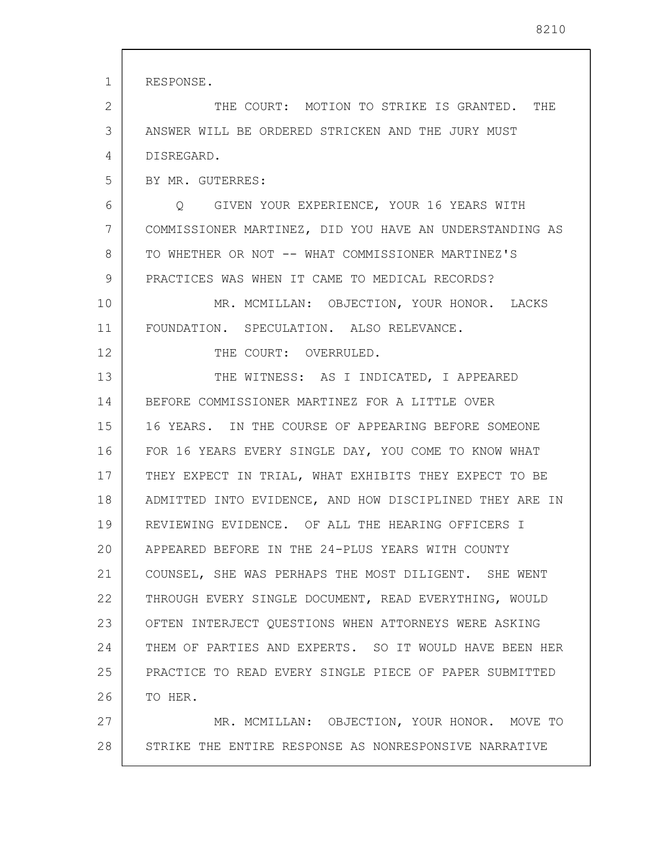1 2 3 4 5 6 7 8 9 10 11 12 13 14 15 16 17 18 19 20 21 22 23 24 25 26 27 28 RESPONSE. THE COURT: MOTION TO STRIKE IS GRANTED. THE ANSWER WILL BE ORDERED STRICKEN AND THE JURY MUST DISREGARD. BY MR. GUTERRES: Q GIVEN YOUR EXPERIENCE, YOUR 16 YEARS WITH COMMISSIONER MARTINEZ, DID YOU HAVE AN UNDERSTANDING AS TO WHETHER OR NOT -- WHAT COMMISSIONER MARTINEZ'S PRACTICES WAS WHEN IT CAME TO MEDICAL RECORDS? MR. MCMILLAN: OBJECTION, YOUR HONOR. LACKS FOUNDATION. SPECULATION. ALSO RELEVANCE. THE COURT: OVERRULED. THE WITNESS: AS I INDICATED, I APPEARED BEFORE COMMISSIONER MARTINEZ FOR A LITTLE OVER 16 YEARS. IN THE COURSE OF APPEARING BEFORE SOMEONE FOR 16 YEARS EVERY SINGLE DAY, YOU COME TO KNOW WHAT THEY EXPECT IN TRIAL, WHAT EXHIBITS THEY EXPECT TO BE ADMITTED INTO EVIDENCE, AND HOW DISCIPLINED THEY ARE IN REVIEWING EVIDENCE. OF ALL THE HEARING OFFICERS I APPEARED BEFORE IN THE 24-PLUS YEARS WITH COUNTY COUNSEL, SHE WAS PERHAPS THE MOST DILIGENT. SHE WENT THROUGH EVERY SINGLE DOCUMENT, READ EVERYTHING, WOULD OFTEN INTERJECT QUESTIONS WHEN ATTORNEYS WERE ASKING THEM OF PARTIES AND EXPERTS. SO IT WOULD HAVE BEEN HER PRACTICE TO READ EVERY SINGLE PIECE OF PAPER SUBMITTED TO HER. MR. MCMILLAN: OBJECTION, YOUR HONOR. MOVE TO STRIKE THE ENTIRE RESPONSE AS NONRESPONSIVE NARRATIVE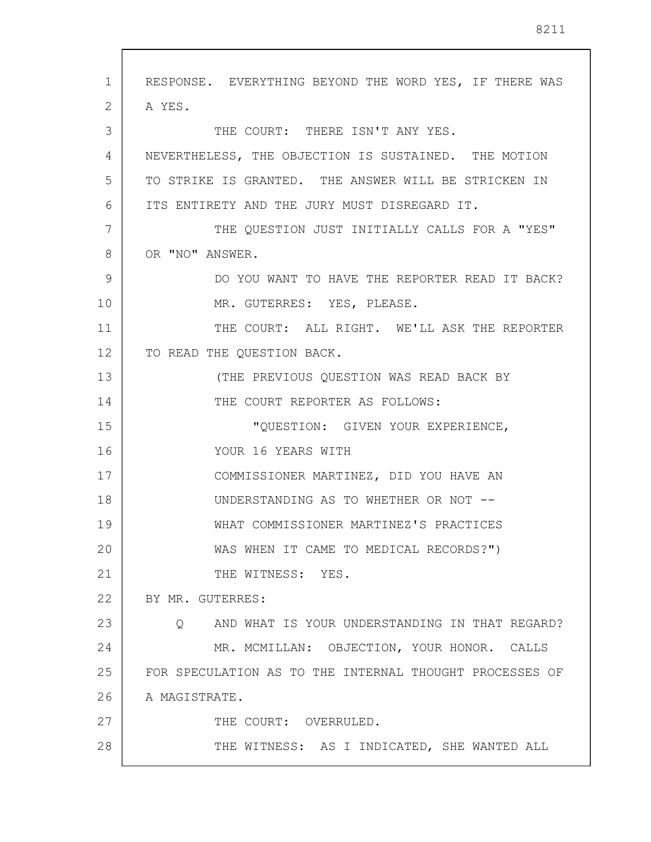| $\mathbf{1}$ | RESPONSE. EVERYTHING BEYOND THE WORD YES, IF THERE WAS    |
|--------------|-----------------------------------------------------------|
| 2            | A YES.                                                    |
| 3            | THE COURT: THERE ISN'T ANY YES.                           |
| 4            | NEVERTHELESS, THE OBJECTION IS SUSTAINED. THE MOTION      |
| 5            | TO STRIKE IS GRANTED. THE ANSWER WILL BE STRICKEN IN      |
| 6            | ITS ENTIRETY AND THE JURY MUST DISREGARD IT.              |
| 7            | THE QUESTION JUST INITIALLY CALLS FOR A "YES"             |
| 8            | OR "NO" ANSWER.                                           |
| 9            | DO YOU WANT TO HAVE THE REPORTER READ IT BACK?            |
| 10           | MR. GUTERRES: YES, PLEASE.                                |
| 11           | THE COURT: ALL RIGHT. WE'LL ASK THE REPORTER              |
| 12           | TO READ THE QUESTION BACK.                                |
| 13           | (THE PREVIOUS QUESTION WAS READ BACK BY                   |
| 14           | THE COURT REPORTER AS FOLLOWS:                            |
| 15           | "QUESTION: GIVEN YOUR EXPERIENCE,                         |
| 16           | YOUR 16 YEARS WITH                                        |
| 17           | COMMISSIONER MARTINEZ, DID YOU HAVE AN                    |
| 18           | UNDERSTANDING AS TO WHETHER OR NOT --                     |
| 19           | WHAT COMMISSIONER MARTINEZ'S PRACTICES                    |
| 20           | WAS WHEN IT CAME TO MEDICAL RECORDS?")                    |
| 21           | THE WITNESS: YES.                                         |
| 22           | BY MR. GUTERRES:                                          |
| 23           | AND WHAT IS YOUR UNDERSTANDING IN THAT REGARD?<br>$\circ$ |
| 24           | MR. MCMILLAN: OBJECTION, YOUR HONOR. CALLS                |
| 25           | FOR SPECULATION AS TO THE INTERNAL THOUGHT PROCESSES OF   |
| 26           | A MAGISTRATE.                                             |
| 27           | THE COURT: OVERRULED.                                     |
| 28           | THE WITNESS: AS I INDICATED, SHE WANTED ALL               |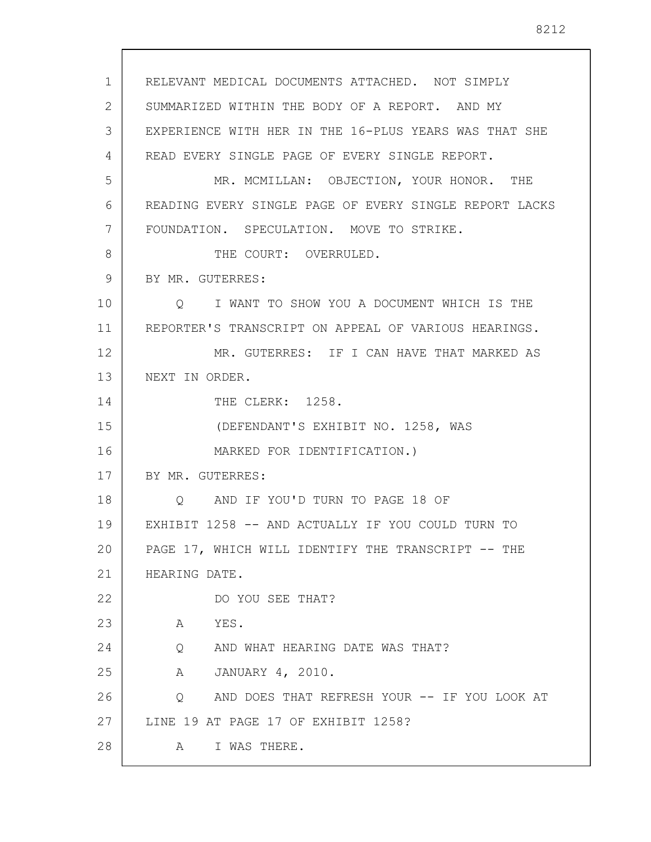1 2 3 4 5 6 7 8 9 10 11 12 13 14 15 16 17 18 19 20 21 22 23 24 25 26 27 28 RELEVANT MEDICAL DOCUMENTS ATTACHED. NOT SIMPLY SUMMARIZED WITHIN THE BODY OF A REPORT. AND MY EXPERIENCE WITH HER IN THE 16-PLUS YEARS WAS THAT SHE READ EVERY SINGLE PAGE OF EVERY SINGLE REPORT. MR. MCMILLAN: OBJECTION, YOUR HONOR. THE READING EVERY SINGLE PAGE OF EVERY SINGLE REPORT LACKS FOUNDATION. SPECULATION. MOVE TO STRIKE. THE COURT: OVERRULED. BY MR. GUTERRES: Q I WANT TO SHOW YOU A DOCUMENT WHICH IS THE REPORTER'S TRANSCRIPT ON APPEAL OF VARIOUS HEARINGS. MR. GUTERRES: IF I CAN HAVE THAT MARKED AS NEXT IN ORDER. THE CLERK: 1258. (DEFENDANT'S EXHIBIT NO. 1258, WAS MARKED FOR IDENTIFICATION.) BY MR. GUTERRES: Q AND IF YOU'D TURN TO PAGE 18 OF EXHIBIT 1258 -- AND ACTUALLY IF YOU COULD TURN TO PAGE 17, WHICH WILL IDENTIFY THE TRANSCRIPT -- THE HEARING DATE. DO YOU SEE THAT? A YES. Q AND WHAT HEARING DATE WAS THAT? A JANUARY 4, 2010. Q AND DOES THAT REFRESH YOUR -- IF YOU LOOK AT LINE 19 AT PAGE 17 OF EXHIBIT 1258? A I WAS THERE.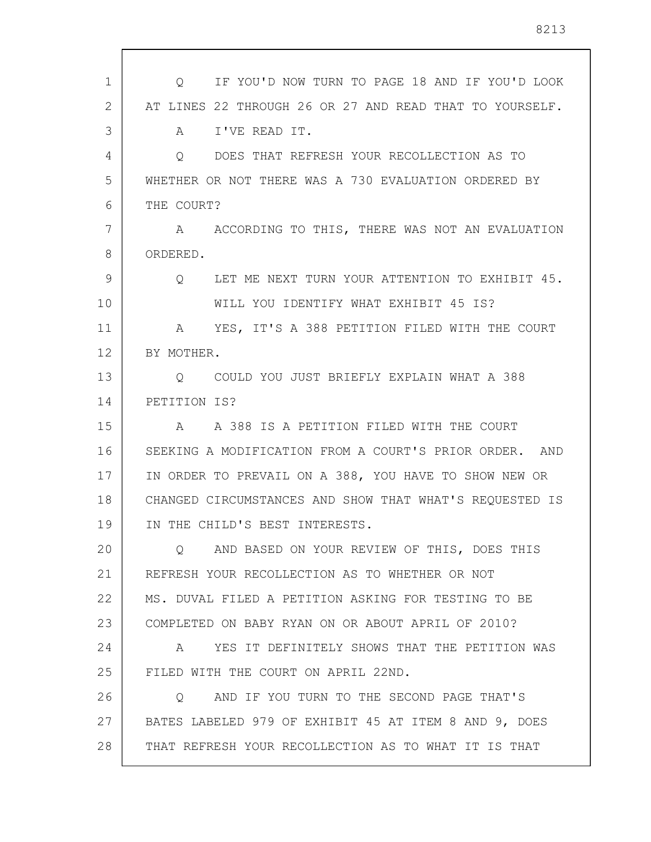| $\mathbf{1}$ | IF YOU'D NOW TURN TO PAGE 18 AND IF YOU'D LOOK<br>$\circ$ |
|--------------|-----------------------------------------------------------|
| 2            | AT LINES 22 THROUGH 26 OR 27 AND READ THAT TO YOURSELF.   |
| 3            | I'VE READ IT.<br>A                                        |
| 4            | DOES THAT REFRESH YOUR RECOLLECTION AS TO<br>$\circ$      |
| 5            | WHETHER OR NOT THERE WAS A 730 EVALUATION ORDERED BY      |
| 6            | THE COURT?                                                |
| 7            | A ACCORDING TO THIS, THERE WAS NOT AN EVALUATION          |
| 8            | ORDERED.                                                  |
| 9            | LET ME NEXT TURN YOUR ATTENTION TO EXHIBIT 45.<br>$\circ$ |
| 10           | WILL YOU IDENTIFY WHAT EXHIBIT 45 IS?                     |
| 11           | YES, IT'S A 388 PETITION FILED WITH THE COURT<br>A        |
| 12           | BY MOTHER.                                                |
| 13           | COULD YOU JUST BRIEFLY EXPLAIN WHAT A 388<br>O            |
| 14           | PETITION IS?                                              |
| 15           | A 388 IS A PETITION FILED WITH THE COURT<br>A             |
| 16           | SEEKING A MODIFICATION FROM A COURT'S PRIOR ORDER. AND    |
| 17           | IN ORDER TO PREVAIL ON A 388, YOU HAVE TO SHOW NEW OR     |
| 18           | CHANGED CIRCUMSTANCES AND SHOW THAT WHAT'S REQUESTED IS   |
| 19           | IN THE CHILD'S BEST INTERESTS.                            |
| 20           | AND BASED ON YOUR REVIEW OF THIS, DOES THIS<br>O          |
| 21           | REFRESH YOUR RECOLLECTION AS TO WHETHER OR NOT            |
| 22           | MS. DUVAL FILED A PETITION ASKING FOR TESTING TO BE       |
| 23           | COMPLETED ON BABY RYAN ON OR ABOUT APRIL OF 2010?         |
| 24           | YES IT DEFINITELY SHOWS THAT THE PETITION WAS<br>A        |
| 25           | FILED WITH THE COURT ON APRIL 22ND.                       |
| 26           | AND IF YOU TURN TO THE SECOND PAGE THAT'S<br>$\circ$      |
| 27           | BATES LABELED 979 OF EXHIBIT 45 AT ITEM 8 AND 9, DOES     |
| 28           | THAT REFRESH YOUR RECOLLECTION AS TO WHAT IT IS THAT      |
|              |                                                           |

 $\sqrt{ }$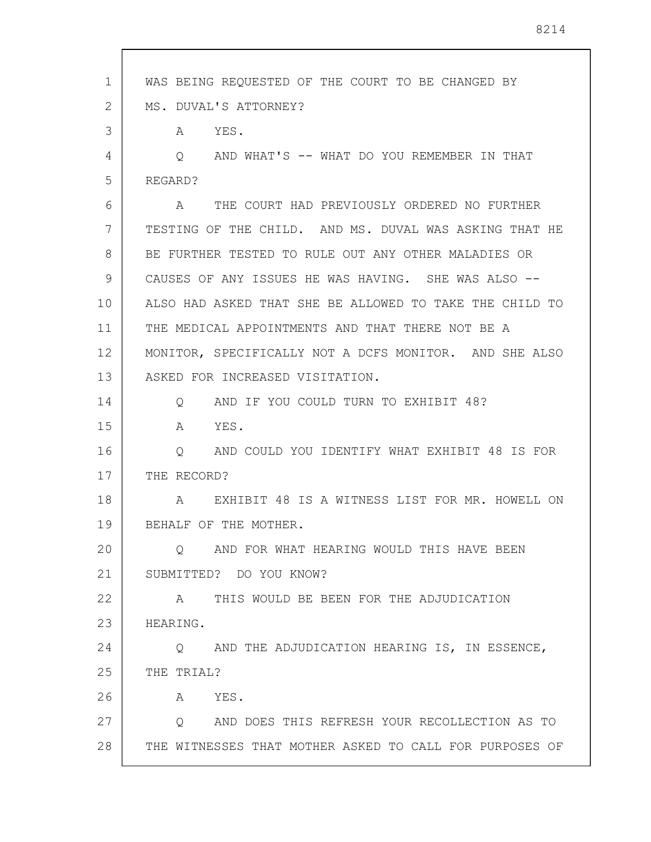1 2 3 4 5 6 7 8 9 10 11 12 13 14 15 16 17 18 19 20 21 22 23 24 25 26 27 28 WAS BEING REQUESTED OF THE COURT TO BE CHANGED BY MS. DUVAL'S ATTORNEY? A YES. Q AND WHAT'S -- WHAT DO YOU REMEMBER IN THAT REGARD? A THE COURT HAD PREVIOUSLY ORDERED NO FURTHER TESTING OF THE CHILD. AND MS. DUVAL WAS ASKING THAT HE BE FURTHER TESTED TO RULE OUT ANY OTHER MALADIES OR CAUSES OF ANY ISSUES HE WAS HAVING. SHE WAS ALSO -- ALSO HAD ASKED THAT SHE BE ALLOWED TO TAKE THE CHILD TO THE MEDICAL APPOINTMENTS AND THAT THERE NOT BE A MONITOR, SPECIFICALLY NOT A DCFS MONITOR. AND SHE ALSO ASKED FOR INCREASED VISITATION. Q AND IF YOU COULD TURN TO EXHIBIT 48? A YES. Q AND COULD YOU IDENTIFY WHAT EXHIBIT 48 IS FOR THE RECORD? A EXHIBIT 48 IS A WITNESS LIST FOR MR. HOWELL ON BEHALF OF THE MOTHER. Q AND FOR WHAT HEARING WOULD THIS HAVE BEEN SUBMITTED? DO YOU KNOW? A THIS WOULD BE BEEN FOR THE ADJUDICATION HEARING. Q AND THE ADJUDICATION HEARING IS, IN ESSENCE, THE TRIAL? A YES. Q AND DOES THIS REFRESH YOUR RECOLLECTION AS TO THE WITNESSES THAT MOTHER ASKED TO CALL FOR PURPOSES OF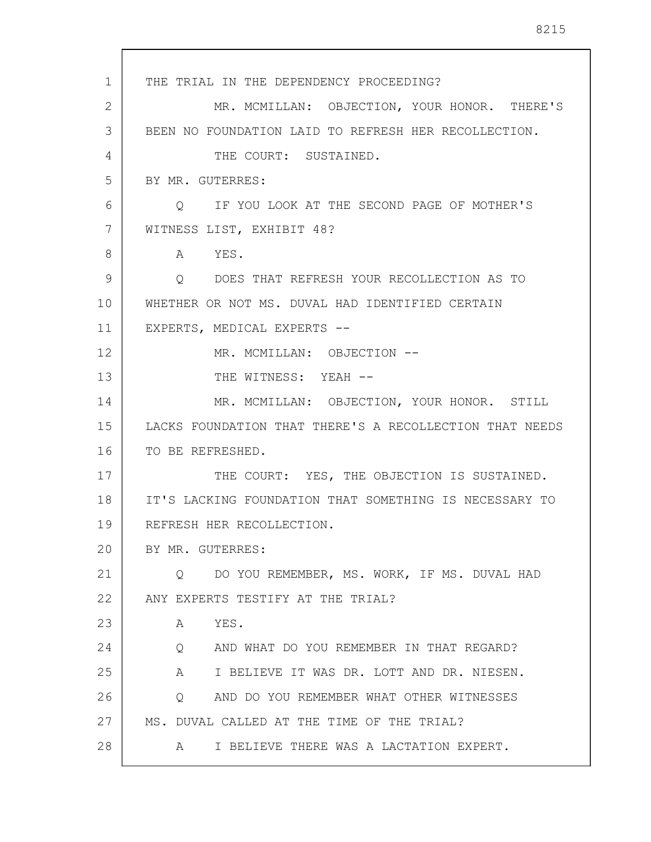1 2 3 4 5 6 7 8 9 10 11 12 13 14 15 16 17 18 19 20 21 22 23 24 25 26 27 28 THE TRIAL IN THE DEPENDENCY PROCEEDING? MR. MCMILLAN: OBJECTION, YOUR HONOR. THERE'S BEEN NO FOUNDATION LAID TO REFRESH HER RECOLLECTION. THE COURT: SUSTAINED. BY MR. GUTERRES: Q IF YOU LOOK AT THE SECOND PAGE OF MOTHER'S WITNESS LIST, EXHIBIT 48? A YES. Q DOES THAT REFRESH YOUR RECOLLECTION AS TO WHETHER OR NOT MS. DUVAL HAD IDENTIFIED CERTAIN EXPERTS, MEDICAL EXPERTS -- MR. MCMILLAN: OBJECTION -- THE WITNESS: YEAH --MR. MCMILLAN: OBJECTION, YOUR HONOR. STILL LACKS FOUNDATION THAT THERE'S A RECOLLECTION THAT NEEDS TO BE REFRESHED. THE COURT: YES, THE OBJECTION IS SUSTAINED. IT'S LACKING FOUNDATION THAT SOMETHING IS NECESSARY TO REFRESH HER RECOLLECTION. BY MR. GUTERRES: Q DO YOU REMEMBER, MS. WORK, IF MS. DUVAL HAD ANY EXPERTS TESTIFY AT THE TRIAL? A YES. Q AND WHAT DO YOU REMEMBER IN THAT REGARD? A I BELIEVE IT WAS DR. LOTT AND DR. NIESEN. Q AND DO YOU REMEMBER WHAT OTHER WITNESSES MS. DUVAL CALLED AT THE TIME OF THE TRIAL? A I BELIEVE THERE WAS A LACTATION EXPERT.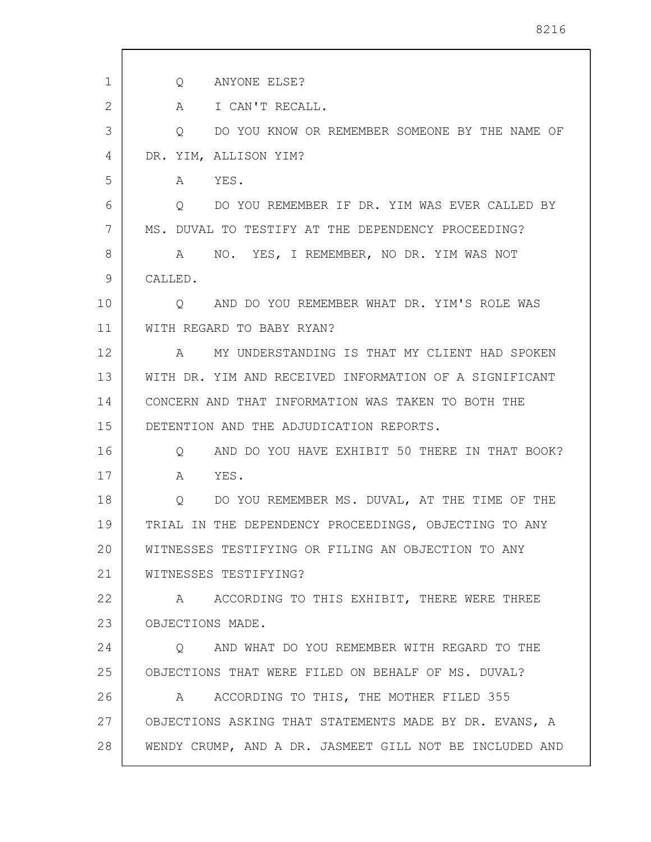| 1  | ANYONE ELSE?<br>Q                                                 |
|----|-------------------------------------------------------------------|
| 2  | I CAN'T RECALL.<br>A                                              |
| 3  | DO YOU KNOW OR REMEMBER SOMEONE BY THE NAME OF<br>Q               |
| 4  | DR. YIM, ALLISON YIM?                                             |
| 5  | A YES.                                                            |
| 6  | DO YOU REMEMBER IF DR. YIM WAS EVER CALLED BY<br>Q                |
| 7  | MS. DUVAL TO TESTIFY AT THE DEPENDENCY PROCEEDING?                |
| 8  | NO. YES, I REMEMBER, NO DR. YIM WAS NOT<br>A                      |
| 9  | CALLED.                                                           |
| 10 | O AND DO YOU REMEMBER WHAT DR. YIM'S ROLE WAS                     |
| 11 | WITH REGARD TO BABY RYAN?                                         |
| 12 | MY UNDERSTANDING IS THAT MY CLIENT HAD SPOKEN<br>$A \quad \alpha$ |
| 13 | WITH DR. YIM AND RECEIVED INFORMATION OF A SIGNIFICANT            |
| 14 | CONCERN AND THAT INFORMATION WAS TAKEN TO BOTH THE                |
| 15 | DETENTION AND THE ADJUDICATION REPORTS.                           |
| 16 | AND DO YOU HAVE EXHIBIT 50 THERE IN THAT BOOK?<br>Q               |
| 17 | YES.<br>A                                                         |
| 18 | DO YOU REMEMBER MS. DUVAL, AT THE TIME OF THE<br>$\overline{Q}$   |
| 19 | TRIAL IN THE DEPENDENCY PROCEEDINGS, OBJECTING TO ANY             |
| 20 | WITNESSES TESTIFYING OR FILING AN OBJECTION TO ANY                |
| 21 | WITNESSES TESTIFYING?                                             |
| 22 | A ACCORDING TO THIS EXHIBIT, THERE WERE THREE                     |
| 23 | OBJECTIONS MADE.                                                  |
| 24 | AND WHAT DO YOU REMEMBER WITH REGARD TO THE<br>$\circ$            |
| 25 | OBJECTIONS THAT WERE FILED ON BEHALF OF MS. DUVAL?                |
| 26 | ACCORDING TO THIS, THE MOTHER FILED 355<br>A                      |
| 27 | OBJECTIONS ASKING THAT STATEMENTS MADE BY DR. EVANS, A            |
| 28 | WENDY CRUMP, AND A DR. JASMEET GILL NOT BE INCLUDED AND           |

 $\sqrt{ }$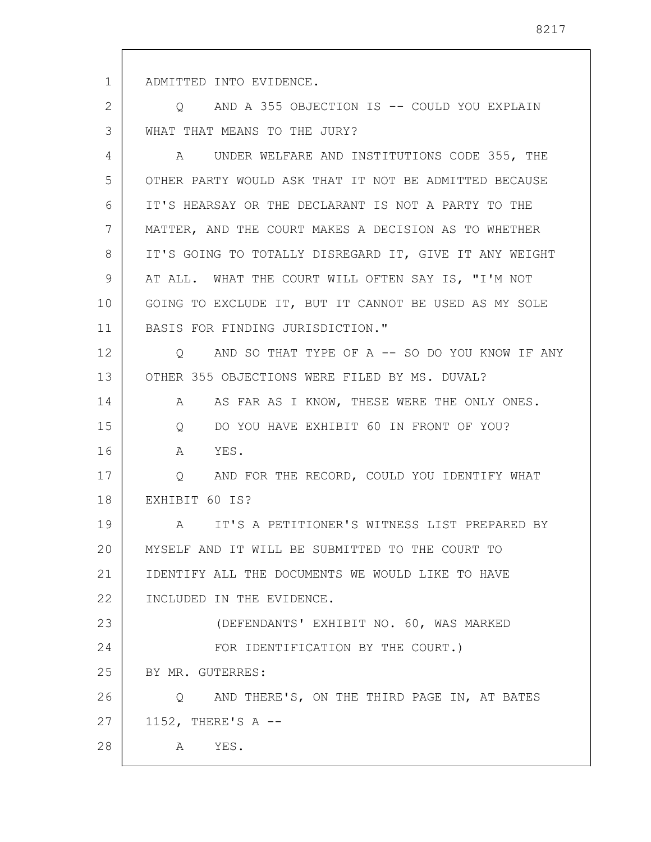1 ADMITTED INTO EVIDENCE.

2 3 Q AND A 355 OBJECTION IS -- COULD YOU EXPLAIN WHAT THAT MEANS TO THE JURY?

4 5 6 7 8 9 10 11 12 13 14 15 16 17 18 19 20 21 22 23 24 25 26 27 28 A UNDER WELFARE AND INSTITUTIONS CODE 355, THE OTHER PARTY WOULD ASK THAT IT NOT BE ADMITTED BECAUSE IT'S HEARSAY OR THE DECLARANT IS NOT A PARTY TO THE MATTER, AND THE COURT MAKES A DECISION AS TO WHETHER IT'S GOING TO TOTALLY DISREGARD IT, GIVE IT ANY WEIGHT AT ALL. WHAT THE COURT WILL OFTEN SAY IS, "I'M NOT GOING TO EXCLUDE IT, BUT IT CANNOT BE USED AS MY SOLE BASIS FOR FINDING JURISDICTION." Q AND SO THAT TYPE OF A -- SO DO YOU KNOW IF ANY OTHER 355 OBJECTIONS WERE FILED BY MS. DUVAL? A AS FAR AS I KNOW, THESE WERE THE ONLY ONES. Q DO YOU HAVE EXHIBIT 60 IN FRONT OF YOU? A YES. Q AND FOR THE RECORD, COULD YOU IDENTIFY WHAT EXHIBIT 60 IS? A IT'S A PETITIONER'S WITNESS LIST PREPARED BY MYSELF AND IT WILL BE SUBMITTED TO THE COURT TO IDENTIFY ALL THE DOCUMENTS WE WOULD LIKE TO HAVE INCLUDED IN THE EVIDENCE. (DEFENDANTS' EXHIBIT NO. 60, WAS MARKED FOR IDENTIFICATION BY THE COURT.) BY MR. GUTERRES: Q AND THERE'S, ON THE THIRD PAGE IN, AT BATES 1152, THERE'S A -- A YES.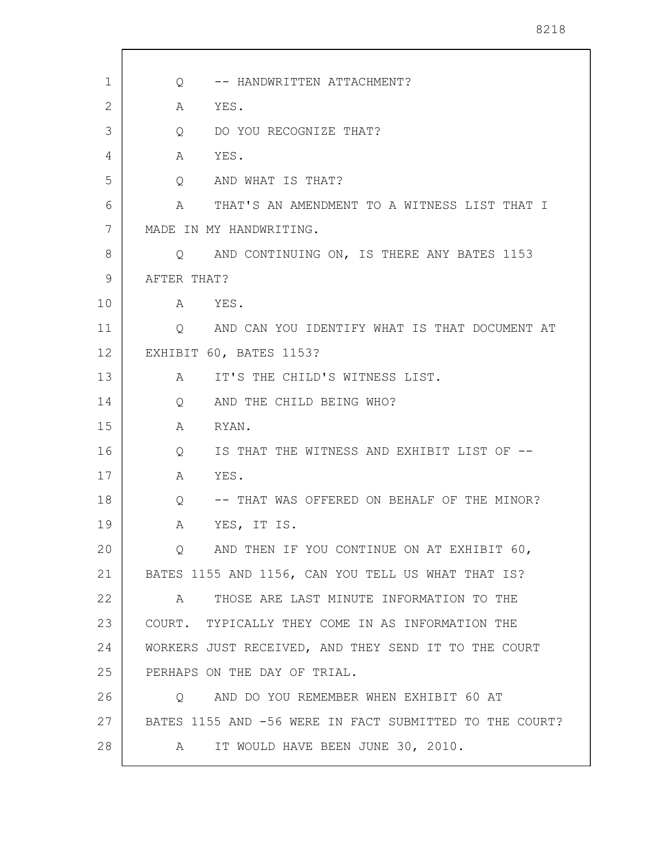| 1  | -- HANDWRITTEN ATTACHMENT?<br>$Q \qquad \qquad$             |
|----|-------------------------------------------------------------|
| 2  | YES.<br>Α                                                   |
| 3  | DO YOU RECOGNIZE THAT?<br>Q                                 |
| 4  | YES.<br>A                                                   |
| 5  | AND WHAT IS THAT?<br>$Q \qquad \qquad$                      |
| 6  | THAT'S AN AMENDMENT TO A WITNESS LIST THAT I<br>A           |
| 7  | MADE IN MY HANDWRITING.                                     |
| 8  | AND CONTINUING ON, IS THERE ANY BATES 1153<br>$Q_{\rm max}$ |
| 9  | AFTER THAT?                                                 |
| 10 | YES.<br>A                                                   |
| 11 | AND CAN YOU IDENTIFY WHAT IS THAT DOCUMENT AT<br>$\circ$    |
| 12 | EXHIBIT 60, BATES 1153?                                     |
| 13 | IT'S THE CHILD'S WITNESS LIST.<br>A                         |
| 14 | AND THE CHILD BEING WHO?<br>Q                               |
| 15 | A<br>RYAN.                                                  |
| 16 | IS THAT THE WITNESS AND EXHIBIT LIST OF --<br>Q             |
| 17 | YES.<br>A                                                   |
| 18 | -- THAT WAS OFFERED ON BEHALF OF THE MINOR?<br>Q            |
| 19 | YES, IT IS.<br>А                                            |
| 20 | AND THEN IF YOU CONTINUE ON AT EXHIBIT 60,<br>Q             |
| 21 | BATES 1155 AND 1156, CAN YOU TELL US WHAT THAT IS?          |
| 22 | THOSE ARE LAST MINUTE INFORMATION TO THE<br>A               |
| 23 | COURT. TYPICALLY THEY COME IN AS INFORMATION THE            |
| 24 | WORKERS JUST RECEIVED, AND THEY SEND IT TO THE COURT        |
| 25 | PERHAPS ON THE DAY OF TRIAL.                                |
| 26 | AND DO YOU REMEMBER WHEN EXHIBIT 60 AT<br>$\circ$           |
| 27 | BATES 1155 AND -56 WERE IN FACT SUBMITTED TO THE COURT?     |
| 28 | IT WOULD HAVE BEEN JUNE 30, 2010.<br>A                      |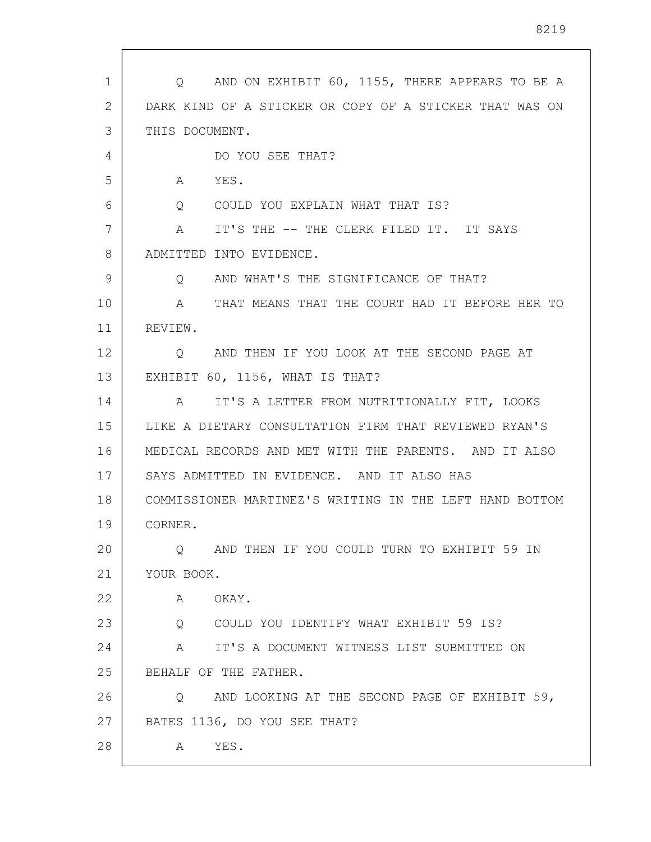| $\mathbf{1}$ | Q AND ON EXHIBIT 60, 1155, THERE APPEARS TO BE A                   |
|--------------|--------------------------------------------------------------------|
| 2            | DARK KIND OF A STICKER OR COPY OF A STICKER THAT WAS ON            |
| 3            | THIS DOCUMENT.                                                     |
| 4            | DO YOU SEE THAT?                                                   |
| 5            | YES.<br>A                                                          |
| 6            | COULD YOU EXPLAIN WHAT THAT IS?<br>$Q \qquad \qquad$               |
| 7            | IT'S THE -- THE CLERK FILED IT. IT SAYS<br>A                       |
| 8            | ADMITTED INTO EVIDENCE.                                            |
| 9            | AND WHAT'S THE SIGNIFICANCE OF THAT?<br>Q                          |
| 10           | THAT MEANS THAT THE COURT HAD IT BEFORE HER TO<br>$A \quad \alpha$ |
| 11           | REVIEW.                                                            |
| 12           | AND THEN IF YOU LOOK AT THE SECOND PAGE AT<br>Q                    |
| 13           | EXHIBIT 60, 1156, WHAT IS THAT?                                    |
| 14           | A IT'S A LETTER FROM NUTRITIONALLY FIT, LOOKS                      |
| 15           | LIKE A DIETARY CONSULTATION FIRM THAT REVIEWED RYAN'S              |
| 16           | MEDICAL RECORDS AND MET WITH THE PARENTS. AND IT ALSO              |
| 17           | SAYS ADMITTED IN EVIDENCE. AND IT ALSO HAS                         |
| 18           | COMMISSIONER MARTINEZ'S WRITING IN THE LEFT HAND BOTTOM            |
| 19           | CORNER.                                                            |
| 20           | Q AND THEN IF YOU COULD TURN TO EXHIBIT 59 IN                      |
| 21           | YOUR BOOK.                                                         |
| 22           | A OKAY.                                                            |
| 23           | Q COULD YOU IDENTIFY WHAT EXHIBIT 59 IS?                           |
| 24           | A IT'S A DOCUMENT WITNESS LIST SUBMITTED ON                        |
| 25           | BEHALF OF THE FATHER.                                              |
| 26           | AND LOOKING AT THE SECOND PAGE OF EXHIBIT 59,<br>Q                 |
| 27           | BATES 1136, DO YOU SEE THAT?                                       |
| 28           | YES.<br>A                                                          |
|              |                                                                    |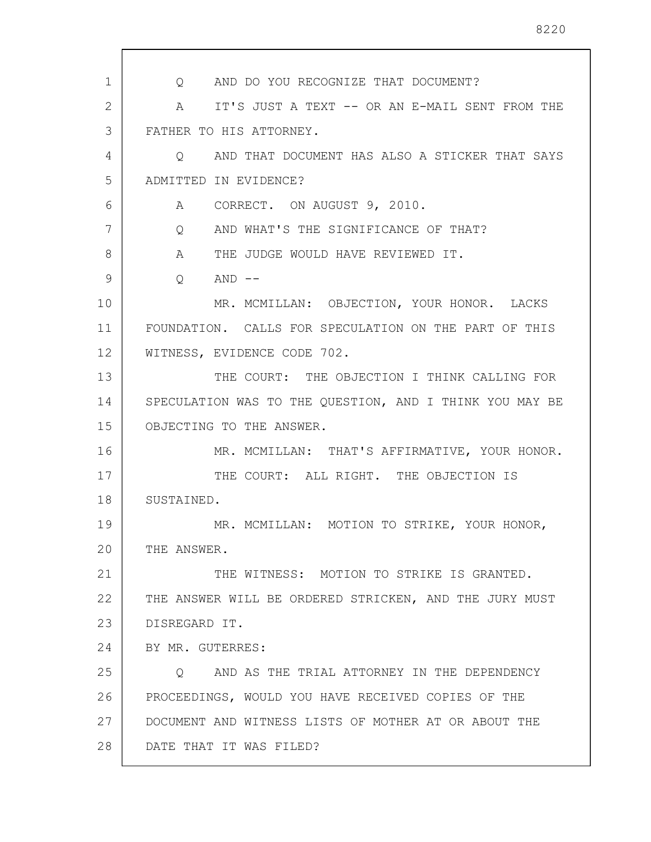1 2 3 4 5 6 7 8 9 10 11 12 13 14 15 16 17 18 19 20 21 22 23 24 25 26 27 28 Q AND DO YOU RECOGNIZE THAT DOCUMENT? A IT'S JUST A TEXT -- OR AN E-MAIL SENT FROM THE FATHER TO HIS ATTORNEY. Q AND THAT DOCUMENT HAS ALSO A STICKER THAT SAYS ADMITTED IN EVIDENCE? A CORRECT. ON AUGUST 9, 2010. Q AND WHAT'S THE SIGNIFICANCE OF THAT? A THE JUDGE WOULD HAVE REVIEWED IT.  $O$   $AND$   $--$ MR. MCMILLAN: OBJECTION, YOUR HONOR. LACKS FOUNDATION. CALLS FOR SPECULATION ON THE PART OF THIS WITNESS, EVIDENCE CODE 702. THE COURT: THE OBJECTION I THINK CALLING FOR SPECULATION WAS TO THE QUESTION, AND I THINK YOU MAY BE OBJECTING TO THE ANSWER. MR. MCMILLAN: THAT'S AFFIRMATIVE, YOUR HONOR. THE COURT: ALL RIGHT. THE OBJECTION IS SUSTAINED. MR. MCMILLAN: MOTION TO STRIKE, YOUR HONOR, THE ANSWER. THE WITNESS: MOTION TO STRIKE IS GRANTED. THE ANSWER WILL BE ORDERED STRICKEN, AND THE JURY MUST DISREGARD IT. BY MR. GUTERRES: Q AND AS THE TRIAL ATTORNEY IN THE DEPENDENCY PROCEEDINGS, WOULD YOU HAVE RECEIVED COPIES OF THE DOCUMENT AND WITNESS LISTS OF MOTHER AT OR ABOUT THE DATE THAT IT WAS FILED?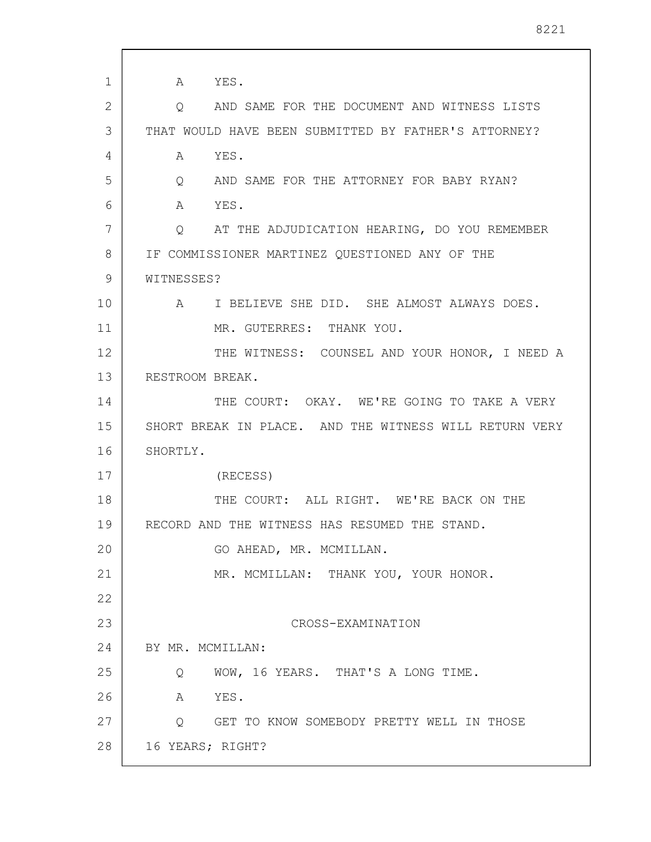1 2 3 4 5 6 7 8 9 10 11 12 13 14 15 16 17 18 19 20 21 22 23 24 25 26 27 28 A YES. Q AND SAME FOR THE DOCUMENT AND WITNESS LISTS THAT WOULD HAVE BEEN SUBMITTED BY FATHER'S ATTORNEY? A YES. Q AND SAME FOR THE ATTORNEY FOR BABY RYAN? A YES. Q AT THE ADJUDICATION HEARING, DO YOU REMEMBER IF COMMISSIONER MARTINEZ QUESTIONED ANY OF THE WITNESSES? A I BELIEVE SHE DID. SHE ALMOST ALWAYS DOES. MR. GUTERRES: THANK YOU. THE WITNESS: COUNSEL AND YOUR HONOR, I NEED A RESTROOM BREAK. THE COURT: OKAY. WE'RE GOING TO TAKE A VERY SHORT BREAK IN PLACE. AND THE WITNESS WILL RETURN VERY SHORTLY. (RECESS) THE COURT: ALL RIGHT. WE'RE BACK ON THE RECORD AND THE WITNESS HAS RESUMED THE STAND. GO AHEAD, MR. MCMILLAN. MR. MCMILLAN: THANK YOU, YOUR HONOR. CROSS-EXAMINATION BY MR. MCMILLAN: Q WOW, 16 YEARS. THAT'S A LONG TIME. A YES. Q GET TO KNOW SOMEBODY PRETTY WELL IN THOSE 16 YEARS; RIGHT?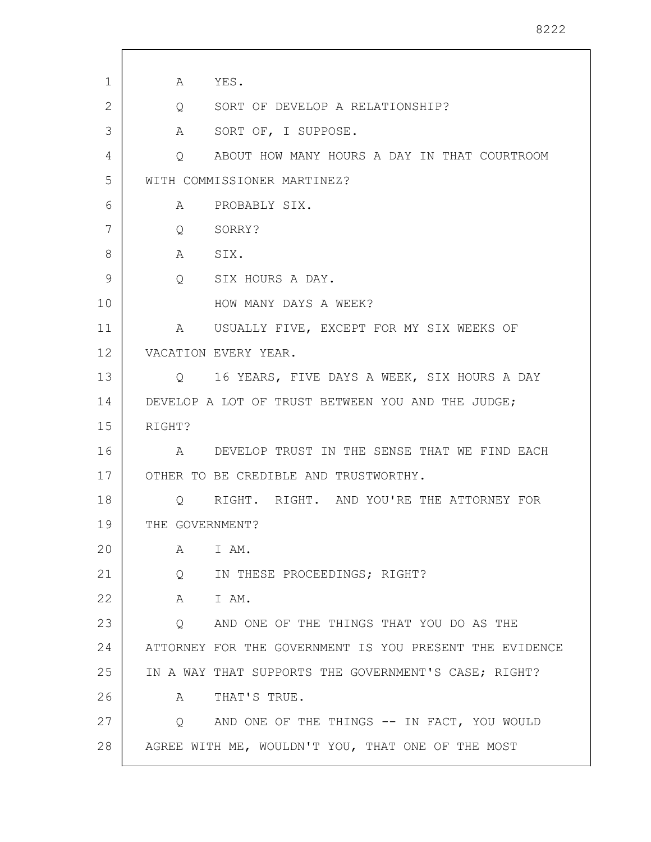| $\mathbf{1}$ | A YES.            |                                                         |
|--------------|-------------------|---------------------------------------------------------|
| 2            |                   | Q SORT OF DEVELOP A RELATIONSHIP?                       |
| 3            |                   | A SORT OF, I SUPPOSE.                                   |
| 4            | $Q \qquad \qquad$ | ABOUT HOW MANY HOURS A DAY IN THAT COURTROOM            |
| 5            |                   | WITH COMMISSIONER MARTINEZ?                             |
| 6            |                   | A PROBABLY SIX.                                         |
| 7            |                   | Q SORRY?                                                |
| 8            | A SIX.            |                                                         |
| 9            |                   | Q SIX HOURS A DAY.                                      |
| 10           |                   | HOW MANY DAYS A WEEK?                                   |
| 11           |                   | A USUALLY FIVE, EXCEPT FOR MY SIX WEEKS OF              |
| 12           |                   | VACATION EVERY YEAR.                                    |
| 13           |                   | Q 16 YEARS, FIVE DAYS A WEEK, SIX HOURS A DAY           |
| 14           |                   | DEVELOP A LOT OF TRUST BETWEEN YOU AND THE JUDGE;       |
| 15           | RIGHT?            |                                                         |
| 16           |                   | A DEVELOP TRUST IN THE SENSE THAT WE FIND EACH          |
| 17           |                   | OTHER TO BE CREDIBLE AND TRUSTWORTHY.                   |
| 18           | Q                 | RIGHT. RIGHT. AND YOU'RE THE ATTORNEY FOR               |
| 19           | THE GOVERNMENT?   |                                                         |
| 20           | A                 | I AM.                                                   |
| 21           | $Q \qquad \qquad$ | IN THESE PROCEEDINGS; RIGHT?                            |
| 22           |                   | A IAM.                                                  |
| 23           |                   | Q AND ONE OF THE THINGS THAT YOU DO AS THE              |
| 24           |                   | ATTORNEY FOR THE GOVERNMENT IS YOU PRESENT THE EVIDENCE |
| 25           |                   | IN A WAY THAT SUPPORTS THE GOVERNMENT'S CASE; RIGHT?    |
| 26           | A                 | THAT'S TRUE.                                            |
| 27           | $\circ$           | AND ONE OF THE THINGS -- IN FACT, YOU WOULD             |
| 28           |                   | AGREE WITH ME, WOULDN'T YOU, THAT ONE OF THE MOST       |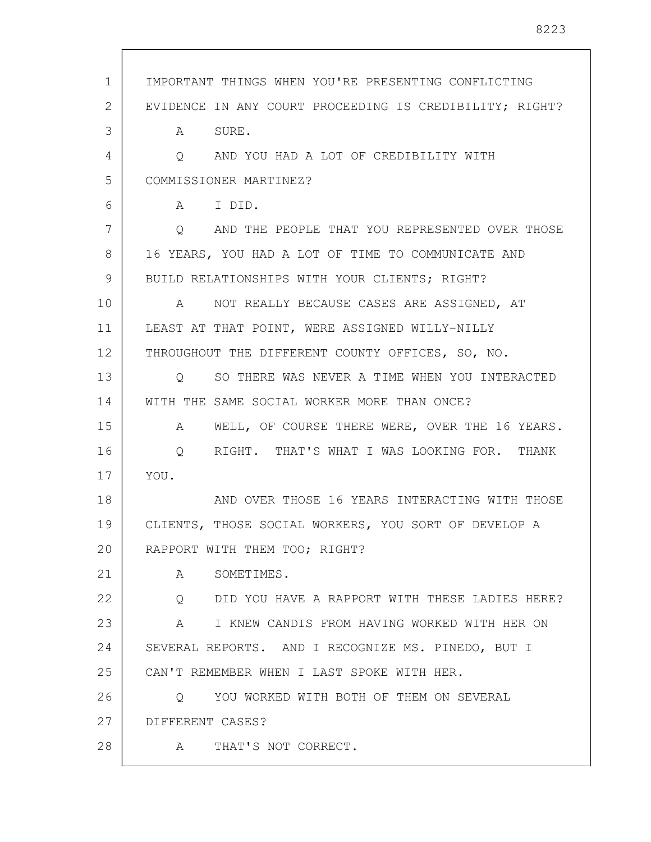| $\mathbf 1$ | IMPORTANT THINGS WHEN YOU'RE PRESENTING CONFLICTING     |
|-------------|---------------------------------------------------------|
| 2           | EVIDENCE IN ANY COURT PROCEEDING IS CREDIBILITY; RIGHT? |
| 3           | A SURE.                                                 |
| 4           | Q AND YOU HAD A LOT OF CREDIBILITY WITH                 |
| 5           | COMMISSIONER MARTINEZ?                                  |
| 6           | A I DID.                                                |
| 7           | Q AND THE PEOPLE THAT YOU REPRESENTED OVER THOSE        |
| 8           | 16 YEARS, YOU HAD A LOT OF TIME TO COMMUNICATE AND      |
| 9           | BUILD RELATIONSHIPS WITH YOUR CLIENTS; RIGHT?           |
| 10          | NOT REALLY BECAUSE CASES ARE ASSIGNED, AT<br>A          |
| 11          | LEAST AT THAT POINT, WERE ASSIGNED WILLY-NILLY          |
| 12          | THROUGHOUT THE DIFFERENT COUNTY OFFICES, SO, NO.        |
| 13          | Q SO THERE WAS NEVER A TIME WHEN YOU INTERACTED         |
| 14          | WITH THE SAME SOCIAL WORKER MORE THAN ONCE?             |
| 15          | WELL, OF COURSE THERE WERE, OVER THE 16 YEARS.<br>A     |
| 16          | RIGHT. THAT'S WHAT I WAS LOOKING FOR. THANK<br>Q        |
| 17          | YOU.                                                    |
| 18          | AND OVER THOSE 16 YEARS INTERACTING WITH THOSE          |
| 19          | CLIENTS, THOSE SOCIAL WORKERS, YOU SORT OF DEVELOP A    |
| 20          | RAPPORT WITH THEM TOO; RIGHT?                           |
| 21          | A SOMETIMES.                                            |
| 22          | O DID YOU HAVE A RAPPORT WITH THESE LADIES HERE?        |
| 23          | A I KNEW CANDIS FROM HAVING WORKED WITH HER ON          |
| 24          | SEVERAL REPORTS. AND I RECOGNIZE MS. PINEDO, BUT I      |
| 25          | CAN'T REMEMBER WHEN I LAST SPOKE WITH HER.              |
| 26          | YOU WORKED WITH BOTH OF THEM ON SEVERAL<br>$\circ$      |
| 27          | DIFFERENT CASES?                                        |
| 28          | A THAT'S NOT CORRECT.                                   |
|             |                                                         |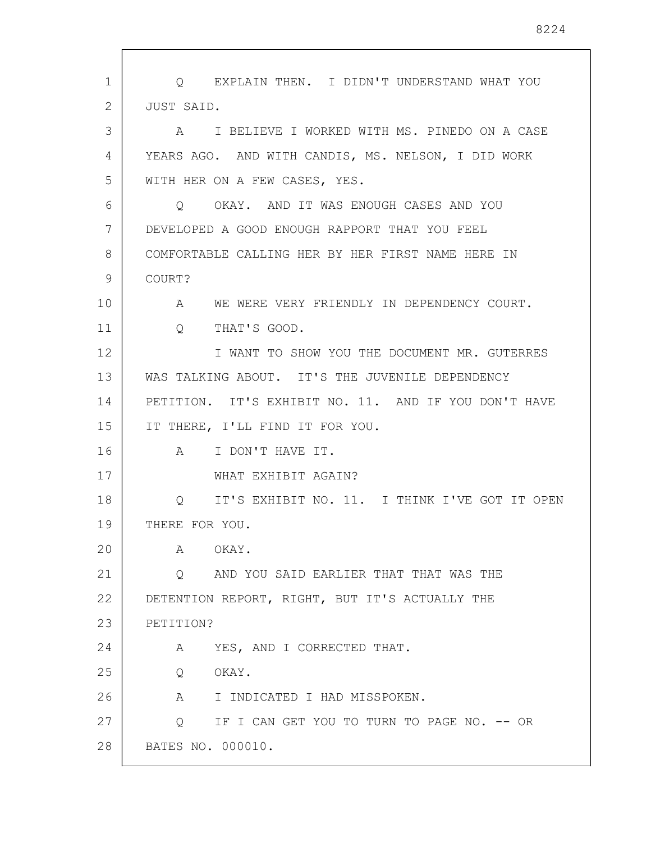1 2 3 4 5 6 7 8 9 10 11 12 13 14 15 16 17 18 19 20 21 22 23 24 25 26 27 28 Q EXPLAIN THEN. I DIDN'T UNDERSTAND WHAT YOU JUST SAID. A I BELIEVE I WORKED WITH MS. PINEDO ON A CASE YEARS AGO. AND WITH CANDIS, MS. NELSON, I DID WORK WITH HER ON A FEW CASES, YES. Q OKAY. AND IT WAS ENOUGH CASES AND YOU DEVELOPED A GOOD ENOUGH RAPPORT THAT YOU FEEL COMFORTABLE CALLING HER BY HER FIRST NAME HERE IN COURT? A WE WERE VERY FRIENDLY IN DEPENDENCY COURT. Q THAT'S GOOD. I WANT TO SHOW YOU THE DOCUMENT MR. GUTERRES WAS TALKING ABOUT. IT'S THE JUVENILE DEPENDENCY PETITION. IT'S EXHIBIT NO. 11. AND IF YOU DON'T HAVE IT THERE, I'LL FIND IT FOR YOU. A I DON'T HAVE IT. WHAT EXHIBIT AGAIN? Q IT'S EXHIBIT NO. 11. I THINK I'VE GOT IT OPEN THERE FOR YOU. A OKAY. Q AND YOU SAID EARLIER THAT THAT WAS THE DETENTION REPORT, RIGHT, BUT IT'S ACTUALLY THE PETITION? A YES, AND I CORRECTED THAT. Q OKAY. A I INDICATED I HAD MISSPOKEN. Q IF I CAN GET YOU TO TURN TO PAGE NO. -- OR BATES NO. 000010.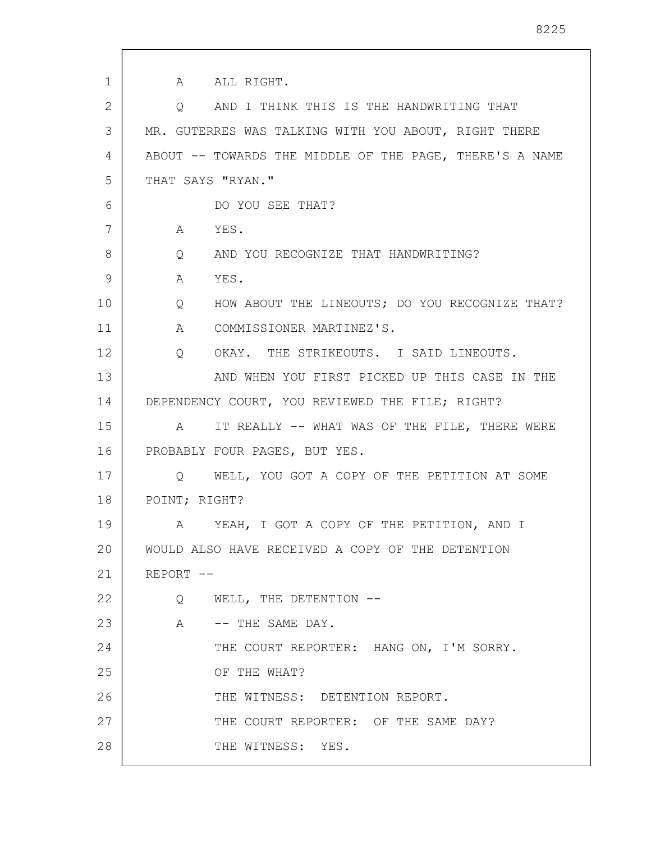1 2 3 4 5 6 7 8 9 10 11 12 13 14 15 16 17 18 19 20 21 22 23 24 25 26 27 28 A ALL RIGHT. Q AND I THINK THIS IS THE HANDWRITING THAT MR. GUTERRES WAS TALKING WITH YOU ABOUT, RIGHT THERE ABOUT -- TOWARDS THE MIDDLE OF THE PAGE, THERE'S A NAME THAT SAYS "RYAN." DO YOU SEE THAT? A YES. Q AND YOU RECOGNIZE THAT HANDWRITING? A YES. Q HOW ABOUT THE LINEOUTS; DO YOU RECOGNIZE THAT? A COMMISSIONER MARTINEZ'S. Q OKAY. THE STRIKEOUTS. I SAID LINEOUTS. AND WHEN YOU FIRST PICKED UP THIS CASE IN THE DEPENDENCY COURT, YOU REVIEWED THE FILE; RIGHT? A IT REALLY -- WHAT WAS OF THE FILE, THERE WERE PROBABLY FOUR PAGES, BUT YES. Q WELL, YOU GOT A COPY OF THE PETITION AT SOME POINT; RIGHT? A YEAH, I GOT A COPY OF THE PETITION, AND I WOULD ALSO HAVE RECEIVED A COPY OF THE DETENTION REPORT -- Q WELL, THE DETENTION -- A -- THE SAME DAY. THE COURT REPORTER: HANG ON, I'M SORRY. OF THE WHAT? THE WITNESS: DETENTION REPORT. THE COURT REPORTER: OF THE SAME DAY? THE WITNESS: YES.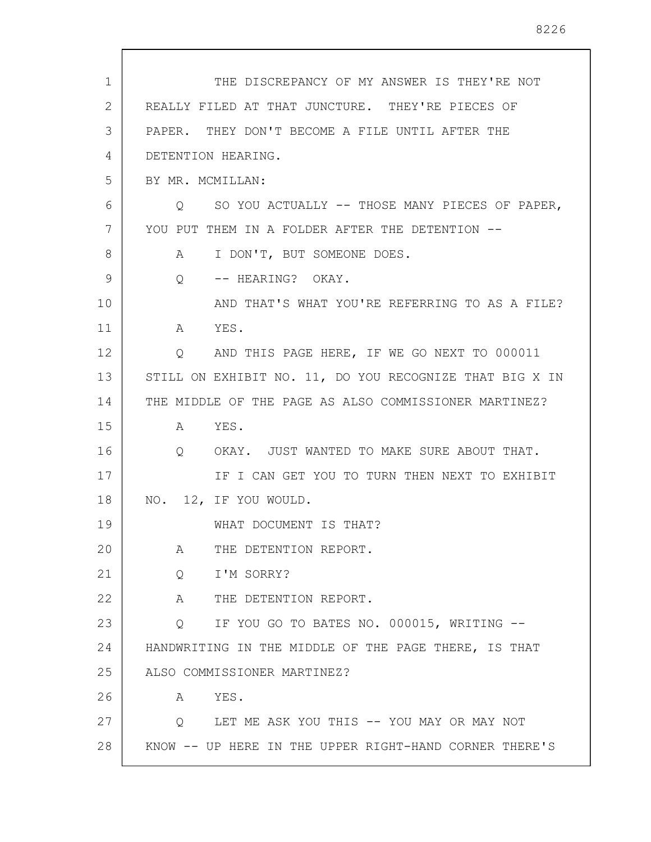| $\mathbf 1$ | THE DISCREPANCY OF MY ANSWER IS THEY'RE NOT             |
|-------------|---------------------------------------------------------|
| 2           | REALLY FILED AT THAT JUNCTURE. THEY'RE PIECES OF        |
| 3           | PAPER. THEY DON'T BECOME A FILE UNTIL AFTER THE         |
| 4           | DETENTION HEARING.                                      |
| 5           | BY MR. MCMILLAN:                                        |
| 6           | SO YOU ACTUALLY -- THOSE MANY PIECES OF PAPER,<br>O     |
| 7           | YOU PUT THEM IN A FOLDER AFTER THE DETENTION --         |
| 8           | I DON'T, BUT SOMEONE DOES.<br>A                         |
| 9           | -- HEARING? OKAY.<br>Q                                  |
| 10          | AND THAT'S WHAT YOU'RE REFERRING TO AS A FILE?          |
| 11          | YES.<br>$A \quad \alpha$                                |
| 12          | AND THIS PAGE HERE, IF WE GO NEXT TO 000011<br>Q        |
| 13          | STILL ON EXHIBIT NO. 11, DO YOU RECOGNIZE THAT BIG X IN |
| 14          | THE MIDDLE OF THE PAGE AS ALSO COMMISSIONER MARTINEZ?   |
| 15          | YES.<br>A                                               |
| 16          | OKAY. JUST WANTED TO MAKE SURE ABOUT THAT.<br>$\circ$   |
| 17          | IF I CAN GET YOU TO TURN THEN NEXT TO EXHIBIT           |
| 18          | NO. 12, IF YOU WOULD.                                   |
| 19          | WHAT DOCUMENT IS THAT?                                  |
| 20          | THE DETENTION REPORT.<br>A                              |
| 21          | I'M SORRY?<br>$Q \qquad \qquad$                         |
| 22          | A<br>THE DETENTION REPORT.                              |
| 23          | Q IF YOU GO TO BATES NO. 000015, WRITING --             |
| 24          | HANDWRITING IN THE MIDDLE OF THE PAGE THERE, IS THAT    |
| 25          | ALSO COMMISSIONER MARTINEZ?                             |
| 26          | YES.<br>A                                               |
| 27          | Q LET ME ASK YOU THIS -- YOU MAY OR MAY NOT             |
| 28          | KNOW -- UP HERE IN THE UPPER RIGHT-HAND CORNER THERE'S  |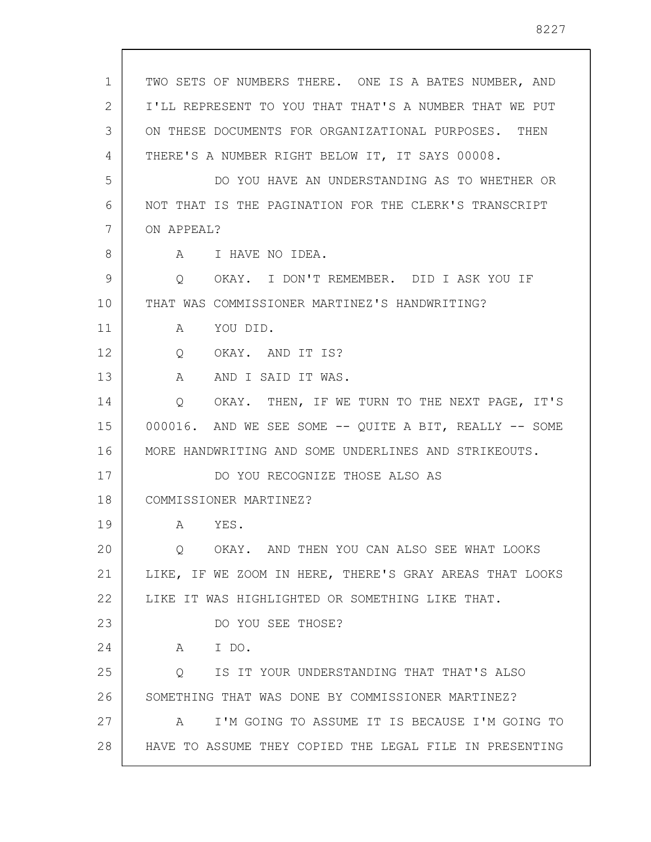| $\mathbf{1}$ | TWO SETS OF NUMBERS THERE. ONE IS A BATES NUMBER, AND   |
|--------------|---------------------------------------------------------|
| 2            | I'LL REPRESENT TO YOU THAT THAT'S A NUMBER THAT WE PUT  |
| 3            | ON THESE DOCUMENTS FOR ORGANIZATIONAL PURPOSES. THEN    |
| 4            | THERE'S A NUMBER RIGHT BELOW IT, IT SAYS 00008.         |
| 5            | DO YOU HAVE AN UNDERSTANDING AS TO WHETHER OR           |
| 6            | NOT THAT IS THE PAGINATION FOR THE CLERK'S TRANSCRIPT   |
| 7            | ON APPEAL?                                              |
| 8            | I HAVE NO IDEA.<br>A                                    |
| 9            | OKAY. I DON'T REMEMBER. DID I ASK YOU IF<br>Q           |
| 10           | THAT WAS COMMISSIONER MARTINEZ'S HANDWRITING?           |
| 11           | YOU DID.<br>A                                           |
| 12           | OKAY. AND IT IS?<br>Q                                   |
| 13           | A<br>AND I SAID IT WAS.                                 |
| 14           | OKAY. THEN, IF WE TURN TO THE NEXT PAGE, IT'S<br>Q      |
| 15           | 000016. AND WE SEE SOME -- QUITE A BIT, REALLY -- SOME  |
| 16           | MORE HANDWRITING AND SOME UNDERLINES AND STRIKEOUTS.    |
| 17           | DO YOU RECOGNIZE THOSE ALSO AS                          |
| 18           | COMMISSIONER MARTINEZ?                                  |
| 19           | YES.<br>A                                               |
| 20           | OKAY. AND THEN YOU CAN ALSO SEE WHAT LOOKS<br>0         |
| 21           | LIKE, IF WE ZOOM IN HERE, THERE'S GRAY AREAS THAT LOOKS |
| 22           | LIKE IT WAS HIGHLIGHTED OR SOMETHING LIKE THAT.         |
| 23           | DO YOU SEE THOSE?                                       |
| 24           | I DO.<br>A                                              |
| 25           | IS IT YOUR UNDERSTANDING THAT THAT'S ALSO<br>$\circ$    |
| 26           | SOMETHING THAT WAS DONE BY COMMISSIONER MARTINEZ?       |
| 27           | I'M GOING TO ASSUME IT IS BECAUSE I'M GOING TO<br>A     |
| 28           | HAVE TO ASSUME THEY COPIED THE LEGAL FILE IN PRESENTING |
|              |                                                         |

 $\sqrt{ }$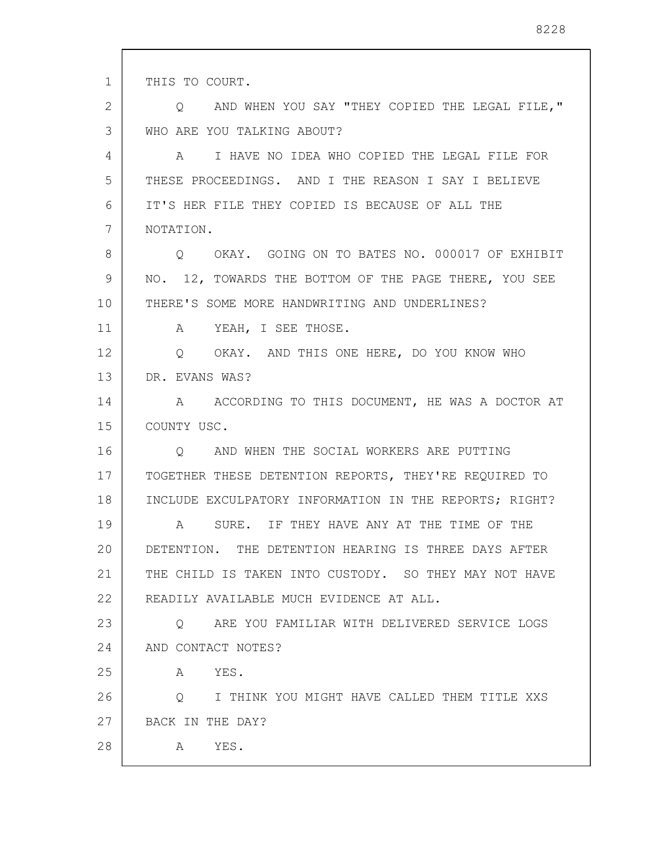| $\mathbf{1}$ | THIS TO COURT.                                         |
|--------------|--------------------------------------------------------|
| 2            | O AND WHEN YOU SAY "THEY COPIED THE LEGAL FILE,"       |
| 3            | WHO ARE YOU TALKING ABOUT?                             |
| 4            | A I HAVE NO IDEA WHO COPIED THE LEGAL FILE FOR         |
| 5            | THESE PROCEEDINGS. AND I THE REASON I SAY I BELIEVE    |
| 6            | IT'S HER FILE THEY COPIED IS BECAUSE OF ALL THE        |
| 7            | NOTATION.                                              |
| 8            | O OKAY. GOING ON TO BATES NO. 000017 OF EXHIBIT        |
| 9            | NO. 12, TOWARDS THE BOTTOM OF THE PAGE THERE, YOU SEE  |
| 10           | THERE'S SOME MORE HANDWRITING AND UNDERLINES?          |
| 11           | A YEAH, I SEE THOSE.                                   |
| 12           | Q OKAY. AND THIS ONE HERE, DO YOU KNOW WHO             |
| 13           | DR. EVANS WAS?                                         |
| 14           | A ACCORDING TO THIS DOCUMENT, HE WAS A DOCTOR AT       |
| 15           | COUNTY USC.                                            |
| 16           | Q AND WHEN THE SOCIAL WORKERS ARE PUTTING              |
| 17           | TOGETHER THESE DETENTION REPORTS, THEY'RE REQUIRED TO  |
| 18           | INCLUDE EXCULPATORY INFORMATION IN THE REPORTS; RIGHT? |
| 19           | A SURE. IF THEY HAVE ANY AT THE TIME OF THE            |
| 20           | DETENTION. THE DETENTION HEARING IS THREE DAYS AFTER   |
| 21           | THE CHILD IS TAKEN INTO CUSTODY. SO THEY MAY NOT HAVE  |
| 22           | READILY AVAILABLE MUCH EVIDENCE AT ALL.                |
| 23           | ARE YOU FAMILIAR WITH DELIVERED SERVICE LOGS<br>Q      |
| 24           | AND CONTACT NOTES?                                     |
| 25           | YES.<br>A                                              |
| 26           | Q<br>I THINK YOU MIGHT HAVE CALLED THEM TITLE XXS      |
| 27           | BACK IN THE DAY?                                       |
| 28           | YES.<br>A                                              |
|              |                                                        |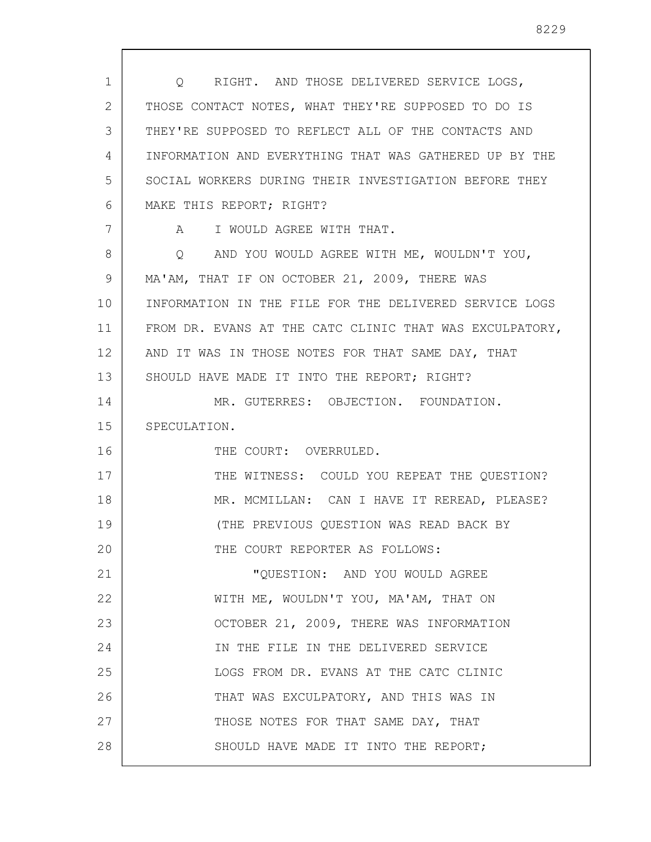| 1  | Q RIGHT. AND THOSE DELIVERED SERVICE LOGS,              |
|----|---------------------------------------------------------|
| 2  | THOSE CONTACT NOTES, WHAT THEY'RE SUPPOSED TO DO IS     |
| 3  | THEY'RE SUPPOSED TO REFLECT ALL OF THE CONTACTS AND     |
| 4  | INFORMATION AND EVERYTHING THAT WAS GATHERED UP BY THE  |
| 5  | SOCIAL WORKERS DURING THEIR INVESTIGATION BEFORE THEY   |
| 6  | MAKE THIS REPORT; RIGHT?                                |
| 7  | A I WOULD AGREE WITH THAT.                              |
| 8  | Q AND YOU WOULD AGREE WITH ME, WOULDN'T YOU,            |
| 9  | MA'AM, THAT IF ON OCTOBER 21, 2009, THERE WAS           |
| 10 | INFORMATION IN THE FILE FOR THE DELIVERED SERVICE LOGS  |
| 11 | FROM DR. EVANS AT THE CATC CLINIC THAT WAS EXCULPATORY, |
| 12 | AND IT WAS IN THOSE NOTES FOR THAT SAME DAY, THAT       |
| 13 | SHOULD HAVE MADE IT INTO THE REPORT; RIGHT?             |
| 14 | MR. GUTERRES: OBJECTION. FOUNDATION.                    |
| 15 | SPECULATION.                                            |
| 16 | THE COURT: OVERRULED.                                   |
| 17 | THE WITNESS: COULD YOU REPEAT THE QUESTION?             |
| 18 | MR. MCMILLAN: CAN I HAVE IT REREAD, PLEASE?             |
| 19 | (THE PREVIOUS QUESTION WAS READ BACK BY                 |
| 20 | THE COURT REPORTER AS FOLLOWS:                          |
| 21 | "QUESTION: AND YOU WOULD AGREE                          |
| 22 | WITH ME, WOULDN'T YOU, MA'AM, THAT ON                   |
| 23 | OCTOBER 21, 2009, THERE WAS INFORMATION                 |
| 24 | IN THE FILE IN THE DELIVERED SERVICE                    |
| 25 | LOGS FROM DR. EVANS AT THE CATC CLINIC                  |
| 26 | THAT WAS EXCULPATORY, AND THIS WAS IN                   |
| 27 | THOSE NOTES FOR THAT SAME DAY, THAT                     |
| 28 | SHOULD HAVE MADE IT INTO THE REPORT;                    |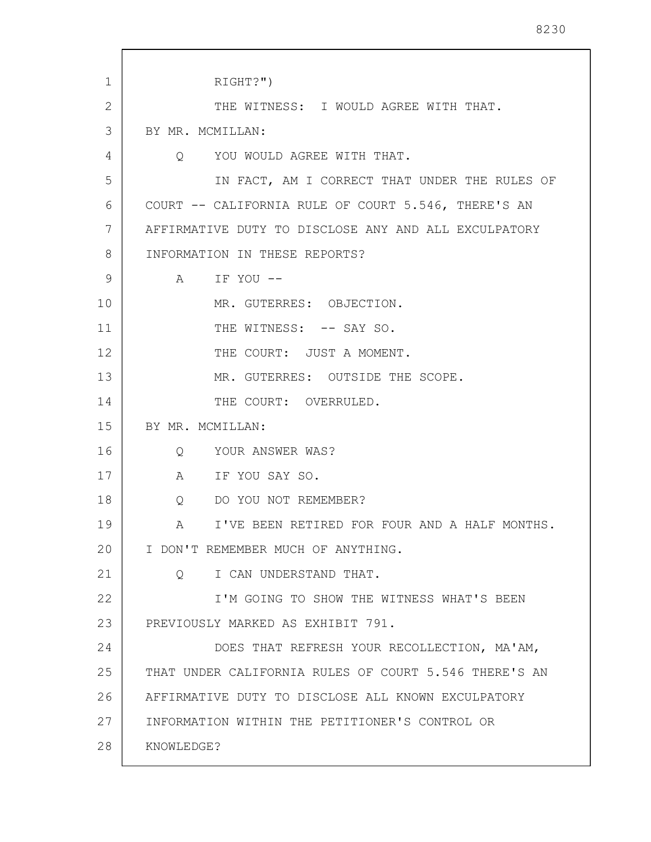| 1  | RIGHT?")                                              |
|----|-------------------------------------------------------|
| 2  | THE WITNESS: I WOULD AGREE WITH THAT.                 |
| 3  | BY MR. MCMILLAN:                                      |
| 4  | Q YOU WOULD AGREE WITH THAT.                          |
| 5  | IN FACT, AM I CORRECT THAT UNDER THE RULES OF         |
| 6  | COURT -- CALIFORNIA RULE OF COURT 5.546, THERE'S AN   |
| 7  | AFFIRMATIVE DUTY TO DISCLOSE ANY AND ALL EXCULPATORY  |
| 8  | INFORMATION IN THESE REPORTS?                         |
| 9  | A IF YOU --                                           |
| 10 | MR. GUTERRES: OBJECTION.                              |
| 11 | THE WITNESS: -- SAY SO.                               |
| 12 | THE COURT: JUST A MOMENT.                             |
| 13 | MR. GUTERRES: OUTSIDE THE SCOPE.                      |
| 14 | THE COURT: OVERRULED.                                 |
| 15 | BY MR. MCMILLAN:                                      |
| 16 | Q YOUR ANSWER WAS?                                    |
| 17 | A IF YOU SAY SO.                                      |
| 18 | DO YOU NOT REMEMBER?<br>Q                             |
| 19 | I'VE BEEN RETIRED FOR FOUR AND A HALF MONTHS.         |
| 20 | I DON'T REMEMBER MUCH OF ANYTHING.                    |
| 21 | I CAN UNDERSTAND THAT.<br>$\circ$                     |
| 22 | I'M GOING TO SHOW THE WITNESS WHAT'S BEEN             |
| 23 | PREVIOUSLY MARKED AS EXHIBIT 791.                     |
| 24 | DOES THAT REFRESH YOUR RECOLLECTION, MA'AM,           |
| 25 | THAT UNDER CALIFORNIA RULES OF COURT 5.546 THERE'S AN |
| 26 | AFFIRMATIVE DUTY TO DISCLOSE ALL KNOWN EXCULPATORY    |
| 27 | INFORMATION WITHIN THE PETITIONER'S CONTROL OR        |
| 28 | KNOWLEDGE?                                            |
|    |                                                       |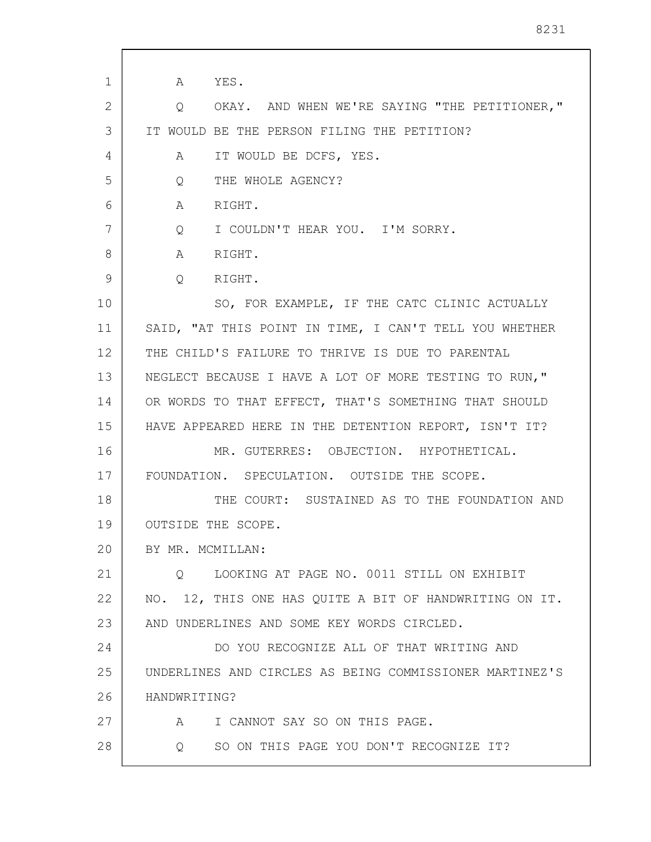1 2 3 4 5 6 7 8 9 10 11 12 13 14 15 16 17 18 19 20 21 22 23 24 25 26 27 28 A YES. Q OKAY. AND WHEN WE'RE SAYING "THE PETITIONER," IT WOULD BE THE PERSON FILING THE PETITION? A IT WOULD BE DCFS, YES. Q THE WHOLE AGENCY? A RIGHT. Q I COULDN'T HEAR YOU. I'M SORRY. A RIGHT. Q RIGHT. SO, FOR EXAMPLE, IF THE CATC CLINIC ACTUALLY SAID, "AT THIS POINT IN TIME, I CAN'T TELL YOU WHETHER THE CHILD'S FAILURE TO THRIVE IS DUE TO PARENTAL NEGLECT BECAUSE I HAVE A LOT OF MORE TESTING TO RUN," OR WORDS TO THAT EFFECT, THAT'S SOMETHING THAT SHOULD HAVE APPEARED HERE IN THE DETENTION REPORT, ISN'T IT? MR. GUTERRES: OBJECTION. HYPOTHETICAL. FOUNDATION. SPECULATION. OUTSIDE THE SCOPE. THE COURT: SUSTAINED AS TO THE FOUNDATION AND OUTSIDE THE SCOPE. BY MR. MCMILLAN: Q LOOKING AT PAGE NO. 0011 STILL ON EXHIBIT NO. 12, THIS ONE HAS QUITE A BIT OF HANDWRITING ON IT. AND UNDERLINES AND SOME KEY WORDS CIRCLED. DO YOU RECOGNIZE ALL OF THAT WRITING AND UNDERLINES AND CIRCLES AS BEING COMMISSIONER MARTINEZ'S HANDWRITING? A I CANNOT SAY SO ON THIS PAGE. Q SO ON THIS PAGE YOU DON'T RECOGNIZE IT?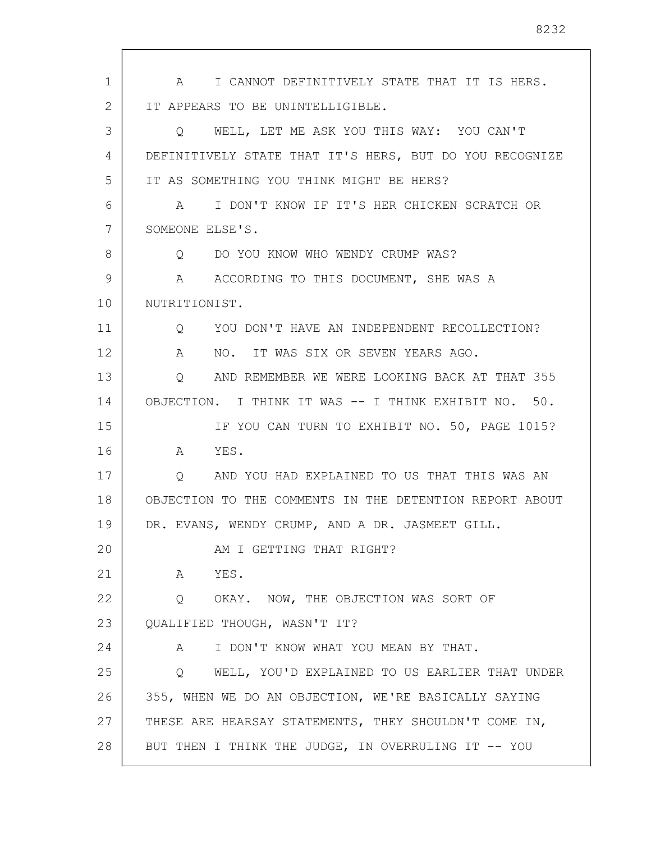1 2 3 4 5 6 7 8 9 10 11 12 13 14 15 16 17 18 19 20 21 22 23 24 25 26 27 28 A I CANNOT DEFINITIVELY STATE THAT IT IS HERS. IT APPEARS TO BE UNINTELLIGIBLE. Q WELL, LET ME ASK YOU THIS WAY: YOU CAN'T DEFINITIVELY STATE THAT IT'S HERS, BUT DO YOU RECOGNIZE IT AS SOMETHING YOU THINK MIGHT BE HERS? A I DON'T KNOW IF IT'S HER CHICKEN SCRATCH OR SOMEONE ELSE'S. Q DO YOU KNOW WHO WENDY CRUMP WAS? A ACCORDING TO THIS DOCUMENT, SHE WAS A NUTRITIONIST. Q YOU DON'T HAVE AN INDEPENDENT RECOLLECTION? A NO. IT WAS SIX OR SEVEN YEARS AGO. Q AND REMEMBER WE WERE LOOKING BACK AT THAT 355 OBJECTION. I THINK IT WAS -- I THINK EXHIBIT NO. 50. IF YOU CAN TURN TO EXHIBIT NO. 50, PAGE 1015? A YES. Q AND YOU HAD EXPLAINED TO US THAT THIS WAS AN OBJECTION TO THE COMMENTS IN THE DETENTION REPORT ABOUT DR. EVANS, WENDY CRUMP, AND A DR. JASMEET GILL. AM I GETTING THAT RIGHT? A YES. Q OKAY. NOW, THE OBJECTION WAS SORT OF QUALIFIED THOUGH, WASN'T IT? A I DON'T KNOW WHAT YOU MEAN BY THAT. Q WELL, YOU'D EXPLAINED TO US EARLIER THAT UNDER 355, WHEN WE DO AN OBJECTION, WE'RE BASICALLY SAYING THESE ARE HEARSAY STATEMENTS, THEY SHOULDN'T COME IN, BUT THEN I THINK THE JUDGE, IN OVERRULING IT -- YOU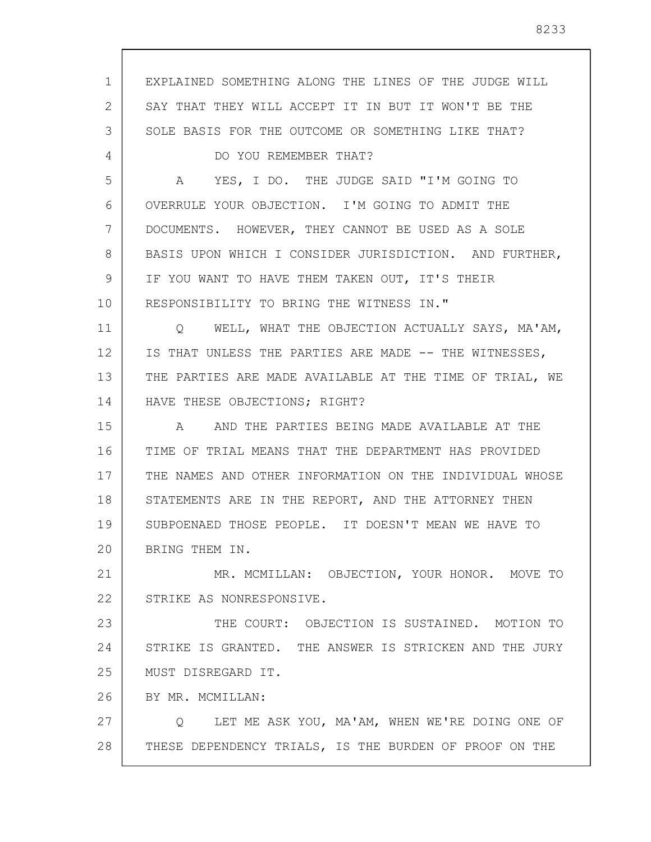1 2 3 4 5 6 7 8 9 10 11 12 13 14 15 16 17 18 19 20 21 22 23 24 25 26 27 28 EXPLAINED SOMETHING ALONG THE LINES OF THE JUDGE WILL SAY THAT THEY WILL ACCEPT IT IN BUT IT WON'T BE THE SOLE BASIS FOR THE OUTCOME OR SOMETHING LIKE THAT? DO YOU REMEMBER THAT? A YES, I DO. THE JUDGE SAID "I'M GOING TO OVERRULE YOUR OBJECTION. I'M GOING TO ADMIT THE DOCUMENTS. HOWEVER, THEY CANNOT BE USED AS A SOLE BASIS UPON WHICH I CONSIDER JURISDICTION. AND FURTHER, IF YOU WANT TO HAVE THEM TAKEN OUT, IT'S THEIR RESPONSIBILITY TO BRING THE WITNESS IN." Q WELL, WHAT THE OBJECTION ACTUALLY SAYS, MA'AM, IS THAT UNLESS THE PARTIES ARE MADE -- THE WITNESSES, THE PARTIES ARE MADE AVAILABLE AT THE TIME OF TRIAL, WE HAVE THESE OBJECTIONS; RIGHT? A AND THE PARTIES BEING MADE AVAILABLE AT THE TIME OF TRIAL MEANS THAT THE DEPARTMENT HAS PROVIDED THE NAMES AND OTHER INFORMATION ON THE INDIVIDUAL WHOSE STATEMENTS ARE IN THE REPORT, AND THE ATTORNEY THEN SUBPOENAED THOSE PEOPLE. IT DOESN'T MEAN WE HAVE TO BRING THEM IN. MR. MCMILLAN: OBJECTION, YOUR HONOR. MOVE TO STRIKE AS NONRESPONSIVE. THE COURT: OBJECTION IS SUSTAINED. MOTION TO STRIKE IS GRANTED. THE ANSWER IS STRICKEN AND THE JURY MUST DISREGARD IT. BY MR. MCMILLAN: Q LET ME ASK YOU, MA'AM, WHEN WE'RE DOING ONE OF THESE DEPENDENCY TRIALS, IS THE BURDEN OF PROOF ON THE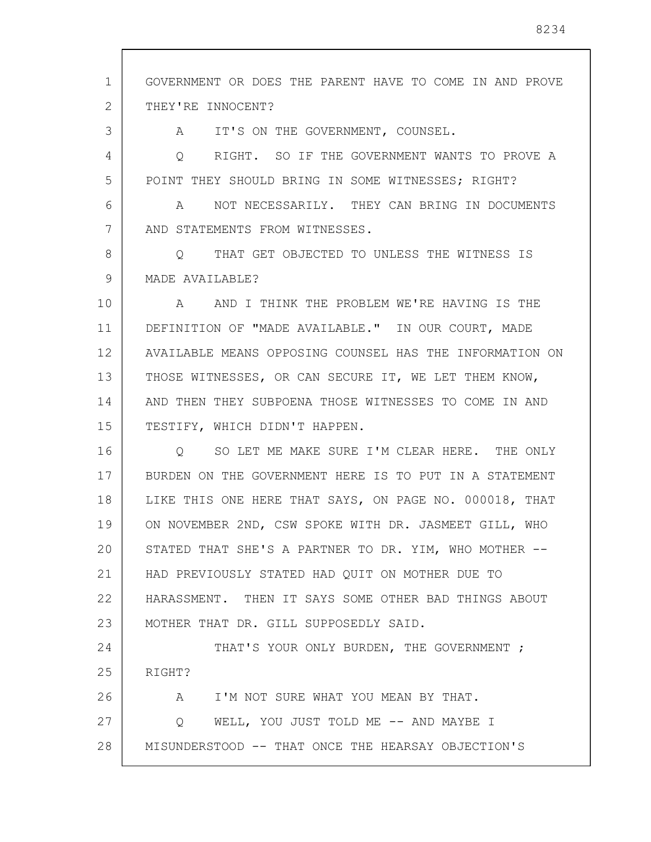1 2 3 4 5 6 7 8 9 10 11 12 13 14 15 16 17 18 19 20 21 22 23 24 25 26 27 28 GOVERNMENT OR DOES THE PARENT HAVE TO COME IN AND PROVE THEY'RE INNOCENT? A IT'S ON THE GOVERNMENT, COUNSEL. Q RIGHT. SO IF THE GOVERNMENT WANTS TO PROVE A POINT THEY SHOULD BRING IN SOME WITNESSES; RIGHT? A NOT NECESSARILY. THEY CAN BRING IN DOCUMENTS AND STATEMENTS FROM WITNESSES. Q THAT GET OBJECTED TO UNLESS THE WITNESS IS MADE AVAILABLE? A AND I THINK THE PROBLEM WE'RE HAVING IS THE DEFINITION OF "MADE AVAILABLE." IN OUR COURT, MADE AVAILABLE MEANS OPPOSING COUNSEL HAS THE INFORMATION ON THOSE WITNESSES, OR CAN SECURE IT, WE LET THEM KNOW, AND THEN THEY SUBPOENA THOSE WITNESSES TO COME IN AND TESTIFY, WHICH DIDN'T HAPPEN. Q SO LET ME MAKE SURE I'M CLEAR HERE. THE ONLY BURDEN ON THE GOVERNMENT HERE IS TO PUT IN A STATEMENT LIKE THIS ONE HERE THAT SAYS, ON PAGE NO. 000018, THAT ON NOVEMBER 2ND, CSW SPOKE WITH DR. JASMEET GILL, WHO STATED THAT SHE'S A PARTNER TO DR. YIM, WHO MOTHER -- HAD PREVIOUSLY STATED HAD QUIT ON MOTHER DUE TO HARASSMENT. THEN IT SAYS SOME OTHER BAD THINGS ABOUT MOTHER THAT DR. GILL SUPPOSEDLY SAID. THAT'S YOUR ONLY BURDEN, THE GOVERNMENT ; RIGHT? A I'M NOT SURE WHAT YOU MEAN BY THAT. Q WELL, YOU JUST TOLD ME -- AND MAYBE I MISUNDERSTOOD -- THAT ONCE THE HEARSAY OBJECTION'S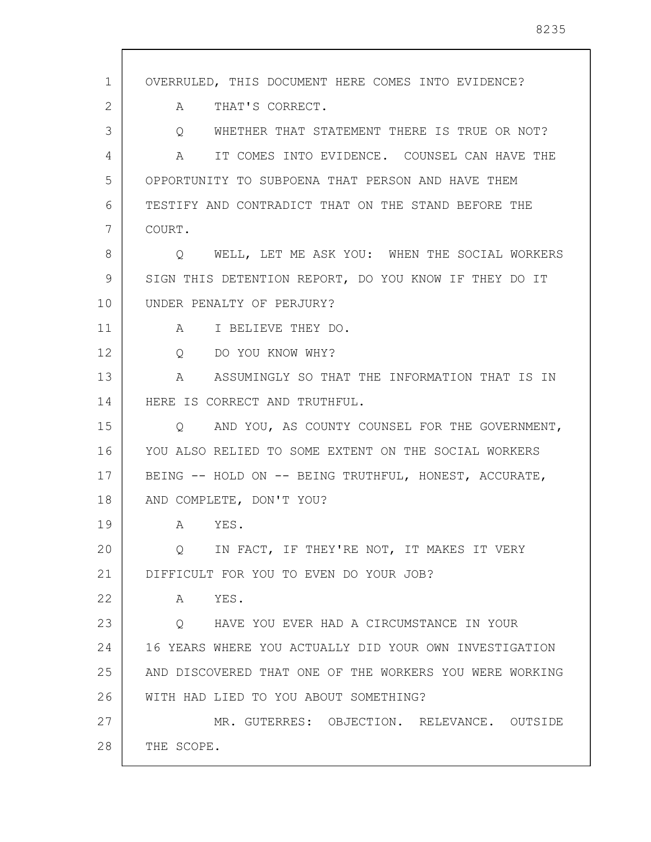1 2 3 4 5 6 7 8 9 10 11 12 13 14 15 16 17 18 19 20 21 22 23 24 25 26 27 28 OVERRULED, THIS DOCUMENT HERE COMES INTO EVIDENCE? A THAT'S CORRECT. Q WHETHER THAT STATEMENT THERE IS TRUE OR NOT? A IT COMES INTO EVIDENCE. COUNSEL CAN HAVE THE OPPORTUNITY TO SUBPOENA THAT PERSON AND HAVE THEM TESTIFY AND CONTRADICT THAT ON THE STAND BEFORE THE COURT. Q WELL, LET ME ASK YOU: WHEN THE SOCIAL WORKERS SIGN THIS DETENTION REPORT, DO YOU KNOW IF THEY DO IT UNDER PENALTY OF PERJURY? A I BELIEVE THEY DO. Q DO YOU KNOW WHY? A ASSUMINGLY SO THAT THE INFORMATION THAT IS IN HERE IS CORRECT AND TRUTHFUL. Q AND YOU, AS COUNTY COUNSEL FOR THE GOVERNMENT, YOU ALSO RELIED TO SOME EXTENT ON THE SOCIAL WORKERS BEING -- HOLD ON -- BEING TRUTHFUL, HONEST, ACCURATE, AND COMPLETE, DON'T YOU? A YES. Q IN FACT, IF THEY'RE NOT, IT MAKES IT VERY DIFFICULT FOR YOU TO EVEN DO YOUR JOB? A YES. Q HAVE YOU EVER HAD A CIRCUMSTANCE IN YOUR 16 YEARS WHERE YOU ACTUALLY DID YOUR OWN INVESTIGATION AND DISCOVERED THAT ONE OF THE WORKERS YOU WERE WORKING WITH HAD LIED TO YOU ABOUT SOMETHING? MR. GUTERRES: OBJECTION. RELEVANCE. OUTSIDE THE SCOPE.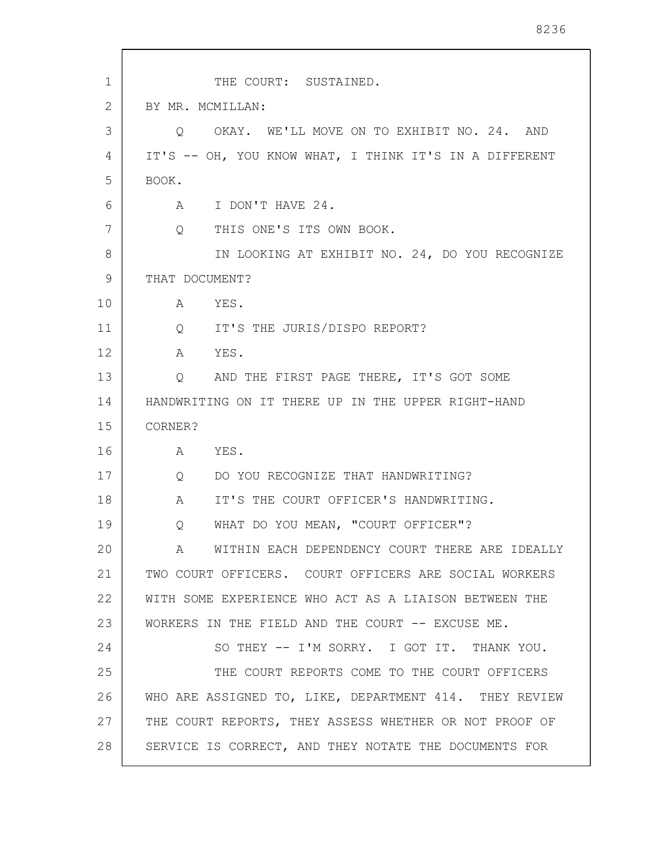1 2 3 4 5 6 7 8 9 10 11 12 13 14 15 16 17 18 19 20 21 22 23 24 25 26 27 28 THE COURT: SUSTAINED. BY MR. MCMILLAN: Q OKAY. WE'LL MOVE ON TO EXHIBIT NO. 24. AND IT'S -- OH, YOU KNOW WHAT, I THINK IT'S IN A DIFFERENT BOOK. A I DON'T HAVE 24. Q THIS ONE'S ITS OWN BOOK. IN LOOKING AT EXHIBIT NO. 24, DO YOU RECOGNIZE THAT DOCUMENT? A YES. Q IT'S THE JURIS/DISPO REPORT? A YES. Q AND THE FIRST PAGE THERE, IT'S GOT SOME HANDWRITING ON IT THERE UP IN THE UPPER RIGHT-HAND CORNER? A YES. Q DO YOU RECOGNIZE THAT HANDWRITING? A IT'S THE COURT OFFICER'S HANDWRITING. Q WHAT DO YOU MEAN, "COURT OFFICER"? A WITHIN EACH DEPENDENCY COURT THERE ARE IDEALLY TWO COURT OFFICERS. COURT OFFICERS ARE SOCIAL WORKERS WITH SOME EXPERIENCE WHO ACT AS A LIAISON BETWEEN THE WORKERS IN THE FIELD AND THE COURT -- EXCUSE ME. SO THEY -- I'M SORRY. I GOT IT. THANK YOU. THE COURT REPORTS COME TO THE COURT OFFICERS WHO ARE ASSIGNED TO, LIKE, DEPARTMENT 414. THEY REVIEW THE COURT REPORTS, THEY ASSESS WHETHER OR NOT PROOF OF SERVICE IS CORRECT, AND THEY NOTATE THE DOCUMENTS FOR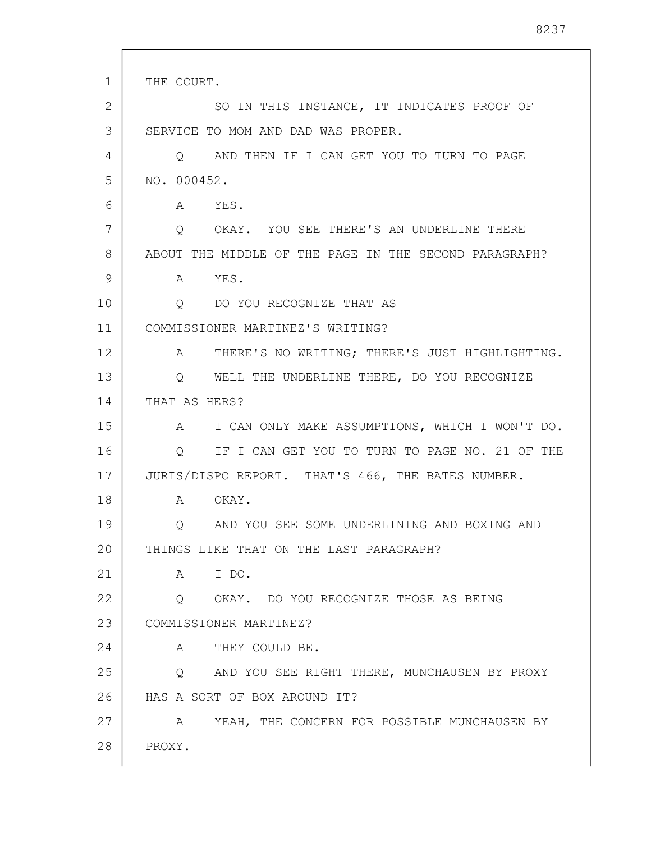1 2 3 4 5 6 7 8 9 10 11 12 13 14 15 16 17 18 19 20 21 22 23 24 25 26 27 28 THE COURT. SO IN THIS INSTANCE, IT INDICATES PROOF OF SERVICE TO MOM AND DAD WAS PROPER. Q AND THEN IF I CAN GET YOU TO TURN TO PAGE NO. 000452. A YES. Q OKAY. YOU SEE THERE'S AN UNDERLINE THERE ABOUT THE MIDDLE OF THE PAGE IN THE SECOND PARAGRAPH? A YES. Q DO YOU RECOGNIZE THAT AS COMMISSIONER MARTINEZ'S WRITING? A THERE'S NO WRITING; THERE'S JUST HIGHLIGHTING. Q WELL THE UNDERLINE THERE, DO YOU RECOGNIZE THAT AS HERS? A I CAN ONLY MAKE ASSUMPTIONS, WHICH I WON'T DO. Q IF I CAN GET YOU TO TURN TO PAGE NO. 21 OF THE JURIS/DISPO REPORT. THAT'S 466, THE BATES NUMBER. A OKAY. Q AND YOU SEE SOME UNDERLINING AND BOXING AND THINGS LIKE THAT ON THE LAST PARAGRAPH? A I DO. Q OKAY. DO YOU RECOGNIZE THOSE AS BEING COMMISSIONER MARTINEZ? A THEY COULD BE. Q AND YOU SEE RIGHT THERE, MUNCHAUSEN BY PROXY HAS A SORT OF BOX AROUND IT? A YEAH, THE CONCERN FOR POSSIBLE MUNCHAUSEN BY PROXY.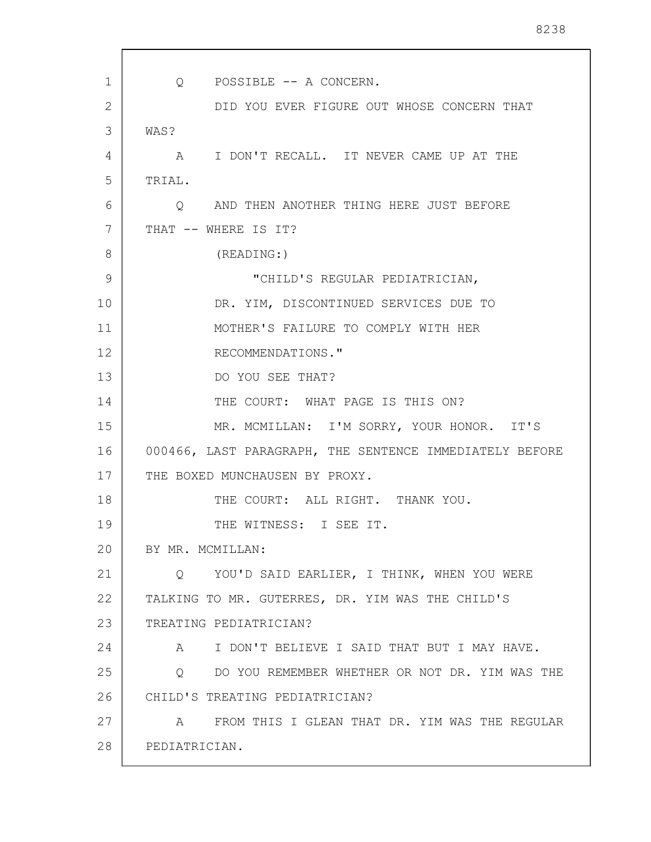1 2 3 4 5 6 7 8 9 10 11 12 13 14 15 16 17 18 19 20 21 22 23 24 25 26 27 28 Q POSSIBLE -- A CONCERN. DID YOU EVER FIGURE OUT WHOSE CONCERN THAT WAS? A I DON'T RECALL. IT NEVER CAME UP AT THE TRIAL. Q AND THEN ANOTHER THING HERE JUST BEFORE THAT -- WHERE IS IT? (READING:) "CHILD'S REGULAR PEDIATRICIAN, DR. YIM, DISCONTINUED SERVICES DUE TO MOTHER'S FAILURE TO COMPLY WITH HER RECOMMENDATIONS." DO YOU SEE THAT? THE COURT: WHAT PAGE IS THIS ON? MR. MCMILLAN: I'M SORRY, YOUR HONOR. IT'S 000466, LAST PARAGRAPH, THE SENTENCE IMMEDIATELY BEFORE THE BOXED MUNCHAUSEN BY PROXY. THE COURT: ALL RIGHT. THANK YOU. THE WITNESS: I SEE IT. BY MR. MCMILLAN: Q YOU'D SAID EARLIER, I THINK, WHEN YOU WERE TALKING TO MR. GUTERRES, DR. YIM WAS THE CHILD'S TREATING PEDIATRICIAN? A I DON'T BELIEVE I SAID THAT BUT I MAY HAVE. Q DO YOU REMEMBER WHETHER OR NOT DR. YIM WAS THE CHILD'S TREATING PEDIATRICIAN? A FROM THIS I GLEAN THAT DR. YIM WAS THE REGULAR PEDIATRICIAN.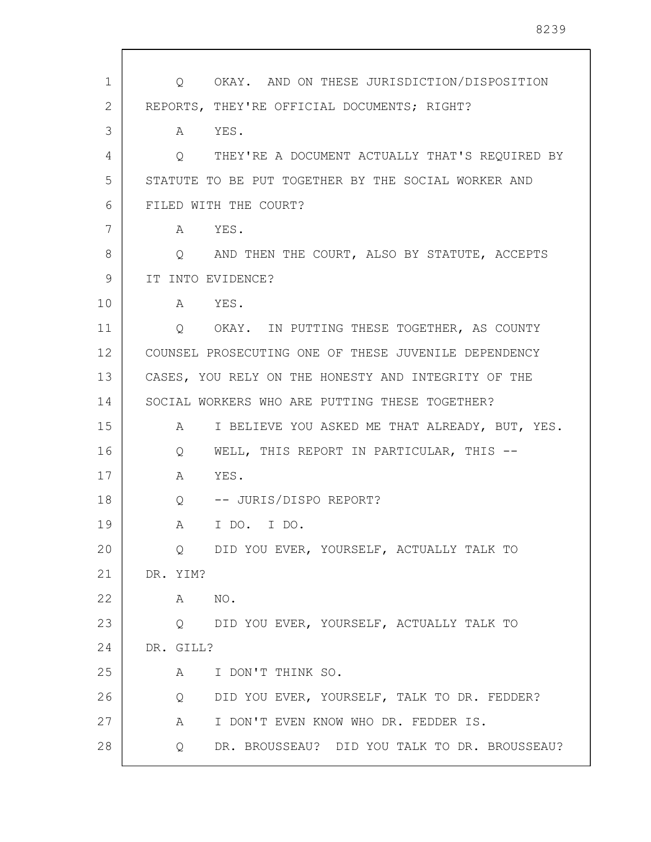| 1  | OKAY. AND ON THESE JURISDICTION/DISPOSITION<br>Q                   |
|----|--------------------------------------------------------------------|
| 2  | REPORTS, THEY'RE OFFICIAL DOCUMENTS; RIGHT?                        |
| 3  | YES.<br>$A \quad \alpha$                                           |
| 4  | THEY'RE A DOCUMENT ACTUALLY THAT'S REQUIRED BY<br>Q                |
| 5  | STATUTE TO BE PUT TOGETHER BY THE SOCIAL WORKER AND                |
| 6  | FILED WITH THE COURT?                                              |
| 7  | YES.<br>A                                                          |
| 8  | Q AND THEN THE COURT, ALSO BY STATUTE, ACCEPTS                     |
| 9  | IT INTO EVIDENCE?                                                  |
| 10 | A YES.                                                             |
| 11 | Q OKAY. IN PUTTING THESE TOGETHER, AS COUNTY                       |
| 12 | COUNSEL PROSECUTING ONE OF THESE JUVENILE DEPENDENCY               |
| 13 | CASES, YOU RELY ON THE HONESTY AND INTEGRITY OF THE                |
| 14 | SOCIAL WORKERS WHO ARE PUTTING THESE TOGETHER?                     |
| 15 | $A \quad \alpha$<br>I BELIEVE YOU ASKED ME THAT ALREADY, BUT, YES. |
| 16 | WELL, THIS REPORT IN PARTICULAR, THIS --<br>Q                      |
| 17 | YES.<br>A                                                          |
| 18 | Q -- JURIS/DISPO REPORT?                                           |
| 19 | I DO. I DO.<br>A                                                   |
| 20 | DID YOU EVER, YOURSELF, ACTUALLY TALK TO<br>Q.                     |
| 21 | DR. YIM?                                                           |
| 22 | NO.<br>A                                                           |
| 23 | DID YOU EVER, YOURSELF, ACTUALLY TALK TO<br>$\circ$                |
| 24 | DR. GILL?                                                          |
| 25 | I DON'T THINK SO.<br>A                                             |
| 26 | DID YOU EVER, YOURSELF, TALK TO DR. FEDDER?<br>Q                   |
| 27 | I DON'T EVEN KNOW WHO DR. FEDDER IS.<br>A                          |
| 28 | DR. BROUSSEAU? DID YOU TALK TO DR. BROUSSEAU?<br>Q                 |

 $\sqrt{ }$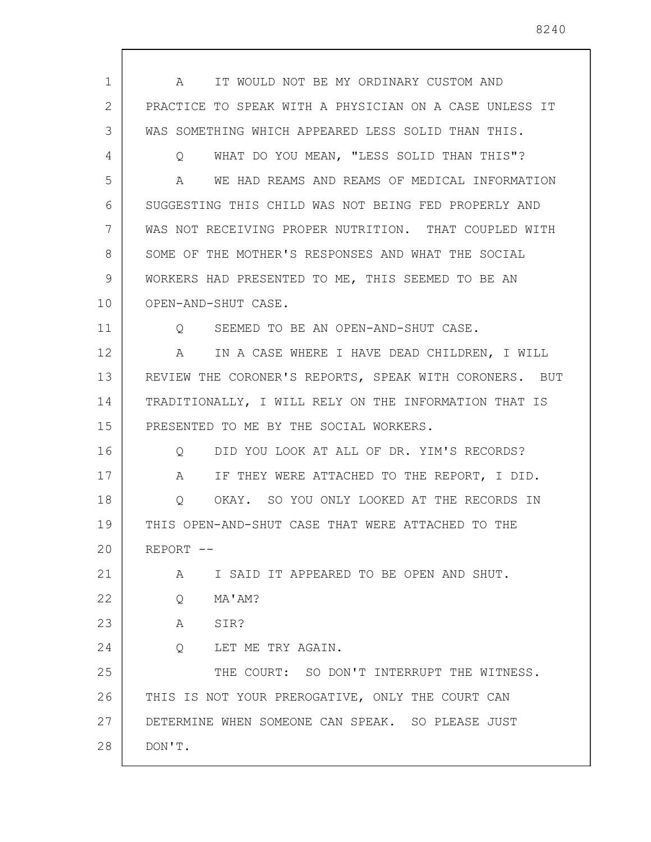1 2 3 4 5 6 7 8 9 10 11 12 13 14 15 16 17 18 19 20 21 22 23 24 25 26 27 28 A IT WOULD NOT BE MY ORDINARY CUSTOM AND PRACTICE TO SPEAK WITH A PHYSICIAN ON A CASE UNLESS IT WAS SOMETHING WHICH APPEARED LESS SOLID THAN THIS. Q WHAT DO YOU MEAN, "LESS SOLID THAN THIS"? A WE HAD REAMS AND REAMS OF MEDICAL INFORMATION SUGGESTING THIS CHILD WAS NOT BEING FED PROPERLY AND WAS NOT RECEIVING PROPER NUTRITION. THAT COUPLED WITH SOME OF THE MOTHER'S RESPONSES AND WHAT THE SOCIAL WORKERS HAD PRESENTED TO ME, THIS SEEMED TO BE AN OPEN-AND-SHUT CASE. Q SEEMED TO BE AN OPEN-AND-SHUT CASE. A IN A CASE WHERE I HAVE DEAD CHILDREN, I WILL REVIEW THE CORONER'S REPORTS, SPEAK WITH CORONERS. BUT TRADITIONALLY, I WILL RELY ON THE INFORMATION THAT IS PRESENTED TO ME BY THE SOCIAL WORKERS. Q DID YOU LOOK AT ALL OF DR. YIM'S RECORDS? A IF THEY WERE ATTACHED TO THE REPORT, I DID. Q OKAY. SO YOU ONLY LOOKED AT THE RECORDS IN THIS OPEN-AND-SHUT CASE THAT WERE ATTACHED TO THE REPORT -- A I SAID IT APPEARED TO BE OPEN AND SHUT. Q MA'AM? A SIR? Q LET ME TRY AGAIN. THE COURT: SO DON'T INTERRUPT THE WITNESS. THIS IS NOT YOUR PREROGATIVE, ONLY THE COURT CAN DETERMINE WHEN SOMEONE CAN SPEAK. SO PLEASE JUST DON'T.

8240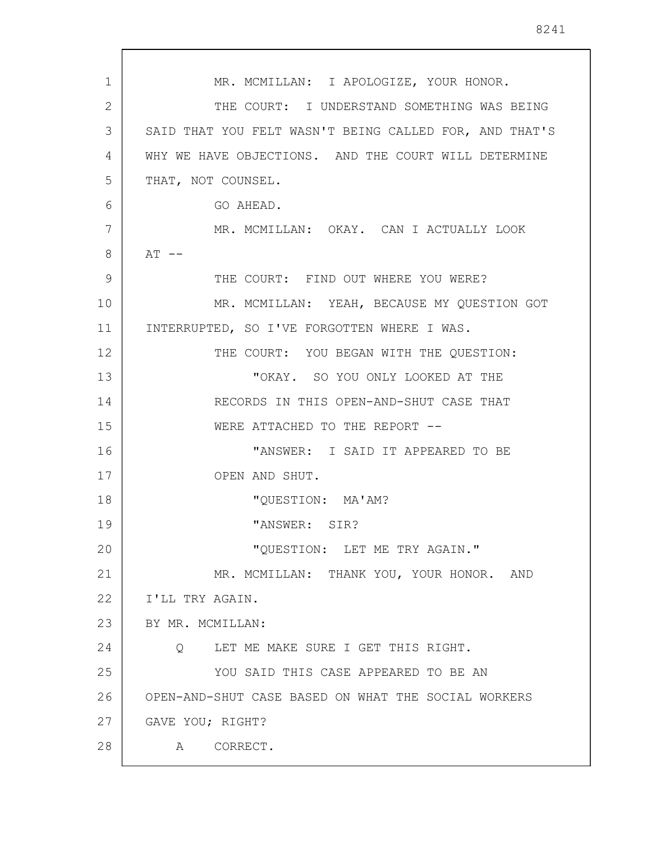1 2 3 4 5 6 7 8 9 10 11 12 13 14 15 16 17 18 19 20 21 22 23 24 25 26 27 28 MR. MCMILLAN: I APOLOGIZE, YOUR HONOR. THE COURT: I UNDERSTAND SOMETHING WAS BEING SAID THAT YOU FELT WASN'T BEING CALLED FOR, AND THAT'S WHY WE HAVE OBJECTIONS. AND THE COURT WILL DETERMINE THAT, NOT COUNSEL. GO AHEAD. MR. MCMILLAN: OKAY. CAN I ACTUALLY LOOK  $AT$   $-$ THE COURT: FIND OUT WHERE YOU WERE? MR. MCMILLAN: YEAH, BECAUSE MY QUESTION GOT INTERRUPTED, SO I'VE FORGOTTEN WHERE I WAS. THE COURT: YOU BEGAN WITH THE QUESTION: "OKAY. SO YOU ONLY LOOKED AT THE RECORDS IN THIS OPEN-AND-SHUT CASE THAT WERE ATTACHED TO THE REPORT --"ANSWER: I SAID IT APPEARED TO BE OPEN AND SHUT. "QUESTION: MA'AM? "ANSWER: SIR? "QUESTION: LET ME TRY AGAIN." MR. MCMILLAN: THANK YOU, YOUR HONOR. AND I'LL TRY AGAIN. BY MR. MCMILLAN: Q LET ME MAKE SURE I GET THIS RIGHT. YOU SAID THIS CASE APPEARED TO BE AN OPEN-AND-SHUT CASE BASED ON WHAT THE SOCIAL WORKERS GAVE YOU; RIGHT? A CORRECT.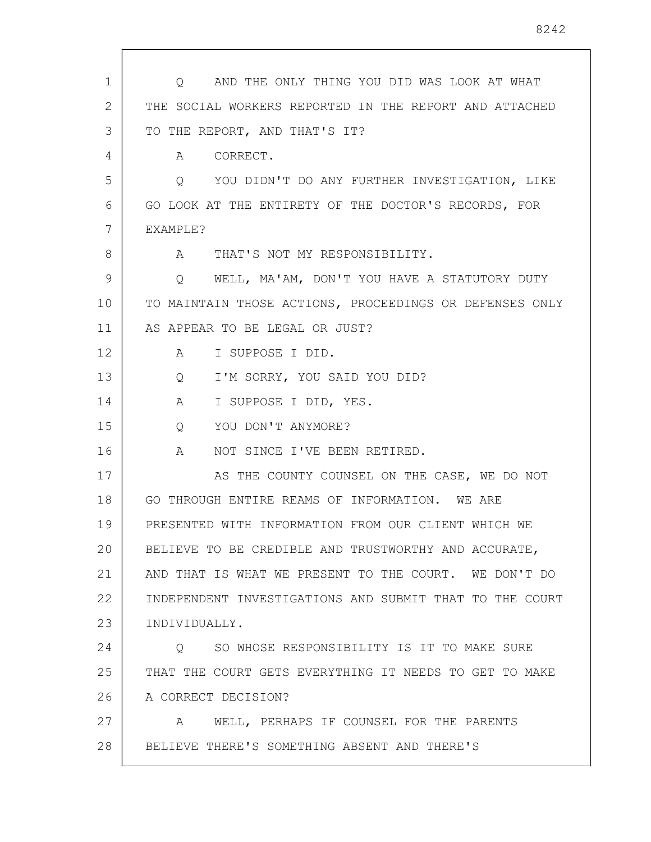| 1  | O AND THE ONLY THING YOU DID WAS LOOK AT WHAT           |
|----|---------------------------------------------------------|
| 2  | THE SOCIAL WORKERS REPORTED IN THE REPORT AND ATTACHED  |
| 3  | TO THE REPORT, AND THAT'S IT?                           |
| 4  | CORRECT.<br>A                                           |
| 5  | YOU DIDN'T DO ANY FURTHER INVESTIGATION, LIKE<br>Q      |
| 6  | GO LOOK AT THE ENTIRETY OF THE DOCTOR'S RECORDS, FOR    |
| 7  | EXAMPLE?                                                |
| 8  | THAT'S NOT MY RESPONSIBILITY.<br>$\mathbb A$            |
| 9  | WELL, MA'AM, DON'T YOU HAVE A STATUTORY DUTY<br>Q       |
| 10 | TO MAINTAIN THOSE ACTIONS, PROCEEDINGS OR DEFENSES ONLY |
| 11 | AS APPEAR TO BE LEGAL OR JUST?                          |
| 12 | I SUPPOSE I DID.<br>A                                   |
| 13 | I'M SORRY, YOU SAID YOU DID?<br>Q                       |
| 14 | I SUPPOSE I DID, YES.<br>A                              |
| 15 | YOU DON'T ANYMORE?<br>Q                                 |
| 16 | NOT SINCE I'VE BEEN RETIRED.<br>A                       |
| 17 | AS THE COUNTY COUNSEL ON THE CASE, WE DO NOT            |
| 18 | GO THROUGH ENTIRE REAMS OF INFORMATION. WE ARE          |
| 19 | PRESENTED WITH INFORMATION FROM OUR CLIENT WHICH WE     |
| 20 | BELIEVE TO BE CREDIBLE AND TRUSTWORTHY AND ACCURATE,    |
| 21 | AND THAT IS WHAT WE PRESENT TO THE COURT. WE DON'T DO   |
| 22 | INDEPENDENT INVESTIGATIONS AND SUBMIT THAT TO THE COURT |
| 23 | INDIVIDUALLY.                                           |
| 24 | SO WHOSE RESPONSIBILITY IS IT TO MAKE SURE<br>$\circ$   |
| 25 | THAT THE COURT GETS EVERYTHING IT NEEDS TO GET TO MAKE  |
| 26 | A CORRECT DECISION?                                     |
| 27 | WELL, PERHAPS IF COUNSEL FOR THE PARENTS<br>A           |
| 28 | BELIEVE THERE'S SOMETHING ABSENT AND THERE'S            |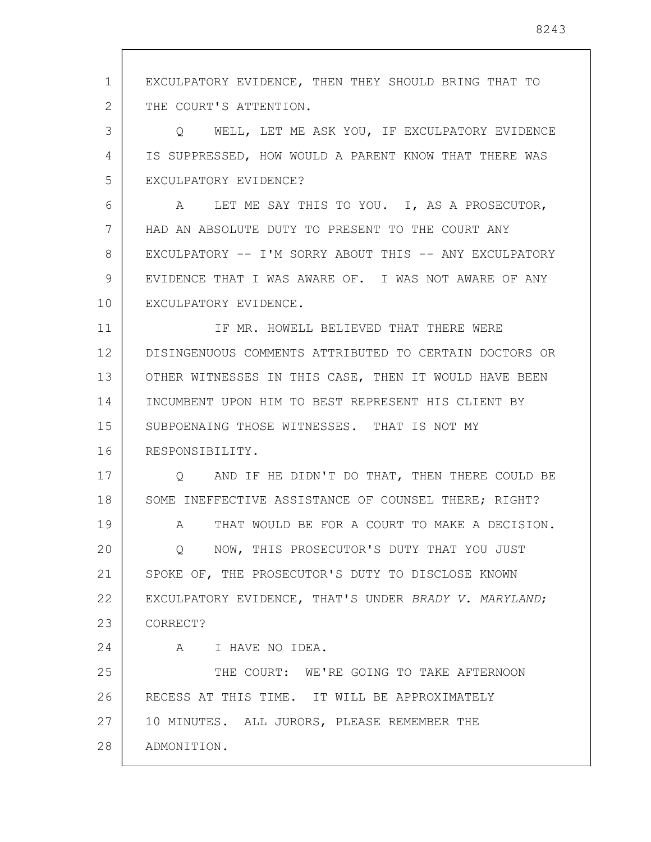1 2 3 4 5 6 7 8 9 10 11 12 13 14 15 16 17 18 19 20 21 22 23 24 25 26 27 28 EXCULPATORY EVIDENCE, THEN THEY SHOULD BRING THAT TO THE COURT'S ATTENTION. Q WELL, LET ME ASK YOU, IF EXCULPATORY EVIDENCE IS SUPPRESSED, HOW WOULD A PARENT KNOW THAT THERE WAS EXCULPATORY EVIDENCE? A LET ME SAY THIS TO YOU. I, AS A PROSECUTOR, HAD AN ABSOLUTE DUTY TO PRESENT TO THE COURT ANY EXCULPATORY -- I'M SORRY ABOUT THIS -- ANY EXCULPATORY EVIDENCE THAT I WAS AWARE OF. I WAS NOT AWARE OF ANY EXCULPATORY EVIDENCE. IF MR. HOWELL BELIEVED THAT THERE WERE DISINGENUOUS COMMENTS ATTRIBUTED TO CERTAIN DOCTORS OR OTHER WITNESSES IN THIS CASE, THEN IT WOULD HAVE BEEN INCUMBENT UPON HIM TO BEST REPRESENT HIS CLIENT BY SUBPOENAING THOSE WITNESSES. THAT IS NOT MY RESPONSIBILITY. Q AND IF HE DIDN'T DO THAT, THEN THERE COULD BE SOME INEFFECTIVE ASSISTANCE OF COUNSEL THERE; RIGHT? A THAT WOULD BE FOR A COURT TO MAKE A DECISION. Q NOW, THIS PROSECUTOR'S DUTY THAT YOU JUST SPOKE OF, THE PROSECUTOR'S DUTY TO DISCLOSE KNOWN EXCULPATORY EVIDENCE, THAT'S UNDER BRADY V. MARYLAND; CORRECT? A I HAVE NO IDEA. THE COURT: WE'RE GOING TO TAKE AFTERNOON RECESS AT THIS TIME. IT WILL BE APPROXIMATELY 10 MINUTES. ALL JURORS, PLEASE REMEMBER THE ADMONITION.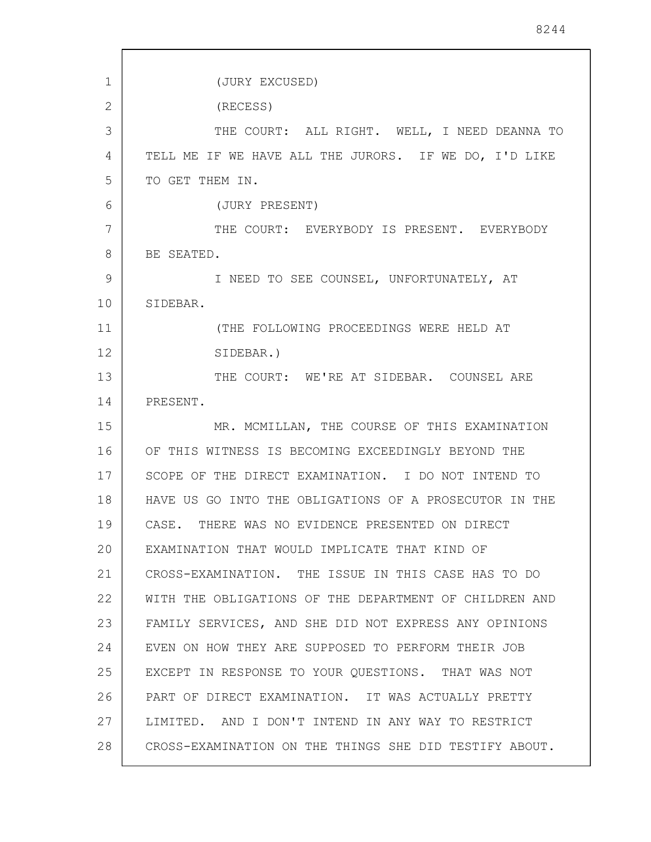| 1  | (JURY EXCUSED)                                         |
|----|--------------------------------------------------------|
| 2  | (RECESS)                                               |
| 3  | THE COURT: ALL RIGHT. WELL, I NEED DEANNA TO           |
| 4  | TELL ME IF WE HAVE ALL THE JURORS. IF WE DO, I'D LIKE  |
| 5  | TO GET THEM IN.                                        |
| 6  | (JURY PRESENT)                                         |
| 7  | THE COURT: EVERYBODY IS PRESENT. EVERYBODY             |
| 8  | BE SEATED.                                             |
| 9  | I NEED TO SEE COUNSEL, UNFORTUNATELY, AT               |
| 10 | SIDEBAR.                                               |
| 11 | (THE FOLLOWING PROCEEDINGS WERE HELD AT                |
| 12 | SIDEBAR.)                                              |
| 13 | THE COURT: WE'RE AT SIDEBAR. COUNSEL ARE               |
| 14 | PRESENT.                                               |
| 15 | MR. MCMILLAN, THE COURSE OF THIS EXAMINATION           |
| 16 | OF THIS WITNESS IS BECOMING EXCEEDINGLY BEYOND THE     |
| 17 | SCOPE OF THE DIRECT EXAMINATION. I DO NOT INTEND TO    |
| 18 | HAVE US GO INTO THE OBLIGATIONS OF A PROSECUTOR IN THE |
| 19 | THERE WAS NO EVIDENCE PRESENTED ON DIRECT<br>CASE.     |
| 20 | EXAMINATION THAT WOULD IMPLICATE THAT KIND OF          |
| 21 | CROSS-EXAMINATION. THE ISSUE IN THIS CASE HAS TO DO    |
| 22 | WITH THE OBLIGATIONS OF THE DEPARTMENT OF CHILDREN AND |
| 23 | FAMILY SERVICES, AND SHE DID NOT EXPRESS ANY OPINIONS  |
| 24 | EVEN ON HOW THEY ARE SUPPOSED TO PERFORM THEIR JOB     |
| 25 | EXCEPT IN RESPONSE TO YOUR QUESTIONS. THAT WAS NOT     |
| 26 | PART OF DIRECT EXAMINATION. IT WAS ACTUALLY PRETTY     |
| 27 | LIMITED. AND I DON'T INTEND IN ANY WAY TO RESTRICT     |
| 28 | CROSS-EXAMINATION ON THE THINGS SHE DID TESTIFY ABOUT. |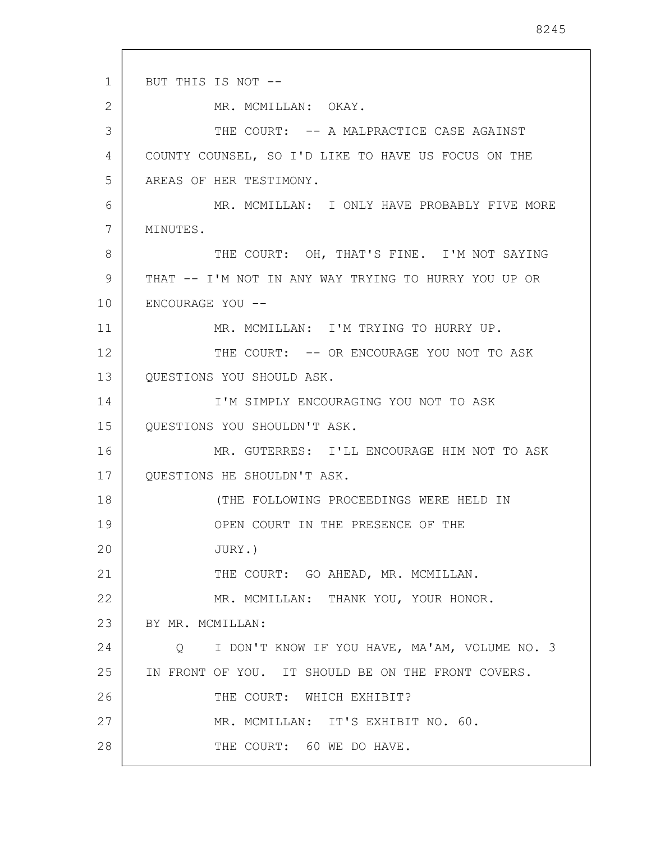1 2 3 4 5 6 7 8 9 10 11 12 13 14 15 16 17 18 19 20 21 22 23 24 25 26 27 28 BUT THIS IS NOT -- MR. MCMILLAN: OKAY. THE COURT:  $-$ - A MALPRACTICE CASE AGAINST COUNTY COUNSEL, SO I'D LIKE TO HAVE US FOCUS ON THE AREAS OF HER TESTIMONY. MR. MCMILLAN: I ONLY HAVE PROBABLY FIVE MORE MINUTES. THE COURT: OH, THAT'S FINE. I'M NOT SAYING THAT -- I'M NOT IN ANY WAY TRYING TO HURRY YOU UP OR ENCOURAGE YOU -- MR. MCMILLAN: I'M TRYING TO HURRY UP. THE COURT: -- OR ENCOURAGE YOU NOT TO ASK QUESTIONS YOU SHOULD ASK. I'M SIMPLY ENCOURAGING YOU NOT TO ASK QUESTIONS YOU SHOULDN'T ASK. MR. GUTERRES: I'LL ENCOURAGE HIM NOT TO ASK QUESTIONS HE SHOULDN'T ASK. (THE FOLLOWING PROCEEDINGS WERE HELD IN OPEN COURT IN THE PRESENCE OF THE JURY.) THE COURT: GO AHEAD, MR. MCMILLAN. MR. MCMILLAN: THANK YOU, YOUR HONOR. BY MR. MCMILLAN: Q I DON'T KNOW IF YOU HAVE, MA'AM, VOLUME NO. 3 IN FRONT OF YOU. IT SHOULD BE ON THE FRONT COVERS. THE COURT: WHICH EXHIBIT? MR. MCMILLAN: IT'S EXHIBIT NO. 60. THE COURT: 60 WE DO HAVE.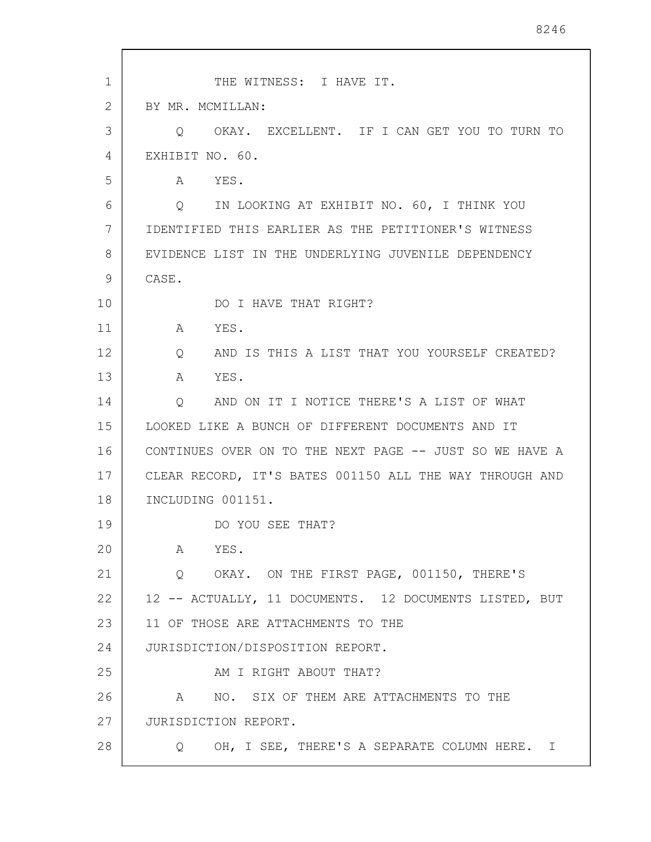| $\mathbf 1$ | THE WITNESS: I HAVE IT.                                 |
|-------------|---------------------------------------------------------|
| 2           | BY MR. MCMILLAN:                                        |
| 3           | OKAY. EXCELLENT. IF I CAN GET YOU TO TURN TO<br>$\circ$ |
| 4           | EXHIBIT NO. 60.                                         |
| 5           | A<br>YES.                                               |
| 6           | Q IN LOOKING AT EXHIBIT NO. 60, I THINK YOU             |
| 7           | IDENTIFIED THIS EARLIER AS THE PETITIONER'S WITNESS     |
| 8           | EVIDENCE LIST IN THE UNDERLYING JUVENILE DEPENDENCY     |
| 9           | CASE.                                                   |
| 10          | DO I HAVE THAT RIGHT?                                   |
| 11          | YES.<br>A                                               |
| 12          | AND IS THIS A LIST THAT YOU YOURSELF CREATED?<br>Q      |
| 13          | YES.<br>A                                               |
| 14          | AND ON IT I NOTICE THERE'S A LIST OF WHAT<br>Q          |
| 15          | LOOKED LIKE A BUNCH OF DIFFERENT DOCUMENTS AND IT       |
| 16          | CONTINUES OVER ON TO THE NEXT PAGE -- JUST SO WE HAVE A |
| 17          | CLEAR RECORD, IT'S BATES 001150 ALL THE WAY THROUGH AND |
| 18          | INCLUDING 001151.                                       |
| 19          | DO YOU SEE THAT?                                        |
| 20          | YES.<br>A                                               |
| 21          | Q OKAY. ON THE FIRST PAGE, 001150, THERE'S              |
| 22          | 12 -- ACTUALLY, 11 DOCUMENTS. 12 DOCUMENTS LISTED, BUT  |
| 23          | 11 OF THOSE ARE ATTACHMENTS TO THE                      |
| 24          | JURISDICTION/DISPOSITION REPORT.                        |
| 25          | AM I RIGHT ABOUT THAT?                                  |
| 26          | NO. SIX OF THEM ARE ATTACHMENTS TO THE<br>A             |
| 27          | JURISDICTION REPORT.                                    |
| 28          | OH, I SEE, THERE'S A SEPARATE COLUMN HERE. I<br>Q       |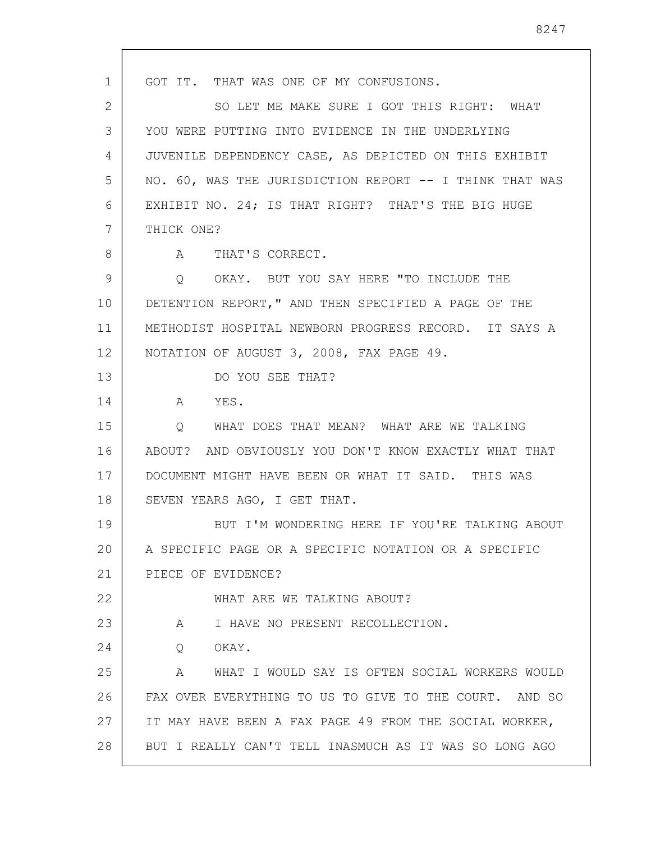1 2 3 4 5 6 7 8 9 10 11 12 13 14 15 16 17 18 19 20 21 22 23 24 25 26 27 28 GOT IT. THAT WAS ONE OF MY CONFUSIONS. SO LET ME MAKE SURE I GOT THIS RIGHT: WHAT YOU WERE PUTTING INTO EVIDENCE IN THE UNDERLYING JUVENILE DEPENDENCY CASE, AS DEPICTED ON THIS EXHIBIT NO. 60, WAS THE JURISDICTION REPORT -- I THINK THAT WAS EXHIBIT NO. 24; IS THAT RIGHT? THAT'S THE BIG HUGE THICK ONE? A THAT'S CORRECT. Q OKAY. BUT YOU SAY HERE "TO INCLUDE THE DETENTION REPORT," AND THEN SPECIFIED A PAGE OF THE METHODIST HOSPITAL NEWBORN PROGRESS RECORD. IT SAYS A NOTATION OF AUGUST 3, 2008, FAX PAGE 49. DO YOU SEE THAT? A YES. Q WHAT DOES THAT MEAN? WHAT ARE WE TALKING ABOUT? AND OBVIOUSLY YOU DON'T KNOW EXACTLY WHAT THAT DOCUMENT MIGHT HAVE BEEN OR WHAT IT SAID. THIS WAS SEVEN YEARS AGO, I GET THAT. BUT I'M WONDERING HERE IF YOU'RE TALKING ABOUT A SPECIFIC PAGE OR A SPECIFIC NOTATION OR A SPECIFIC PIECE OF EVIDENCE? WHAT ARE WE TALKING ABOUT? A I HAVE NO PRESENT RECOLLECTION. Q OKAY. A WHAT I WOULD SAY IS OFTEN SOCIAL WORKERS WOULD FAX OVER EVERYTHING TO US TO GIVE TO THE COURT. AND SO IT MAY HAVE BEEN A FAX PAGE 49 FROM THE SOCIAL WORKER, BUT I REALLY CAN'T TELL INASMUCH AS IT WAS SO LONG AGO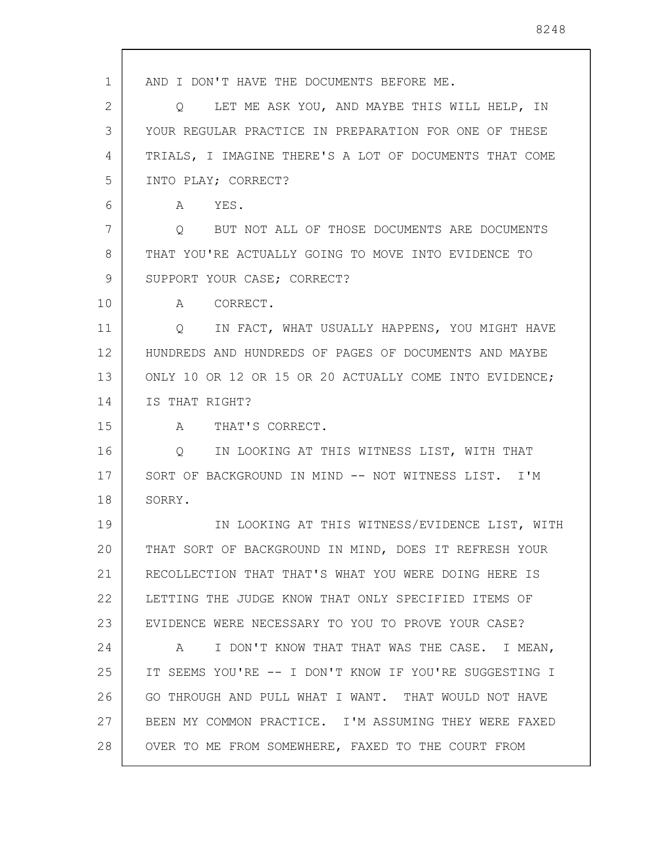1 2 3 4 5 6 7 8 9 10 11 12 13 14 15 16 17 18 19 20 21 22 23 24 25 26 27 28 AND I DON'T HAVE THE DOCUMENTS BEFORE ME. Q LET ME ASK YOU, AND MAYBE THIS WILL HELP, IN YOUR REGULAR PRACTICE IN PREPARATION FOR ONE OF THESE TRIALS, I IMAGINE THERE'S A LOT OF DOCUMENTS THAT COME INTO PLAY; CORRECT? A YES. Q BUT NOT ALL OF THOSE DOCUMENTS ARE DOCUMENTS THAT YOU'RE ACTUALLY GOING TO MOVE INTO EVIDENCE TO SUPPORT YOUR CASE; CORRECT? A CORRECT. Q IN FACT, WHAT USUALLY HAPPENS, YOU MIGHT HAVE HUNDREDS AND HUNDREDS OF PAGES OF DOCUMENTS AND MAYBE ONLY 10 OR 12 OR 15 OR 20 ACTUALLY COME INTO EVIDENCE; IS THAT RIGHT? A THAT'S CORRECT. Q IN LOOKING AT THIS WITNESS LIST, WITH THAT SORT OF BACKGROUND IN MIND -- NOT WITNESS LIST. I'M SORRY. IN LOOKING AT THIS WITNESS/EVIDENCE LIST, WITH THAT SORT OF BACKGROUND IN MIND, DOES IT REFRESH YOUR RECOLLECTION THAT THAT'S WHAT YOU WERE DOING HERE IS LETTING THE JUDGE KNOW THAT ONLY SPECIFIED ITEMS OF EVIDENCE WERE NECESSARY TO YOU TO PROVE YOUR CASE? A I DON'T KNOW THAT THAT WAS THE CASE. I MEAN, IT SEEMS YOU'RE -- I DON'T KNOW IF YOU'RE SUGGESTING I GO THROUGH AND PULL WHAT I WANT. THAT WOULD NOT HAVE BEEN MY COMMON PRACTICE. I'M ASSUMING THEY WERE FAXED OVER TO ME FROM SOMEWHERE, FAXED TO THE COURT FROM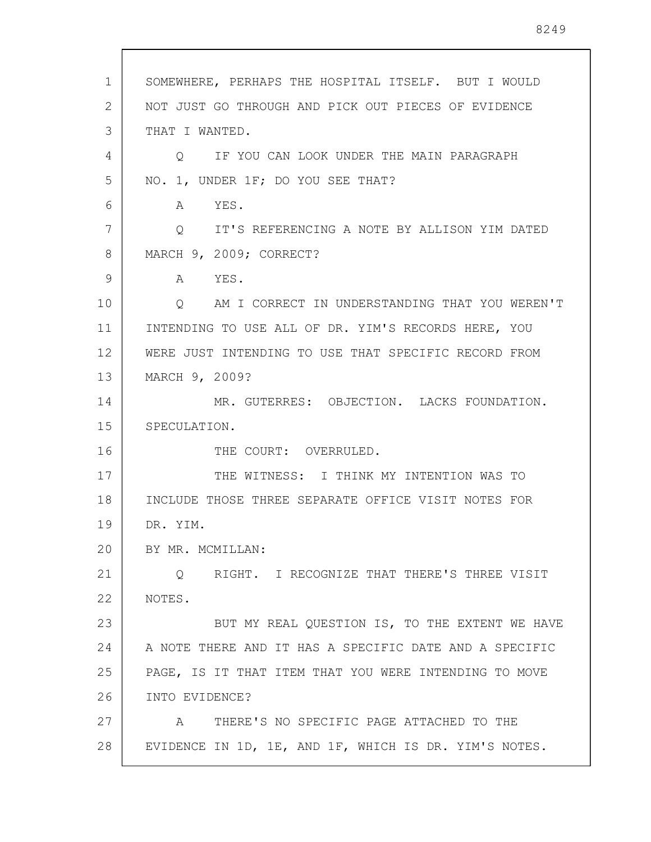| $\mathbf{1}$ | SOMEWHERE, PERHAPS THE HOSPITAL ITSELF. BUT I WOULD            |
|--------------|----------------------------------------------------------------|
| 2            | NOT JUST GO THROUGH AND PICK OUT PIECES OF EVIDENCE            |
| 3            | THAT I WANTED.                                                 |
| 4            | IF YOU CAN LOOK UNDER THE MAIN PARAGRAPH<br>O                  |
| 5            | NO. 1, UNDER 1F; DO YOU SEE THAT?                              |
| 6            | YES.<br>A                                                      |
| 7            | IT'S REFERENCING A NOTE BY ALLISON YIM DATED<br>$\overline{Q}$ |
| 8            | MARCH 9, 2009; CORRECT?                                        |
| 9            | A YES.                                                         |
| 10           | Q AM I CORRECT IN UNDERSTANDING THAT YOU WEREN'T               |
| 11           | INTENDING TO USE ALL OF DR. YIM'S RECORDS HERE, YOU            |
| 12           | WERE JUST INTENDING TO USE THAT SPECIFIC RECORD FROM           |
| 13           | MARCH 9, 2009?                                                 |
| 14           | MR. GUTERRES: OBJECTION. LACKS FOUNDATION.                     |
| 15           | SPECULATION.                                                   |
| 16           | THE COURT: OVERRULED.                                          |
| 17           | THE WITNESS: I THINK MY INTENTION WAS TO                       |
| 18           | INCLUDE THOSE THREE SEPARATE OFFICE VISIT NOTES FOR            |
| 19           | DR. YIM.                                                       |
| 20           | BY MR. MCMILLAN:                                               |
| 21           | RIGHT. I RECOGNIZE THAT THERE'S THREE VISIT<br>Q               |
| 22           | NOTES.                                                         |
| 23           | BUT MY REAL QUESTION IS, TO THE EXTENT WE HAVE                 |
| 24           | A NOTE THERE AND IT HAS A SPECIFIC DATE AND A SPECIFIC         |
| 25           | PAGE, IS IT THAT ITEM THAT YOU WERE INTENDING TO MOVE          |
| 26           | INTO EVIDENCE?                                                 |
| 27           | THERE'S NO SPECIFIC PAGE ATTACHED TO THE<br>A                  |
| 28           | EVIDENCE IN 1D, 1E, AND 1F, WHICH IS DR. YIM'S NOTES.          |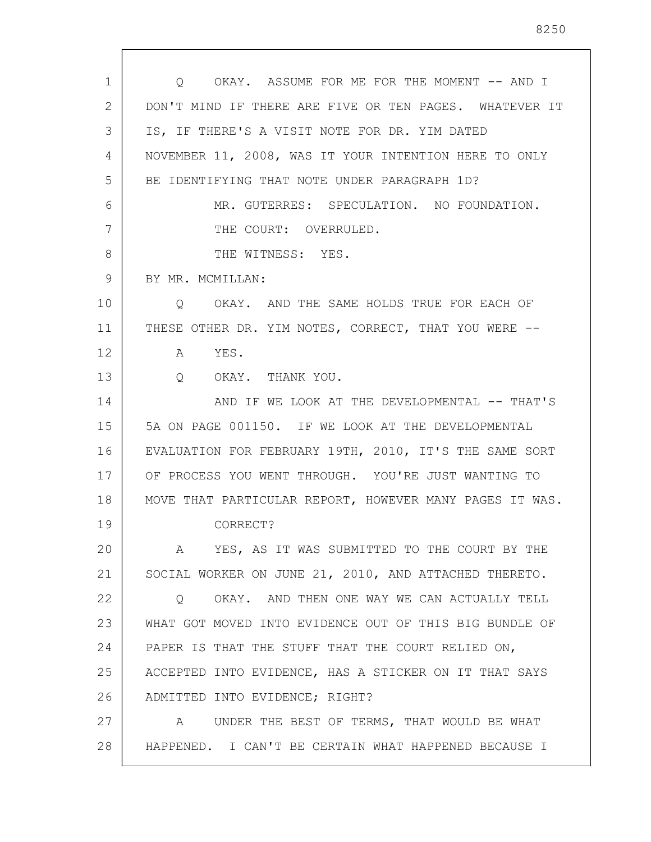| 1  | O OKAY. ASSUME FOR ME FOR THE MOMENT -- AND I           |
|----|---------------------------------------------------------|
| 2  | DON'T MIND IF THERE ARE FIVE OR TEN PAGES. WHATEVER IT  |
| 3  | IS, IF THERE'S A VISIT NOTE FOR DR. YIM DATED           |
| 4  | NOVEMBER 11, 2008, WAS IT YOUR INTENTION HERE TO ONLY   |
| 5  | BE IDENTIFYING THAT NOTE UNDER PARAGRAPH 1D?            |
| 6  | MR. GUTERRES: SPECULATION. NO FOUNDATION.               |
| 7  | THE COURT: OVERRULED.                                   |
| 8  | THE WITNESS: YES.                                       |
| 9  | BY MR. MCMILLAN:                                        |
| 10 | Q OKAY. AND THE SAME HOLDS TRUE FOR EACH OF             |
| 11 | THESE OTHER DR. YIM NOTES, CORRECT, THAT YOU WERE --    |
| 12 | A YES.                                                  |
| 13 | $\overline{Q}$<br>OKAY. THANK YOU.                      |
| 14 | AND IF WE LOOK AT THE DEVELOPMENTAL -- THAT'S           |
| 15 | 5A ON PAGE 001150. IF WE LOOK AT THE DEVELOPMENTAL      |
| 16 | EVALUATION FOR FEBRUARY 19TH, 2010, IT'S THE SAME SORT  |
| 17 | OF PROCESS YOU WENT THROUGH. YOU'RE JUST WANTING TO     |
| 18 | MOVE THAT PARTICULAR REPORT, HOWEVER MANY PAGES IT WAS. |
| 19 | CORRECT?                                                |
| 20 | YES, AS IT WAS SUBMITTED TO THE COURT BY THE<br>A       |
| 21 | SOCIAL WORKER ON JUNE 21, 2010, AND ATTACHED THERETO.   |
| 22 | OKAY. AND THEN ONE WAY WE CAN ACTUALLY TELL<br>Q        |
| 23 | WHAT GOT MOVED INTO EVIDENCE OUT OF THIS BIG BUNDLE OF  |
| 24 | PAPER IS THAT THE STUFF THAT THE COURT RELIED ON,       |
| 25 | ACCEPTED INTO EVIDENCE, HAS A STICKER ON IT THAT SAYS   |
| 26 | ADMITTED INTO EVIDENCE; RIGHT?                          |
| 27 | UNDER THE BEST OF TERMS, THAT WOULD BE WHAT<br>A        |
| 28 | HAPPENED. I CAN'T BE CERTAIN WHAT HAPPENED BECAUSE I    |

 $\sqrt{ }$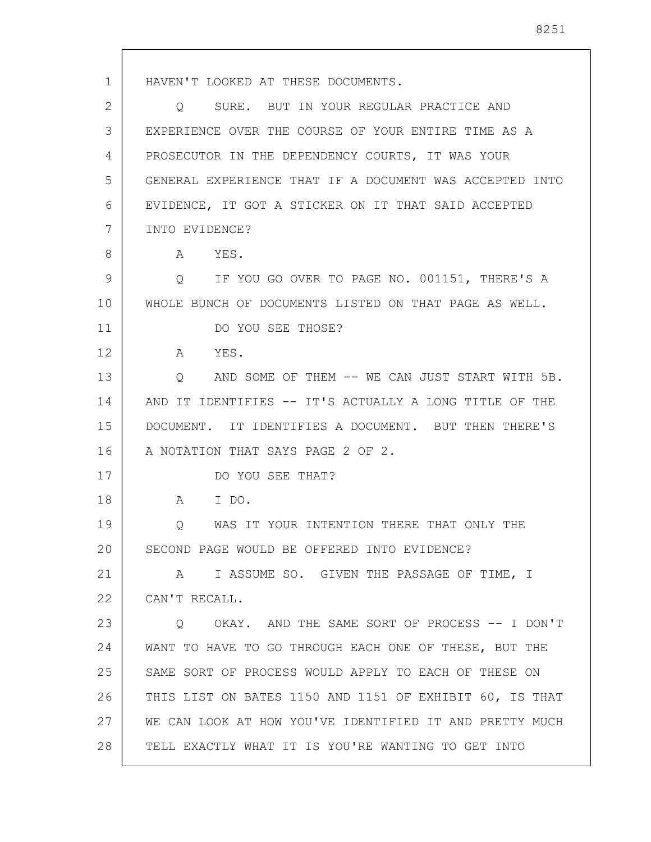1 2 3 4 5 6 7 8 9 10 11 12 13 14 15 16 17 18 19 20 21 22 23 24 25 26 27 28 HAVEN'T LOOKED AT THESE DOCUMENTS. Q SURE. BUT IN YOUR REGULAR PRACTICE AND EXPERIENCE OVER THE COURSE OF YOUR ENTIRE TIME AS A PROSECUTOR IN THE DEPENDENCY COURTS, IT WAS YOUR GENERAL EXPERIENCE THAT IF A DOCUMENT WAS ACCEPTED INTO EVIDENCE, IT GOT A STICKER ON IT THAT SAID ACCEPTED INTO EVIDENCE? A YES. Q IF YOU GO OVER TO PAGE NO. 001151, THERE'S A WHOLE BUNCH OF DOCUMENTS LISTED ON THAT PAGE AS WELL. DO YOU SEE THOSE? A YES. Q AND SOME OF THEM -- WE CAN JUST START WITH 5B. AND IT IDENTIFIES -- IT'S ACTUALLY A LONG TITLE OF THE DOCUMENT. IT IDENTIFIES A DOCUMENT. BUT THEN THERE'S A NOTATION THAT SAYS PAGE 2 OF 2. DO YOU SEE THAT? A I DO. Q WAS IT YOUR INTENTION THERE THAT ONLY THE SECOND PAGE WOULD BE OFFERED INTO EVIDENCE? A I ASSUME SO. GIVEN THE PASSAGE OF TIME, I CAN'T RECALL. Q OKAY. AND THE SAME SORT OF PROCESS -- I DON'T WANT TO HAVE TO GO THROUGH EACH ONE OF THESE, BUT THE SAME SORT OF PROCESS WOULD APPLY TO EACH OF THESE ON THIS LIST ON BATES 1150 AND 1151 OF EXHIBIT 60, IS THAT WE CAN LOOK AT HOW YOU'VE IDENTIFIED IT AND PRETTY MUCH TELL EXACTLY WHAT IT IS YOU'RE WANTING TO GET INTO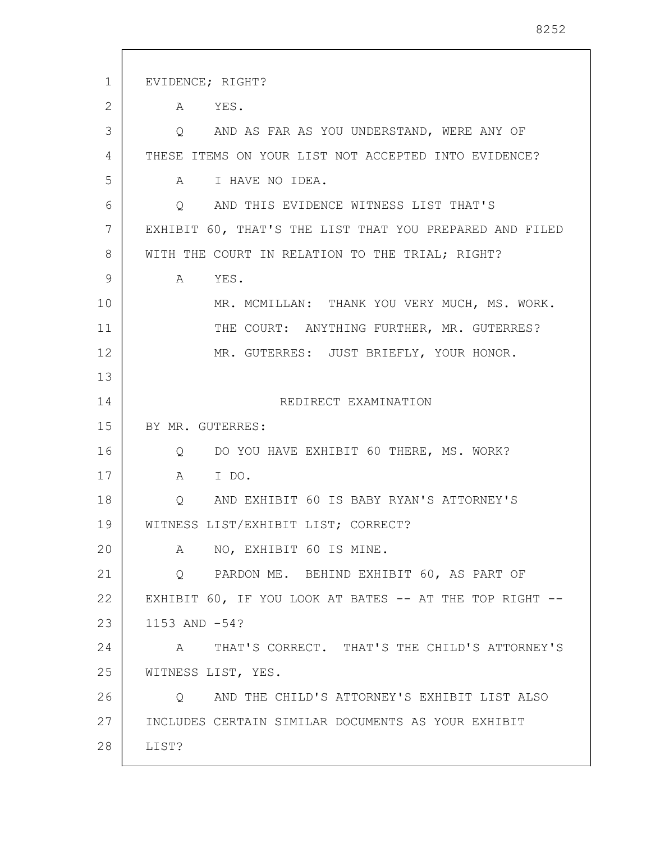1 2 3 4 5 6 7 8 9 10 11 12 13 14 15 16 17 18 19 20 21 22 23 24 25 26 27 28 EVIDENCE; RIGHT? A YES. Q AND AS FAR AS YOU UNDERSTAND, WERE ANY OF THESE ITEMS ON YOUR LIST NOT ACCEPTED INTO EVIDENCE? A I HAVE NO IDEA. Q AND THIS EVIDENCE WITNESS LIST THAT'S EXHIBIT 60, THAT'S THE LIST THAT YOU PREPARED AND FILED WITH THE COURT IN RELATION TO THE TRIAL; RIGHT? A YES. MR. MCMILLAN: THANK YOU VERY MUCH, MS. WORK. THE COURT: ANYTHING FURTHER, MR. GUTERRES? MR. GUTERRES: JUST BRIEFLY, YOUR HONOR. REDIRECT EXAMINATION BY MR. GUTERRES: Q DO YOU HAVE EXHIBIT 60 THERE, MS. WORK? A I DO. Q AND EXHIBIT 60 IS BABY RYAN'S ATTORNEY'S WITNESS LIST/EXHIBIT LIST; CORRECT? A NO, EXHIBIT 60 IS MINE. Q PARDON ME. BEHIND EXHIBIT 60, AS PART OF EXHIBIT 60, IF YOU LOOK AT BATES -- AT THE TOP RIGHT --1153 AND -54? A THAT'S CORRECT. THAT'S THE CHILD'S ATTORNEY'S WITNESS LIST, YES. Q AND THE CHILD'S ATTORNEY'S EXHIBIT LIST ALSO INCLUDES CERTAIN SIMILAR DOCUMENTS AS YOUR EXHIBIT LIST?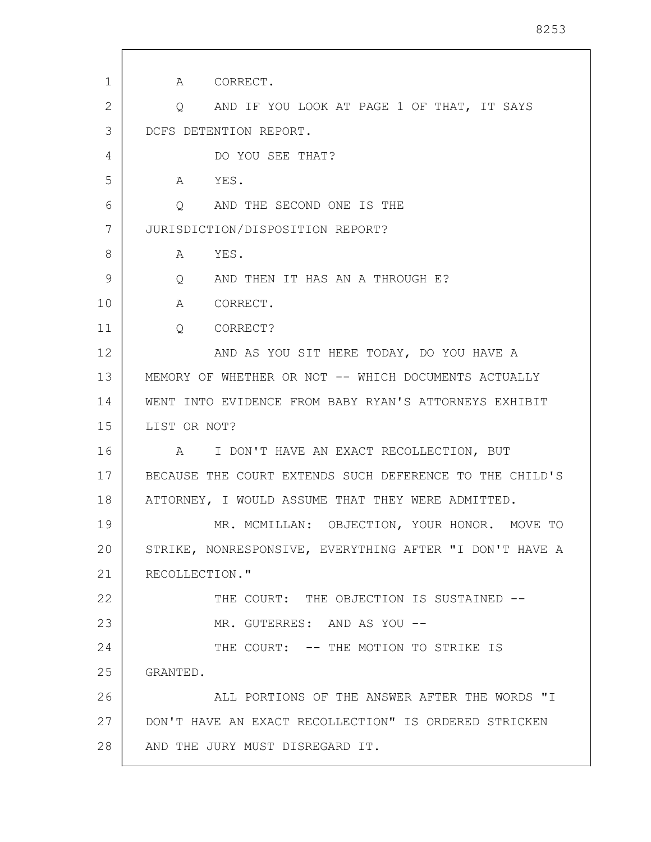| $\mathbf{1}$ | A CORRECT.                                              |
|--------------|---------------------------------------------------------|
| 2            | AND IF YOU LOOK AT PAGE 1 OF THAT, IT SAYS<br>Q         |
| 3            | DCFS DETENTION REPORT.                                  |
| 4            | DO YOU SEE THAT?                                        |
| 5            | $A \quad \alpha$<br>YES.                                |
| 6            | AND THE SECOND ONE IS THE<br>$\circ$                    |
| 7            | JURISDICTION/DISPOSITION REPORT?                        |
| 8            | YES.<br>A                                               |
| 9            | AND THEN IT HAS AN A THROUGH E?<br>$Q \qquad \qquad$    |
| 10           | A CORRECT.                                              |
| 11           | $Q_{\rm max}$<br>CORRECT?                               |
| 12           | AND AS YOU SIT HERE TODAY, DO YOU HAVE A                |
| 13           | MEMORY OF WHETHER OR NOT -- WHICH DOCUMENTS ACTUALLY    |
| 14           | WENT INTO EVIDENCE FROM BABY RYAN'S ATTORNEYS EXHIBIT   |
| 15           | LIST OR NOT?                                            |
| 16           | I DON'T HAVE AN EXACT RECOLLECTION, BUT<br>A            |
| 17           | BECAUSE THE COURT EXTENDS SUCH DEFERENCE TO THE CHILD'S |
| 18           | ATTORNEY, I WOULD ASSUME THAT THEY WERE ADMITTED.       |
| 19           | MR. MCMILLAN: OBJECTION, YOUR HONOR. MOVE TO            |
| 20           | STRIKE, NONRESPONSIVE, EVERYTHING AFTER "I DON'T HAVE A |
| 21           | RECOLLECTION."                                          |
| 22           | THE COURT: THE OBJECTION IS SUSTAINED --                |
| 23           | MR. GUTERRES: AND AS YOU --                             |
| 24           | THE COURT: -- THE MOTION TO STRIKE IS                   |
| 25           | GRANTED.                                                |
| 26           | ALL PORTIONS OF THE ANSWER AFTER THE WORDS "I           |
| 27           | DON'T HAVE AN EXACT RECOLLECTION" IS ORDERED STRICKEN   |
| 28           | AND THE JURY MUST DISREGARD IT.                         |
|              |                                                         |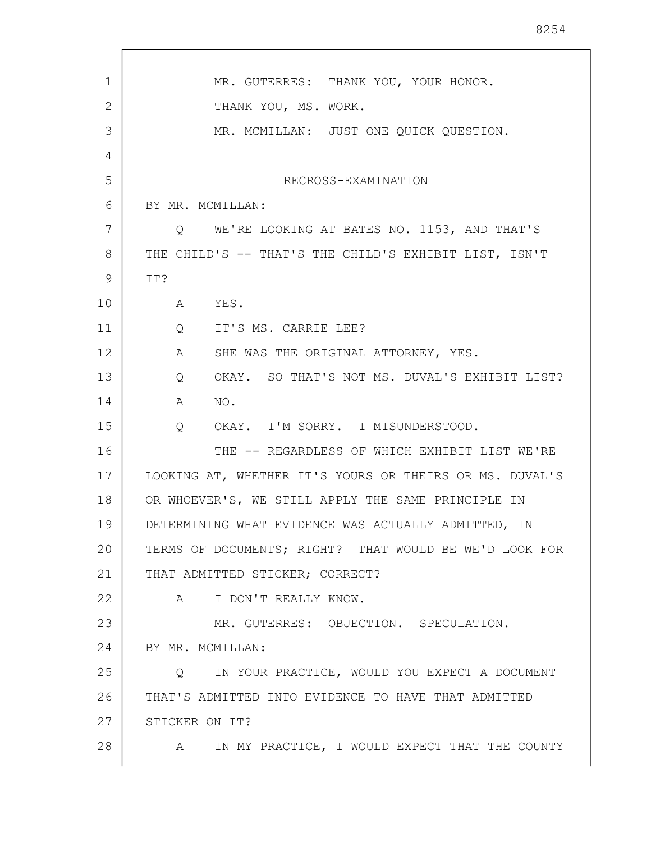| 1  | MR. GUTERRES: THANK YOU, YOUR HONOR.                               |
|----|--------------------------------------------------------------------|
| 2  | THANK YOU, MS. WORK.                                               |
| 3  | MR. MCMILLAN: JUST ONE QUICK QUESTION.                             |
| 4  |                                                                    |
| 5  | RECROSS-EXAMINATION                                                |
| 6  | BY MR. MCMILLAN:                                                   |
| 7  | Q WE'RE LOOKING AT BATES NO. 1153, AND THAT'S                      |
| 8  | THE CHILD'S -- THAT'S THE CHILD'S EXHIBIT LIST, ISN'T              |
| 9  | IT?                                                                |
| 10 | $\mathbf{A}$<br>YES.                                               |
| 11 | IT'S MS. CARRIE LEE?<br>$Q \qquad \qquad$                          |
| 12 | $\mathbf{A}$<br>SHE WAS THE ORIGINAL ATTORNEY, YES.                |
| 13 | OKAY. SO THAT'S NOT MS. DUVAL'S EXHIBIT LIST?<br>$Q \qquad \qquad$ |
| 14 | A<br>NO.                                                           |
| 15 | OKAY. I'M SORRY. I MISUNDERSTOOD.<br>Q                             |
| 16 | THE -- REGARDLESS OF WHICH EXHIBIT LIST WE'RE                      |
| 17 | LOOKING AT, WHETHER IT'S YOURS OR THEIRS OR MS. DUVAL'S            |
| 18 | OR WHOEVER'S, WE STILL APPLY THE SAME PRINCIPLE IN                 |
| 19 | DETERMINING WHAT EVIDENCE WAS ACTUALLY ADMITTED, IN                |
| 20 | TERMS OF DOCUMENTS; RIGHT? THAT WOULD BE WE'D LOOK FOR             |
| 21 | THAT ADMITTED STICKER; CORRECT?                                    |
| 22 | I DON'T REALLY KNOW.<br>$\mathsf A$                                |
| 23 | MR. GUTERRES: OBJECTION. SPECULATION.                              |
| 24 | BY MR. MCMILLAN:                                                   |
| 25 | IN YOUR PRACTICE, WOULD YOU EXPECT A DOCUMENT<br>$Q \qquad \qquad$ |
| 26 | THAT'S ADMITTED INTO EVIDENCE TO HAVE THAT ADMITTED                |
| 27 | STICKER ON IT?                                                     |
| 28 | A IN MY PRACTICE, I WOULD EXPECT THAT THE COUNTY                   |
|    |                                                                    |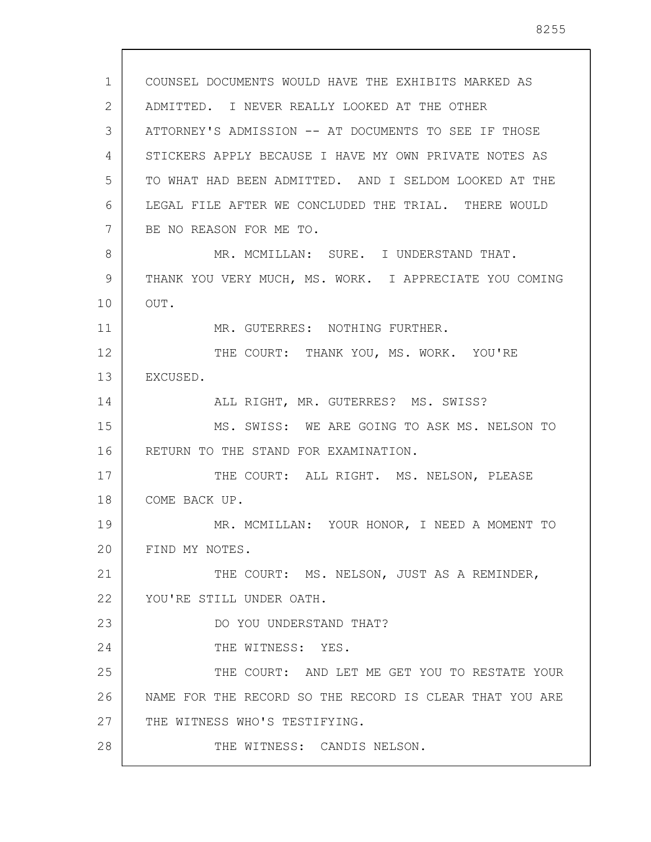1 2 3 4 5 6 7 8 9 10 11 12 13 14 15 16 17 18 19 20 21 22 23 24 25 26 27 28 COUNSEL DOCUMENTS WOULD HAVE THE EXHIBITS MARKED AS ADMITTED. I NEVER REALLY LOOKED AT THE OTHER ATTORNEY'S ADMISSION -- AT DOCUMENTS TO SEE IF THOSE STICKERS APPLY BECAUSE I HAVE MY OWN PRIVATE NOTES AS TO WHAT HAD BEEN ADMITTED. AND I SELDOM LOOKED AT THE LEGAL FILE AFTER WE CONCLUDED THE TRIAL. THERE WOULD BE NO REASON FOR ME TO. MR. MCMILLAN: SURE. I UNDERSTAND THAT. THANK YOU VERY MUCH, MS. WORK. I APPRECIATE YOU COMING OUT. MR. GUTERRES: NOTHING FURTHER. THE COURT: THANK YOU, MS. WORK. YOU'RE EXCUSED. ALL RIGHT, MR. GUTERRES? MS. SWISS? MS. SWISS: WE ARE GOING TO ASK MS. NELSON TO RETURN TO THE STAND FOR EXAMINATION. THE COURT: ALL RIGHT. MS. NELSON, PLEASE COME BACK UP. MR. MCMILLAN: YOUR HONOR, I NEED A MOMENT TO FIND MY NOTES. THE COURT: MS. NELSON, JUST AS A REMINDER, YOU'RE STILL UNDER OATH. DO YOU UNDERSTAND THAT? THE WITNESS: YES. THE COURT: AND LET ME GET YOU TO RESTATE YOUR NAME FOR THE RECORD SO THE RECORD IS CLEAR THAT YOU ARE THE WITNESS WHO'S TESTIFYING. THE WITNESS: CANDIS NELSON.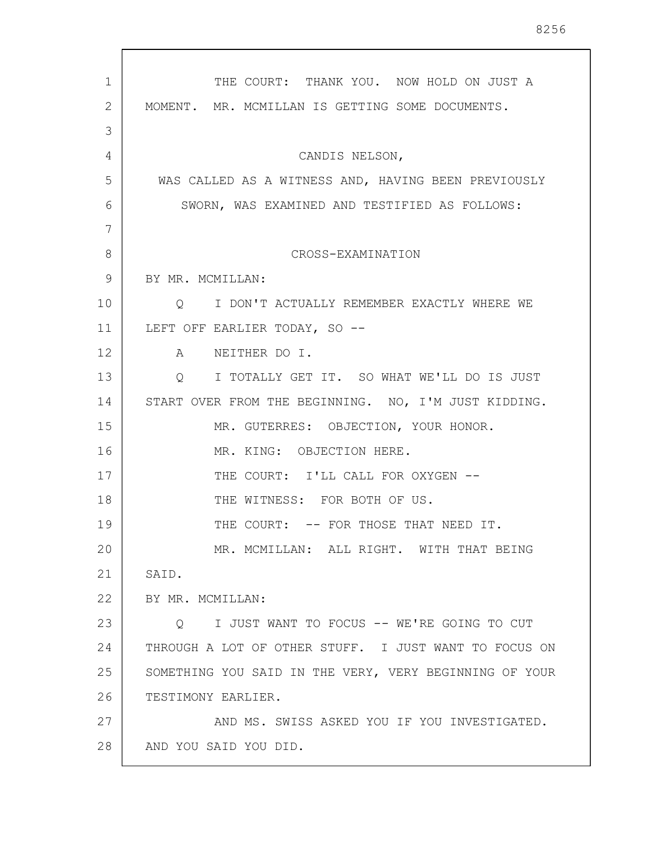| 1  | THE COURT: THANK YOU. NOW HOLD ON JUST A               |
|----|--------------------------------------------------------|
| 2  | MOMENT. MR. MCMILLAN IS GETTING SOME DOCUMENTS.        |
| 3  |                                                        |
| 4  | CANDIS NELSON,                                         |
| 5  | WAS CALLED AS A WITNESS AND, HAVING BEEN PREVIOUSLY    |
| 6  | SWORN, WAS EXAMINED AND TESTIFIED AS FOLLOWS:          |
| 7  |                                                        |
| 8  | CROSS-EXAMINATION                                      |
| 9  | BY MR. MCMILLAN:                                       |
| 10 | Q I DON'T ACTUALLY REMEMBER EXACTLY WHERE WE           |
| 11 | LEFT OFF EARLIER TODAY, SO --                          |
| 12 | A NEITHER DO I.                                        |
| 13 | Q I TOTALLY GET IT. SO WHAT WE'LL DO IS JUST           |
| 14 | START OVER FROM THE BEGINNING. NO, I'M JUST KIDDING.   |
| 15 | MR. GUTERRES: OBJECTION, YOUR HONOR.                   |
| 16 | MR. KING: OBJECTION HERE.                              |
| 17 | THE COURT: I'LL CALL FOR OXYGEN --                     |
| 18 | THE WITNESS: FOR BOTH OF US.                           |
| 19 | THE COURT: -- FOR THOSE THAT NEED IT.                  |
| 20 | MR. MCMILLAN: ALL RIGHT. WITH THAT BEING               |
| 21 | SAID.                                                  |
| 22 | BY MR. MCMILLAN:                                       |
| 23 | I JUST WANT TO FOCUS -- WE'RE GOING TO CUT<br>$\circ$  |
| 24 | THROUGH A LOT OF OTHER STUFF. I JUST WANT TO FOCUS ON  |
| 25 | SOMETHING YOU SAID IN THE VERY, VERY BEGINNING OF YOUR |
| 26 | TESTIMONY EARLIER.                                     |
| 27 | AND MS. SWISS ASKED YOU IF YOU INVESTIGATED.           |
| 28 | AND YOU SAID YOU DID.                                  |

 $\sqrt{ }$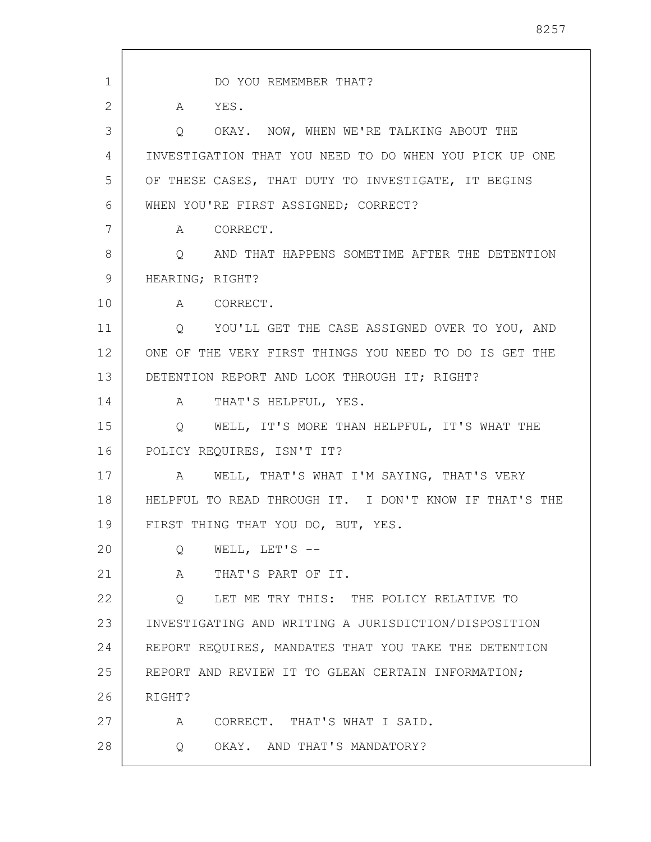1 2 3 4 5 6 7 8 9 10 11 12 13 14 15 16 17 18 19 20 21 22 23 24 25 26 27 28 DO YOU REMEMBER THAT? A YES. Q OKAY. NOW, WHEN WE'RE TALKING ABOUT THE INVESTIGATION THAT YOU NEED TO DO WHEN YOU PICK UP ONE OF THESE CASES, THAT DUTY TO INVESTIGATE, IT BEGINS WHEN YOU'RE FIRST ASSIGNED; CORRECT? A CORRECT. Q AND THAT HAPPENS SOMETIME AFTER THE DETENTION HEARING; RIGHT? A CORRECT. Q YOU'LL GET THE CASE ASSIGNED OVER TO YOU, AND ONE OF THE VERY FIRST THINGS YOU NEED TO DO IS GET THE DETENTION REPORT AND LOOK THROUGH IT; RIGHT? A THAT'S HELPFUL, YES. Q WELL, IT'S MORE THAN HELPFUL, IT'S WHAT THE POLICY REQUIRES, ISN'T IT? A WELL, THAT'S WHAT I'M SAYING, THAT'S VERY HELPFUL TO READ THROUGH IT. I DON'T KNOW IF THAT'S THE FIRST THING THAT YOU DO, BUT, YES. Q WELL, LET'S -- A THAT'S PART OF IT. Q LET ME TRY THIS: THE POLICY RELATIVE TO INVESTIGATING AND WRITING A JURISDICTION/DISPOSITION REPORT REQUIRES, MANDATES THAT YOU TAKE THE DETENTION REPORT AND REVIEW IT TO GLEAN CERTAIN INFORMATION; RIGHT? A CORRECT. THAT'S WHAT I SAID. Q OKAY. AND THAT'S MANDATORY?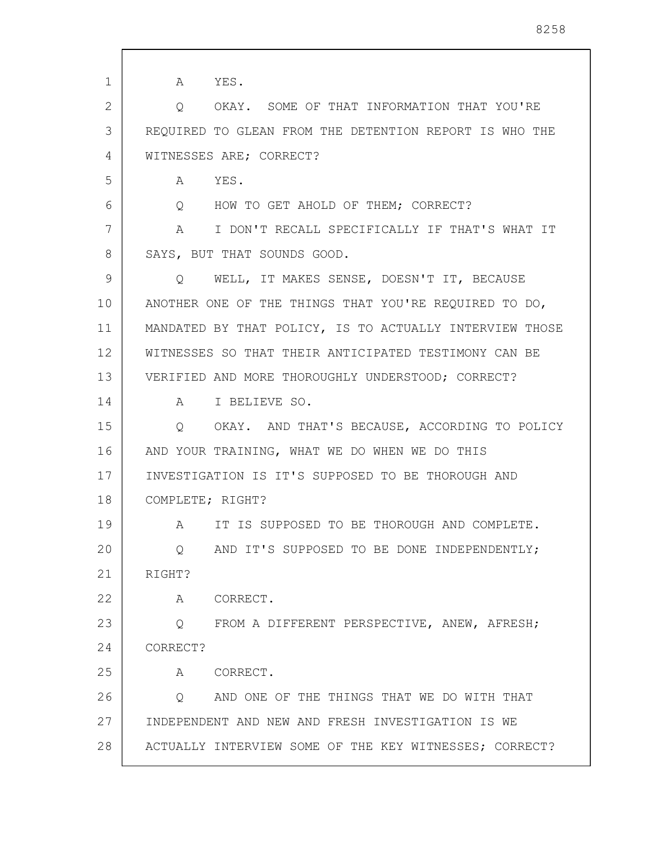1 2 3 4 5 6 7 8 9 10 11 12 13 14 15 16 17 18 19 20 21 22 23 24 25 26 27 28 A YES. Q OKAY. SOME OF THAT INFORMATION THAT YOU'RE REQUIRED TO GLEAN FROM THE DETENTION REPORT IS WHO THE WITNESSES ARE; CORRECT? A YES. Q HOW TO GET AHOLD OF THEM; CORRECT? A I DON'T RECALL SPECIFICALLY IF THAT'S WHAT IT SAYS, BUT THAT SOUNDS GOOD. Q WELL, IT MAKES SENSE, DOESN'T IT, BECAUSE ANOTHER ONE OF THE THINGS THAT YOU'RE REQUIRED TO DO, MANDATED BY THAT POLICY, IS TO ACTUALLY INTERVIEW THOSE WITNESSES SO THAT THEIR ANTICIPATED TESTIMONY CAN BE VERIFIED AND MORE THOROUGHLY UNDERSTOOD; CORRECT? A I BELIEVE SO. Q OKAY. AND THAT'S BECAUSE, ACCORDING TO POLICY AND YOUR TRAINING, WHAT WE DO WHEN WE DO THIS INVESTIGATION IS IT'S SUPPOSED TO BE THOROUGH AND COMPLETE; RIGHT? A IT IS SUPPOSED TO BE THOROUGH AND COMPLETE. Q AND IT'S SUPPOSED TO BE DONE INDEPENDENTLY; RIGHT? A CORRECT. Q FROM A DIFFERENT PERSPECTIVE, ANEW, AFRESH; CORRECT? A CORRECT. Q AND ONE OF THE THINGS THAT WE DO WITH THAT INDEPENDENT AND NEW AND FRESH INVESTIGATION IS WE ACTUALLY INTERVIEW SOME OF THE KEY WITNESSES; CORRECT?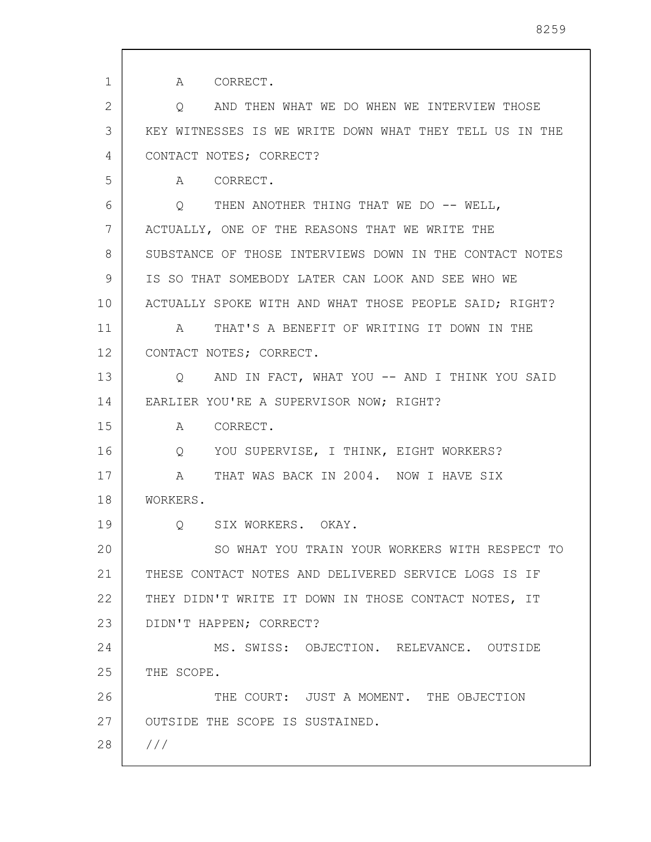| 1  | A CORRECT.                                              |
|----|---------------------------------------------------------|
| 2  | O AND THEN WHAT WE DO WHEN WE INTERVIEW THOSE           |
| 3  | KEY WITNESSES IS WE WRITE DOWN WHAT THEY TELL US IN THE |
| 4  | CONTACT NOTES; CORRECT?                                 |
| 5  | A CORRECT.                                              |
| 6  | Q THEN ANOTHER THING THAT WE DO -- WELL,                |
| 7  | ACTUALLY, ONE OF THE REASONS THAT WE WRITE THE          |
| 8  | SUBSTANCE OF THOSE INTERVIEWS DOWN IN THE CONTACT NOTES |
| 9  | IS SO THAT SOMEBODY LATER CAN LOOK AND SEE WHO WE       |
| 10 | ACTUALLY SPOKE WITH AND WHAT THOSE PEOPLE SAID; RIGHT?  |
| 11 | A THAT'S A BENEFIT OF WRITING IT DOWN IN THE            |
| 12 | CONTACT NOTES; CORRECT.                                 |
| 13 | Q AND IN FACT, WHAT YOU -- AND I THINK YOU SAID         |
| 14 | EARLIER YOU'RE A SUPERVISOR NOW; RIGHT?                 |
| 15 | A CORRECT.                                              |
| 16 | Q YOU SUPERVISE, I THINK, EIGHT WORKERS?                |
| 17 | A THAT WAS BACK IN 2004. NOW I HAVE SIX                 |
| 18 | WORKERS.                                                |
| 19 | Q SIX WORKERS. OKAY.                                    |
| 20 | SO WHAT YOU TRAIN YOUR WORKERS WITH RESPECT TO          |
| 21 | THESE CONTACT NOTES AND DELIVERED SERVICE LOGS IS IF    |
| 22 | THEY DIDN'T WRITE IT DOWN IN THOSE CONTACT NOTES, IT    |
| 23 | DIDN'T HAPPEN; CORRECT?                                 |
| 24 | MS. SWISS: OBJECTION. RELEVANCE. OUTSIDE                |
| 25 | THE SCOPE.                                              |
| 26 | THE COURT: JUST A MOMENT. THE OBJECTION                 |
| 27 | OUTSIDE THE SCOPE IS SUSTAINED.                         |
| 28 | 111                                                     |
|    |                                                         |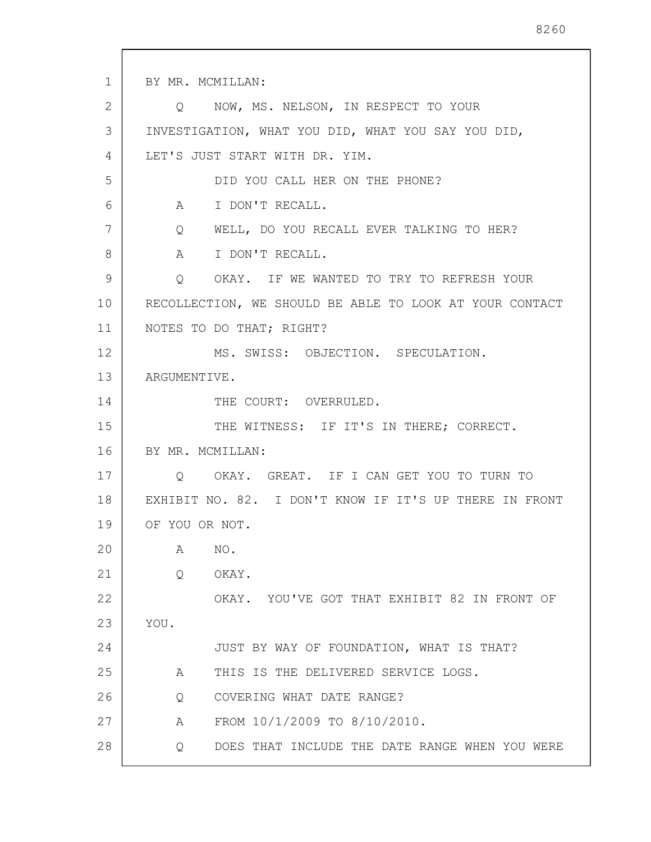1 2 3 4 5 6 7 8 9 10 11 12 13 14 15 16 17 18 19 20 21 22 23 24 25 26 27 28 BY MR. MCMILLAN: Q NOW, MS. NELSON, IN RESPECT TO YOUR INVESTIGATION, WHAT YOU DID, WHAT YOU SAY YOU DID, LET'S JUST START WITH DR. YIM. DID YOU CALL HER ON THE PHONE? A I DON'T RECALL. Q WELL, DO YOU RECALL EVER TALKING TO HER? A I DON'T RECALL. Q OKAY. IF WE WANTED TO TRY TO REFRESH YOUR RECOLLECTION, WE SHOULD BE ABLE TO LOOK AT YOUR CONTACT NOTES TO DO THAT; RIGHT? MS. SWISS: OBJECTION. SPECULATION. ARGUMENTIVE. THE COURT: OVERRULED. THE WITNESS: IF IT'S IN THERE; CORRECT. BY MR. MCMILLAN: Q OKAY. GREAT. IF I CAN GET YOU TO TURN TO EXHIBIT NO. 82. I DON'T KNOW IF IT'S UP THERE IN FRONT OF YOU OR NOT. A NO. Q OKAY. OKAY. YOU'VE GOT THAT EXHIBIT 82 IN FRONT OF YOU. JUST BY WAY OF FOUNDATION, WHAT IS THAT? A THIS IS THE DELIVERED SERVICE LOGS. Q COVERING WHAT DATE RANGE? A FROM 10/1/2009 TO 8/10/2010. Q DOES THAT INCLUDE THE DATE RANGE WHEN YOU WERE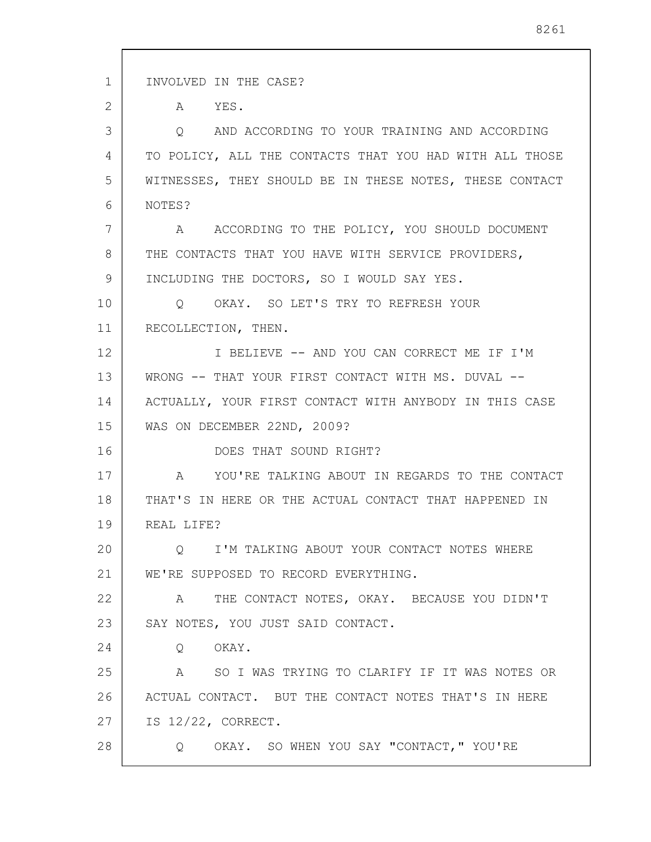1 2 3 4 5 6 7 8 9 10 11 12 13 14 15 16 17 18 19 20 21 22 23 24 25 26 27 28 INVOLVED IN THE CASE? A YES. Q AND ACCORDING TO YOUR TRAINING AND ACCORDING TO POLICY, ALL THE CONTACTS THAT YOU HAD WITH ALL THOSE WITNESSES, THEY SHOULD BE IN THESE NOTES, THESE CONTACT NOTES? A ACCORDING TO THE POLICY, YOU SHOULD DOCUMENT THE CONTACTS THAT YOU HAVE WITH SERVICE PROVIDERS, INCLUDING THE DOCTORS, SO I WOULD SAY YES. Q OKAY. SO LET'S TRY TO REFRESH YOUR RECOLLECTION, THEN. I BELIEVE -- AND YOU CAN CORRECT ME IF I'M WRONG -- THAT YOUR FIRST CONTACT WITH MS. DUVAL -- ACTUALLY, YOUR FIRST CONTACT WITH ANYBODY IN THIS CASE WAS ON DECEMBER 22ND, 2009? DOES THAT SOUND RIGHT? A YOU'RE TALKING ABOUT IN REGARDS TO THE CONTACT THAT'S IN HERE OR THE ACTUAL CONTACT THAT HAPPENED IN REAL LIFE? Q I'M TALKING ABOUT YOUR CONTACT NOTES WHERE WE'RE SUPPOSED TO RECORD EVERYTHING. A THE CONTACT NOTES, OKAY. BECAUSE YOU DIDN'T SAY NOTES, YOU JUST SAID CONTACT. Q OKAY. A SO I WAS TRYING TO CLARIFY IF IT WAS NOTES OR ACTUAL CONTACT. BUT THE CONTACT NOTES THAT'S IN HERE IS 12/22, CORRECT. Q OKAY. SO WHEN YOU SAY "CONTACT," YOU'RE

8261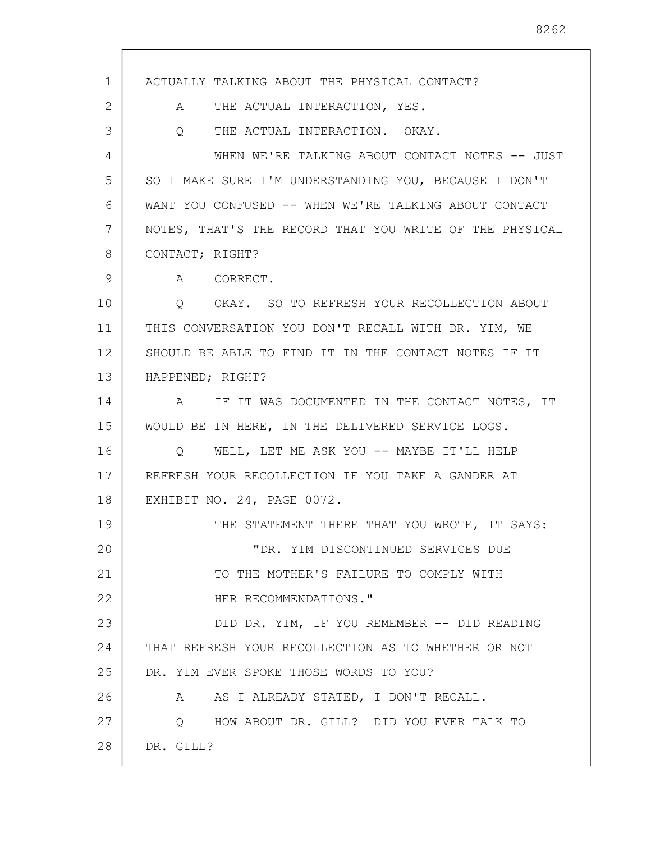1 2 3 4 5 6 7 8 9 10 11 12 13 14 15 16 17 18 19 20 21 22 23 24 25 26 27 28 ACTUALLY TALKING ABOUT THE PHYSICAL CONTACT? A THE ACTUAL INTERACTION, YES. Q THE ACTUAL INTERACTION. OKAY. WHEN WE'RE TALKING ABOUT CONTACT NOTES -- JUST SO I MAKE SURE I'M UNDERSTANDING YOU, BECAUSE I DON'T WANT YOU CONFUSED -- WHEN WE'RE TALKING ABOUT CONTACT NOTES, THAT'S THE RECORD THAT YOU WRITE OF THE PHYSICAL CONTACT; RIGHT? A CORRECT. Q OKAY. SO TO REFRESH YOUR RECOLLECTION ABOUT THIS CONVERSATION YOU DON'T RECALL WITH DR. YIM, WE SHOULD BE ABLE TO FIND IT IN THE CONTACT NOTES IF IT HAPPENED; RIGHT? A IF IT WAS DOCUMENTED IN THE CONTACT NOTES, IT WOULD BE IN HERE, IN THE DELIVERED SERVICE LOGS. Q WELL, LET ME ASK YOU -- MAYBE IT'LL HELP REFRESH YOUR RECOLLECTION IF YOU TAKE A GANDER AT EXHIBIT NO. 24, PAGE 0072. THE STATEMENT THERE THAT YOU WROTE, IT SAYS: "DR. YIM DISCONTINUED SERVICES DUE TO THE MOTHER'S FAILURE TO COMPLY WITH HER RECOMMENDATIONS." DID DR. YIM, IF YOU REMEMBER -- DID READING THAT REFRESH YOUR RECOLLECTION AS TO WHETHER OR NOT DR. YIM EVER SPOKE THOSE WORDS TO YOU? A AS I ALREADY STATED, I DON'T RECALL. Q HOW ABOUT DR. GILL? DID YOU EVER TALK TO DR. GILL?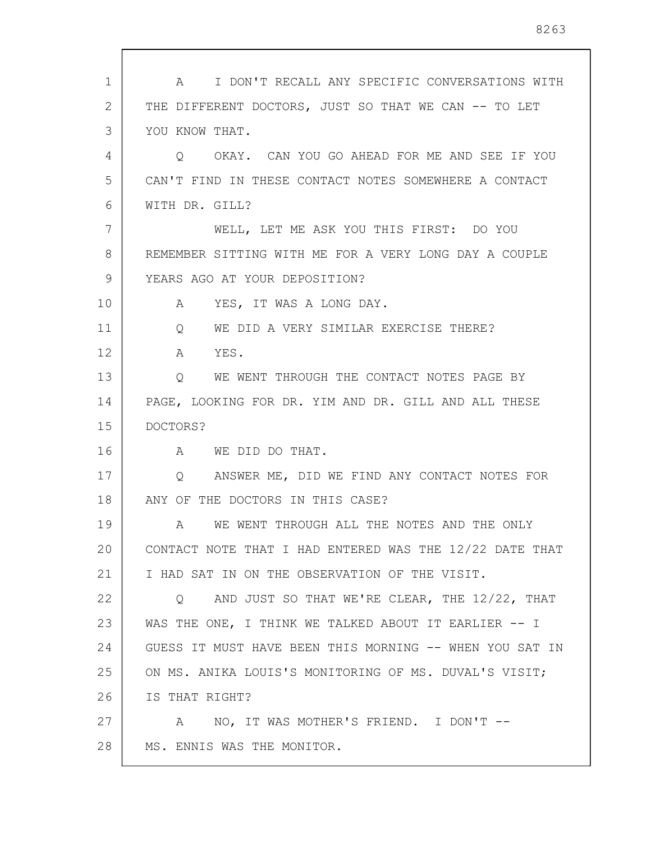| 1  | I DON'T RECALL ANY SPECIFIC CONVERSATIONS WITH<br>$\mathbb A$ |
|----|---------------------------------------------------------------|
| 2  | THE DIFFERENT DOCTORS, JUST SO THAT WE CAN -- TO LET          |
| 3  | YOU KNOW THAT.                                                |
| 4  | OKAY. CAN YOU GO AHEAD FOR ME AND SEE IF YOU<br>$\circ$       |
| 5  | CAN'T FIND IN THESE CONTACT NOTES SOMEWHERE A CONTACT         |
| 6  | WITH DR. GILL?                                                |
| 7  | WELL, LET ME ASK YOU THIS FIRST: DO YOU                       |
| 8  | REMEMBER SITTING WITH ME FOR A VERY LONG DAY A COUPLE         |
| 9  | YEARS AGO AT YOUR DEPOSITION?                                 |
| 10 | YES, IT WAS A LONG DAY.<br>A                                  |
| 11 | WE DID A VERY SIMILAR EXERCISE THERE?<br>Q                    |
| 12 | YES.<br>A                                                     |
| 13 | WE WENT THROUGH THE CONTACT NOTES PAGE BY<br>Q                |
| 14 | PAGE, LOOKING FOR DR. YIM AND DR. GILL AND ALL THESE          |
| 15 | DOCTORS?                                                      |
| 16 | A WE DID DO THAT.                                             |
| 17 | ANSWER ME, DID WE FIND ANY CONTACT NOTES FOR<br>Q             |
| 18 | ANY OF THE DOCTORS IN THIS CASE?                              |
| 19 | WE WENT THROUGH ALL THE NOTES AND THE ONLY<br>A               |
| 20 | CONTACT NOTE THAT I HAD ENTERED WAS THE 12/22 DATE THAT       |
| 21 | I HAD SAT IN ON THE OBSERVATION OF THE VISIT.                 |
| 22 | AND JUST SO THAT WE'RE CLEAR, THE 12/22, THAT<br>Q            |
| 23 | WAS THE ONE, I THINK WE TALKED ABOUT IT EARLIER -- I          |
| 24 | GUESS IT MUST HAVE BEEN THIS MORNING -- WHEN YOU SAT IN       |
| 25 | ON MS. ANIKA LOUIS'S MONITORING OF MS. DUVAL'S VISIT;         |
| 26 | IS THAT RIGHT?                                                |
| 27 | A NO, IT WAS MOTHER'S FRIEND. I DON'T --                      |
| 28 | MS. ENNIS WAS THE MONITOR.                                    |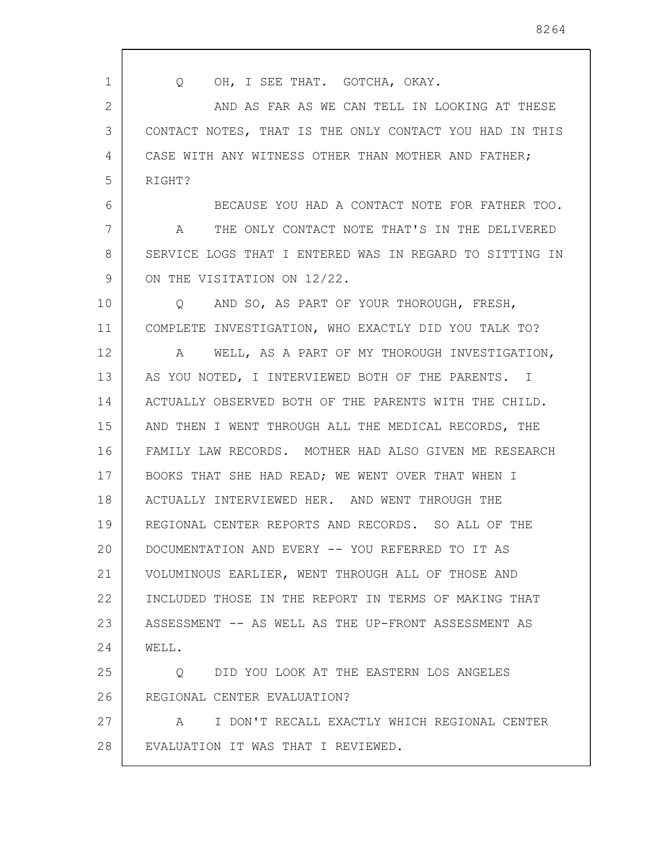| 1  | OH, I SEE THAT. GOTCHA, OKAY.<br>$\circ$                     |
|----|--------------------------------------------------------------|
| 2  | AND AS FAR AS WE CAN TELL IN LOOKING AT THESE                |
| 3  | CONTACT NOTES, THAT IS THE ONLY CONTACT YOU HAD IN THIS      |
| 4  | CASE WITH ANY WITNESS OTHER THAN MOTHER AND FATHER;          |
| 5  | RIGHT?                                                       |
| 6  | BECAUSE YOU HAD A CONTACT NOTE FOR FATHER TOO.               |
| 7  | THE ONLY CONTACT NOTE THAT'S IN THE DELIVERED<br>$\mathbb A$ |
| 8  | SERVICE LOGS THAT I ENTERED WAS IN REGARD TO SITTING IN      |
| 9  | ON THE VISITATION ON 12/22.                                  |
| 10 | AND SO, AS PART OF YOUR THOROUGH, FRESH,<br>$\circ$          |
| 11 | COMPLETE INVESTIGATION, WHO EXACTLY DID YOU TALK TO?         |
| 12 | WELL, AS A PART OF MY THOROUGH INVESTIGATION,<br>A           |
| 13 | AS YOU NOTED, I INTERVIEWED BOTH OF THE PARENTS. I           |
| 14 | ACTUALLY OBSERVED BOTH OF THE PARENTS WITH THE CHILD.        |
| 15 | AND THEN I WENT THROUGH ALL THE MEDICAL RECORDS, THE         |
| 16 | FAMILY LAW RECORDS. MOTHER HAD ALSO GIVEN ME RESEARCH        |
| 17 | BOOKS THAT SHE HAD READ; WE WENT OVER THAT WHEN I            |
| 18 | ACTUALLY INTERVIEWED HER. AND WENT THROUGH THE               |
| 19 | REGIONAL CENTER REPORTS AND RECORDS. SO ALL OF THE           |
| 20 | DOCUMENTATION AND EVERY -- YOU REFERRED TO IT AS             |
| 21 | VOLUMINOUS EARLIER, WENT THROUGH ALL OF THOSE AND            |
| 22 | INCLUDED THOSE IN THE REPORT IN TERMS OF MAKING THAT         |
| 23 | ASSESSMENT -- AS WELL AS THE UP-FRONT ASSESSMENT AS          |
| 24 | WELL.                                                        |
| 25 | DID YOU LOOK AT THE EASTERN LOS ANGELES<br>O                 |
| 26 | REGIONAL CENTER EVALUATION?                                  |
| 27 | I DON'T RECALL EXACTLY WHICH REGIONAL CENTER<br>A            |
| 28 | EVALUATION IT WAS THAT I REVIEWED.                           |
|    |                                                              |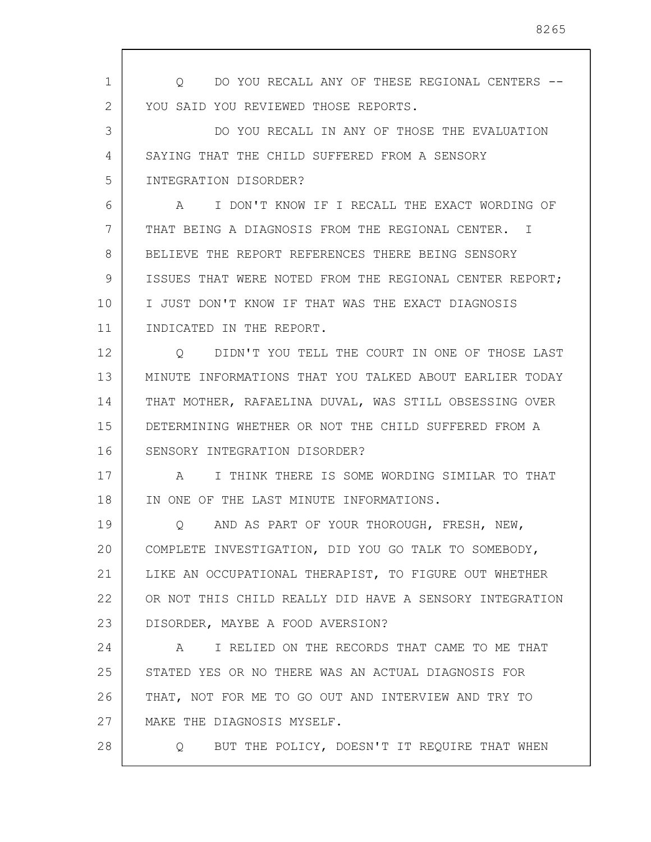1 2 3 4 5 6 7 8 9 10 11 12 13 14 15 16 17 18 19 20 21 22 23 24 25 26 27 28 Q DO YOU RECALL ANY OF THESE REGIONAL CENTERS -- YOU SAID YOU REVIEWED THOSE REPORTS. DO YOU RECALL IN ANY OF THOSE THE EVALUATION SAYING THAT THE CHILD SUFFERED FROM A SENSORY INTEGRATION DISORDER? A I DON'T KNOW IF I RECALL THE EXACT WORDING OF THAT BEING A DIAGNOSIS FROM THE REGIONAL CENTER. I BELIEVE THE REPORT REFERENCES THERE BEING SENSORY ISSUES THAT WERE NOTED FROM THE REGIONAL CENTER REPORT; I JUST DON'T KNOW IF THAT WAS THE EXACT DIAGNOSIS INDICATED IN THE REPORT. Q DIDN'T YOU TELL THE COURT IN ONE OF THOSE LAST MINUTE INFORMATIONS THAT YOU TALKED ABOUT EARLIER TODAY THAT MOTHER, RAFAELINA DUVAL, WAS STILL OBSESSING OVER DETERMINING WHETHER OR NOT THE CHILD SUFFERED FROM A SENSORY INTEGRATION DISORDER? A I THINK THERE IS SOME WORDING SIMILAR TO THAT IN ONE OF THE LAST MINUTE INFORMATIONS. Q AND AS PART OF YOUR THOROUGH, FRESH, NEW, COMPLETE INVESTIGATION, DID YOU GO TALK TO SOMEBODY, LIKE AN OCCUPATIONAL THERAPIST, TO FIGURE OUT WHETHER OR NOT THIS CHILD REALLY DID HAVE A SENSORY INTEGRATION DISORDER, MAYBE A FOOD AVERSION? A I RELIED ON THE RECORDS THAT CAME TO ME THAT STATED YES OR NO THERE WAS AN ACTUAL DIAGNOSIS FOR THAT, NOT FOR ME TO GO OUT AND INTERVIEW AND TRY TO MAKE THE DIAGNOSIS MYSELF. Q BUT THE POLICY, DOESN'T IT REQUIRE THAT WHEN

8265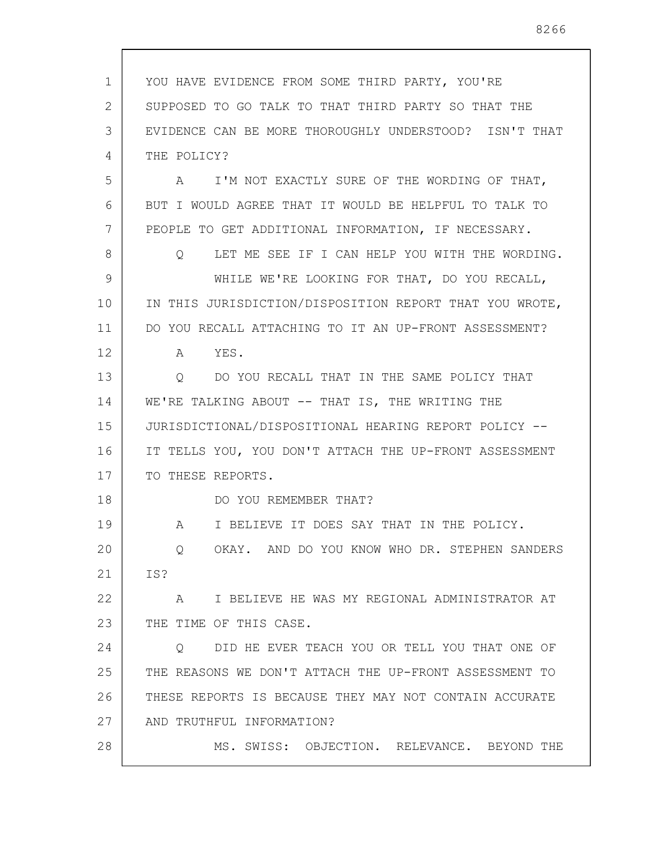1 2 3 4 5 6 7 8 9 10 11 12 13 14 15 16 17 18 19 20 21 22 23 24 25 26 27 28 YOU HAVE EVIDENCE FROM SOME THIRD PARTY, YOU'RE SUPPOSED TO GO TALK TO THAT THIRD PARTY SO THAT THE EVIDENCE CAN BE MORE THOROUGHLY UNDERSTOOD? ISN'T THAT THE POLICY? A I'M NOT EXACTLY SURE OF THE WORDING OF THAT, BUT I WOULD AGREE THAT IT WOULD BE HELPFUL TO TALK TO PEOPLE TO GET ADDITIONAL INFORMATION, IF NECESSARY. Q LET ME SEE IF I CAN HELP YOU WITH THE WORDING. WHILE WE'RE LOOKING FOR THAT, DO YOU RECALL, IN THIS JURISDICTION/DISPOSITION REPORT THAT YOU WROTE, DO YOU RECALL ATTACHING TO IT AN UP-FRONT ASSESSMENT? A YES. Q DO YOU RECALL THAT IN THE SAME POLICY THAT WE'RE TALKING ABOUT -- THAT IS, THE WRITING THE JURISDICTIONAL/DISPOSITIONAL HEARING REPORT POLICY -- IT TELLS YOU, YOU DON'T ATTACH THE UP-FRONT ASSESSMENT TO THESE REPORTS. DO YOU REMEMBER THAT? A I BELIEVE IT DOES SAY THAT IN THE POLICY. Q OKAY. AND DO YOU KNOW WHO DR. STEPHEN SANDERS IS? A I BELIEVE HE WAS MY REGIONAL ADMINISTRATOR AT THE TIME OF THIS CASE. Q DID HE EVER TEACH YOU OR TELL YOU THAT ONE OF THE REASONS WE DON'T ATTACH THE UP-FRONT ASSESSMENT TO THESE REPORTS IS BECAUSE THEY MAY NOT CONTAIN ACCURATE AND TRUTHFUL INFORMATION? MS. SWISS: OBJECTION. RELEVANCE. BEYOND THE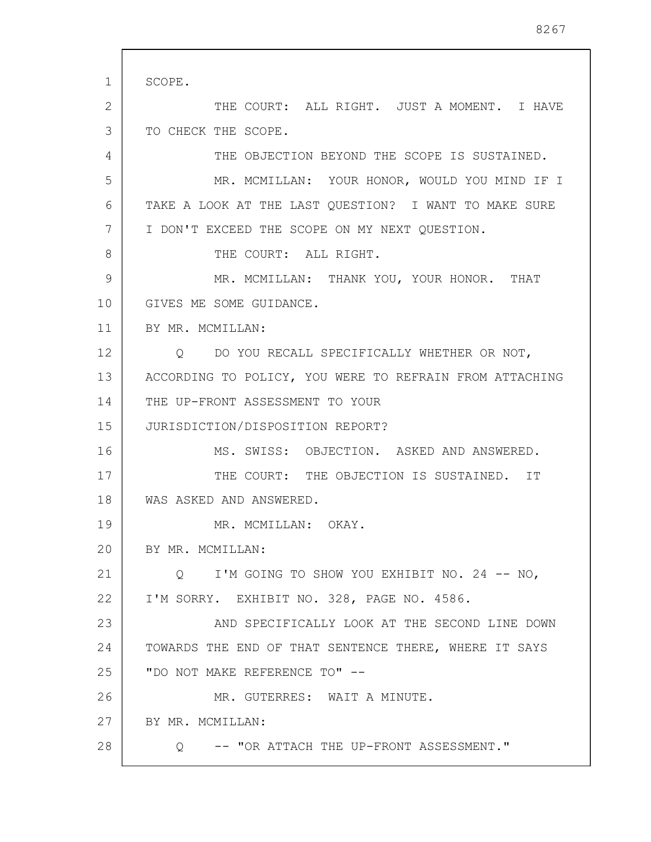1 2 3 4 5 6 7 8 9 10 11 12 13 14 15 16 17 18 19 20 21 22 23 24 25 26 27 28 SCOPE. THE COURT: ALL RIGHT. JUST A MOMENT. I HAVE TO CHECK THE SCOPE. THE OBJECTION BEYOND THE SCOPE IS SUSTAINED. MR. MCMILLAN: YOUR HONOR, WOULD YOU MIND IF I TAKE A LOOK AT THE LAST QUESTION? I WANT TO MAKE SURE I DON'T EXCEED THE SCOPE ON MY NEXT QUESTION. THE COURT: ALL RIGHT. MR. MCMILLAN: THANK YOU, YOUR HONOR. THAT GIVES ME SOME GUIDANCE. BY MR. MCMILLAN: Q DO YOU RECALL SPECIFICALLY WHETHER OR NOT, ACCORDING TO POLICY, YOU WERE TO REFRAIN FROM ATTACHING THE UP-FRONT ASSESSMENT TO YOUR JURISDICTION/DISPOSITION REPORT? MS. SWISS: OBJECTION. ASKED AND ANSWERED. THE COURT: THE OBJECTION IS SUSTAINED. IT WAS ASKED AND ANSWERED. MR. MCMILLAN: OKAY. BY MR. MCMILLAN: Q I'M GOING TO SHOW YOU EXHIBIT NO. 24 -- NO, I'M SORRY. EXHIBIT NO. 328, PAGE NO. 4586. AND SPECIFICALLY LOOK AT THE SECOND LINE DOWN TOWARDS THE END OF THAT SENTENCE THERE, WHERE IT SAYS "DO NOT MAKE REFERENCE TO" -- MR. GUTERRES: WAIT A MINUTE. BY MR. MCMILLAN: Q -- "OR ATTACH THE UP-FRONT ASSESSMENT."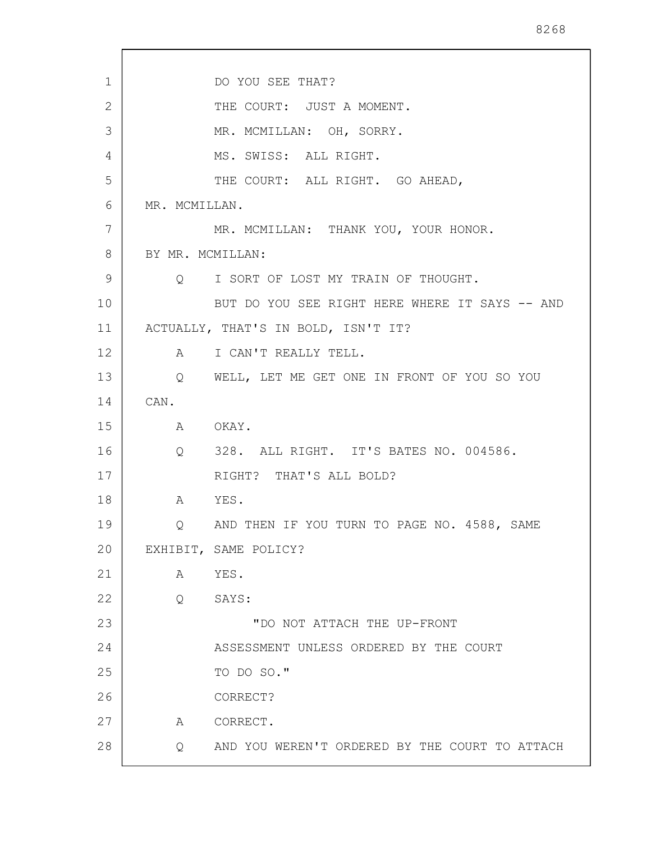1 2 3 4 5 6 7 8 9 10 11 12 13 14 15 16 17 18 19 20 21 22 23 24 25 26 27 DO YOU SEE THAT? THE COURT: JUST A MOMENT. MR. MCMILLAN: OH, SORRY. MS. SWISS: ALL RIGHT. THE COURT: ALL RIGHT. GO AHEAD, MR. MCMILLAN. MR. MCMILLAN: THANK YOU, YOUR HONOR. BY MR. MCMILLAN: Q I SORT OF LOST MY TRAIN OF THOUGHT. BUT DO YOU SEE RIGHT HERE WHERE IT SAYS -- AND ACTUALLY, THAT'S IN BOLD, ISN'T IT? A I CAN'T REALLY TELL. Q WELL, LET ME GET ONE IN FRONT OF YOU SO YOU CAN. A OKAY. Q 328. ALL RIGHT. IT'S BATES NO. 004586. RIGHT? THAT'S ALL BOLD? A YES. Q AND THEN IF YOU TURN TO PAGE NO. 4588, SAME EXHIBIT, SAME POLICY? A YES. Q SAYS: "DO NOT ATTACH THE UP-FRONT ASSESSMENT UNLESS ORDERED BY THE COURT TO DO SO." CORRECT? A CORRECT.

28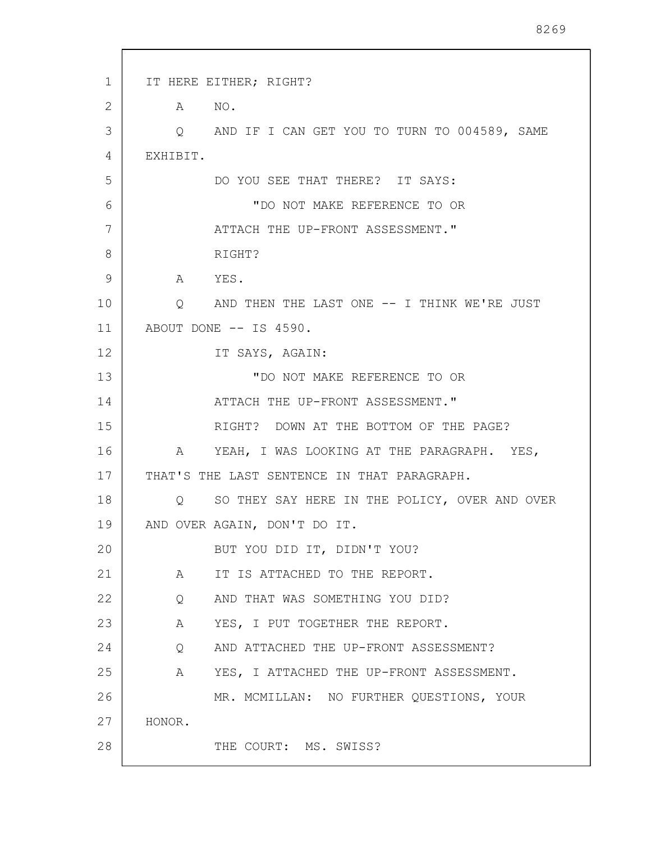| 1  | IT HERE EITHER; RIGHT?                             |
|----|----------------------------------------------------|
| 2  | A NO.                                              |
| 3  | Q AND IF I CAN GET YOU TO TURN TO 004589, SAME     |
| 4  | EXHIBIT.                                           |
| 5  | DO YOU SEE THAT THERE? IT SAYS:                    |
| 6  | "DO NOT MAKE REFERENCE TO OR                       |
| 7  | ATTACH THE UP-FRONT ASSESSMENT."                   |
| 8  | RIGHT?                                             |
| 9  | A YES.                                             |
| 10 | Q AND THEN THE LAST ONE -- I THINK WE'RE JUST      |
| 11 | ABOUT DONE -- IS 4590.                             |
| 12 | IT SAYS, AGAIN:                                    |
| 13 | "DO NOT MAKE REFERENCE TO OR                       |
| 14 | ATTACH THE UP-FRONT ASSESSMENT."                   |
| 15 | RIGHT? DOWN AT THE BOTTOM OF THE PAGE?             |
| 16 | YEAH, I WAS LOOKING AT THE PARAGRAPH. YES,<br>A    |
| 17 | THAT'S THE LAST SENTENCE IN THAT PARAGRAPH.        |
| 18 | SO THEY SAY HERE IN THE POLICY, OVER AND OVER<br>Q |
| 19 | AND OVER AGAIN, DON'T DO IT.                       |
| 20 | BUT YOU DID IT, DIDN'T YOU?                        |
| 21 | IT IS ATTACHED TO THE REPORT.<br>A                 |
| 22 | AND THAT WAS SOMETHING YOU DID?<br>Q               |
| 23 | YES, I PUT TOGETHER THE REPORT.<br>A               |
| 24 | AND ATTACHED THE UP-FRONT ASSESSMENT?<br>Q         |
| 25 | A YES, I ATTACHED THE UP-FRONT ASSESSMENT.         |
| 26 | MR. MCMILLAN: NO FURTHER QUESTIONS, YOUR           |
| 27 | HONOR.                                             |
| 28 | THE COURT: MS. SWISS?                              |
|    |                                                    |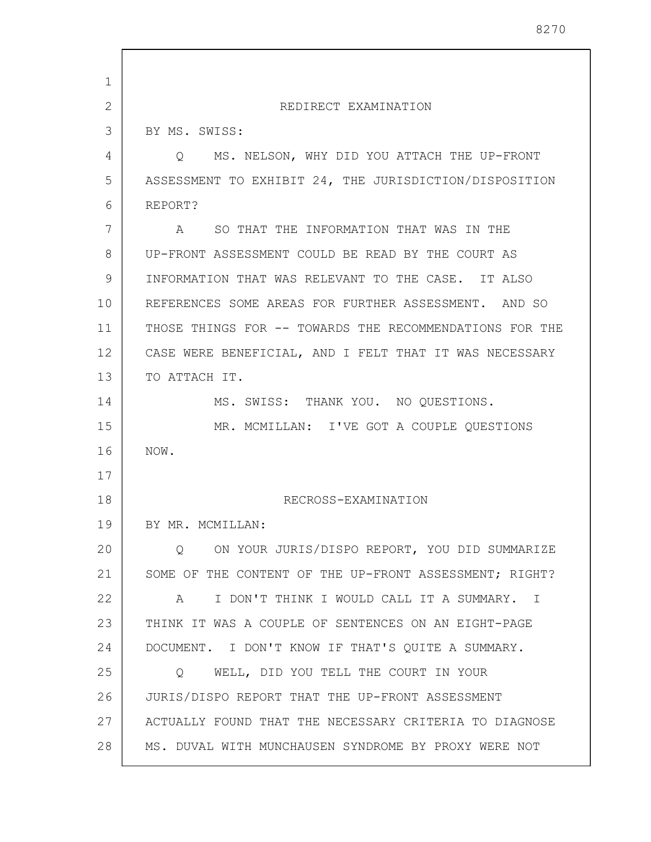| 1  |                                                         |
|----|---------------------------------------------------------|
| 2  | REDIRECT EXAMINATION                                    |
| 3  | BY MS. SWISS:                                           |
| 4  | MS. NELSON, WHY DID YOU ATTACH THE UP-FRONT<br>$\circ$  |
| 5  | ASSESSMENT TO EXHIBIT 24, THE JURISDICTION/DISPOSITION  |
| 6  | REPORT?                                                 |
| 7  | SO THAT THE INFORMATION THAT WAS IN THE<br>A            |
| 8  | UP-FRONT ASSESSMENT COULD BE READ BY THE COURT AS       |
| 9  | INFORMATION THAT WAS RELEVANT TO THE CASE. IT ALSO      |
| 10 | REFERENCES SOME AREAS FOR FURTHER ASSESSMENT. AND SO    |
| 11 | THOSE THINGS FOR -- TOWARDS THE RECOMMENDATIONS FOR THE |
| 12 | CASE WERE BENEFICIAL, AND I FELT THAT IT WAS NECESSARY  |
| 13 | TO ATTACH IT.                                           |
| 14 | MS. SWISS: THANK YOU. NO QUESTIONS.                     |
| 15 | MR. MCMILLAN: I'VE GOT A COUPLE QUESTIONS               |
| 16 | NOW.                                                    |
| 17 |                                                         |
| 18 | RECROSS-EXAMINATION                                     |
| 19 | BY MR. MCMILLAN:                                        |
| 20 | ON YOUR JURIS/DISPO REPORT, YOU DID SUMMARIZE<br>O.     |
| 21 | SOME OF THE CONTENT OF THE UP-FRONT ASSESSMENT; RIGHT?  |
| 22 | I DON'T THINK I WOULD CALL IT A SUMMARY. I<br>A         |
| 23 | THINK IT WAS A COUPLE OF SENTENCES ON AN EIGHT-PAGE     |
| 24 | DOCUMENT. I DON'T KNOW IF THAT'S QUITE A SUMMARY.       |
| 25 | WELL, DID YOU TELL THE COURT IN YOUR<br>Q               |
| 26 | JURIS/DISPO REPORT THAT THE UP-FRONT ASSESSMENT         |
| 27 | ACTUALLY FOUND THAT THE NECESSARY CRITERIA TO DIAGNOSE  |
| 28 | MS. DUVAL WITH MUNCHAUSEN SYNDROME BY PROXY WERE NOT    |

8270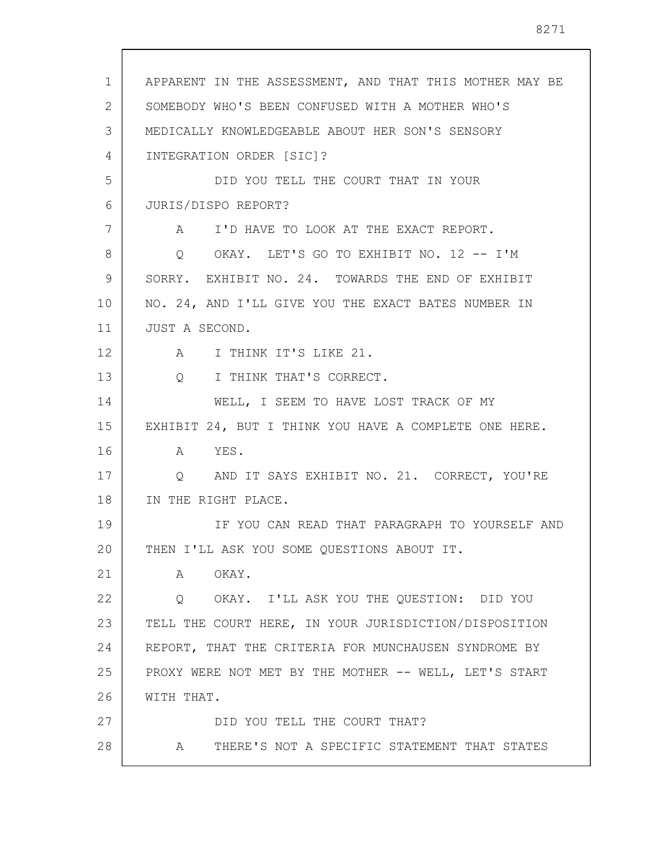| 1  | APPARENT IN THE ASSESSMENT, AND THAT THIS MOTHER MAY BE |
|----|---------------------------------------------------------|
| 2  | SOMEBODY WHO'S BEEN CONFUSED WITH A MOTHER WHO'S        |
| 3  | MEDICALLY KNOWLEDGEABLE ABOUT HER SON'S SENSORY         |
| 4  | INTEGRATION ORDER [SIC]?                                |
| 5  | DID YOU TELL THE COURT THAT IN YOUR                     |
| 6  | JURIS/DISPO REPORT?                                     |
| 7  | A I'D HAVE TO LOOK AT THE EXACT REPORT.                 |
| 8  | Q OKAY. LET'S GO TO EXHIBIT NO. 12 -- I'M               |
| 9  | SORRY. EXHIBIT NO. 24. TOWARDS THE END OF EXHIBIT       |
| 10 | NO. 24, AND I'LL GIVE YOU THE EXACT BATES NUMBER IN     |
| 11 | JUST A SECOND.                                          |
| 12 | I THINK IT'S LIKE 21.<br>$\mathbb A$                    |
| 13 | I THINK THAT'S CORRECT.<br>$Q_{\rm max}$                |
| 14 | WELL, I SEEM TO HAVE LOST TRACK OF MY                   |
| 15 | EXHIBIT 24, BUT I THINK YOU HAVE A COMPLETE ONE HERE.   |
| 16 | A YES.                                                  |
| 17 | AND IT SAYS EXHIBIT NO. 21. CORRECT, YOU'RE<br>Q        |
| 18 | IN THE RIGHT PLACE.                                     |
| 19 | IF YOU CAN READ THAT PARAGRAPH TO YOURSELF AND          |
| 20 | THEN I'LL ASK YOU SOME QUESTIONS ABOUT IT.              |
| 21 | OKAY.<br>Α                                              |
| 22 | OKAY. I'LL ASK YOU THE QUESTION: DID YOU<br>Q           |
| 23 | TELL THE COURT HERE, IN YOUR JURISDICTION/DISPOSITION   |
| 24 | REPORT, THAT THE CRITERIA FOR MUNCHAUSEN SYNDROME BY    |
| 25 | PROXY WERE NOT MET BY THE MOTHER -- WELL, LET'S START   |
| 26 | WITH THAT.                                              |
| 27 | DID YOU TELL THE COURT THAT?                            |
| 28 | THERE'S NOT A SPECIFIC STATEMENT THAT STATES<br>A       |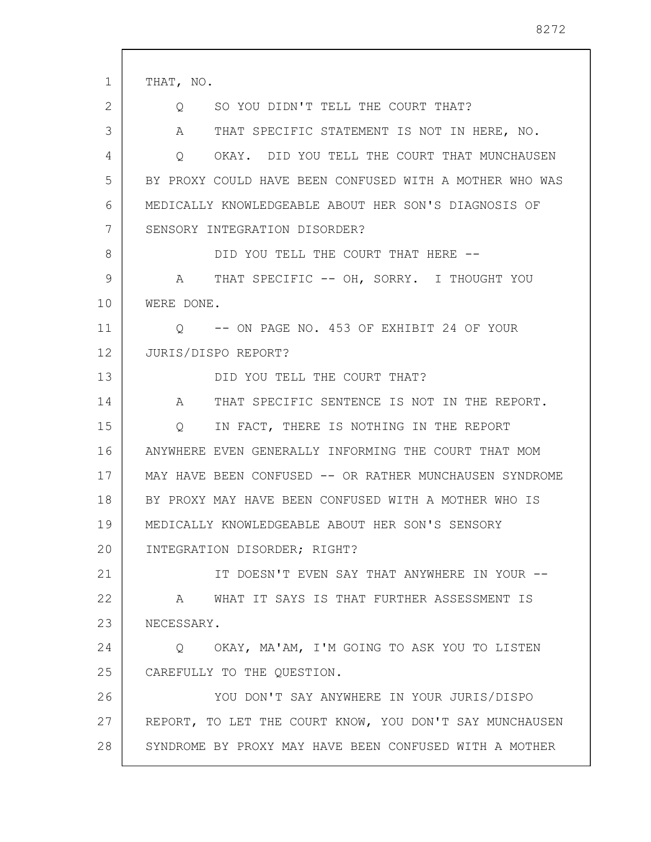| 1  | THAT, NO.                                                    |
|----|--------------------------------------------------------------|
| 2  | SO YOU DIDN'T TELL THE COURT THAT?<br>O                      |
| 3  | THAT SPECIFIC STATEMENT IS NOT IN HERE, NO.<br>A             |
| 4  | OKAY. DID YOU TELL THE COURT THAT MUNCHAUSEN<br>Q            |
| 5  | BY PROXY COULD HAVE BEEN CONFUSED WITH A MOTHER WHO WAS      |
| 6  | MEDICALLY KNOWLEDGEABLE ABOUT HER SON'S DIAGNOSIS OF         |
| 7  | SENSORY INTEGRATION DISORDER?                                |
| 8  | DID YOU TELL THE COURT THAT HERE --                          |
| 9  | A THAT SPECIFIC -- OH, SORRY. I THOUGHT YOU                  |
| 10 | WERE DONE.                                                   |
| 11 | -- ON PAGE NO. 453 OF EXHIBIT 24 OF YOUR<br>$\circ$          |
| 12 | JURIS/DISPO REPORT?                                          |
| 13 | DID YOU TELL THE COURT THAT?                                 |
| 14 | THAT SPECIFIC SENTENCE IS NOT IN THE REPORT.<br>$\mathbf{A}$ |
| 15 | IN FACT, THERE IS NOTHING IN THE REPORT<br>Q                 |
| 16 | ANYWHERE EVEN GENERALLY INFORMING THE COURT THAT MOM         |
| 17 | MAY HAVE BEEN CONFUSED -- OR RATHER MUNCHAUSEN SYNDROME      |
| 18 | BY PROXY MAY HAVE BEEN CONFUSED WITH A MOTHER WHO IS         |
| 19 | MEDICALLY KNOWLEDGEABLE ABOUT HER SON'S SENSORY              |
| 20 | INTEGRATION DISORDER; RIGHT?                                 |
| 21 | IT DOESN'T EVEN SAY THAT ANYWHERE IN YOUR --                 |
| 22 | WHAT IT SAYS IS THAT FURTHER ASSESSMENT IS<br>A              |
| 23 | NECESSARY.                                                   |
| 24 | Q OKAY, MA'AM, I'M GOING TO ASK YOU TO LISTEN                |
| 25 | CAREFULLY TO THE QUESTION.                                   |
| 26 | YOU DON'T SAY ANYWHERE IN YOUR JURIS/DISPO                   |
| 27 | REPORT, TO LET THE COURT KNOW, YOU DON'T SAY MUNCHAUSEN      |
| 28 | SYNDROME BY PROXY MAY HAVE BEEN CONFUSED WITH A MOTHER       |
|    |                                                              |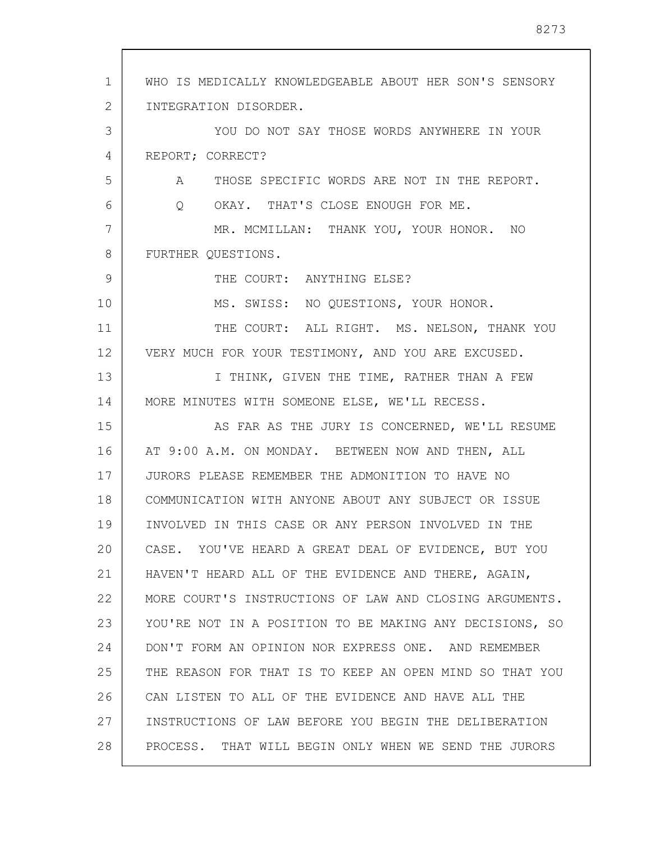1 2 3 4 5 6 7 8 9 10 11 12 13 14 15 16 17 18 19 20 21 22 23 24 25 26 27 28 WHO IS MEDICALLY KNOWLEDGEABLE ABOUT HER SON'S SENSORY INTEGRATION DISORDER. YOU DO NOT SAY THOSE WORDS ANYWHERE IN YOUR REPORT; CORRECT? A THOSE SPECIFIC WORDS ARE NOT IN THE REPORT. Q OKAY. THAT'S CLOSE ENOUGH FOR ME. MR. MCMILLAN: THANK YOU, YOUR HONOR. NO FURTHER QUESTIONS. THE COURT: ANYTHING ELSE? MS. SWISS: NO QUESTIONS, YOUR HONOR. THE COURT: ALL RIGHT. MS. NELSON, THANK YOU VERY MUCH FOR YOUR TESTIMONY, AND YOU ARE EXCUSED. I THINK, GIVEN THE TIME, RATHER THAN A FEW MORE MINUTES WITH SOMEONE ELSE, WE'LL RECESS. AS FAR AS THE JURY IS CONCERNED, WE'LL RESUME AT 9:00 A.M. ON MONDAY. BETWEEN NOW AND THEN, ALL JURORS PLEASE REMEMBER THE ADMONITION TO HAVE NO COMMUNICATION WITH ANYONE ABOUT ANY SUBJECT OR ISSUE INVOLVED IN THIS CASE OR ANY PERSON INVOLVED IN THE CASE. YOU'VE HEARD A GREAT DEAL OF EVIDENCE, BUT YOU HAVEN'T HEARD ALL OF THE EVIDENCE AND THERE, AGAIN, MORE COURT'S INSTRUCTIONS OF LAW AND CLOSING ARGUMENTS. YOU'RE NOT IN A POSITION TO BE MAKING ANY DECISIONS, SO DON'T FORM AN OPINION NOR EXPRESS ONE. AND REMEMBER THE REASON FOR THAT IS TO KEEP AN OPEN MIND SO THAT YOU CAN LISTEN TO ALL OF THE EVIDENCE AND HAVE ALL THE INSTRUCTIONS OF LAW BEFORE YOU BEGIN THE DELIBERATION PROCESS. THAT WILL BEGIN ONLY WHEN WE SEND THE JURORS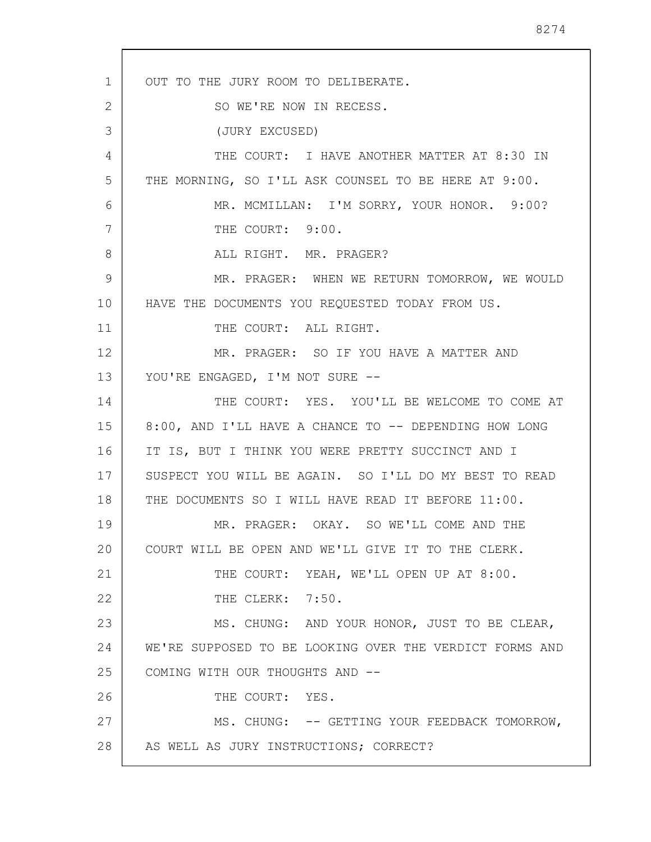1 2 3 4 5 6 7 8 9 10 11 12 13 14 15 16 17 18 19 20 21 22 23 24 25 26 27 28 OUT TO THE JURY ROOM TO DELIBERATE. SO WE'RE NOW IN RECESS. (JURY EXCUSED) THE COURT: I HAVE ANOTHER MATTER AT 8:30 IN THE MORNING, SO I'LL ASK COUNSEL TO BE HERE AT 9:00. MR. MCMILLAN: I'M SORRY, YOUR HONOR. 9:00? THE COURT: 9:00. ALL RIGHT. MR. PRAGER? MR. PRAGER: WHEN WE RETURN TOMORROW, WE WOULD HAVE THE DOCUMENTS YOU REQUESTED TODAY FROM US. THE COURT: ALL RIGHT. MR. PRAGER: SO IF YOU HAVE A MATTER AND YOU'RE ENGAGED, I'M NOT SURE --THE COURT: YES. YOU'LL BE WELCOME TO COME AT 8:00, AND I'LL HAVE A CHANCE TO -- DEPENDING HOW LONG IT IS, BUT I THINK YOU WERE PRETTY SUCCINCT AND I SUSPECT YOU WILL BE AGAIN. SO I'LL DO MY BEST TO READ THE DOCUMENTS SO I WILL HAVE READ IT BEFORE 11:00. MR. PRAGER: OKAY. SO WE'LL COME AND THE COURT WILL BE OPEN AND WE'LL GIVE IT TO THE CLERK. THE COURT: YEAH, WE'LL OPEN UP AT 8:00. THE CLERK: 7:50. MS. CHUNG: AND YOUR HONOR, JUST TO BE CLEAR, WE'RE SUPPOSED TO BE LOOKING OVER THE VERDICT FORMS AND COMING WITH OUR THOUGHTS AND -- THE COURT: YES. MS. CHUNG: -- GETTING YOUR FEEDBACK TOMORROW, AS WELL AS JURY INSTRUCTIONS; CORRECT?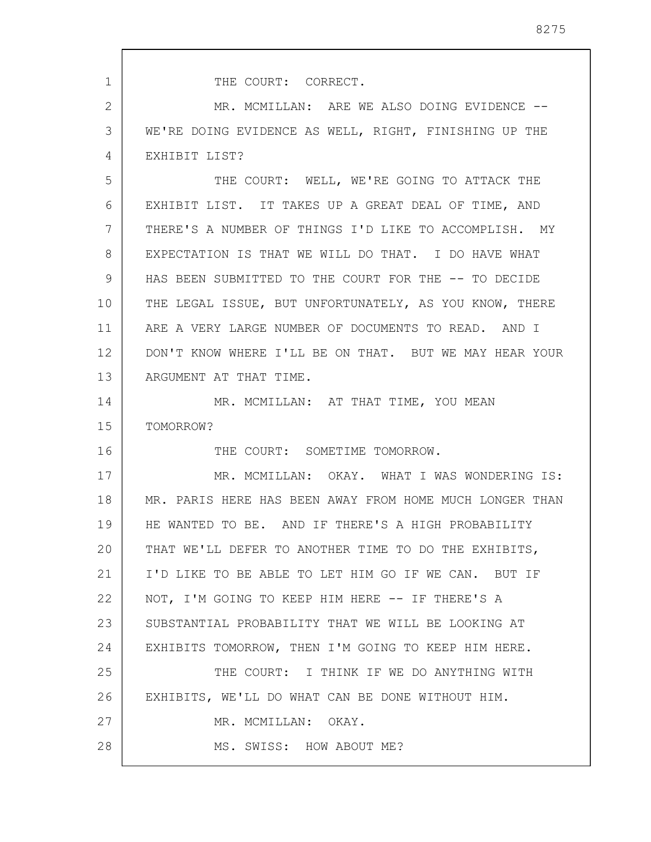THE COURT: CORRECT.

1

16

2 3 4 MR. MCMILLAN: ARE WE ALSO DOING EVIDENCE --WE'RE DOING EVIDENCE AS WELL, RIGHT, FINISHING UP THE EXHIBIT LIST?

5 6 7 8 9 10 11 12 13 THE COURT: WELL, WE'RE GOING TO ATTACK THE EXHIBIT LIST. IT TAKES UP A GREAT DEAL OF TIME, AND THERE'S A NUMBER OF THINGS I'D LIKE TO ACCOMPLISH. MY EXPECTATION IS THAT WE WILL DO THAT. I DO HAVE WHAT HAS BEEN SUBMITTED TO THE COURT FOR THE -- TO DECIDE THE LEGAL ISSUE, BUT UNFORTUNATELY, AS YOU KNOW, THERE ARE A VERY LARGE NUMBER OF DOCUMENTS TO READ. AND I DON'T KNOW WHERE I'LL BE ON THAT. BUT WE MAY HEAR YOUR ARGUMENT AT THAT TIME.

14 15 MR. MCMILLAN: AT THAT TIME, YOU MEAN TOMORROW?

THE COURT: SOMETIME TOMORROW.

17 18 19 20 21 22 23 24 25 26 27 28 MR. MCMILLAN: OKAY. WHAT I WAS WONDERING IS: MR. PARIS HERE HAS BEEN AWAY FROM HOME MUCH LONGER THAN HE WANTED TO BE. AND IF THERE'S A HIGH PROBABILITY THAT WE'LL DEFER TO ANOTHER TIME TO DO THE EXHIBITS, I'D LIKE TO BE ABLE TO LET HIM GO IF WE CAN. BUT IF NOT, I'M GOING TO KEEP HIM HERE -- IF THERE'S A SUBSTANTIAL PROBABILITY THAT WE WILL BE LOOKING AT EXHIBITS TOMORROW, THEN I'M GOING TO KEEP HIM HERE. THE COURT: I THINK IF WE DO ANYTHING WITH EXHIBITS, WE'LL DO WHAT CAN BE DONE WITHOUT HIM. MR. MCMILLAN: OKAY. MS. SWISS: HOW ABOUT ME?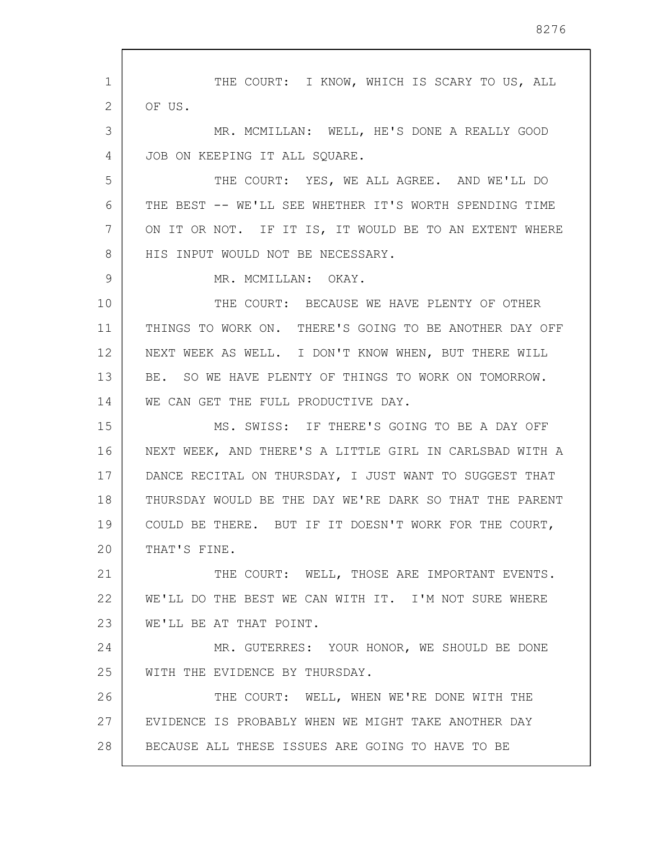1 2 3 4 5 6 7 8 9 10 11 12 13 14 15 16 17 18 19 20 21 22 23 24 25 26 27 28 THE COURT: I KNOW, WHICH IS SCARY TO US, ALL OF US. MR. MCMILLAN: WELL, HE'S DONE A REALLY GOOD JOB ON KEEPING IT ALL SQUARE. THE COURT: YES, WE ALL AGREE. AND WE'LL DO THE BEST -- WE'LL SEE WHETHER IT'S WORTH SPENDING TIME ON IT OR NOT. IF IT IS, IT WOULD BE TO AN EXTENT WHERE HIS INPUT WOULD NOT BE NECESSARY. MR. MCMILLAN: OKAY. THE COURT: BECAUSE WE HAVE PLENTY OF OTHER THINGS TO WORK ON. THERE'S GOING TO BE ANOTHER DAY OFF NEXT WEEK AS WELL. I DON'T KNOW WHEN, BUT THERE WILL BE. SO WE HAVE PLENTY OF THINGS TO WORK ON TOMORROW. WE CAN GET THE FULL PRODUCTIVE DAY. MS. SWISS: IF THERE'S GOING TO BE A DAY OFF NEXT WEEK, AND THERE'S A LITTLE GIRL IN CARLSBAD WITH A DANCE RECITAL ON THURSDAY, I JUST WANT TO SUGGEST THAT THURSDAY WOULD BE THE DAY WE'RE DARK SO THAT THE PARENT COULD BE THERE. BUT IF IT DOESN'T WORK FOR THE COURT, THAT'S FINE. THE COURT: WELL, THOSE ARE IMPORTANT EVENTS. WE'LL DO THE BEST WE CAN WITH IT. I'M NOT SURE WHERE WE'LL BE AT THAT POINT. MR. GUTERRES: YOUR HONOR, WE SHOULD BE DONE WITH THE EVIDENCE BY THURSDAY. THE COURT: WELL, WHEN WE'RE DONE WITH THE EVIDENCE IS PROBABLY WHEN WE MIGHT TAKE ANOTHER DAY BECAUSE ALL THESE ISSUES ARE GOING TO HAVE TO BE